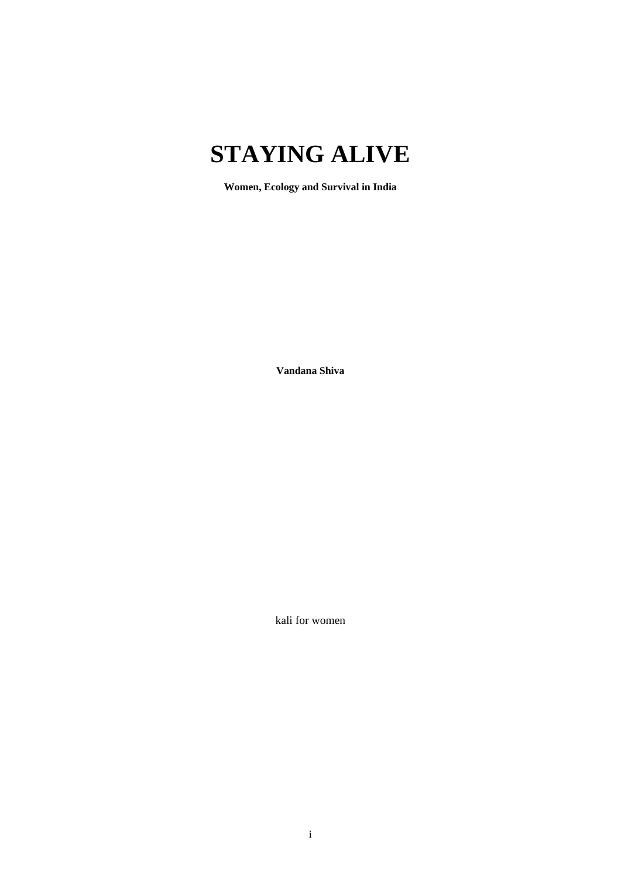# **STAYING ALIVE**

**Women, Ecology and Survival in India** 

**Vandana Shiva** 

kali for women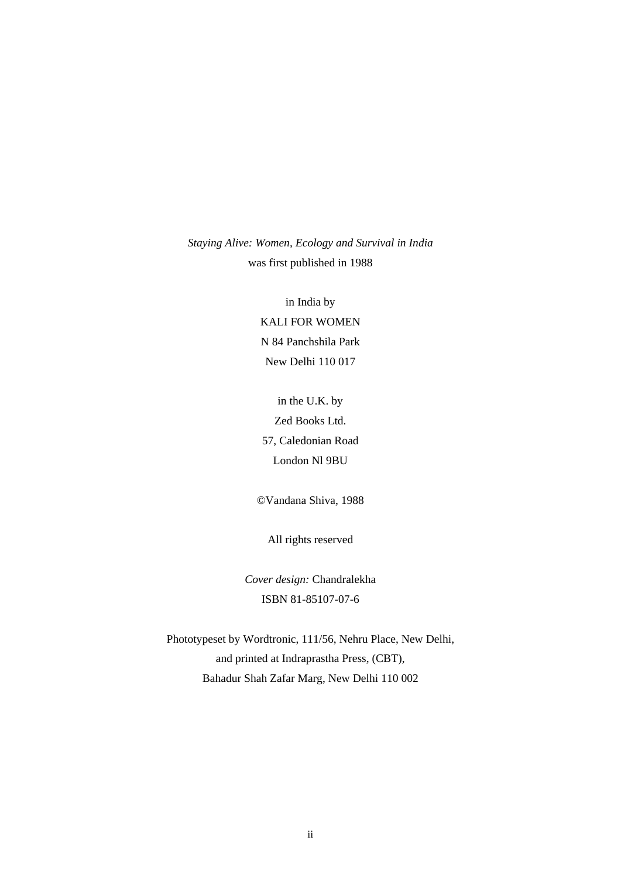## *Staying Alive: Women, Ecology and Survival in India*  was first published in 1988

in India by KALI FOR WOMEN N 84 Panchshila Park New Delhi 110 017

in the U.K. by Zed Books Ltd. 57, Caledonian Road London Nl 9BU

©Vandana Shiva, 1988

All rights reserved

*Cover design:* Chandralekha ISBN 81-85107-07-6

Phototypeset by Wordtronic, 111/56, Nehru Place, New Delhi, and printed at Indraprastha Press, (CBT), Bahadur Shah Zafar Marg, New Delhi 110 002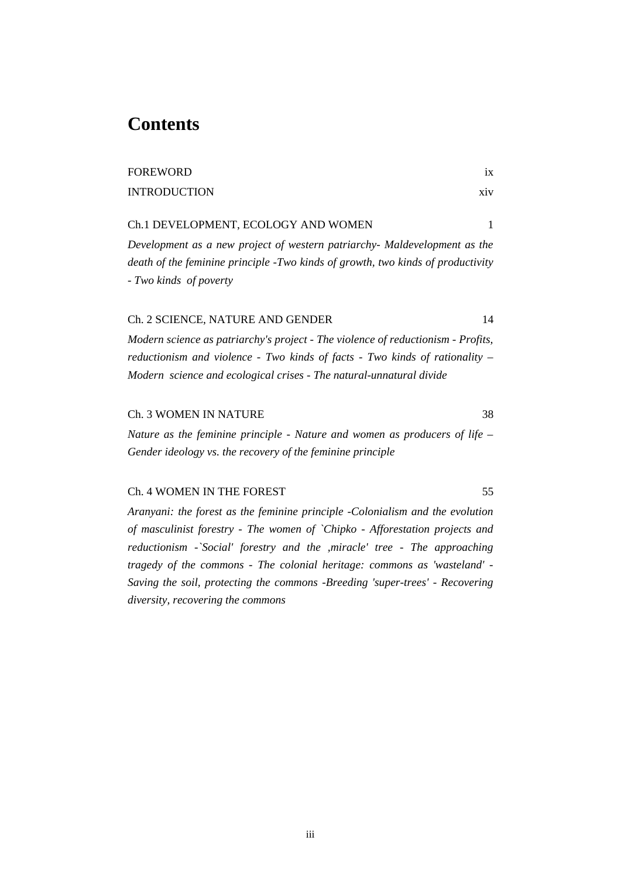# **Contents**

| FOREWORD     |     |
|--------------|-----|
| INTRODUCTION | X1V |

Ch.1 DEVELOPMENT, ECOLOGY AND WOMEN 1

*Development as a new project of western patriarchy- Maldevelopment as the death of the feminine principle -Two kinds of growth, two kinds of productivity - Two kinds of poverty* 

## Ch. 2 SCIENCE, NATURE AND GENDER 14

*Modern science as patriarchy's project - The violence of reductionism - Profits, reductionism and violence - Two kinds of facts - Two kinds of rationality – Modern science and ecological crises - The natural-unnatural divide* 

#### Ch. 3 WOMEN IN NATURE 38

*Nature as the feminine principle - Nature and women as producers of life – Gender ideology vs. the recovery of the feminine principle* 

#### Ch. 4 WOMEN IN THE FOREST 55

*Aranyani: the forest as the feminine principle -Colonialism and the evolution of masculinist forestry - The women of `Chipko - Afforestation projects and reductionism -`Social' forestry and the ,miracle' tree - The approaching tragedy of the commons - The colonial heritage: commons as 'wasteland' - Saving the soil, protecting the commons -Breeding 'super-trees' - Recovering diversity, recovering the commons*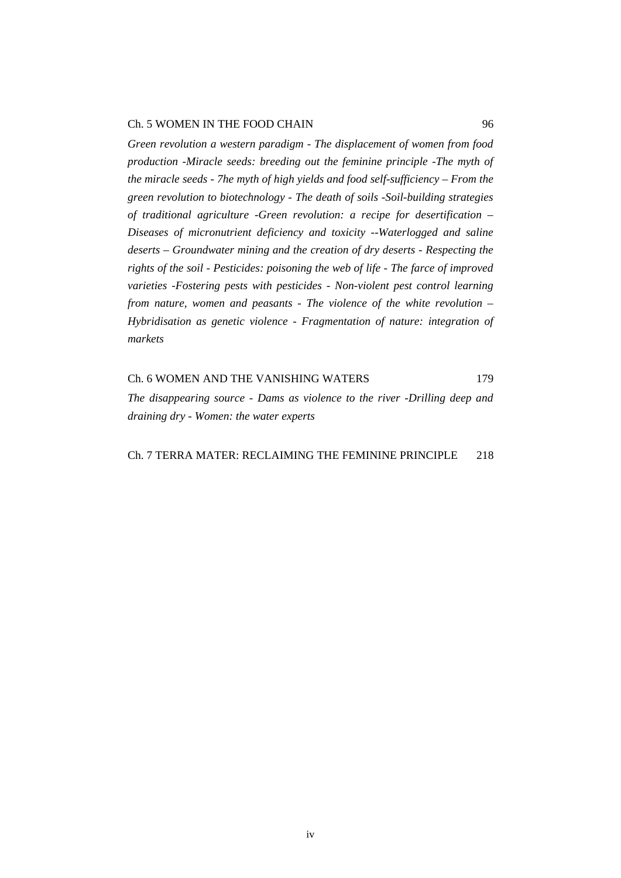## Ch. 5 WOMEN IN THE FOOD CHAIN 96

*Green revolution a western paradigm - The displacement of women from food production -Miracle seeds: breeding out the feminine principle -The myth of the miracle seeds - 7he myth of high yields and food self-sufficiency – From the green revolution to biotechnology - The death of soils -Soil-building strategies of traditional agriculture -Green revolution: a recipe for desertification – Diseases of micronutrient deficiency and toxicity --Waterlogged and saline deserts – Groundwater mining and the creation of dry deserts - Respecting the rights of the soil - Pesticides: poisoning the web of life - The farce of improved varieties -Fostering pests with pesticides - Non-violent pest control learning from nature, women and peasants - The violence of the white revolution – Hybridisation as genetic violence - Fragmentation of nature: integration of markets* 

Ch. 6 WOMEN AND THE VANISHING WATERS 179 *The disappearing source - Dams as violence to the river -Drilling deep and draining dry - Women: the water experts* 

Ch. 7 TERRA MATER: RECLAIMING THE FEMININE PRINCIPLE 218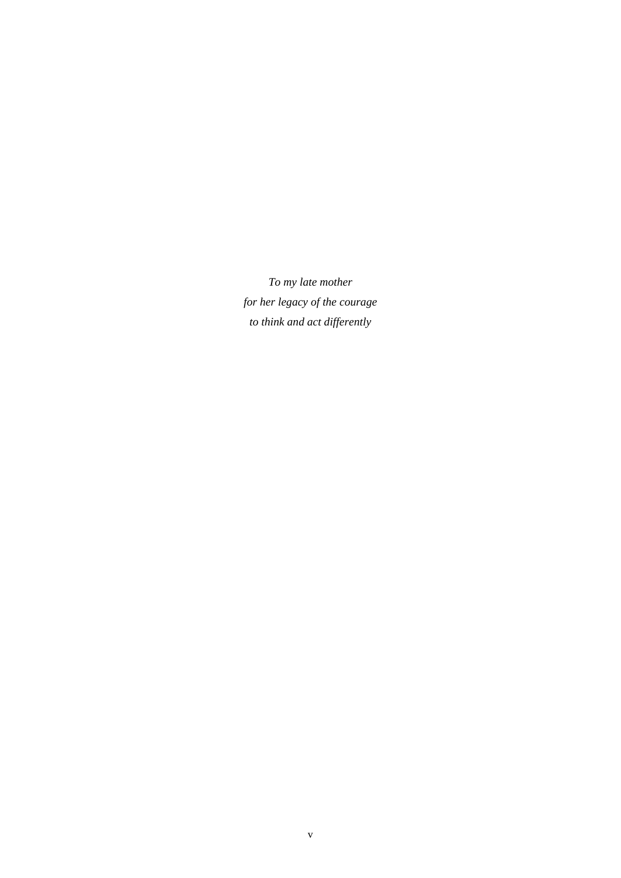*To my late mother for her legacy of the courage to think and act differently*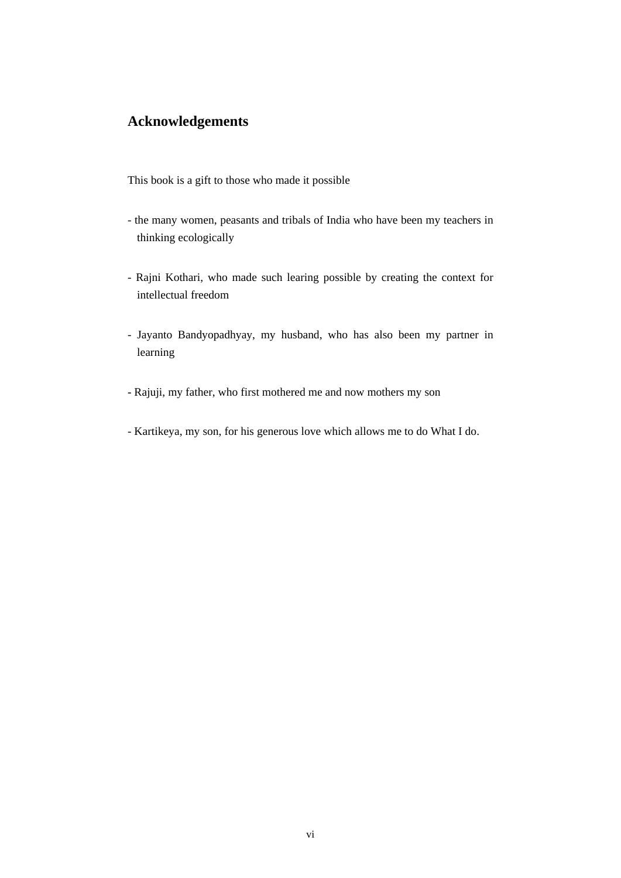## **Acknowledgements**

This book is a gift to those who made it possible

- the many women, peasants and tribals of India who have been my teachers in thinking ecologically
- Rajni Kothari, who made such learing possible by creating the context for intellectual freedom
- Jayanto Bandyopadhyay, my husband, who has also been my partner in learning
- Rajuji, my father, who first mothered me and now mothers my son
- Kartikeya, my son, for his generous love which allows me to do What I do.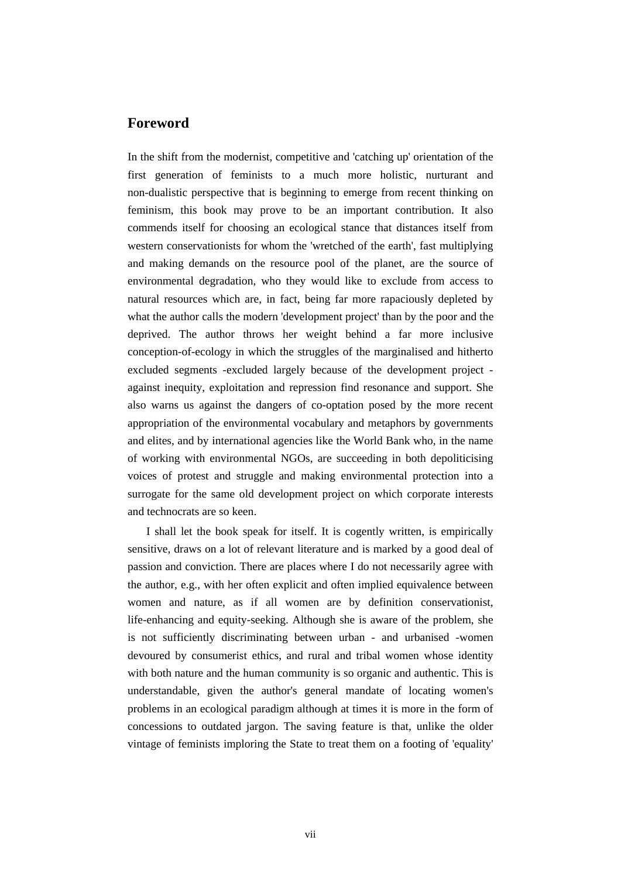## **Foreword**

In the shift from the modernist, competitive and 'catching up' orientation of the first generation of feminists to a much more holistic, nurturant and non-dualistic perspective that is beginning to emerge from recent thinking on feminism, this book may prove to be an important contribution. It also commends itself for choosing an ecological stance that distances itself from western conservationists for whom the 'wretched of the earth', fast multiplying and making demands on the resource pool of the planet, are the source of environmental degradation, who they would like to exclude from access to natural resources which are, in fact, being far more rapaciously depleted by what the author calls the modern 'development project' than by the poor and the deprived. The author throws her weight behind a far more inclusive conception-of-ecology in which the struggles of the marginalised and hitherto excluded segments -excluded largely because of the development project against inequity, exploitation and repression find resonance and support. She also warns us against the dangers of co-optation posed by the more recent appropriation of the environmental vocabulary and metaphors by governments and elites, and by international agencies like the World Bank who, in the name of working with environmental NGOs, are succeeding in both depoliticising voices of protest and struggle and making environmental protection into a surrogate for the same old development project on which corporate interests and technocrats are so keen.

I shall let the book speak for itself. It is cogently written, is empirically sensitive, draws on a lot of relevant literature and is marked by a good deal of passion and conviction. There are places where I do not necessarily agree with the author, e.g., with her often explicit and often implied equivalence between women and nature, as if all women are by definition conservationist, life-enhancing and equity-seeking. Although she is aware of the problem, she is not sufficiently discriminating between urban - and urbanised -women devoured by consumerist ethics, and rural and tribal women whose identity with both nature and the human community is so organic and authentic. This is understandable, given the author's general mandate of locating women's problems in an ecological paradigm although at times it is more in the form of concessions to outdated jargon. The saving feature is that, unlike the older vintage of feminists imploring the State to treat them on a footing of 'equality'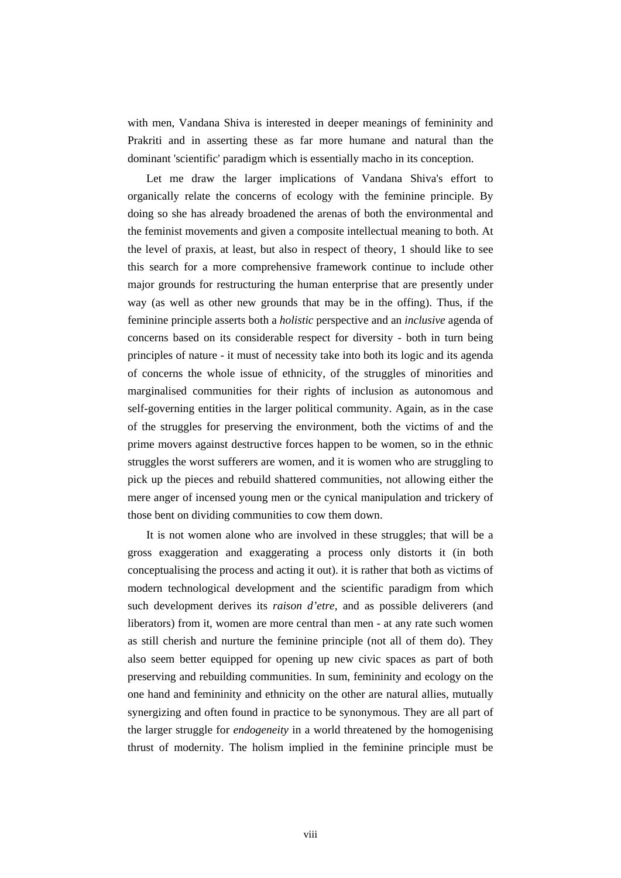with men, Vandana Shiva is interested in deeper meanings of femininity and Prakriti and in asserting these as far more humane and natural than the dominant 'scientific' paradigm which is essentially macho in its conception.

Let me draw the larger implications of Vandana Shiva's effort to organically relate the concerns of ecology with the feminine principle. By doing so she has already broadened the arenas of both the environmental and the feminist movements and given a composite intellectual meaning to both. At the level of praxis, at least, but also in respect of theory, 1 should like to see this search for a more comprehensive framework continue to include other major grounds for restructuring the human enterprise that are presently under way (as well as other new grounds that may be in the offing). Thus, if the feminine principle asserts both a *holistic* perspective and an *inclusive* agenda of concerns based on its considerable respect for diversity - both in turn being principles of nature - it must of necessity take into both its logic and its agenda of concerns the whole issue of ethnicity, of the struggles of minorities and marginalised communities for their rights of inclusion as autonomous and self-governing entities in the larger political community. Again, as in the case of the struggles for preserving the environment, both the victims of and the prime movers against destructive forces happen to be women, so in the ethnic struggles the worst sufferers are women, and it is women who are struggling to pick up the pieces and rebuild shattered communities, not allowing either the mere anger of incensed young men or the cynical manipulation and trickery of those bent on dividing communities to cow them down.

It is not women alone who are involved in these struggles; that will be a gross exaggeration and exaggerating a process only distorts it (in both conceptualising the process and acting it out). it is rather that both as victims of modern technological development and the scientific paradigm from which such development derives its *raison d'etre,* and as possible deliverers (and liberators) from it, women are more central than men - at any rate such women as still cherish and nurture the feminine principle (not all of them do). They also seem better equipped for opening up new civic spaces as part of both preserving and rebuilding communities. In sum, femininity and ecology on the one hand and femininity and ethnicity on the other are natural allies, mutually synergizing and often found in practice to be synonymous. They are all part of the larger struggle for *endogeneity* in a world threatened by the homogenising thrust of modernity. The holism implied in the feminine principle must be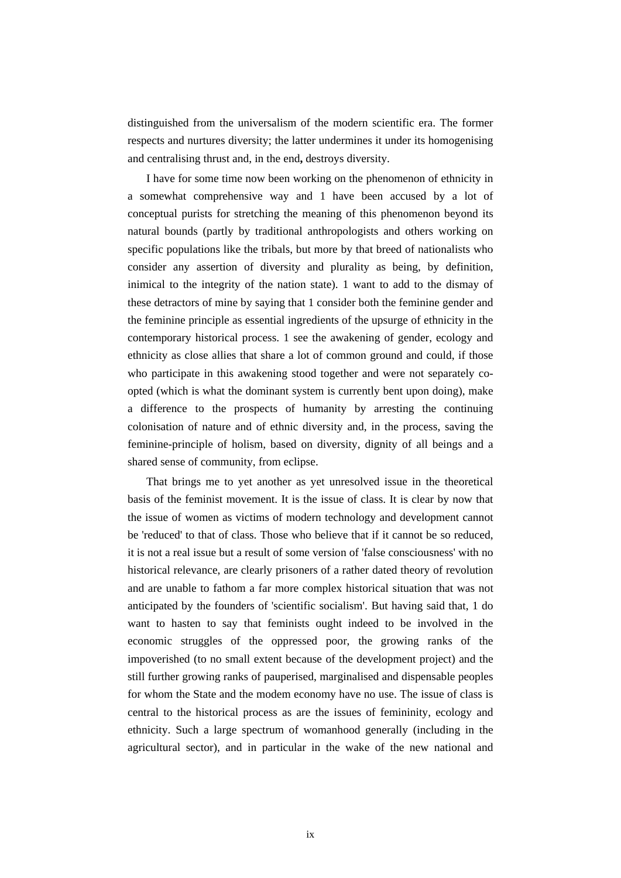distinguished from the universalism of the modern scientific era. The former respects and nurtures diversity; the latter undermines it under its homogenising and centralising thrust and, in the end**,** destroys diversity.

I have for some time now been working on the phenomenon of ethnicity in a somewhat comprehensive way and 1 have been accused by a lot of conceptual purists for stretching the meaning of this phenomenon beyond its natural bounds (partly by traditional anthropologists and others working on specific populations like the tribals, but more by that breed of nationalists who consider any assertion of diversity and plurality as being, by definition, inimical to the integrity of the nation state). 1 want to add to the dismay of these detractors of mine by saying that 1 consider both the feminine gender and the feminine principle as essential ingredients of the upsurge of ethnicity in the contemporary historical process. 1 see the awakening of gender, ecology and ethnicity as close allies that share a lot of common ground and could, if those who participate in this awakening stood together and were not separately coopted (which is what the dominant system is currently bent upon doing), make a difference to the prospects of humanity by arresting the continuing colonisation of nature and of ethnic diversity and, in the process, saving the feminine-principle of holism, based on diversity, dignity of all beings and a shared sense of community, from eclipse.

That brings me to yet another as yet unresolved issue in the theoretical basis of the feminist movement. It is the issue of class. It is clear by now that the issue of women as victims of modern technology and development cannot be 'reduced' to that of class. Those who believe that if it cannot be so reduced, it is not a real issue but a result of some version of 'false consciousness' with no historical relevance, are clearly prisoners of a rather dated theory of revolution and are unable to fathom a far more complex historical situation that was not anticipated by the founders of 'scientific socialism'. But having said that, 1 do want to hasten to say that feminists ought indeed to be involved in the economic struggles of the oppressed poor, the growing ranks of the impoverished (to no small extent because of the development project) and the still further growing ranks of pauperised, marginalised and dispensable peoples for whom the State and the modem economy have no use. The issue of class is central to the historical process as are the issues of femininity, ecology and ethnicity. Such a large spectrum of womanhood generally (including in the agricultural sector), and in particular in the wake of the new national and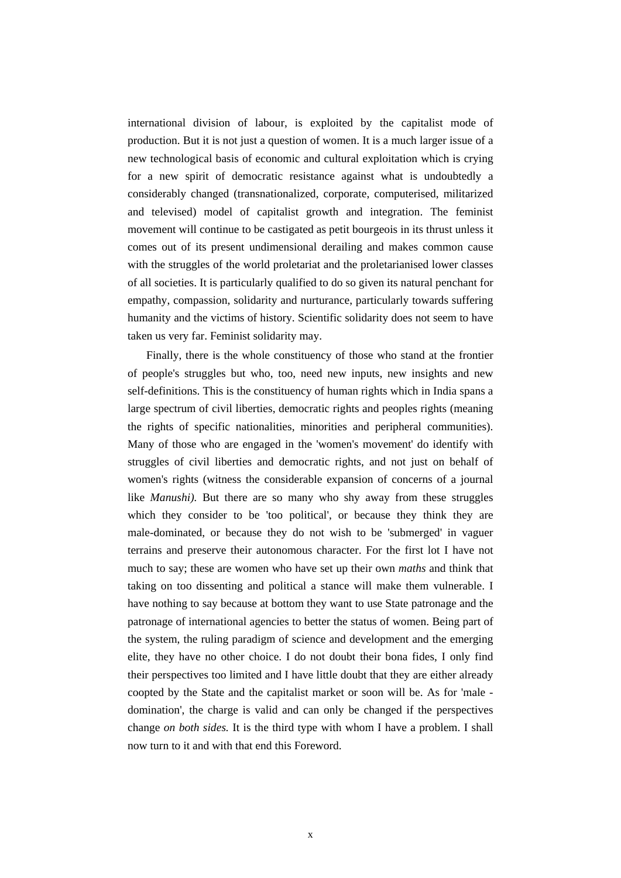international division of labour, is exploited by the capitalist mode of production. But it is not just a question of women. It is a much larger issue of a new technological basis of economic and cultural exploitation which is crying for a new spirit of democratic resistance against what is undoubtedly a considerably changed (transnationalized, corporate, computerised, militarized and televised) model of capitalist growth and integration. The feminist movement will continue to be castigated as petit bourgeois in its thrust unless it comes out of its present undimensional derailing and makes common cause with the struggles of the world proletariat and the proletarianised lower classes of all societies. It is particularly qualified to do so given its natural penchant for empathy, compassion, solidarity and nurturance, particularly towards suffering humanity and the victims of history. Scientific solidarity does not seem to have taken us very far. Feminist solidarity may.

Finally, there is the whole constituency of those who stand at the frontier of people's struggles but who, too, need new inputs, new insights and new self-definitions. This is the constituency of human rights which in India spans a large spectrum of civil liberties, democratic rights and peoples rights (meaning the rights of specific nationalities, minorities and peripheral communities). Many of those who are engaged in the 'women's movement' do identify with struggles of civil liberties and democratic rights, and not just on behalf of women's rights (witness the considerable expansion of concerns of a journal like *Manushi).* But there are so many who shy away from these struggles which they consider to be 'too political', or because they think they are male-dominated, or because they do not wish to be 'submerged' in vaguer terrains and preserve their autonomous character. For the first lot I have not much to say; these are women who have set up their own *maths* and think that taking on too dissenting and political a stance will make them vulnerable. I have nothing to say because at bottom they want to use State patronage and the patronage of international agencies to better the status of women. Being part of the system, the ruling paradigm of science and development and the emerging elite, they have no other choice. I do not doubt their bona fides, I only find their perspectives too limited and I have little doubt that they are either already coopted by the State and the capitalist market or soon will be. As for 'male domination', the charge is valid and can only be changed if the perspectives change *on both sides.* It is the third type with whom I have a problem. I shall now turn to it and with that end this Foreword.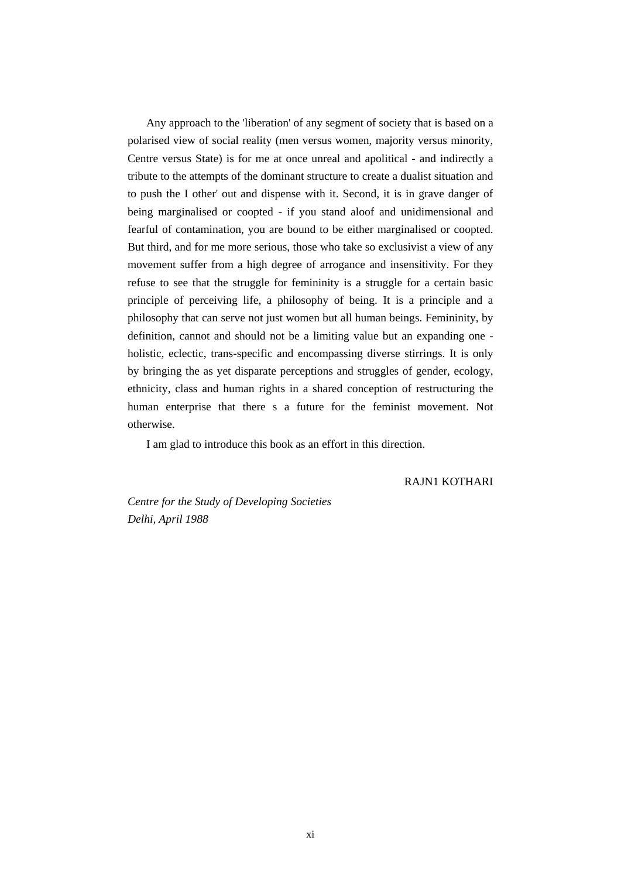Any approach to the 'liberation' of any segment of society that is based on a polarised view of social reality (men versus women, majority versus minority, Centre versus State) is for me at once unreal and apolitical - and indirectly a tribute to the attempts of the dominant structure to create a dualist situation and to push the I other' out and dispense with it. Second, it is in grave danger of being marginalised or coopted - if you stand aloof and unidimensional and fearful of contamination, you are bound to be either marginalised or coopted. But third, and for me more serious, those who take so exclusivist a view of any movement suffer from a high degree of arrogance and insensitivity. For they refuse to see that the struggle for femininity is a struggle for a certain basic principle of perceiving life, a philosophy of being. It is a principle and a philosophy that can serve not just women but all human beings. Femininity, by definition, cannot and should not be a limiting value but an expanding one holistic, eclectic, trans-specific and encompassing diverse stirrings. It is only by bringing the as yet disparate perceptions and struggles of gender, ecology, ethnicity, class and human rights in a shared conception of restructuring the human enterprise that there s a future for the feminist movement. Not otherwise.

I am glad to introduce this book as an effort in this direction.

RAJN1 KOTHARI

*Centre for the Study of Developing Societies Delhi, April 1988*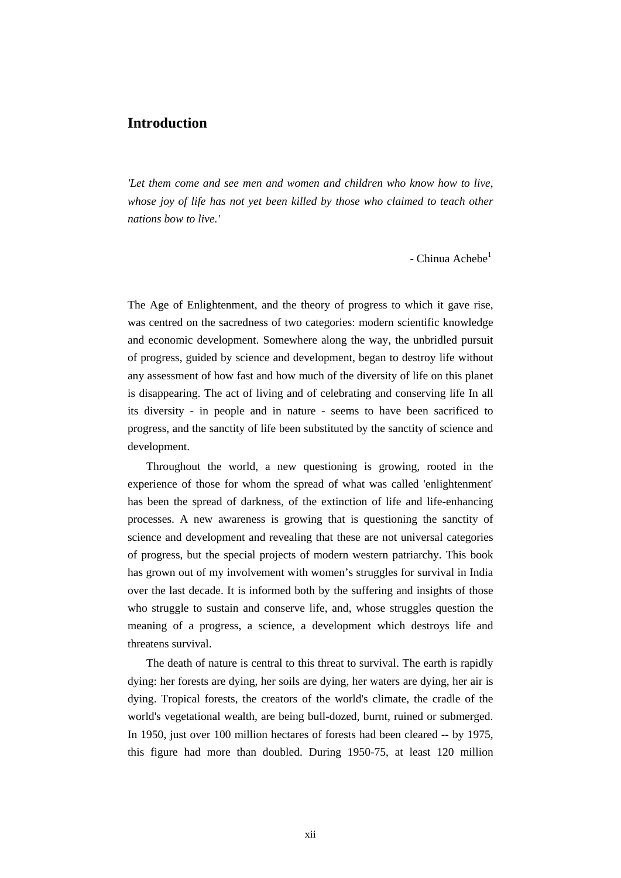## **Introduction**

*'Let them come and see men and women and children who know how to live, whose joy of life has not yet been killed by those who claimed to teach other nations bow to live.'* 

 $-$  Chinua Achebe $<sup>1</sup>$ </sup>

The Age of Enlightenment, and the theory of progress to which it gave rise, was centred on the sacredness of two categories: modern scientific knowledge and economic development. Somewhere along the way, the unbridled pursuit of progress, guided by science and development, began to destroy life without any assessment of how fast and how much of the diversity of life on this planet is disappearing. The act of living and of celebrating and conserving life In all its diversity - in people and in nature - seems to have been sacrificed to progress, and the sanctity of life been substituted by the sanctity of science and development.

Throughout the world, a new questioning is growing, rooted in the experience of those for whom the spread of what was called 'enlightenment' has been the spread of darkness, of the extinction of life and life-enhancing processes. A new awareness is growing that is questioning the sanctity of science and development and revealing that these are not universal categories of progress, but the special projects of modern western patriarchy. This book has grown out of my involvement with women's struggles for survival in India over the last decade. It is informed both by the suffering and insights of those who struggle to sustain and conserve life, and, whose struggles question the meaning of a progress, a science, a development which destroys life and threatens survival.

The death of nature is central to this threat to survival. The earth is rapidly dying: her forests are dying, her soils are dying, her waters are dying, her air is dying. Tropical forests, the creators of the world's climate, the cradle of the world's vegetational wealth, are being bull-dozed, burnt, ruined or submerged. In 1950, just over 100 million hectares of forests had been cleared -- by 1975, this figure had more than doubled. During 1950-75, at least 120 million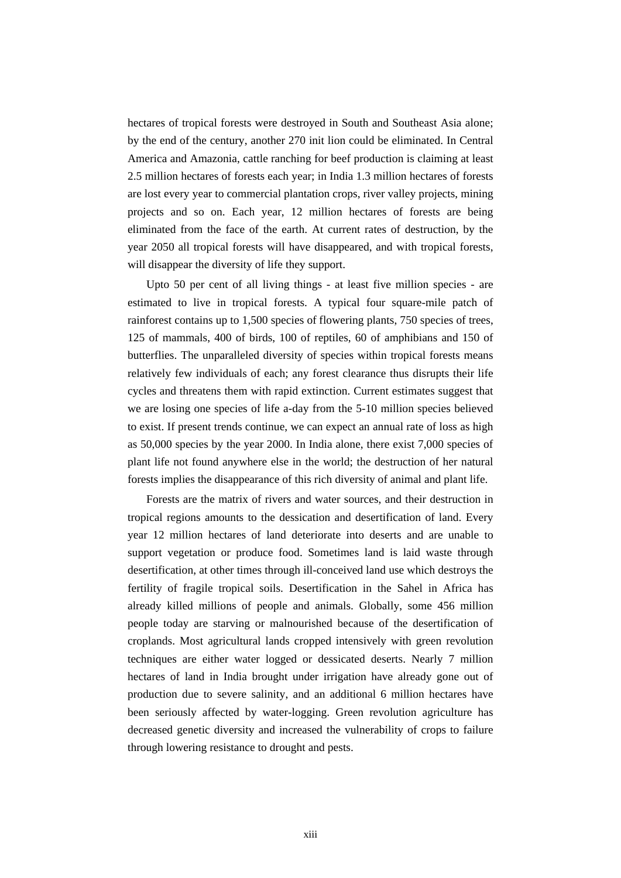hectares of tropical forests were destroyed in South and Southeast Asia alone; by the end of the century, another 270 init lion could be eliminated. In Central America and Amazonia, cattle ranching for beef production is claiming at least 2.5 million hectares of forests each year; in India 1.3 million hectares of forests are lost every year to commercial plantation crops, river valley projects, mining projects and so on. Each year, 12 million hectares of forests are being eliminated from the face of the earth. At current rates of destruction, by the year 2050 all tropical forests will have disappeared, and with tropical forests, will disappear the diversity of life they support.

Upto 50 per cent of all living things - at least five million species - are estimated to live in tropical forests. A typical four square-mile patch of rainforest contains up to 1,500 species of flowering plants, 750 species of trees, 125 of mammals, 400 of birds, 100 of reptiles, 60 of amphibians and 150 of butterflies. The unparalleled diversity of species within tropical forests means relatively few individuals of each; any forest clearance thus disrupts their life cycles and threatens them with rapid extinction. Current estimates suggest that we are losing one species of life a-day from the 5-10 million species believed to exist. If present trends continue, we can expect an annual rate of loss as high as 50,000 species by the year 2000. In India alone, there exist 7,000 species of plant life not found anywhere else in the world; the destruction of her natural forests implies the disappearance of this rich diversity of animal and plant life.

Forests are the matrix of rivers and water sources, and their destruction in tropical regions amounts to the dessication and desertification of land. Every year 12 million hectares of land deteriorate into deserts and are unable to support vegetation or produce food. Sometimes land is laid waste through desertification, at other times through ill-conceived land use which destroys the fertility of fragile tropical soils. Desertification in the Sahel in Africa has already killed millions of people and animals. Globally, some 456 million people today are starving or malnourished because of the desertification of croplands. Most agricultural lands cropped intensively with green revolution techniques are either water logged or dessicated deserts. Nearly 7 million hectares of land in India brought under irrigation have already gone out of production due to severe salinity, and an additional 6 million hectares have been seriously affected by water-logging. Green revolution agriculture has decreased genetic diversity and increased the vulnerability of crops to failure through lowering resistance to drought and pests.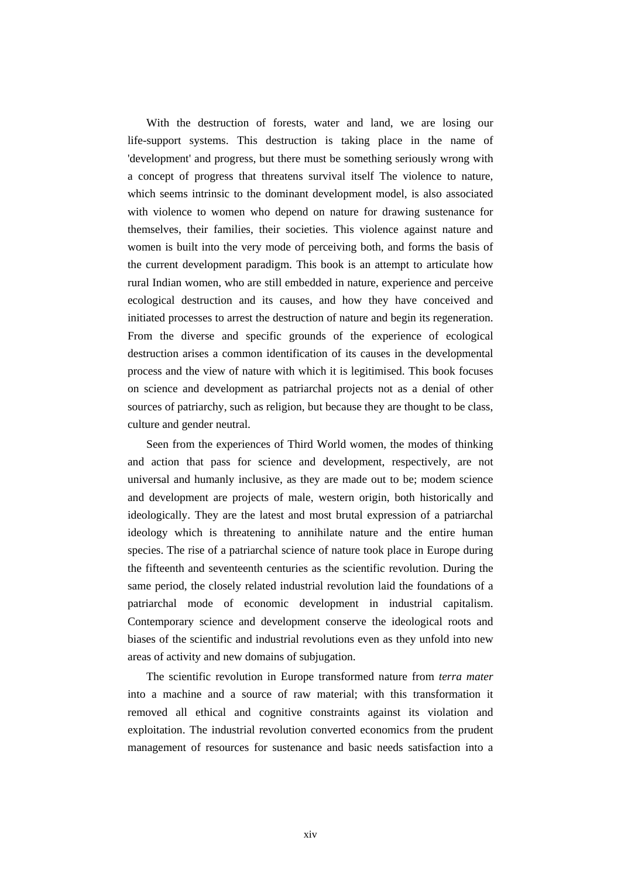With the destruction of forests, water and land, we are losing our life-support systems. This destruction is taking place in the name of 'development' and progress, but there must be something seriously wrong with a concept of progress that threatens survival itself The violence to nature, which seems intrinsic to the dominant development model, is also associated with violence to women who depend on nature for drawing sustenance for themselves, their families, their societies. This violence against nature and women is built into the very mode of perceiving both, and forms the basis of the current development paradigm. This book is an attempt to articulate how rural Indian women, who are still embedded in nature, experience and perceive ecological destruction and its causes, and how they have conceived and initiated processes to arrest the destruction of nature and begin its regeneration. From the diverse and specific grounds of the experience of ecological destruction arises a common identification of its causes in the developmental process and the view of nature with which it is legitimised. This book focuses on science and development as patriarchal projects not as a denial of other sources of patriarchy, such as religion, but because they are thought to be class, culture and gender neutral.

Seen from the experiences of Third World women, the modes of thinking and action that pass for science and development, respectively, are not universal and humanly inclusive, as they are made out to be; modem science and development are projects of male, western origin, both historically and ideologically. They are the latest and most brutal expression of a patriarchal ideology which is threatening to annihilate nature and the entire human species. The rise of a patriarchal science of nature took place in Europe during the fifteenth and seventeenth centuries as the scientific revolution. During the same period, the closely related industrial revolution laid the foundations of a patriarchal mode of economic development in industrial capitalism. Contemporary science and development conserve the ideological roots and biases of the scientific and industrial revolutions even as they unfold into new areas of activity and new domains of subjugation.

The scientific revolution in Europe transformed nature from *terra mater*  into a machine and a source of raw material; with this transformation it removed all ethical and cognitive constraints against its violation and exploitation. The industrial revolution converted economics from the prudent management of resources for sustenance and basic needs satisfaction into a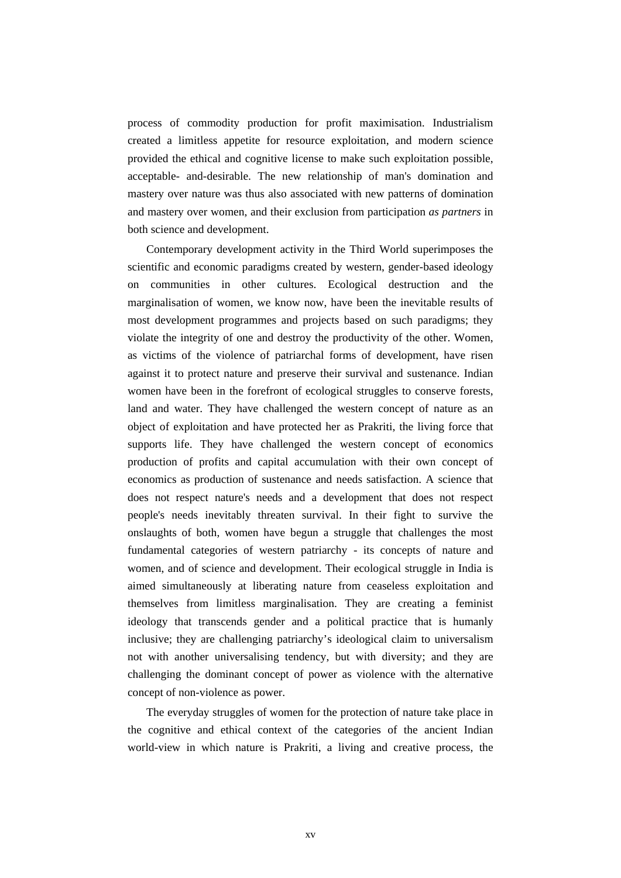process of commodity production for profit maximisation. Industrialism created a limitless appetite for resource exploitation, and modern science provided the ethical and cognitive license to make such exploitation possible, acceptable- and-desirable. The new relationship of man's domination and mastery over nature was thus also associated with new patterns of domination and mastery over women, and their exclusion from participation *as partners* in both science and development.

Contemporary development activity in the Third World superimposes the scientific and economic paradigms created by western, gender-based ideology on communities in other cultures. Ecological destruction and the marginalisation of women, we know now, have been the inevitable results of most development programmes and projects based on such paradigms; they violate the integrity of one and destroy the productivity of the other. Women, as victims of the violence of patriarchal forms of development, have risen against it to protect nature and preserve their survival and sustenance. Indian women have been in the forefront of ecological struggles to conserve forests, land and water. They have challenged the western concept of nature as an object of exploitation and have protected her as Prakriti, the living force that supports life. They have challenged the western concept of economics production of profits and capital accumulation with their own concept of economics as production of sustenance and needs satisfaction. A science that does not respect nature's needs and a development that does not respect people's needs inevitably threaten survival. In their fight to survive the onslaughts of both, women have begun a struggle that challenges the most fundamental categories of western patriarchy - its concepts of nature and women, and of science and development. Their ecological struggle in India is aimed simultaneously at liberating nature from ceaseless exploitation and themselves from limitless marginalisation. They are creating a feminist ideology that transcends gender and a political practice that is humanly inclusive; they are challenging patriarchy's ideological claim to universalism not with another universalising tendency, but with diversity; and they are challenging the dominant concept of power as violence with the alternative concept of non-violence as power.

The everyday struggles of women for the protection of nature take place in the cognitive and ethical context of the categories of the ancient Indian world-view in which nature is Prakriti, a living and creative process, the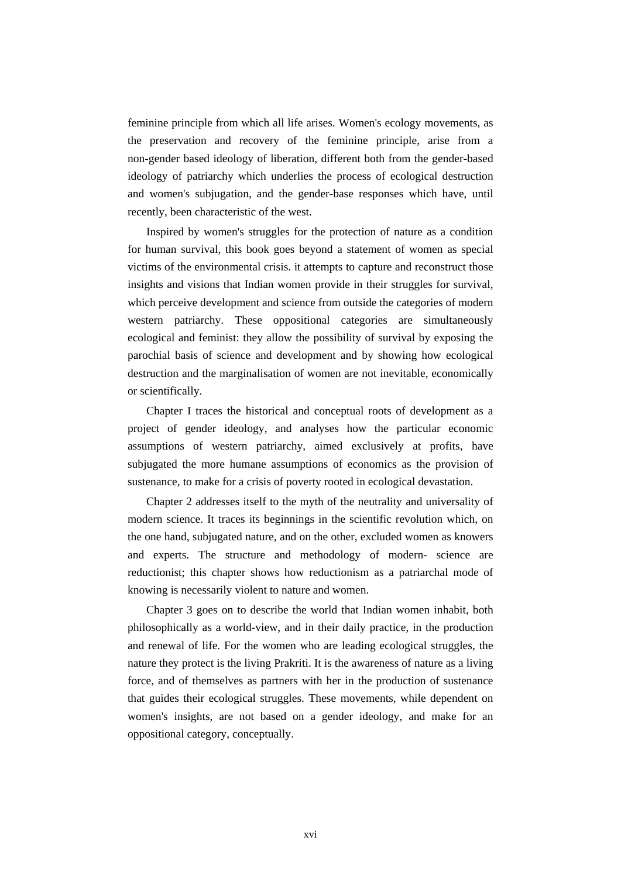feminine principle from which all life arises. Women's ecology movements, as the preservation and recovery of the feminine principle, arise from a non-gender based ideology of liberation, different both from the gender-based ideology of patriarchy which underlies the process of ecological destruction and women's subjugation, and the gender-base responses which have, until recently, been characteristic of the west.

Inspired by women's struggles for the protection of nature as a condition for human survival, this book goes beyond a statement of women as special victims of the environmental crisis. it attempts to capture and reconstruct those insights and visions that Indian women provide in their struggles for survival, which perceive development and science from outside the categories of modern western patriarchy. These oppositional categories are simultaneously ecological and feminist: they allow the possibility of survival by exposing the parochial basis of science and development and by showing how ecological destruction and the marginalisation of women are not inevitable, economically or scientifically.

Chapter I traces the historical and conceptual roots of development as a project of gender ideology, and analyses how the particular economic assumptions of western patriarchy, aimed exclusively at profits, have subjugated the more humane assumptions of economics as the provision of sustenance, to make for a crisis of poverty rooted in ecological devastation.

Chapter 2 addresses itself to the myth of the neutrality and universality of modern science. It traces its beginnings in the scientific revolution which, on the one hand, subjugated nature, and on the other, excluded women as knowers and experts. The structure and methodology of modern- science are reductionist; this chapter shows how reductionism as a patriarchal mode of knowing is necessarily violent to nature and women.

Chapter 3 goes on to describe the world that Indian women inhabit, both philosophically as a world-view, and in their daily practice, in the production and renewal of life. For the women who are leading ecological struggles, the nature they protect is the living Prakriti. It is the awareness of nature as a living force, and of themselves as partners with her in the production of sustenance that guides their ecological struggles. These movements, while dependent on women's insights, are not based on a gender ideology, and make for an oppositional category, conceptually.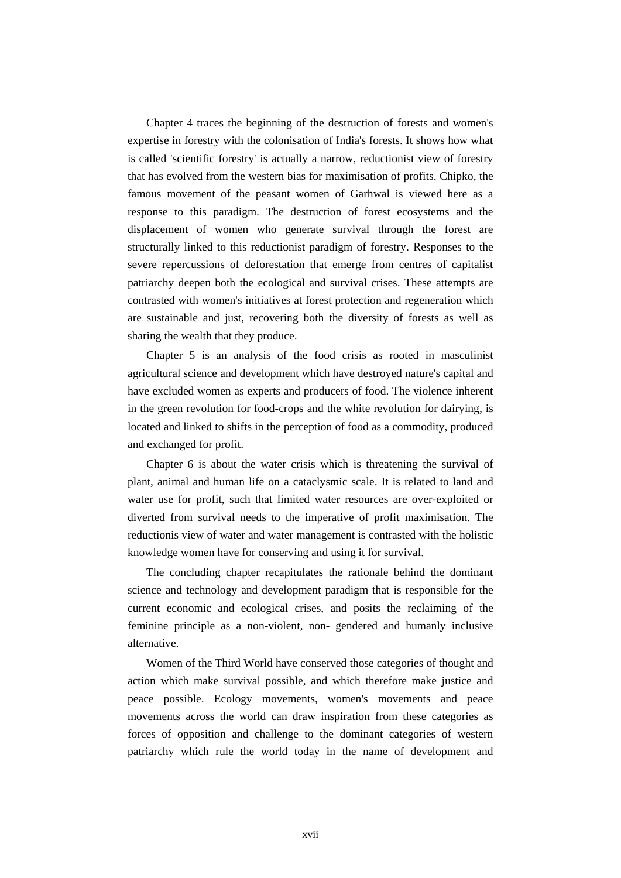Chapter 4 traces the beginning of the destruction of forests and women's expertise in forestry with the colonisation of India's forests. It shows how what is called 'scientific forestry' is actually a narrow, reductionist view of forestry that has evolved from the western bias for maximisation of profits. Chipko, the famous movement of the peasant women of Garhwal is viewed here as a response to this paradigm. The destruction of forest ecosystems and the displacement of women who generate survival through the forest are structurally linked to this reductionist paradigm of forestry. Responses to the severe repercussions of deforestation that emerge from centres of capitalist patriarchy deepen both the ecological and survival crises. These attempts are contrasted with women's initiatives at forest protection and regeneration which are sustainable and just, recovering both the diversity of forests as well as sharing the wealth that they produce.

Chapter 5 is an analysis of the food crisis as rooted in masculinist agricultural science and development which have destroyed nature's capital and have excluded women as experts and producers of food. The violence inherent in the green revolution for food-crops and the white revolution for dairying, is located and linked to shifts in the perception of food as a commodity, produced and exchanged for profit.

Chapter 6 is about the water crisis which is threatening the survival of plant, animal and human life on a cataclysmic scale. It is related to land and water use for profit, such that limited water resources are over-exploited or diverted from survival needs to the imperative of profit maximisation. The reductionis view of water and water management is contrasted with the holistic knowledge women have for conserving and using it for survival.

The concluding chapter recapitulates the rationale behind the dominant science and technology and development paradigm that is responsible for the current economic and ecological crises, and posits the reclaiming of the feminine principle as a non-violent, non- gendered and humanly inclusive alternative.

Women of the Third World have conserved those categories of thought and action which make survival possible, and which therefore make justice and peace possible. Ecology movements, women's movements and peace movements across the world can draw inspiration from these categories as forces of opposition and challenge to the dominant categories of western patriarchy which rule the world today in the name of development and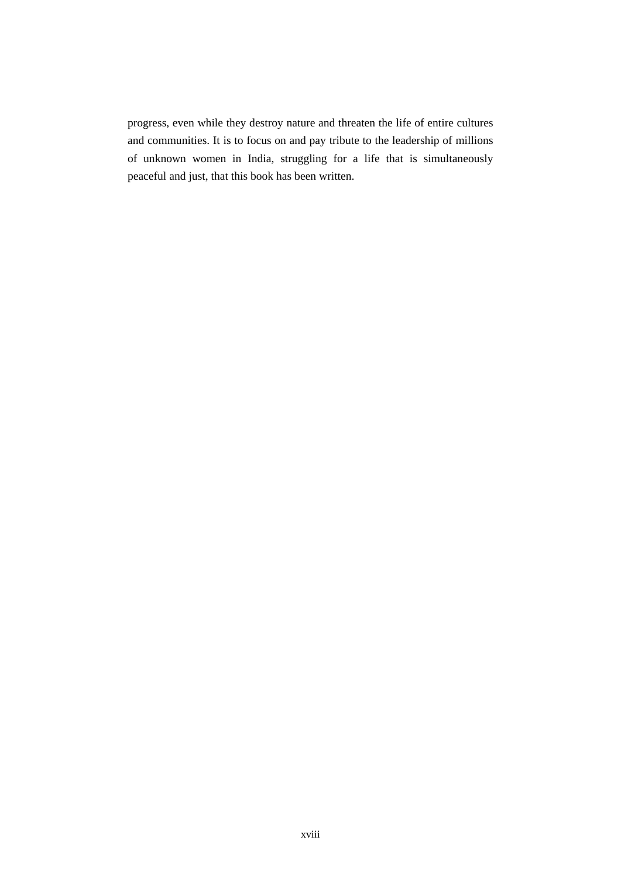progress, even while they destroy nature and threaten the life of entire cultures and communities. It is to focus on and pay tribute to the leadership of millions of unknown women in India, struggling for a life that is simultaneously peaceful and just, that this book has been written.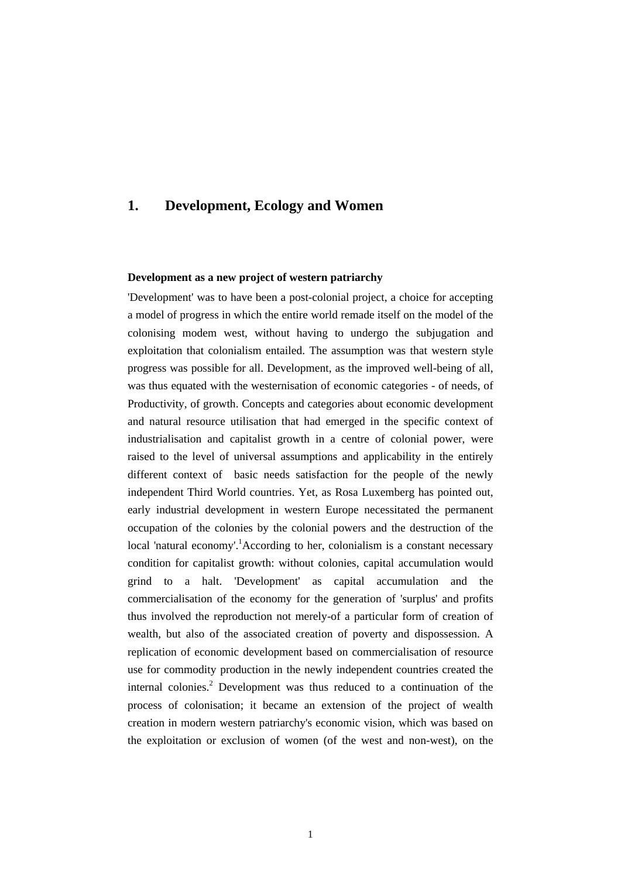## **1. Development, Ecology and Women**

#### **Development as a new project of western patriarchy**

'Development' was to have been a post-colonial project, a choice for accepting a model of progress in which the entire world remade itself on the model of the colonising modem west, without having to undergo the subjugation and exploitation that colonialism entailed. The assumption was that western style progress was possible for all. Development, as the improved well-being of all, was thus equated with the westernisation of economic categories - of needs, of Productivity, of growth. Concepts and categories about economic development and natural resource utilisation that had emerged in the specific context of industrialisation and capitalist growth in a centre of colonial power, were raised to the level of universal assumptions and applicability in the entirely different context of basic needs satisfaction for the people of the newly independent Third World countries. Yet, as Rosa Luxemberg has pointed out, early industrial development in western Europe necessitated the permanent occupation of the colonies by the colonial powers and the destruction of the local 'natural economy'.<sup>1</sup> According to her, colonialism is a constant necessary condition for capitalist growth: without colonies, capital accumulation would grind to a halt. 'Development' as capital accumulation and the commercialisation of the economy for the generation of 'surplus' and profits thus involved the reproduction not merely-of a particular form of creation of wealth, but also of the associated creation of poverty and dispossession. A replication of economic development based on commercialisation of resource use for commodity production in the newly independent countries created the internal colonies.<sup>2</sup> Development was thus reduced to a continuation of the process of colonisation; it became an extension of the project of wealth creation in modern western patriarchy's economic vision, which was based on the exploitation or exclusion of women (of the west and non-west), on the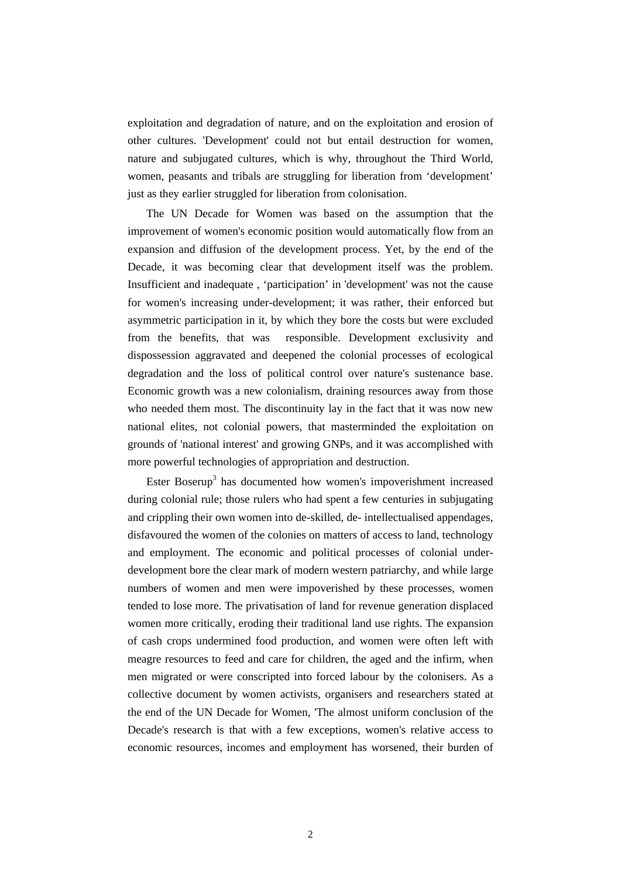exploitation and degradation of nature, and on the exploitation and erosion of other cultures. 'Development' could not but entail destruction for women, nature and subjugated cultures, which is why, throughout the Third World, women, peasants and tribals are struggling for liberation from 'development' just as they earlier struggled for liberation from colonisation.

The UN Decade for Women was based on the assumption that the improvement of women's economic position would automatically flow from an expansion and diffusion of the development process. Yet, by the end of the Decade, it was becoming clear that development itself was the problem. Insufficient and inadequate , 'participation' in 'development' was not the cause for women's increasing under-development; it was rather, their enforced but asymmetric participation in it, by which they bore the costs but were excluded from the benefits, that was responsible. Development exclusivity and dispossession aggravated and deepened the colonial processes of ecological degradation and the loss of political control over nature's sustenance base. Economic growth was a new colonialism, draining resources away from those who needed them most. The discontinuity lay in the fact that it was now new national elites, not colonial powers, that masterminded the exploitation on grounds of 'national interest' and growing GNPs, and it was accomplished with more powerful technologies of appropriation and destruction.

Ester Boserup<sup>3</sup> has documented how women's impoverishment increased during colonial rule; those rulers who had spent a few centuries in subjugating and crippling their own women into de-skilled, de- intellectualised appendages, disfavoured the women of the colonies on matters of access to land, technology and employment. The economic and political processes of colonial underdevelopment bore the clear mark of modern western patriarchy, and while large numbers of women and men were impoverished by these processes, women tended to lose more. The privatisation of land for revenue generation displaced women more critically, eroding their traditional land use rights. The expansion of cash crops undermined food production, and women were often left with meagre resources to feed and care for children, the aged and the infirm, when men migrated or were conscripted into forced labour by the colonisers. As a collective document by women activists, organisers and researchers stated at the end of the UN Decade for Women, 'The almost uniform conclusion of the Decade's research is that with a few exceptions, women's relative access to economic resources, incomes and employment has worsened, their burden of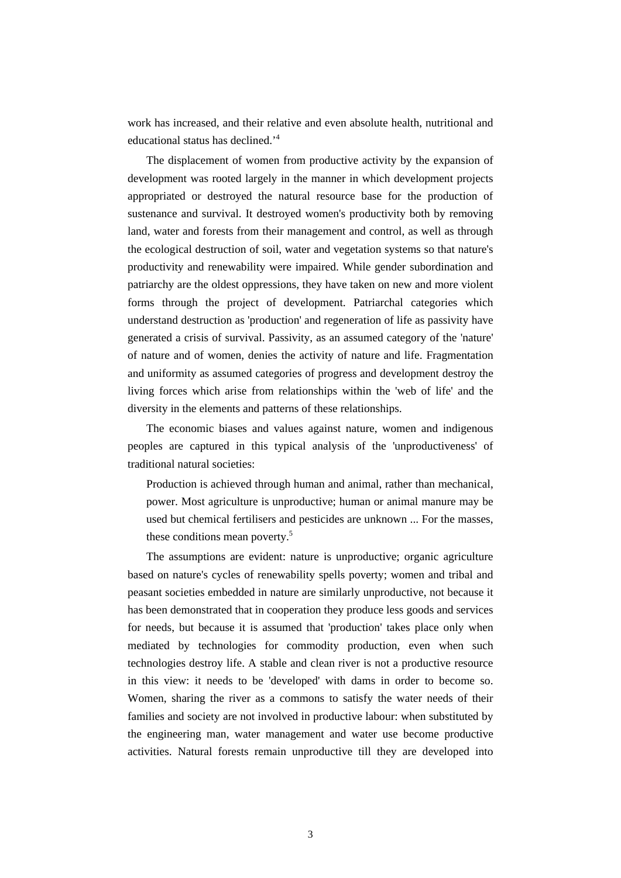work has increased, and their relative and even absolute health, nutritional and educational status has declined.'4

The displacement of women from productive activity by the expansion of development was rooted largely in the manner in which development projects appropriated or destroyed the natural resource base for the production of sustenance and survival. It destroyed women's productivity both by removing land, water and forests from their management and control, as well as through the ecological destruction of soil, water and vegetation systems so that nature's productivity and renewability were impaired. While gender subordination and patriarchy are the oldest oppressions, they have taken on new and more violent forms through the project of development. Patriarchal categories which understand destruction as 'production' and regeneration of life as passivity have generated a crisis of survival. Passivity, as an assumed category of the 'nature' of nature and of women, denies the activity of nature and life. Fragmentation and uniformity as assumed categories of progress and development destroy the living forces which arise from relationships within the 'web of life' and the diversity in the elements and patterns of these relationships.

The economic biases and values against nature, women and indigenous peoples are captured in this typical analysis of the 'unproductiveness' of traditional natural societies:

Production is achieved through human and animal, rather than mechanical, power. Most agriculture is unproductive; human or animal manure may be used but chemical fertilisers and pesticides are unknown ... For the masses, these conditions mean poverty.<sup>5</sup>

The assumptions are evident: nature is unproductive; organic agriculture based on nature's cycles of renewability spells poverty; women and tribal and peasant societies embedded in nature are similarly unproductive, not because it has been demonstrated that in cooperation they produce less goods and services for needs, but because it is assumed that 'production' takes place only when mediated by technologies for commodity production, even when such technologies destroy life. A stable and clean river is not a productive resource in this view: it needs to be 'developed' with dams in order to become so. Women, sharing the river as a commons to satisfy the water needs of their families and society are not involved in productive labour: when substituted by the engineering man, water management and water use become productive activities. Natural forests remain unproductive till they are developed into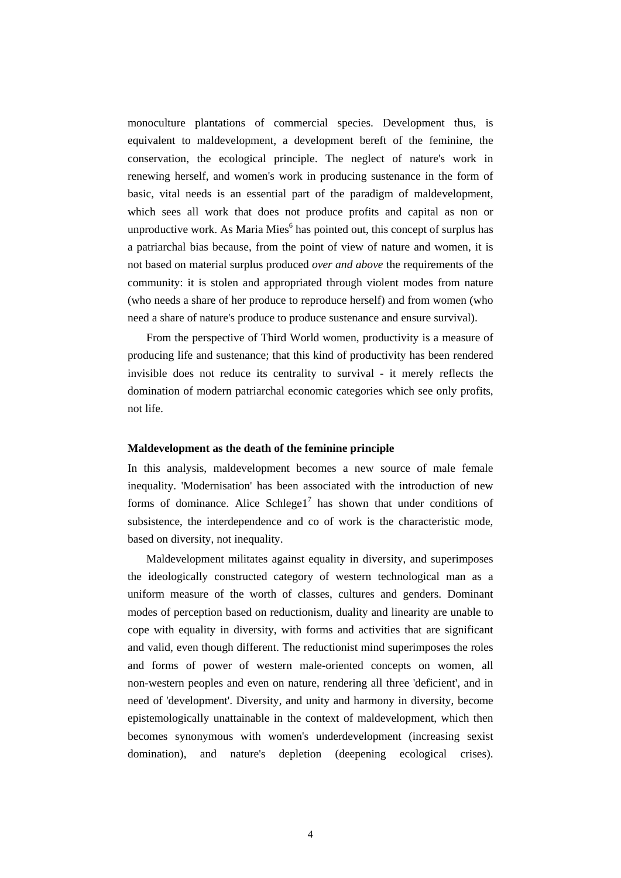monoculture plantations of commercial species. Development thus, is equivalent to maldevelopment, a development bereft of the feminine, the conservation, the ecological principle. The neglect of nature's work in renewing herself, and women's work in producing sustenance in the form of basic, vital needs is an essential part of the paradigm of maldevelopment, which sees all work that does not produce profits and capital as non or unproductive work. As Maria Mies<sup>6</sup> has pointed out, this concept of surplus has a patriarchal bias because, from the point of view of nature and women, it is not based on material surplus produced *over and above* the requirements of the community: it is stolen and appropriated through violent modes from nature (who needs a share of her produce to reproduce herself) and from women (who need a share of nature's produce to produce sustenance and ensure survival).

From the perspective of Third World women, productivity is a measure of producing life and sustenance; that this kind of productivity has been rendered invisible does not reduce its centrality to survival - it merely reflects the domination of modern patriarchal economic categories which see only profits, not life.

#### **Maldevelopment as the death of the feminine principle**

In this analysis, maldevelopment becomes a new source of male female inequality. 'Modernisation' has been associated with the introduction of new forms of dominance. Alice  $Schlege1^7$  has shown that under conditions of subsistence, the interdependence and co of work is the characteristic mode, based on diversity, not inequality.

Maldevelopment militates against equality in diversity, and superimposes the ideologically constructed category of western technological man as a uniform measure of the worth of classes, cultures and genders. Dominant modes of perception based on reductionism, duality and linearity are unable to cope with equality in diversity, with forms and activities that are significant and valid, even though different. The reductionist mind superimposes the roles and forms of power of western male-oriented concepts on women, all non-western peoples and even on nature, rendering all three 'deficient', and in need of 'development'. Diversity, and unity and harmony in diversity, become epistemologically unattainable in the context of maldevelopment, which then becomes synonymous with women's underdevelopment (increasing sexist domination), and nature's depletion (deepening ecological crises).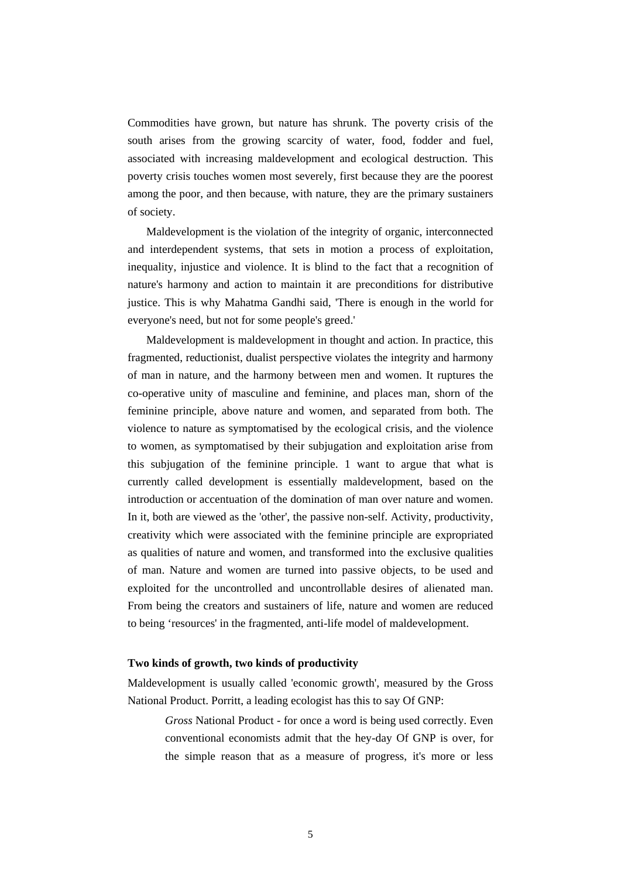Commodities have grown, but nature has shrunk. The poverty crisis of the south arises from the growing scarcity of water, food, fodder and fuel, associated with increasing maldevelopment and ecological destruction. This poverty crisis touches women most severely, first because they are the poorest among the poor, and then because, with nature, they are the primary sustainers of society.

Maldevelopment is the violation of the integrity of organic, interconnected and interdependent systems, that sets in motion a process of exploitation, inequality, injustice and violence. It is blind to the fact that a recognition of nature's harmony and action to maintain it are preconditions for distributive justice. This is why Mahatma Gandhi said, 'There is enough in the world for everyone's need, but not for some people's greed.'

Maldevelopment is maldevelopment in thought and action. In practice, this fragmented, reductionist, dualist perspective violates the integrity and harmony of man in nature, and the harmony between men and women. It ruptures the co-operative unity of masculine and feminine, and places man, shorn of the feminine principle, above nature and women, and separated from both. The violence to nature as symptomatised by the ecological crisis, and the violence to women, as symptomatised by their subjugation and exploitation arise from this subjugation of the feminine principle. 1 want to argue that what is currently called development is essentially maldevelopment, based on the introduction or accentuation of the domination of man over nature and women. In it, both are viewed as the 'other', the passive non-self. Activity, productivity, creativity which were associated with the feminine principle are expropriated as qualities of nature and women, and transformed into the exclusive qualities of man. Nature and women are turned into passive objects, to be used and exploited for the uncontrolled and uncontrollable desires of alienated man. From being the creators and sustainers of life, nature and women are reduced to being 'resources' in the fragmented, anti-life model of maldevelopment.

## **Two kinds of growth, two kinds of productivity**

Maldevelopment is usually called 'economic growth', measured by the Gross National Product. Porritt, a leading ecologist has this to say Of GNP:

*Gross* National Product - for once a word is being used correctly. Even conventional economists admit that the hey-day Of GNP is over, for the simple reason that as a measure of progress, it's more or less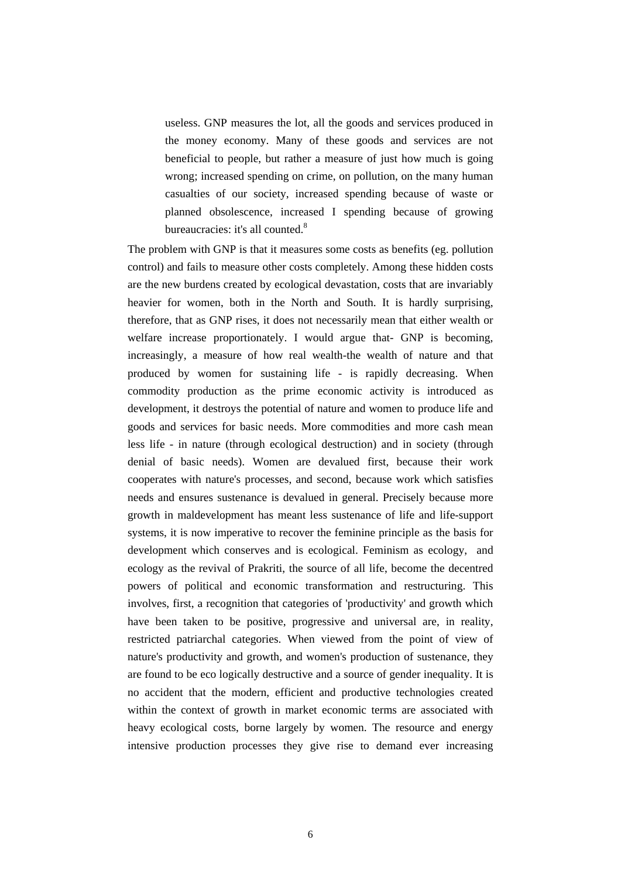useless. GNP measures the lot, all the goods and services produced in the money economy. Many of these goods and services are not beneficial to people, but rather a measure of just how much is going wrong; increased spending on crime, on pollution, on the many human casualties of our society, increased spending because of waste or planned obsolescence, increased I spending because of growing bureaucracies: it's all counted.<sup>8</sup>

The problem with GNP is that it measures some costs as benefits (eg. pollution control) and fails to measure other costs completely. Among these hidden costs are the new burdens created by ecological devastation, costs that are invariably heavier for women, both in the North and South. It is hardly surprising, therefore, that as GNP rises, it does not necessarily mean that either wealth or welfare increase proportionately. I would argue that- GNP is becoming, increasingly, a measure of how real wealth-the wealth of nature and that produced by women for sustaining life - is rapidly decreasing. When commodity production as the prime economic activity is introduced as development, it destroys the potential of nature and women to produce life and goods and services for basic needs. More commodities and more cash mean less life - in nature (through ecological destruction) and in society (through denial of basic needs). Women are devalued first, because their work cooperates with nature's processes, and second, because work which satisfies needs and ensures sustenance is devalued in general. Precisely because more growth in maldevelopment has meant less sustenance of life and life-support systems, it is now imperative to recover the feminine principle as the basis for development which conserves and is ecological. Feminism as ecology, and ecology as the revival of Prakriti, the source of all life, become the decentred powers of political and economic transformation and restructuring. This involves, first, a recognition that categories of 'productivity' and growth which have been taken to be positive, progressive and universal are, in reality, restricted patriarchal categories. When viewed from the point of view of nature's productivity and growth, and women's production of sustenance, they are found to be eco logically destructive and a source of gender inequality. It is no accident that the modern, efficient and productive technologies created within the context of growth in market economic terms are associated with heavy ecological costs, borne largely by women. The resource and energy intensive production processes they give rise to demand ever increasing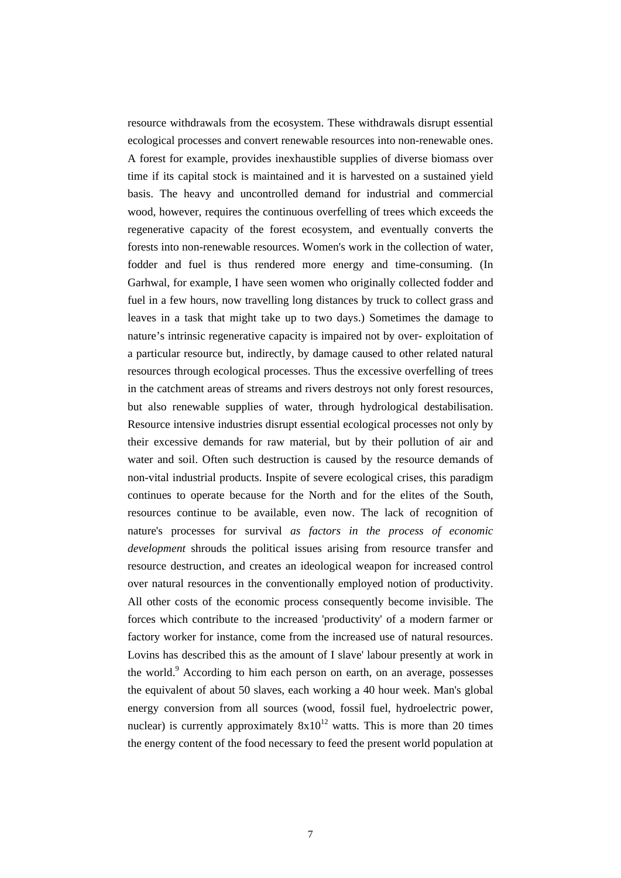resource withdrawals from the ecosystem. These withdrawals disrupt essential ecological processes and convert renewable resources into non-renewable ones. A forest for example, provides inexhaustible supplies of diverse biomass over time if its capital stock is maintained and it is harvested on a sustained yield basis. The heavy and uncontrolled demand for industrial and commercial wood, however, requires the continuous overfelling of trees which exceeds the regenerative capacity of the forest ecosystem, and eventually converts the forests into non-renewable resources. Women's work in the collection of water, fodder and fuel is thus rendered more energy and time-consuming. (In Garhwal, for example, I have seen women who originally collected fodder and fuel in a few hours, now travelling long distances by truck to collect grass and leaves in a task that might take up to two days.) Sometimes the damage to nature's intrinsic regenerative capacity is impaired not by over- exploitation of a particular resource but, indirectly, by damage caused to other related natural resources through ecological processes. Thus the excessive overfelling of trees in the catchment areas of streams and rivers destroys not only forest resources, but also renewable supplies of water, through hydrological destabilisation. Resource intensive industries disrupt essential ecological processes not only by their excessive demands for raw material, but by their pollution of air and water and soil. Often such destruction is caused by the resource demands of non-vital industrial products. Inspite of severe ecological crises, this paradigm continues to operate because for the North and for the elites of the South, resources continue to be available, even now. The lack of recognition of nature's processes for survival *as factors in the process of economic development* shrouds the political issues arising from resource transfer and resource destruction, and creates an ideological weapon for increased control over natural resources in the conventionally employed notion of productivity. All other costs of the economic process consequently become invisible. The forces which contribute to the increased 'productivity' of a modern farmer or factory worker for instance, come from the increased use of natural resources. Lovins has described this as the amount of I slave' labour presently at work in the world.<sup>9</sup> According to him each person on earth, on an average, possesses the equivalent of about 50 slaves, each working a 40 hour week. Man's global energy conversion from all sources (wood, fossil fuel, hydroelectric power, nuclear) is currently approximately  $8x10^{12}$  watts. This is more than 20 times the energy content of the food necessary to feed the present world population at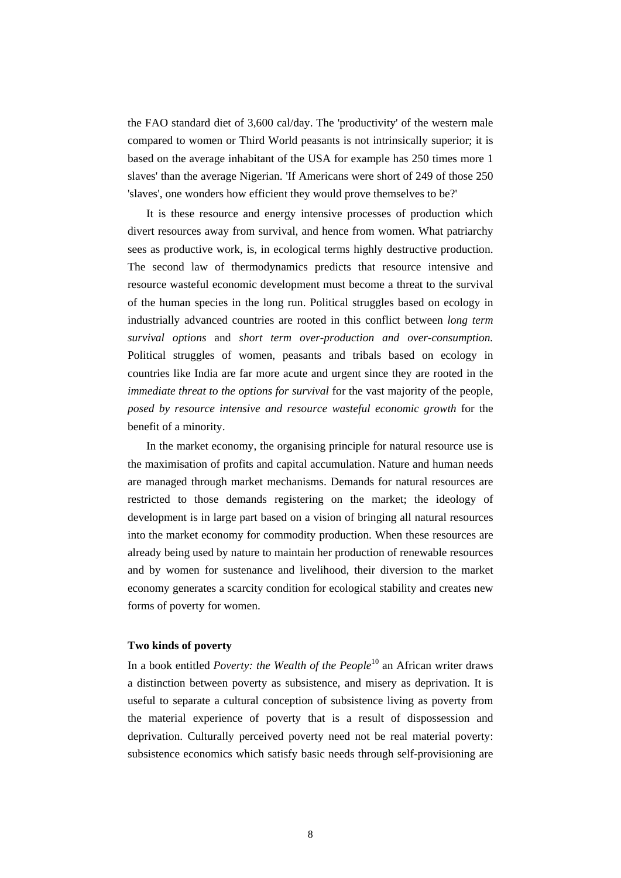the FAO standard diet of 3,600 cal/day. The 'productivity' of the western male compared to women or Third World peasants is not intrinsically superior; it is based on the average inhabitant of the USA for example has 250 times more 1 slaves' than the average Nigerian. 'If Americans were short of 249 of those 250 'slaves', one wonders how efficient they would prove themselves to be?'

It is these resource and energy intensive processes of production which divert resources away from survival, and hence from women. What patriarchy sees as productive work, is, in ecological terms highly destructive production. The second law of thermodynamics predicts that resource intensive and resource wasteful economic development must become a threat to the survival of the human species in the long run. Political struggles based on ecology in industrially advanced countries are rooted in this conflict between *long term survival options* and *short term over-production and over-consumption.*  Political struggles of women, peasants and tribals based on ecology in countries like India are far more acute and urgent since they are rooted in the *immediate threat to the options for survival for the vast majority of the people, posed by resource intensive and resource wasteful economic growth* for the benefit of a minority.

In the market economy, the organising principle for natural resource use is the maximisation of profits and capital accumulation. Nature and human needs are managed through market mechanisms. Demands for natural resources are restricted to those demands registering on the market; the ideology of development is in large part based on a vision of bringing all natural resources into the market economy for commodity production. When these resources are already being used by nature to maintain her production of renewable resources and by women for sustenance and livelihood, their diversion to the market economy generates a scarcity condition for ecological stability and creates new forms of poverty for women.

## **Two kinds of poverty**

In a book entitled *Poverty: the Wealth of the People*<sup>10</sup> an African writer draws a distinction between poverty as subsistence, and misery as deprivation. It is useful to separate a cultural conception of subsistence living as poverty from the material experience of poverty that is a result of dispossession and deprivation. Culturally perceived poverty need not be real material poverty: subsistence economics which satisfy basic needs through self-provisioning are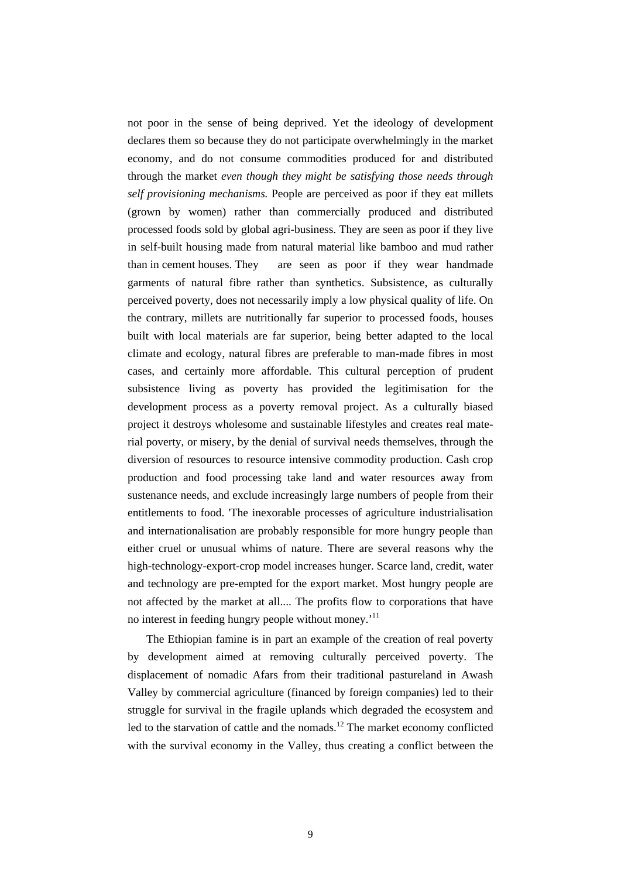not poor in the sense of being deprived. Yet the ideology of development declares them so because they do not participate overwhelmingly in the market economy, and do not consume commodities produced for and distributed through the market *even though they might be satisfying those needs through self provisioning mechanisms.* People are perceived as poor if they eat millets (grown by women) rather than commercially produced and distributed processed foods sold by global agri-business. They are seen as poor if they live in self-built housing made from natural material like bamboo and mud rather than in cement houses. They are seen as poor if they wear handmade garments of natural fibre rather than synthetics. Subsistence, as culturally perceived poverty, does not necessarily imply a low physical quality of life. On the contrary, millets are nutritionally far superior to processed foods, houses built with local materials are far superior, being better adapted to the local climate and ecology, natural fibres are preferable to man-made fibres in most cases, and certainly more affordable. This cultural perception of prudent subsistence living as poverty has provided the legitimisation for the development process as a poverty removal project. As a culturally biased project it destroys wholesome and sustainable lifestyles and creates real material poverty, or misery, by the denial of survival needs themselves, through the diversion of resources to resource intensive commodity production. Cash crop production and food processing take land and water resources away from sustenance needs, and exclude increasingly large numbers of people from their entitlements to food. 'The inexorable processes of agriculture industrialisation and internationalisation are probably responsible for more hungry people than either cruel or unusual whims of nature. There are several reasons why the high-technology-export-crop model increases hunger. Scarce land, credit, water and technology are pre-empted for the export market. Most hungry people are not affected by the market at all.... The profits flow to corporations that have no interest in feeding hungry people without money.<sup>'11</sup>

The Ethiopian famine is in part an example of the creation of real poverty by development aimed at removing culturally perceived poverty. The displacement of nomadic Afars from their traditional pastureland in Awash Valley by commercial agriculture (financed by foreign companies) led to their struggle for survival in the fragile uplands which degraded the ecosystem and led to the starvation of cattle and the nomads.<sup>12</sup> The market economy conflicted with the survival economy in the Valley, thus creating a conflict between the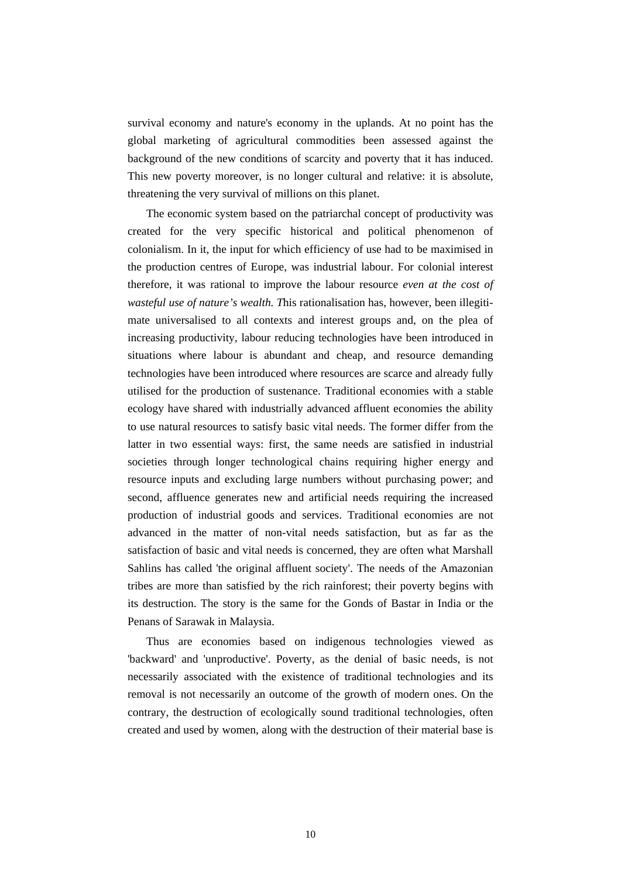survival economy and nature's economy in the uplands. At no point has the global marketing of agricultural commodities been assessed against the background of the new conditions of scarcity and poverty that it has induced. This new poverty moreover, is no longer cultural and relative: it is absolute, threatening the very survival of millions on this planet.

The economic system based on the patriarchal concept of productivity was created for the very specific historical and political phenomenon of colonialism. In it, the input for which efficiency of use had to be maximised in the production centres of Europe, was industrial labour. For colonial interest therefore, it was rational to improve the labour resource *even at the cost of wasteful use of nature's wealth. T*his rationalisation has, however, been illegitimate universalised to all contexts and interest groups and, on the plea of increasing productivity, labour reducing technologies have been introduced in situations where labour is abundant and cheap, and resource demanding technologies have been introduced where resources are scarce and already fully utilised for the production of sustenance. Traditional economies with a stable ecology have shared with industrially advanced affluent economies the ability to use natural resources to satisfy basic vital needs. The former differ from the latter in two essential ways: first, the same needs are satisfied in industrial societies through longer technological chains requiring higher energy and resource inputs and excluding large numbers without purchasing power; and second, affluence generates new and artificial needs requiring the increased production of industrial goods and services. Traditional economies are not advanced in the matter of non-vital needs satisfaction, but as far as the satisfaction of basic and vital needs is concerned, they are often what Marshall Sahlins has called 'the original affluent society'. The needs of the Amazonian tribes are more than satisfied by the rich rainforest; their poverty begins with its destruction. The story is the same for the Gonds of Bastar in India or the Penans of Sarawak in Malaysia.

Thus are economies based on indigenous technologies viewed as 'backward' and 'unproductive'. Poverty, as the denial of basic needs, is not necessarily associated with the existence of traditional technologies and its removal is not necessarily an outcome of the growth of modern ones. On the contrary, the destruction of ecologically sound traditional technologies, often created and used by women, along with the destruction of their material base is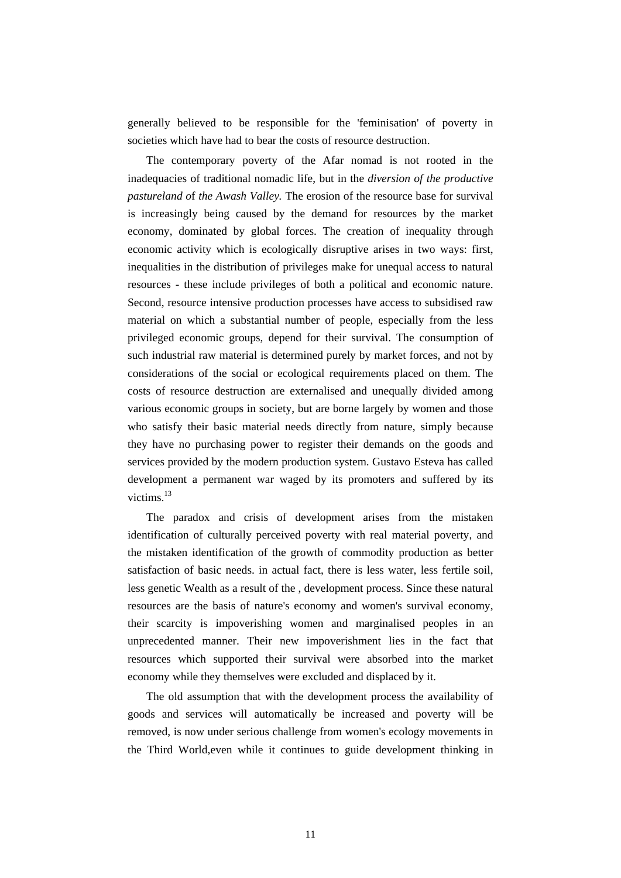generally believed to be responsible for the 'feminisation' of poverty in societies which have had to bear the costs of resource destruction.

The contemporary poverty of the Afar nomad is not rooted in the inadequacies of traditional nomadic life, but in the *diversion of the productive pastureland o*f *the Awash Valley.* The erosion of the resource base for survival is increasingly being caused by the demand for resources by the market economy, dominated by global forces. The creation of inequality through economic activity which is ecologically disruptive arises in two ways: first, inequalities in the distribution of privileges make for unequal access to natural resources - these include privileges of both a political and economic nature. Second, resource intensive production processes have access to subsidised raw material on which a substantial number of people, especially from the less privileged economic groups, depend for their survival. The consumption of such industrial raw material is determined purely by market forces, and not by considerations of the social or ecological requirements placed on them. The costs of resource destruction are externalised and unequally divided among various economic groups in society, but are borne largely by women and those who satisfy their basic material needs directly from nature, simply because they have no purchasing power to register their demands on the goods and services provided by the modern production system. Gustavo Esteva has called development a permanent war waged by its promoters and suffered by its victims.<sup>13</sup>

The paradox and crisis of development arises from the mistaken identification of culturally perceived poverty with real material poverty, and the mistaken identification of the growth of commodity production as better satisfaction of basic needs. in actual fact, there is less water, less fertile soil, less genetic Wealth as a result of the , development process. Since these natural resources are the basis of nature's economy and women's survival economy, their scarcity is impoverishing women and marginalised peoples in an unprecedented manner. Their new impoverishment lies in the fact that resources which supported their survival were absorbed into the market economy while they themselves were excluded and displaced by it.

The old assumption that with the development process the availability of goods and services will automatically be increased and poverty will be removed, is now under serious challenge from women's ecology movements in the Third World,even while it continues to guide development thinking in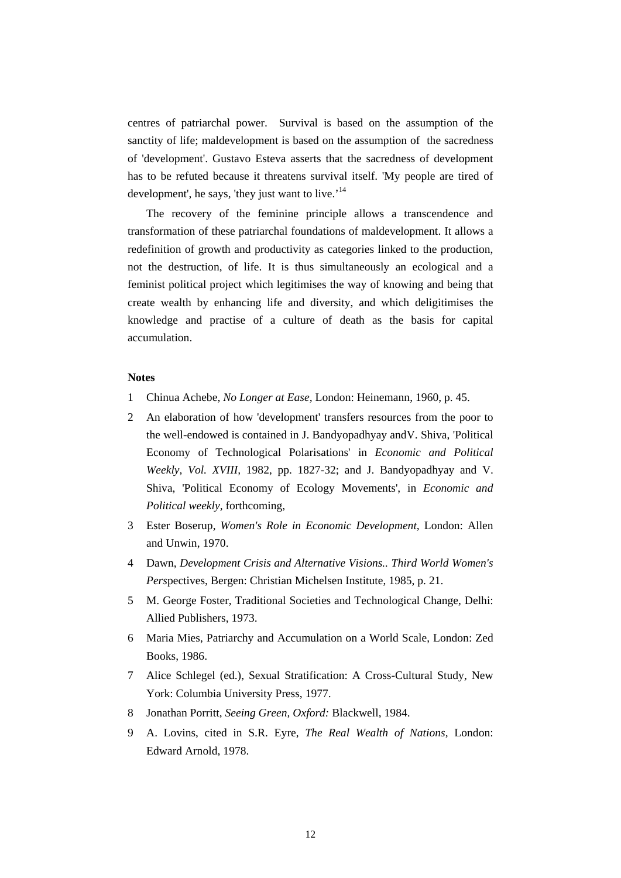centres of patriarchal power. Survival is based on the assumption of the sanctity of life; maldevelopment is based on the assumption of the sacredness of 'development'. Gustavo Esteva asserts that the sacredness of development has to be refuted because it threatens survival itself. 'My people are tired of development', he says, 'they just want to live.'<sup>14</sup>

The recovery of the feminine principle allows a transcendence and transformation of these patriarchal foundations of maldevelopment. It allows a redefinition of growth and productivity as categories linked to the production, not the destruction, of life. It is thus simultaneously an ecological and a feminist political project which legitimises the way of knowing and being that create wealth by enhancing life and diversity, and which deligitimises the knowledge and practise of a culture of death as the basis for capital accumulation.

## **Notes**

- 1 Chinua Achebe, *No Longer at Ease,* London: Heinemann, 1960, p. 45.
- 2 An elaboration of how 'development' transfers resources from the poor to the well-endowed is contained in J. Bandyopadhyay andV. Shiva, 'Political Economy of Technological Polarisations' in *Economic and Political Weekly, Vol. XVIII,* 1982, pp. 1827-32; and J. Bandyopadhyay and V. Shiva, 'Political Economy of Ecology Movements', in *Economic and Political weekly,* forthcoming,
- 3 Ester Boserup, *Women's Role in Economic Development,* London: Allen and Unwin, 1970.
- 4 Dawn, *Development Crisis and Alternative Visions.. Third World Women's Pers*pectives, Bergen: Christian Michelsen Institute, 1985, p. 21.
- 5 M. George Foster, Traditional Societies and Technological Change, Delhi: Allied Publishers, 1973.
- 6 Maria Mies, Patriarchy and Accumulation on a World Scale, London: Zed Books, 1986.
- 7 Alice Schlegel (ed.), Sexual Stratification: A Cross-Cultural Study, New York: Columbia University Press, 1977.
- 8 Jonathan Porritt, *Seeing Green, Oxford:* Blackwell, 1984.
- 9 A. Lovins, cited in S.R. Eyre, *The Real Wealth of Nations,* London: Edward Arnold, 1978.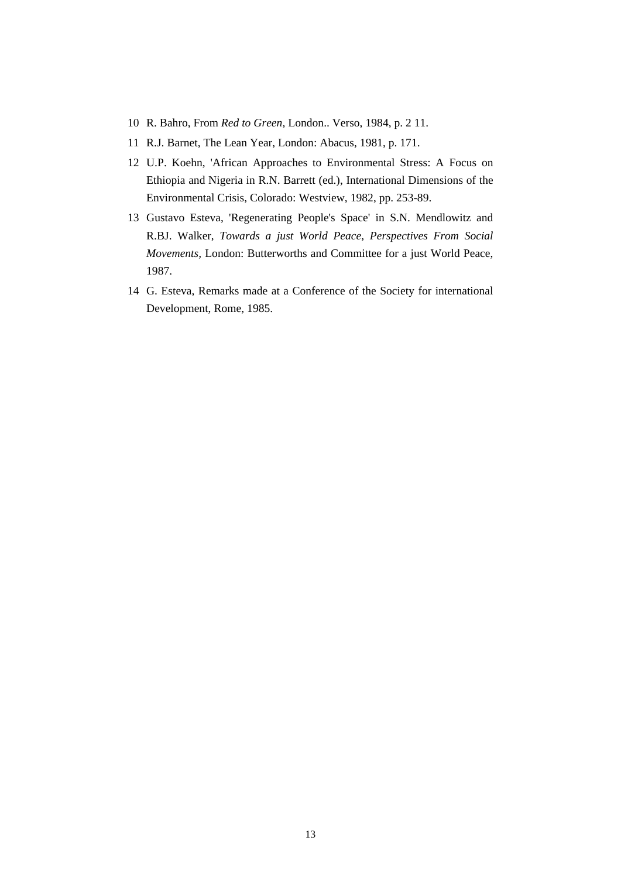- 10 R. Bahro, From *Red to Green,* London.. Verso, 1984, p. 2 11.
- 11 R.J. Barnet, The Lean Year, London: Abacus, 1981, p. 171.
- 12 U.P. Koehn, 'African Approaches to Environmental Stress: A Focus on Ethiopia and Nigeria in R.N. Barrett (ed.), International Dimensions of the Environmental Crisis, Colorado: Westview, 1982, pp. 253-89.
- 13 Gustavo Esteva, 'Regenerating People's Space' in S.N. Mendlowitz and R.BJ. Walker, *Towards a just World Peace, Perspectives From Social Movements,* London: Butterworths and Committee for a just World Peace, 1987.
- 14 G. Esteva, Remarks made at a Conference of the Society for international Development, Rome, 1985.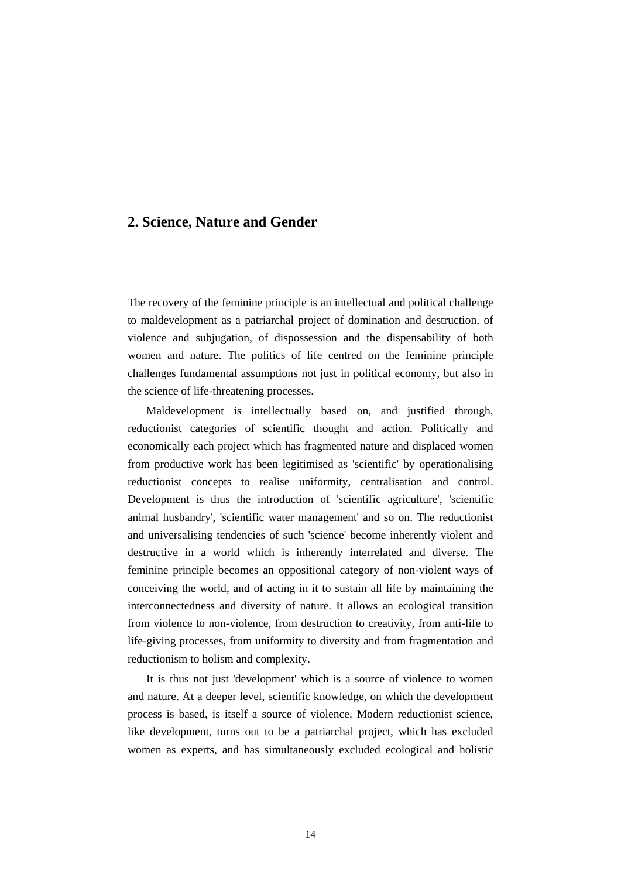## **2. Science, Nature and Gender**

The recovery of the feminine principle is an intellectual and political challenge to maldevelopment as a patriarchal project of domination and destruction, of violence and subjugation, of dispossession and the dispensability of both women and nature. The politics of life centred on the feminine principle challenges fundamental assumptions not just in political economy, but also in the science of life-threatening processes.

Maldevelopment is intellectually based on, and justified through, reductionist categories of scientific thought and action. Politically and economically each project which has fragmented nature and displaced women from productive work has been legitimised as 'scientific' by operationalising reductionist concepts to realise uniformity, centralisation and control. Development is thus the introduction of 'scientific agriculture', 'scientific animal husbandry', 'scientific water management' and so on. The reductionist and universalising tendencies of such 'science' become inherently violent and destructive in a world which is inherently interrelated and diverse. The feminine principle becomes an oppositional category of non-violent ways of conceiving the world, and of acting in it to sustain all life by maintaining the interconnectedness and diversity of nature. It allows an ecological transition from violence to non-violence, from destruction to creativity, from anti-life to life-giving processes, from uniformity to diversity and from fragmentation and reductionism to holism and complexity.

It is thus not just 'development' which is a source of violence to women and nature. At a deeper level, scientific knowledge, on which the development process is based, is itself a source of violence. Modern reductionist science, like development, turns out to be a patriarchal project, which has excluded women as experts, and has simultaneously excluded ecological and holistic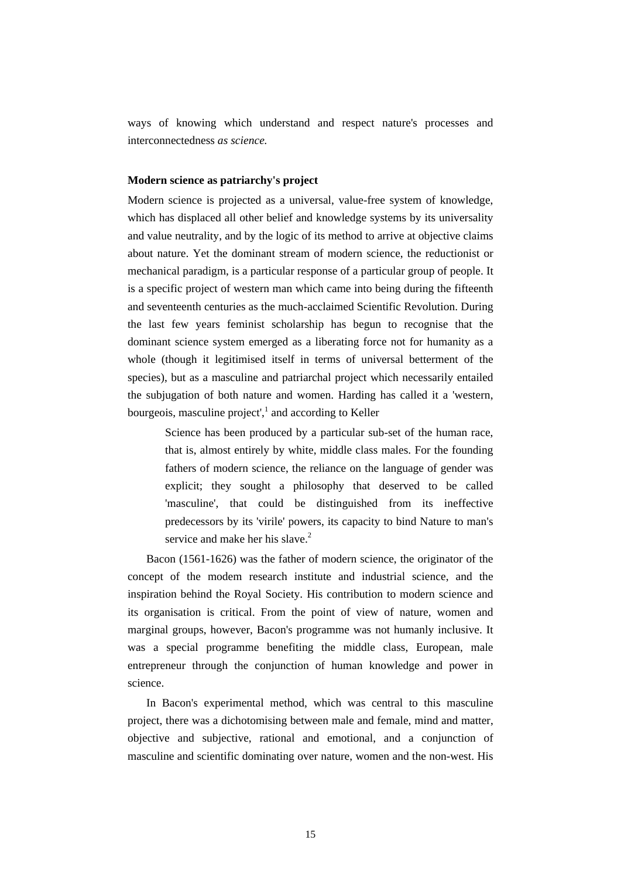ways of knowing which understand and respect nature's processes and interconnectedness *as science.* 

## **Modern science as patriarchy's project**

Modern science is projected as a universal, value-free system of knowledge, which has displaced all other belief and knowledge systems by its universality and value neutrality, and by the logic of its method to arrive at objective claims about nature. Yet the dominant stream of modern science, the reductionist or mechanical paradigm, is a particular response of a particular group of people. It is a specific project of western man which came into being during the fifteenth and seventeenth centuries as the much-acclaimed Scientific Revolution. During the last few years feminist scholarship has begun to recognise that the dominant science system emerged as a liberating force not for humanity as a whole (though it legitimised itself in terms of universal betterment of the species), but as a masculine and patriarchal project which necessarily entailed the subjugation of both nature and women. Harding has called it a 'western, bourgeois, masculine project',<sup>1</sup> and according to Keller

> Science has been produced by a particular sub-set of the human race, that is, almost entirely by white, middle class males. For the founding fathers of modern science, the reliance on the language of gender was explicit; they sought a philosophy that deserved to be called 'masculine', that could be distinguished from its ineffective predecessors by its 'virile' powers, its capacity to bind Nature to man's service and make her his slave.<sup>2</sup>

Bacon (1561-1626) was the father of modern science, the originator of the concept of the modem research institute and industrial science, and the inspiration behind the Royal Society. His contribution to modern science and its organisation is critical. From the point of view of nature, women and marginal groups, however, Bacon's programme was not humanly inclusive. It was a special programme benefiting the middle class, European, male entrepreneur through the conjunction of human knowledge and power in science.

In Bacon's experimental method, which was central to this masculine project, there was a dichotomising between male and female, mind and matter, objective and subjective, rational and emotional, and a conjunction of masculine and scientific dominating over nature, women and the non-west. His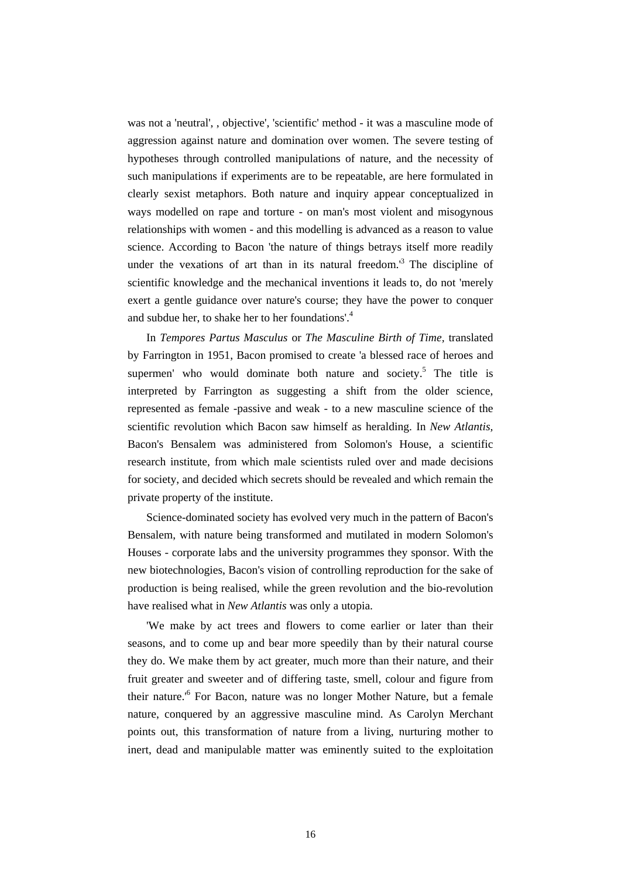was not a 'neutral', , objective', 'scientific' method - it was a masculine mode of aggression against nature and domination over women. The severe testing of hypotheses through controlled manipulations of nature, and the necessity of such manipulations if experiments are to be repeatable, are here formulated in clearly sexist metaphors. Both nature and inquiry appear conceptualized in ways modelled on rape and torture - on man's most violent and misogynous relationships with women - and this modelling is advanced as a reason to value science. According to Bacon 'the nature of things betrays itself more readily under the vexations of art than in its natural freedom.<sup>3</sup> The discipline of scientific knowledge and the mechanical inventions it leads to, do not 'merely exert a gentle guidance over nature's course; they have the power to conquer and subdue her, to shake her to her foundations'.<sup>4</sup>

In *Tempores Partus Masculus* or *The Masculine Birth of Time,* translated by Farrington in 1951, Bacon promised to create 'a blessed race of heroes and supermen' who would dominate both nature and society.<sup>5</sup> The title is interpreted by Farrington as suggesting a shift from the older science, represented as female -passive and weak - to a new masculine science of the scientific revolution which Bacon saw himself as heralding. In *New Atlantis,*  Bacon's Bensalem was administered from Solomon's House, a scientific research institute, from which male scientists ruled over and made decisions for society, and decided which secrets should be revealed and which remain the private property of the institute.

Science-dominated society has evolved very much in the pattern of Bacon's Bensalem, with nature being transformed and mutilated in modern Solomon's Houses - corporate labs and the university programmes they sponsor. With the new biotechnologies, Bacon's vision of controlling reproduction for the sake of production is being realised, while the green revolution and the bio-revolution have realised what in *New Atlantis* was only a utopia.

'We make by act trees and flowers to come earlier or later than their seasons, and to come up and bear more speedily than by their natural course they do. We make them by act greater, much more than their nature, and their fruit greater and sweeter and of differing taste, smell, colour and figure from their nature.<sup>6</sup> For Bacon, nature was no longer Mother Nature, but a female nature, conquered by an aggressive masculine mind. As Carolyn Merchant points out, this transformation of nature from a living, nurturing mother to inert, dead and manipulable matter was eminently suited to the exploitation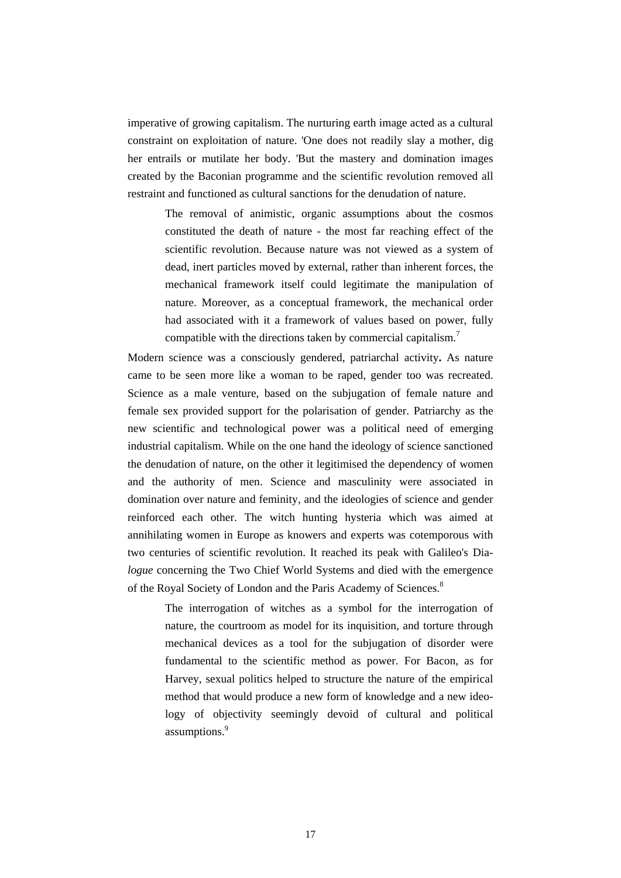imperative of growing capitalism. The nurturing earth image acted as a cultural constraint on exploitation of nature. 'One does not readily slay a mother, dig her entrails or mutilate her body. 'But the mastery and domination images created by the Baconian programme and the scientific revolution removed all restraint and functioned as cultural sanctions for the denudation of nature.

> The removal of animistic, organic assumptions about the cosmos constituted the death of nature - the most far reaching effect of the scientific revolution. Because nature was not viewed as a system of dead, inert particles moved by external, rather than inherent forces, the mechanical framework itself could legitimate the manipulation of nature. Moreover, as a conceptual framework, the mechanical order had associated with it a framework of values based on power, fully compatible with the directions taken by commercial capitalism.<sup>7</sup>

Modern science was a consciously gendered, patriarchal activity**.** As nature came to be seen more like a woman to be raped, gender too was recreated. Science as a male venture, based on the subjugation of female nature and female sex provided support for the polarisation of gender. Patriarchy as the new scientific and technological power was a political need of emerging industrial capitalism. While on the one hand the ideology of science sanctioned the denudation of nature, on the other it legitimised the dependency of women and the authority of men. Science and masculinity were associated in domination over nature and feminity, and the ideologies of science and gender reinforced each other. The witch hunting hysteria which was aimed at annihilating women in Europe as knowers and experts was cotemporous with two centuries of scientific revolution. It reached its peak with Galileo's Dia*logue* concerning the Two Chief World Systems and died with the emergence of the Royal Society of London and the Paris Academy of Sciences.<sup>8</sup>

> The interrogation of witches as a symbol for the interrogation of nature, the courtroom as model for its inquisition, and torture through mechanical devices as a tool for the subjugation of disorder were fundamental to the scientific method as power. For Bacon, as for Harvey, sexual politics helped to structure the nature of the empirical method that would produce a new form of knowledge and a new ideology of objectivity seemingly devoid of cultural and political assumptions.<sup>9</sup>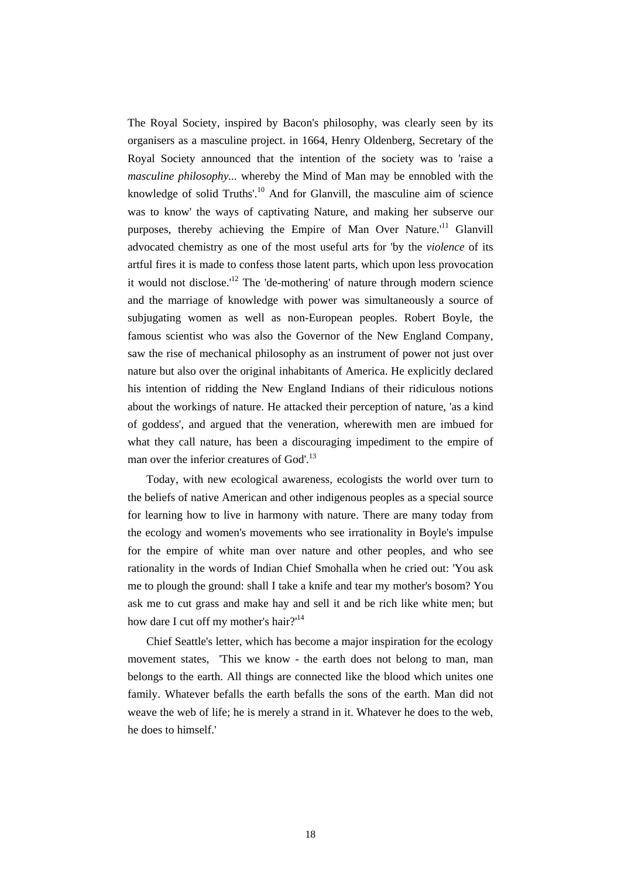The Royal Society, inspired by Bacon's philosophy, was clearly seen by its organisers as a masculine project. in 1664, Henry Oldenberg, Secretary of the Royal Society announced that the intention of the society was to 'raise a *masculine philosophy...* whereby the Mind of Man may be ennobled with the knowledge of solid Truths'.<sup>10</sup> And for Glanvill, the masculine aim of science was to know' the ways of captivating Nature, and making her subserve our purposes, thereby achieving the Empire of Man Over Nature.<sup>11</sup> Glanvill advocated chemistry as one of the most useful arts for 'by the *violence* of its artful fires it is made to confess those latent parts, which upon less provocation it would not disclose.<sup> $12$ </sup> The 'de-mothering' of nature through modern science and the marriage of knowledge with power was simultaneously a source of subjugating women as well as non-European peoples. Robert Boyle, the famous scientist who was also the Governor of the New England Company, saw the rise of mechanical philosophy as an instrument of power not just over nature but also over the original inhabitants of America. He explicitly declared his intention of ridding the New England Indians of their ridiculous notions about the workings of nature. He attacked their perception of nature, 'as a kind of goddess', and argued that the veneration, wherewith men are imbued for what they call nature, has been a discouraging impediment to the empire of man over the inferior creatures of God'.<sup>13</sup>

Today, with new ecological awareness, ecologists the world over turn to the beliefs of native American and other indigenous peoples as a special source for learning how to live in harmony with nature. There are many today from the ecology and women's movements who see irrationality in Boyle's impulse for the empire of white man over nature and other peoples, and who see rationality in the words of Indian Chief Smohalla when he cried out: 'You ask me to plough the ground: shall I take a knife and tear my mother's bosom? You ask me to cut grass and make hay and sell it and be rich like white men; but how dare I cut off my mother's hair?'<sup>14</sup>

Chief Seattle's letter, which has become a major inspiration for the ecology movement states, 'This we know - the earth does not belong to man, man belongs to the earth. All things are connected like the blood which unites one family. Whatever befalls the earth befalls the sons of the earth. Man did not weave the web of life; he is merely a strand in it. Whatever he does to the web, he does to himself.'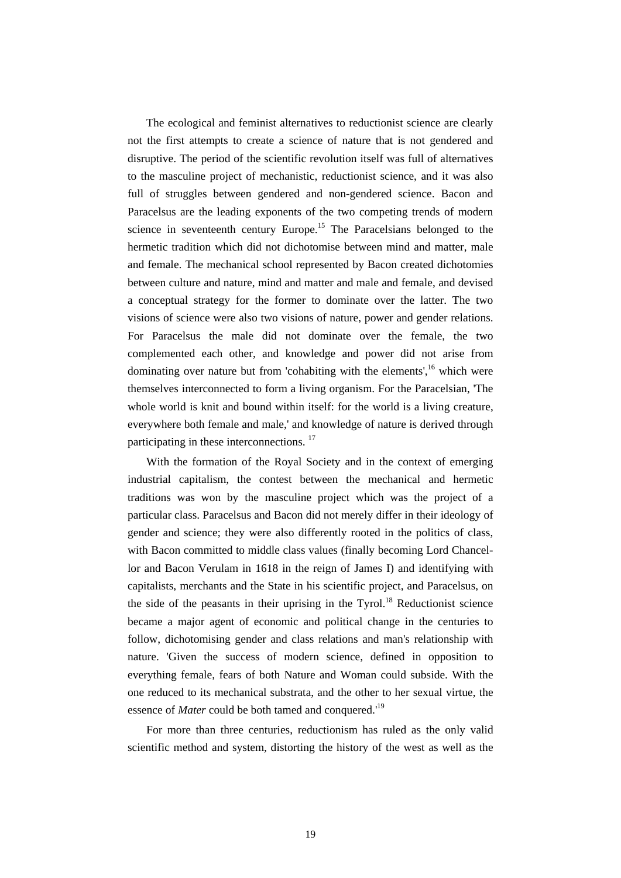The ecological and feminist alternatives to reductionist science are clearly not the first attempts to create a science of nature that is not gendered and disruptive. The period of the scientific revolution itself was full of alternatives to the masculine project of mechanistic, reductionist science, and it was also full of struggles between gendered and non-gendered science. Bacon and Paracelsus are the leading exponents of the two competing trends of modern science in seventeenth century Europe.<sup>15</sup> The Paracelsians belonged to the hermetic tradition which did not dichotomise between mind and matter, male and female. The mechanical school represented by Bacon created dichotomies between culture and nature, mind and matter and male and female, and devised a conceptual strategy for the former to dominate over the latter. The two visions of science were also two visions of nature, power and gender relations. For Paracelsus the male did not dominate over the female, the two complemented each other, and knowledge and power did not arise from dominating over nature but from 'cohabiting with the elements',<sup>16</sup> which were themselves interconnected to form a living organism. For the Paracelsian, 'The whole world is knit and bound within itself: for the world is a living creature, everywhere both female and male,' and knowledge of nature is derived through participating in these interconnections.<sup>17</sup>

With the formation of the Royal Society and in the context of emerging industrial capitalism, the contest between the mechanical and hermetic traditions was won by the masculine project which was the project of a particular class. Paracelsus and Bacon did not merely differ in their ideology of gender and science; they were also differently rooted in the politics of class, with Bacon committed to middle class values (finally becoming Lord Chancellor and Bacon Verulam in 1618 in the reign of James I) and identifying with capitalists, merchants and the State in his scientific project, and Paracelsus, on the side of the peasants in their uprising in the Tyrol.<sup>18</sup> Reductionist science became a major agent of economic and political change in the centuries to follow, dichotomising gender and class relations and man's relationship with nature. 'Given the success of modern science, defined in opposition to everything female, fears of both Nature and Woman could subside. With the one reduced to its mechanical substrata, and the other to her sexual virtue, the essence of *Mater* could be both tamed and conquered.'<sup>19</sup>

For more than three centuries, reductionism has ruled as the only valid scientific method and system, distorting the history of the west as well as the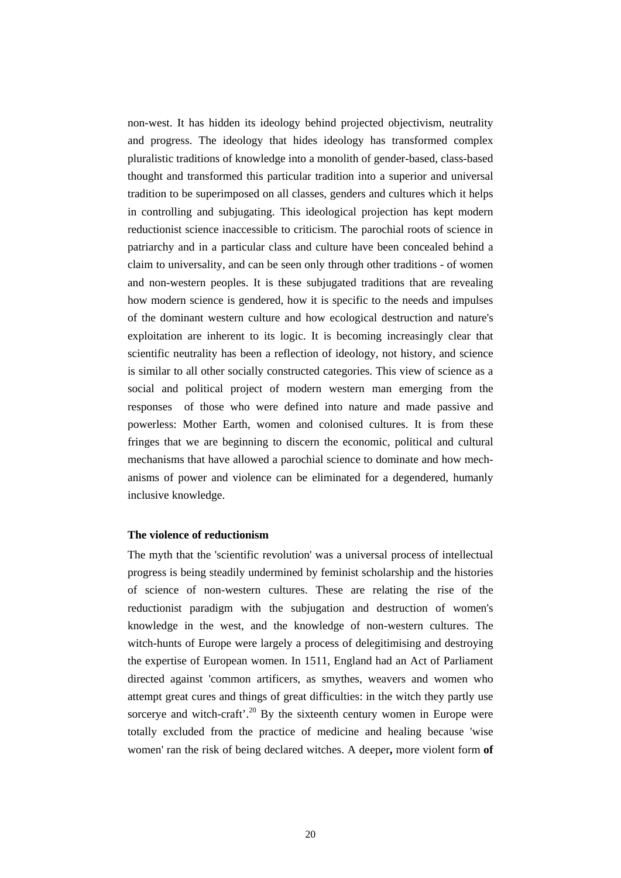non-west. It has hidden its ideology behind projected objectivism, neutrality and progress. The ideology that hides ideology has transformed complex pluralistic traditions of knowledge into a monolith of gender-based, class-based thought and transformed this particular tradition into a superior and universal tradition to be superimposed on all classes, genders and cultures which it helps in controlling and subjugating. This ideological projection has kept modern reductionist science inaccessible to criticism. The parochial roots of science in patriarchy and in a particular class and culture have been concealed behind a claim to universality, and can be seen only through other traditions - of women and non-western peoples. It is these subjugated traditions that are revealing how modern science is gendered, how it is specific to the needs and impulses of the dominant western culture and how ecological destruction and nature's exploitation are inherent to its logic. It is becoming increasingly clear that scientific neutrality has been a reflection of ideology, not history, and science is similar to all other socially constructed categories. This view of science as a social and political project of modern western man emerging from the responses of those who were defined into nature and made passive and powerless: Mother Earth, women and colonised cultures. It is from these fringes that we are beginning to discern the economic, political and cultural mechanisms that have allowed a parochial science to dominate and how mechanisms of power and violence can be eliminated for a degendered, humanly inclusive knowledge.

### **The violence of reductionism**

The myth that the 'scientific revolution' was a universal process of intellectual progress is being steadily undermined by feminist scholarship and the histories of science of non-western cultures. These are relating the rise of the reductionist paradigm with the subjugation and destruction of women's knowledge in the west, and the knowledge of non-western cultures. The witch-hunts of Europe were largely a process of delegitimising and destroying the expertise of European women. In 1511, England had an Act of Parliament directed against 'common artificers, as smythes, weavers and women who attempt great cures and things of great difficulties: in the witch they partly use sorcerye and witch-craft'.<sup>20</sup> By the sixteenth century women in Europe were totally excluded from the practice of medicine and healing because 'wise women' ran the risk of being declared witches. A deeper**,** more violent form **of**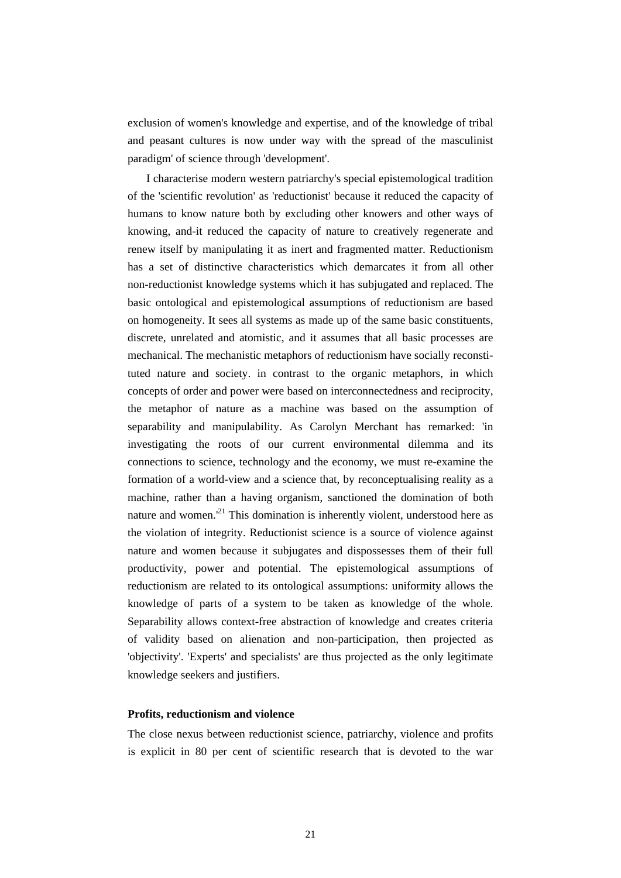exclusion of women's knowledge and expertise, and of the knowledge of tribal and peasant cultures is now under way with the spread of the masculinist paradigm' of science through 'development'.

I characterise modern western patriarchy's special epistemological tradition of the 'scientific revolution' as 'reductionist' because it reduced the capacity of humans to know nature both by excluding other knowers and other ways of knowing, and-it reduced the capacity of nature to creatively regenerate and renew itself by manipulating it as inert and fragmented matter. Reductionism has a set of distinctive characteristics which demarcates it from all other non-reductionist knowledge systems which it has subjugated and replaced. The basic ontological and epistemological assumptions of reductionism are based on homogeneity. It sees all systems as made up of the same basic constituents, discrete, unrelated and atomistic, and it assumes that all basic processes are mechanical. The mechanistic metaphors of reductionism have socially reconstituted nature and society. in contrast to the organic metaphors, in which concepts of order and power were based on interconnectedness and reciprocity, the metaphor of nature as a machine was based on the assumption of separability and manipulability. As Carolyn Merchant has remarked: 'in investigating the roots of our current environmental dilemma and its connections to science, technology and the economy, we must re-examine the formation of a world-view and a science that, by reconceptualising reality as a machine, rather than a having organism, sanctioned the domination of both nature and women.<sup>'21</sup> This domination is inherently violent, understood here as the violation of integrity. Reductionist science is a source of violence against nature and women because it subjugates and dispossesses them of their full productivity, power and potential. The epistemological assumptions of reductionism are related to its ontological assumptions: uniformity allows the knowledge of parts of a system to be taken as knowledge of the whole. Separability allows context-free abstraction of knowledge and creates criteria of validity based on alienation and non-participation, then projected as 'objectivity'. 'Experts' and specialists' are thus projected as the only legitimate knowledge seekers and justifiers.

## **Profits, reductionism and violence**

The close nexus between reductionist science, patriarchy, violence and profits is explicit in 80 per cent of scientific research that is devoted to the war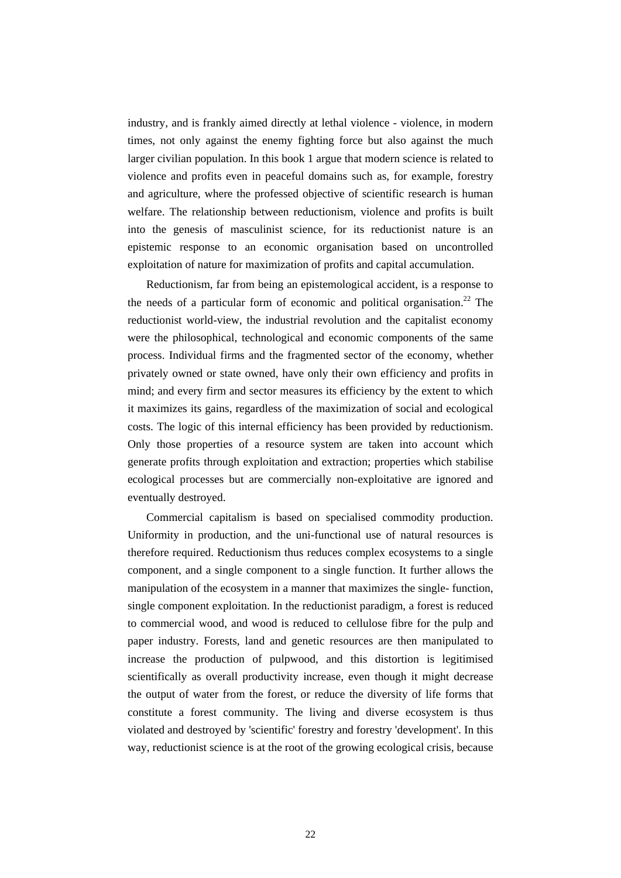industry, and is frankly aimed directly at lethal violence - violence, in modern times, not only against the enemy fighting force but also against the much larger civilian population. In this book 1 argue that modern science is related to violence and profits even in peaceful domains such as, for example, forestry and agriculture, where the professed objective of scientific research is human welfare. The relationship between reductionism, violence and profits is built into the genesis of masculinist science, for its reductionist nature is an epistemic response to an economic organisation based on uncontrolled exploitation of nature for maximization of profits and capital accumulation.

Reductionism, far from being an epistemological accident, is a response to the needs of a particular form of economic and political organisation.<sup>22</sup> The reductionist world-view, the industrial revolution and the capitalist economy were the philosophical, technological and economic components of the same process. Individual firms and the fragmented sector of the economy, whether privately owned or state owned, have only their own efficiency and profits in mind; and every firm and sector measures its efficiency by the extent to which it maximizes its gains, regardless of the maximization of social and ecological costs. The logic of this internal efficiency has been provided by reductionism. Only those properties of a resource system are taken into account which generate profits through exploitation and extraction; properties which stabilise ecological processes but are commercially non-exploitative are ignored and eventually destroyed.

Commercial capitalism is based on specialised commodity production. Uniformity in production, and the uni-functional use of natural resources is therefore required. Reductionism thus reduces complex ecosystems to a single component, and a single component to a single function. It further allows the manipulation of the ecosystem in a manner that maximizes the single- function, single component exploitation. In the reductionist paradigm, a forest is reduced to commercial wood, and wood is reduced to cellulose fibre for the pulp and paper industry. Forests, land and genetic resources are then manipulated to increase the production of pulpwood, and this distortion is legitimised scientifically as overall productivity increase, even though it might decrease the output of water from the forest, or reduce the diversity of life forms that constitute a forest community. The living and diverse ecosystem is thus violated and destroyed by 'scientific' forestry and forestry 'development'. In this way, reductionist science is at the root of the growing ecological crisis, because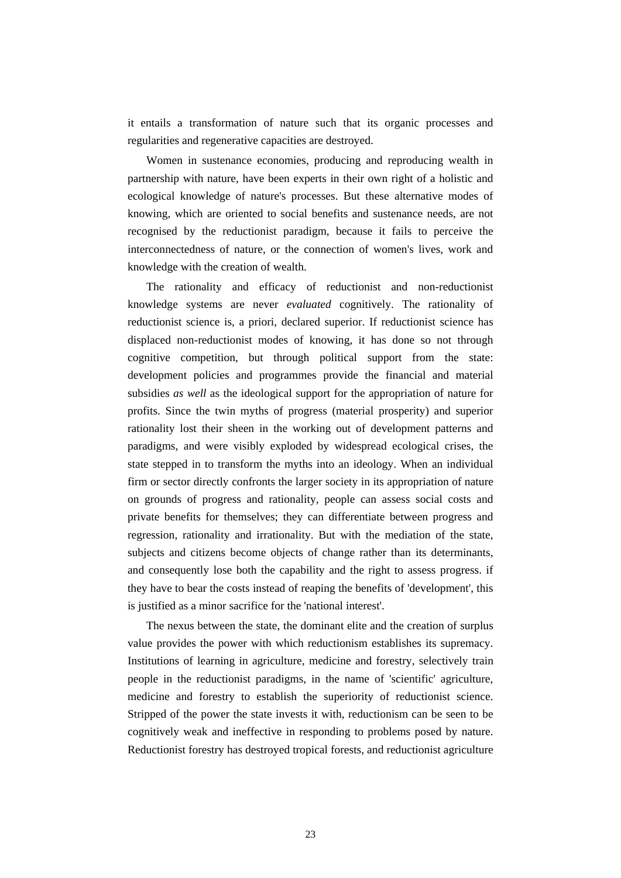it entails a transformation of nature such that its organic processes and regularities and regenerative capacities are destroyed.

Women in sustenance economies, producing and reproducing wealth in partnership with nature, have been experts in their own right of a holistic and ecological knowledge of nature's processes. But these alternative modes of knowing, which are oriented to social benefits and sustenance needs, are not recognised by the reductionist paradigm, because it fails to perceive the interconnectedness of nature, or the connection of women's lives, work and knowledge with the creation of wealth.

The rationality and efficacy of reductionist and non-reductionist knowledge systems are never *evaluated* cognitively. The rationality of reductionist science is, a priori, declared superior. If reductionist science has displaced non-reductionist modes of knowing, it has done so not through cognitive competition, but through political support from the state: development policies and programmes provide the financial and material subsidies *as well* as the ideological support for the appropriation of nature for profits. Since the twin myths of progress (material prosperity) and superior rationality lost their sheen in the working out of development patterns and paradigms, and were visibly exploded by widespread ecological crises, the state stepped in to transform the myths into an ideology. When an individual firm or sector directly confronts the larger society in its appropriation of nature on grounds of progress and rationality, people can assess social costs and private benefits for themselves; they can differentiate between progress and regression, rationality and irrationality. But with the mediation of the state, subjects and citizens become objects of change rather than its determinants, and consequently lose both the capability and the right to assess progress. if they have to bear the costs instead of reaping the benefits of 'development', this is justified as a minor sacrifice for the 'national interest'.

The nexus between the state, the dominant elite and the creation of surplus value provides the power with which reductionism establishes its supremacy. Institutions of learning in agriculture, medicine and forestry, selectively train people in the reductionist paradigms, in the name of 'scientific' agriculture, medicine and forestry to establish the superiority of reductionist science. Stripped of the power the state invests it with, reductionism can be seen to be cognitively weak and ineffective in responding to problems posed by nature. Reductionist forestry has destroyed tropical forests, and reductionist agriculture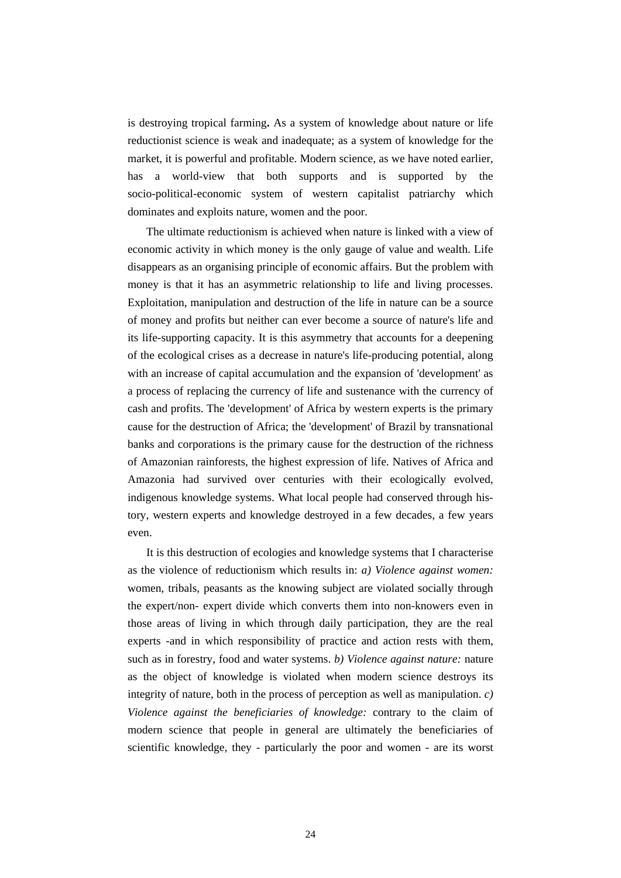is destroying tropical farming**.** As a system of knowledge about nature or life reductionist science is weak and inadequate; as a system of knowledge for the market, it is powerful and profitable. Modern science, as we have noted earlier, has a world-view that both supports and is supported by the socio-political-economic system of western capitalist patriarchy which dominates and exploits nature, women and the poor.

The ultimate reductionism is achieved when nature is linked with a view of economic activity in which money is the only gauge of value and wealth. Life disappears as an organising principle of economic affairs. But the problem with money is that it has an asymmetric relationship to life and living processes. Exploitation, manipulation and destruction of the life in nature can be a source of money and profits but neither can ever become a source of nature's life and its life-supporting capacity. It is this asymmetry that accounts for a deepening of the ecological crises as a decrease in nature's life-producing potential, along with an increase of capital accumulation and the expansion of 'development' as a process of replacing the currency of life and sustenance with the currency of cash and profits. The 'development' of Africa by western experts is the primary cause for the destruction of Africa; the 'development' of Brazil by transnational banks and corporations is the primary cause for the destruction of the richness of Amazonian rainforests, the highest expression of life. Natives of Africa and Amazonia had survived over centuries with their ecologically evolved, indigenous knowledge systems. What local people had conserved through history, western experts and knowledge destroyed in a few decades, a few years even.

It is this destruction of ecologies and knowledge systems that I characterise as the violence of reductionism which results in: *a) Violence against women:* women, tribals, peasants as the knowing subject are violated socially through the expert/non- expert divide which converts them into non-knowers even in those areas of living in which through daily participation, they are the real experts -and in which responsibility of practice and action rests with them, such as in forestry, food and water systems. *b) Violence against nature:* nature as the object of knowledge is violated when modern science destroys its integrity of nature, both in the process of perception as well as manipulation. *c) Violence against the beneficiaries of knowledge:* contrary to the claim of modern science that people in general are ultimately the beneficiaries of scientific knowledge, they - particularly the poor and women - are its worst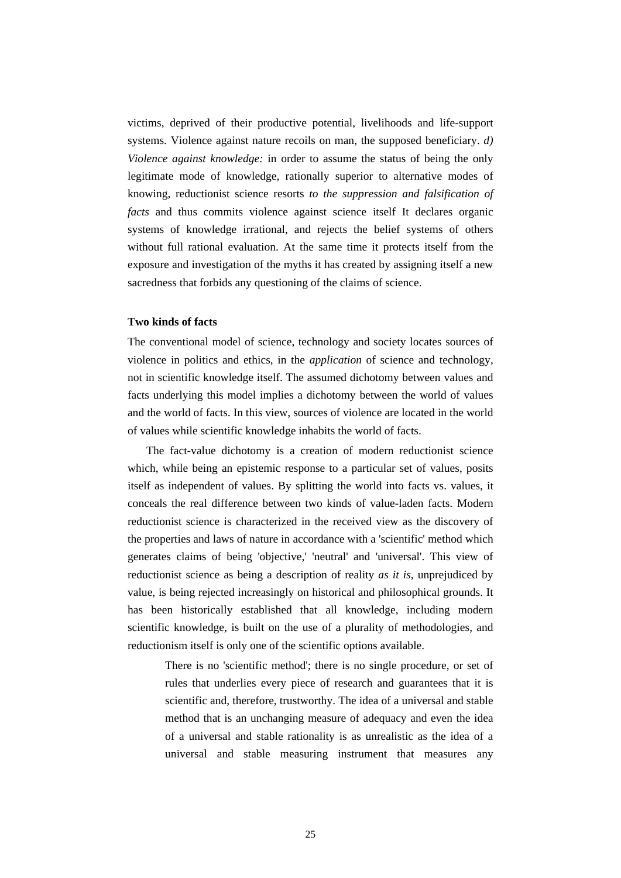victims, deprived of their productive potential, livelihoods and life-support systems. Violence against nature recoils on man, the supposed beneficiary. *d) Violence against knowledge:* in order to assume the status of being the only legitimate mode of knowledge, rationally superior to alternative modes of knowing, reductionist science resorts *to the suppression and falsification of facts* and thus commits violence against science itself It declares organic systems of knowledge irrational, and rejects the belief systems of others without full rational evaluation. At the same time it protects itself from the exposure and investigation of the myths it has created by assigning itself a new sacredness that forbids any questioning of the claims of science.

### **Two kinds of facts**

The conventional model of science, technology and society locates sources of violence in politics and ethics, in the *application* of science and technology, not in scientific knowledge itself. The assumed dichotomy between values and facts underlying this model implies a dichotomy between the world of values and the world of facts. In this view, sources of violence are located in the world of values while scientific knowledge inhabits the world of facts.

The fact-value dichotomy is a creation of modern reductionist science which, while being an epistemic response to a particular set of values, posits itself as independent of values. By splitting the world into facts vs. values, it conceals the real difference between two kinds of value-laden facts. Modern reductionist science is characterized in the received view as the discovery of the properties and laws of nature in accordance with a 'scientific' method which generates claims of being 'objective,' 'neutral' and 'universal'. This view of reductionist science as being a description of reality *as it is*, unprejudiced by value, is being rejected increasingly on historical and philosophical grounds. It has been historically established that all knowledge, including modern scientific knowledge, is built on the use of a plurality of methodologies, and reductionism itself is only one of the scientific options available.

> There is no 'scientific method'; there is no single procedure, or set of rules that underlies every piece of research and guarantees that it is scientific and, therefore, trustworthy. The idea of a universal and stable method that is an unchanging measure of adequacy and even the idea of a universal and stable rationality is as unrealistic as the idea of a universal and stable measuring instrument that measures any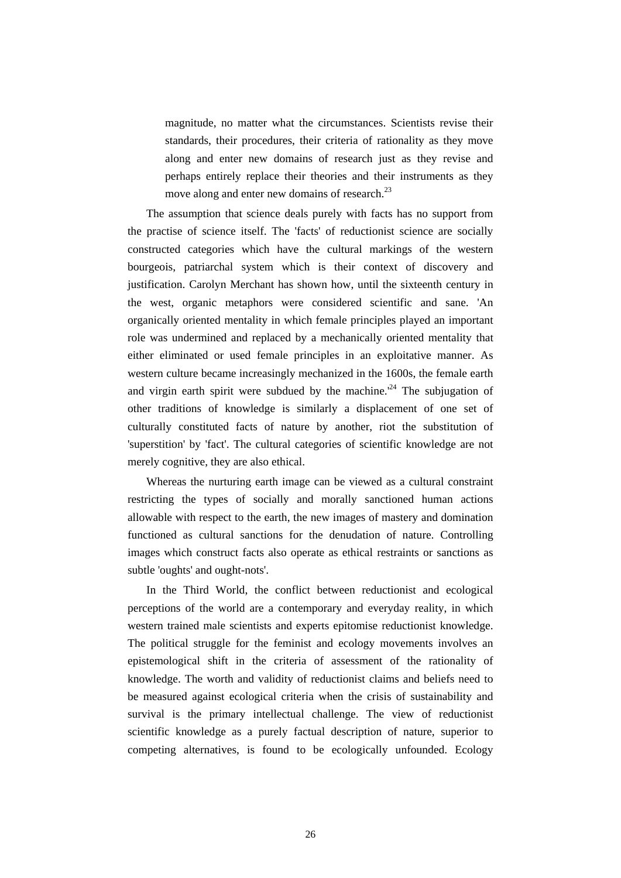magnitude, no matter what the circumstances. Scientists revise their standards, their procedures, their criteria of rationality as they move along and enter new domains of research just as they revise and perhaps entirely replace their theories and their instruments as they move along and enter new domains of research.<sup>23</sup>

The assumption that science deals purely with facts has no support from the practise of science itself. The 'facts' of reductionist science are socially constructed categories which have the cultural markings of the western bourgeois, patriarchal system which is their context of discovery and justification. Carolyn Merchant has shown how, until the sixteenth century in the west, organic metaphors were considered scientific and sane. 'An organically oriented mentality in which female principles played an important role was undermined and replaced by a mechanically oriented mentality that either eliminated or used female principles in an exploitative manner. As western culture became increasingly mechanized in the 1600s, the female earth and virgin earth spirit were subdued by the machine.<sup> $24$ </sup> The subjugation of other traditions of knowledge is similarly a displacement of one set of culturally constituted facts of nature by another, riot the substitution of 'superstition' by 'fact'. The cultural categories of scientific knowledge are not merely cognitive, they are also ethical.

Whereas the nurturing earth image can be viewed as a cultural constraint restricting the types of socially and morally sanctioned human actions allowable with respect to the earth, the new images of mastery and domination functioned as cultural sanctions for the denudation of nature. Controlling images which construct facts also operate as ethical restraints or sanctions as subtle 'oughts' and ought-nots'.

In the Third World, the conflict between reductionist and ecological perceptions of the world are a contemporary and everyday reality, in which western trained male scientists and experts epitomise reductionist knowledge. The political struggle for the feminist and ecology movements involves an epistemological shift in the criteria of assessment of the rationality of knowledge. The worth and validity of reductionist claims and beliefs need to be measured against ecological criteria when the crisis of sustainability and survival is the primary intellectual challenge. The view of reductionist scientific knowledge as a purely factual description of nature, superior to competing alternatives, is found to be ecologically unfounded. Ecology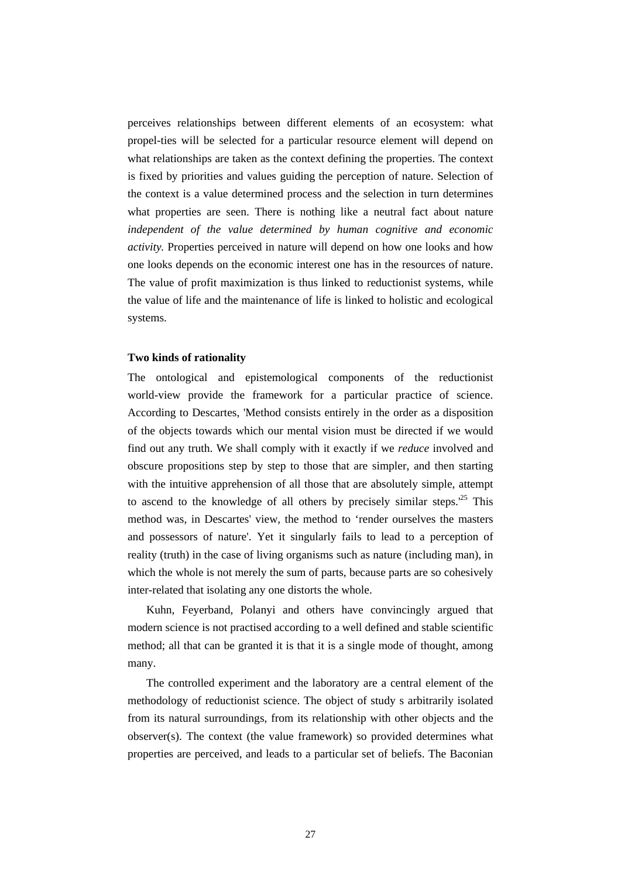perceives relationships between different elements of an ecosystem: what propel-ties will be selected for a particular resource element will depend on what relationships are taken as the context defining the properties. The context is fixed by priorities and values guiding the perception of nature. Selection of the context is a value determined process and the selection in turn determines what properties are seen. There is nothing like a neutral fact about nature *independent of the value determined by human cognitive and economic activity.* Properties perceived in nature will depend on how one looks and how one looks depends on the economic interest one has in the resources of nature. The value of profit maximization is thus linked to reductionist systems, while the value of life and the maintenance of life is linked to holistic and ecological systems.

### **Two kinds of rationality**

The ontological and epistemological components of the reductionist world-view provide the framework for a particular practice of science. According to Descartes, 'Method consists entirely in the order as a disposition of the objects towards which our mental vision must be directed if we would find out any truth. We shall comply with it exactly if we *reduce* involved and obscure propositions step by step to those that are simpler, and then starting with the intuitive apprehension of all those that are absolutely simple, attempt to ascend to the knowledge of all others by precisely similar steps.<sup> $25$ </sup> This method was, in Descartes' view, the method to 'render ourselves the masters and possessors of nature'. Yet it singularly fails to lead to a perception of reality (truth) in the case of living organisms such as nature (including man), in which the whole is not merely the sum of parts, because parts are so cohesively inter-related that isolating any one distorts the whole.

Kuhn, Feyerband, Polanyi and others have convincingly argued that modern science is not practised according to a well defined and stable scientific method; all that can be granted it is that it is a single mode of thought, among many.

The controlled experiment and the laboratory are a central element of the methodology of reductionist science. The object of study s arbitrarily isolated from its natural surroundings, from its relationship with other objects and the observer(s). The context (the value framework) so provided determines what properties are perceived, and leads to a particular set of beliefs. The Baconian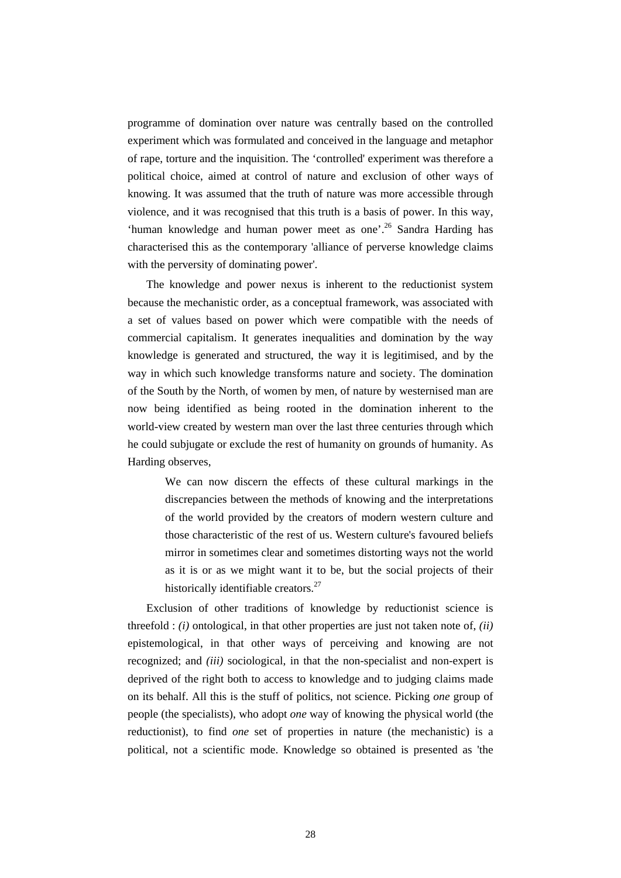programme of domination over nature was centrally based on the controlled experiment which was formulated and conceived in the language and metaphor of rape, torture and the inquisition. The 'controlled' experiment was therefore a political choice, aimed at control of nature and exclusion of other ways of knowing. It was assumed that the truth of nature was more accessible through violence, and it was recognised that this truth is a basis of power. In this way, 'human knowledge and human power meet as one'.<sup>26</sup> Sandra Harding has characterised this as the contemporary 'alliance of perverse knowledge claims with the perversity of dominating power'.

The knowledge and power nexus is inherent to the reductionist system because the mechanistic order, as a conceptual framework, was associated with a set of values based on power which were compatible with the needs of commercial capitalism. It generates inequalities and domination by the way knowledge is generated and structured, the way it is legitimised, and by the way in which such knowledge transforms nature and society. The domination of the South by the North, of women by men, of nature by westernised man are now being identified as being rooted in the domination inherent to the world-view created by western man over the last three centuries through which he could subjugate or exclude the rest of humanity on grounds of humanity. As Harding observes,

> We can now discern the effects of these cultural markings in the discrepancies between the methods of knowing and the interpretations of the world provided by the creators of modern western culture and those characteristic of the rest of us. Western culture's favoured beliefs mirror in sometimes clear and sometimes distorting ways not the world as it is or as we might want it to be, but the social projects of their historically identifiable creators.<sup>27</sup>

Exclusion of other traditions of knowledge by reductionist science is threefold : *(i)* ontological, in that other properties are just not taken note of, *(ii)* epistemological, in that other ways of perceiving and knowing are not recognized; and *(iii)* sociological, in that the non-specialist and non-expert is deprived of the right both to access to knowledge and to judging claims made on its behalf. All this is the stuff of politics, not science. Picking *one* group of people (the specialists), who adopt *one* way of knowing the physical world (the reductionist), to find *one* set of properties in nature (the mechanistic) is a political, not a scientific mode. Knowledge so obtained is presented as 'the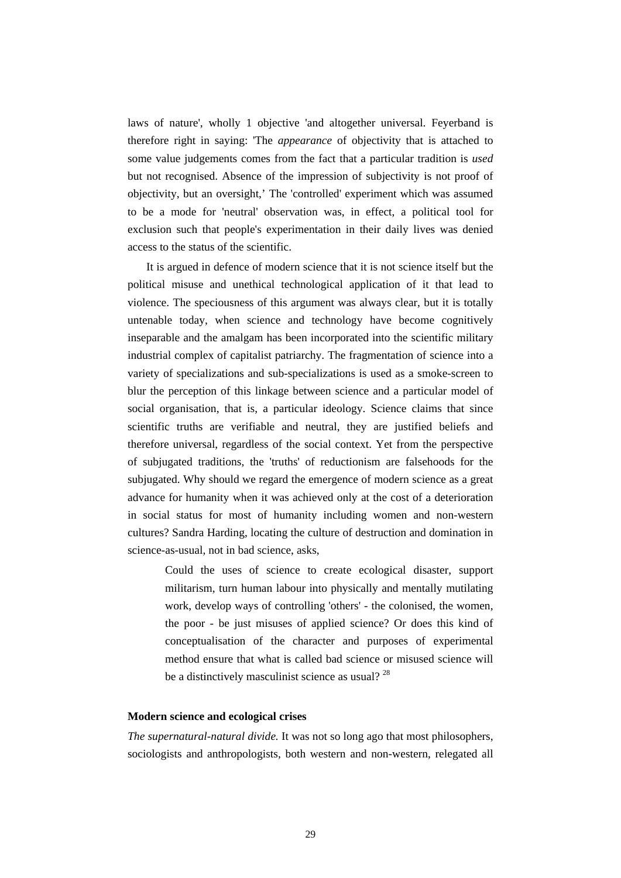laws of nature', wholly 1 objective 'and altogether universal. Feyerband is therefore right in saying: 'The *appearance* of objectivity that is attached to some value judgements comes from the fact that a particular tradition is *used*  but not recognised. Absence of the impression of subjectivity is not proof of objectivity, but an oversight,' The 'controlled' experiment which was assumed to be a mode for 'neutral' observation was, in effect, a political tool for exclusion such that people's experimentation in their daily lives was denied access to the status of the scientific.

It is argued in defence of modern science that it is not science itself but the political misuse and unethical technological application of it that lead to violence. The speciousness of this argument was always clear, but it is totally untenable today, when science and technology have become cognitively inseparable and the amalgam has been incorporated into the scientific military industrial complex of capitalist patriarchy. The fragmentation of science into a variety of specializations and sub-specializations is used as a smoke-screen to blur the perception of this linkage between science and a particular model of social organisation, that is, a particular ideology. Science claims that since scientific truths are verifiable and neutral, they are justified beliefs and therefore universal, regardless of the social context. Yet from the perspective of subjugated traditions, the 'truths' of reductionism are falsehoods for the subjugated. Why should we regard the emergence of modern science as a great advance for humanity when it was achieved only at the cost of a deterioration in social status for most of humanity including women and non-western cultures? Sandra Harding, locating the culture of destruction and domination in science-as-usual, not in bad science, asks,

> Could the uses of science to create ecological disaster, support militarism, turn human labour into physically and mentally mutilating work, develop ways of controlling 'others' - the colonised, the women, the poor - be just misuses of applied science? Or does this kind of conceptualisation of the character and purposes of experimental method ensure that what is called bad science or misused science will be a distinctively masculinist science as usual? <sup>28</sup>

### **Modern science and ecological crises**

*The supernatural-natural divide.* It was not so long ago that most philosophers, sociologists and anthropologists, both western and non-western, relegated all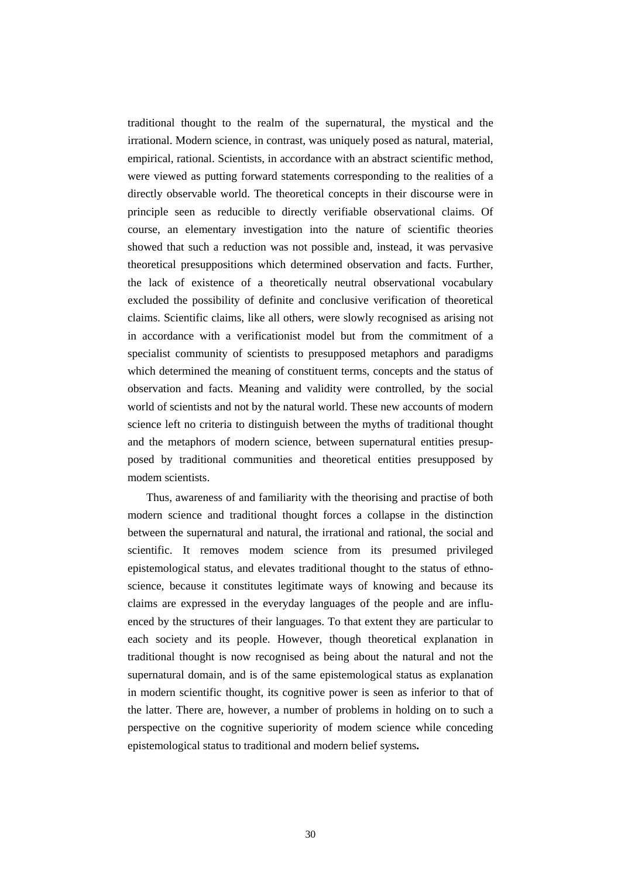traditional thought to the realm of the supernatural, the mystical and the irrational. Modern science, in contrast, was uniquely posed as natural, material, empirical, rational. Scientists, in accordance with an abstract scientific method, were viewed as putting forward statements corresponding to the realities of a directly observable world. The theoretical concepts in their discourse were in principle seen as reducible to directly verifiable observational claims. Of course, an elementary investigation into the nature of scientific theories showed that such a reduction was not possible and, instead, it was pervasive theoretical presuppositions which determined observation and facts. Further, the lack of existence of a theoretically neutral observational vocabulary excluded the possibility of definite and conclusive verification of theoretical claims. Scientific claims, like all others, were slowly recognised as arising not in accordance with a verificationist model but from the commitment of a specialist community of scientists to presupposed metaphors and paradigms which determined the meaning of constituent terms, concepts and the status of observation and facts. Meaning and validity were controlled, by the social world of scientists and not by the natural world. These new accounts of modern science left no criteria to distinguish between the myths of traditional thought and the metaphors of modern science, between supernatural entities presupposed by traditional communities and theoretical entities presupposed by modem scientists.

Thus, awareness of and familiarity with the theorising and practise of both modern science and traditional thought forces a collapse in the distinction between the supernatural and natural, the irrational and rational, the social and scientific. It removes modem science from its presumed privileged epistemological status, and elevates traditional thought to the status of ethnoscience, because it constitutes legitimate ways of knowing and because its claims are expressed in the everyday languages of the people and are influenced by the structures of their languages. To that extent they are particular to each society and its people. However, though theoretical explanation in traditional thought is now recognised as being about the natural and not the supernatural domain, and is of the same epistemological status as explanation in modern scientific thought, its cognitive power is seen as inferior to that of the latter. There are, however, a number of problems in holding on to such a perspective on the cognitive superiority of modem science while conceding epistemological status to traditional and modern belief systems**.**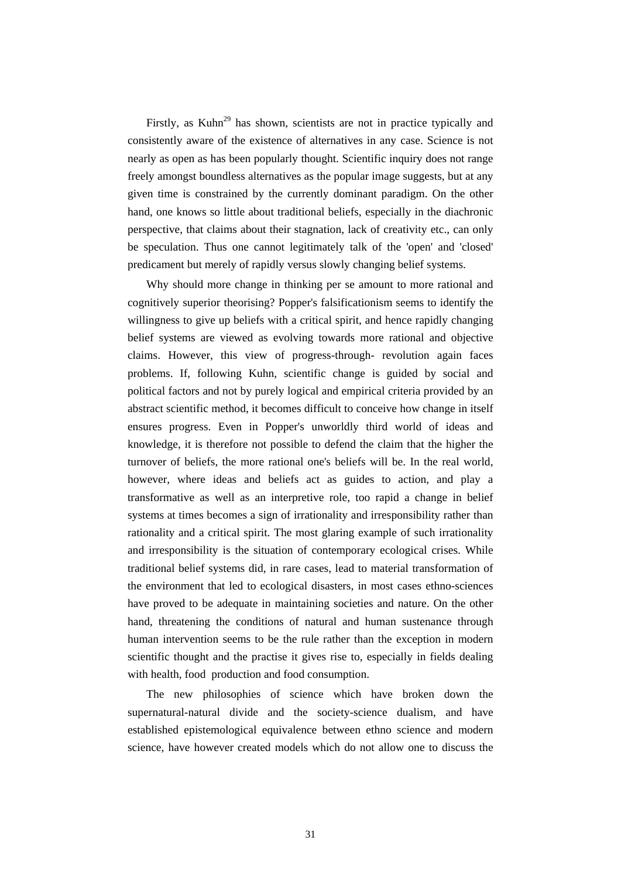Firstly, as Kuhn<sup>29</sup> has shown, scientists are not in practice typically and consistently aware of the existence of alternatives in any case. Science is not nearly as open as has been popularly thought. Scientific inquiry does not range freely amongst boundless alternatives as the popular image suggests, but at any given time is constrained by the currently dominant paradigm. On the other hand, one knows so little about traditional beliefs, especially in the diachronic perspective, that claims about their stagnation, lack of creativity etc., can only be speculation. Thus one cannot legitimately talk of the 'open' and 'closed' predicament but merely of rapidly versus slowly changing belief systems.

Why should more change in thinking per se amount to more rational and cognitively superior theorising? Popper's falsificationism seems to identify the willingness to give up beliefs with a critical spirit, and hence rapidly changing belief systems are viewed as evolving towards more rational and objective claims. However, this view of progress-through- revolution again faces problems. If, following Kuhn, scientific change is guided by social and political factors and not by purely logical and empirical criteria provided by an abstract scientific method, it becomes difficult to conceive how change in itself ensures progress. Even in Popper's unworldly third world of ideas and knowledge, it is therefore not possible to defend the claim that the higher the turnover of beliefs, the more rational one's beliefs will be. In the real world, however, where ideas and beliefs act as guides to action, and play a transformative as well as an interpretive role, too rapid a change in belief systems at times becomes a sign of irrationality and irresponsibility rather than rationality and a critical spirit. The most glaring example of such irrationality and irresponsibility is the situation of contemporary ecological crises. While traditional belief systems did, in rare cases, lead to material transformation of the environment that led to ecological disasters, in most cases ethno-sciences have proved to be adequate in maintaining societies and nature. On the other hand, threatening the conditions of natural and human sustenance through human intervention seems to be the rule rather than the exception in modern scientific thought and the practise it gives rise to, especially in fields dealing with health, food production and food consumption.

The new philosophies of science which have broken down the supernatural-natural divide and the society-science dualism, and have established epistemological equivalence between ethno science and modern science, have however created models which do not allow one to discuss the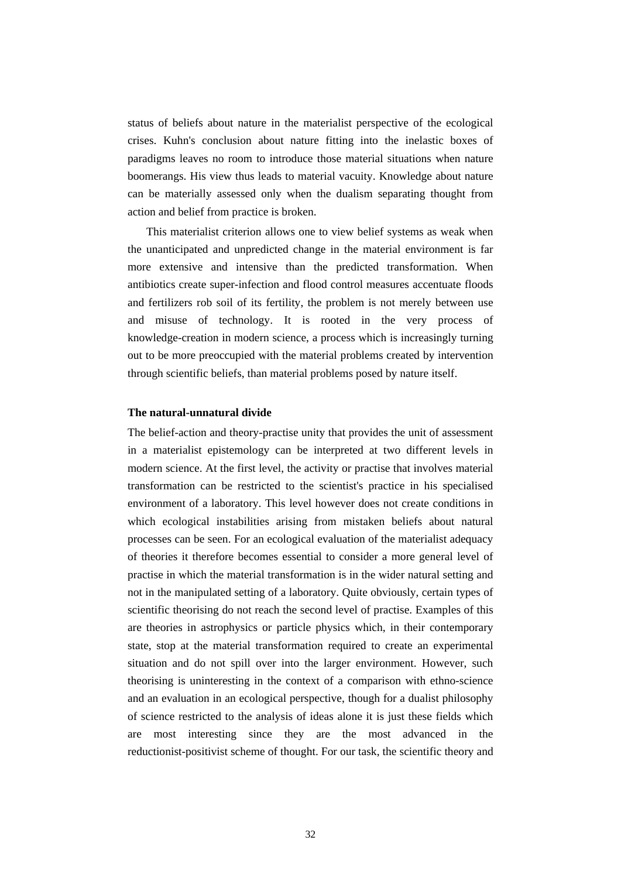status of beliefs about nature in the materialist perspective of the ecological crises. Kuhn's conclusion about nature fitting into the inelastic boxes of paradigms leaves no room to introduce those material situations when nature boomerangs. His view thus leads to material vacuity. Knowledge about nature can be materially assessed only when the dualism separating thought from action and belief from practice is broken.

This materialist criterion allows one to view belief systems as weak when the unanticipated and unpredicted change in the material environment is far more extensive and intensive than the predicted transformation. When antibiotics create super-infection and flood control measures accentuate floods and fertilizers rob soil of its fertility, the problem is not merely between use and misuse of technology. It is rooted in the very process of knowledge-creation in modern science, a process which is increasingly turning out to be more preoccupied with the material problems created by intervention through scientific beliefs, than material problems posed by nature itself.

### **The natural-unnatural divide**

The belief-action and theory-practise unity that provides the unit of assessment in a materialist epistemology can be interpreted at two different levels in modern science. At the first level, the activity or practise that involves material transformation can be restricted to the scientist's practice in his specialised environment of a laboratory. This level however does not create conditions in which ecological instabilities arising from mistaken beliefs about natural processes can be seen. For an ecological evaluation of the materialist adequacy of theories it therefore becomes essential to consider a more general level of practise in which the material transformation is in the wider natural setting and not in the manipulated setting of a laboratory. Quite obviously, certain types of scientific theorising do not reach the second level of practise. Examples of this are theories in astrophysics or particle physics which, in their contemporary state, stop at the material transformation required to create an experimental situation and do not spill over into the larger environment. However, such theorising is uninteresting in the context of a comparison with ethno-science and an evaluation in an ecological perspective, though for a dualist philosophy of science restricted to the analysis of ideas alone it is just these fields which are most interesting since they are the most advanced in the reductionist-positivist scheme of thought. For our task, the scientific theory and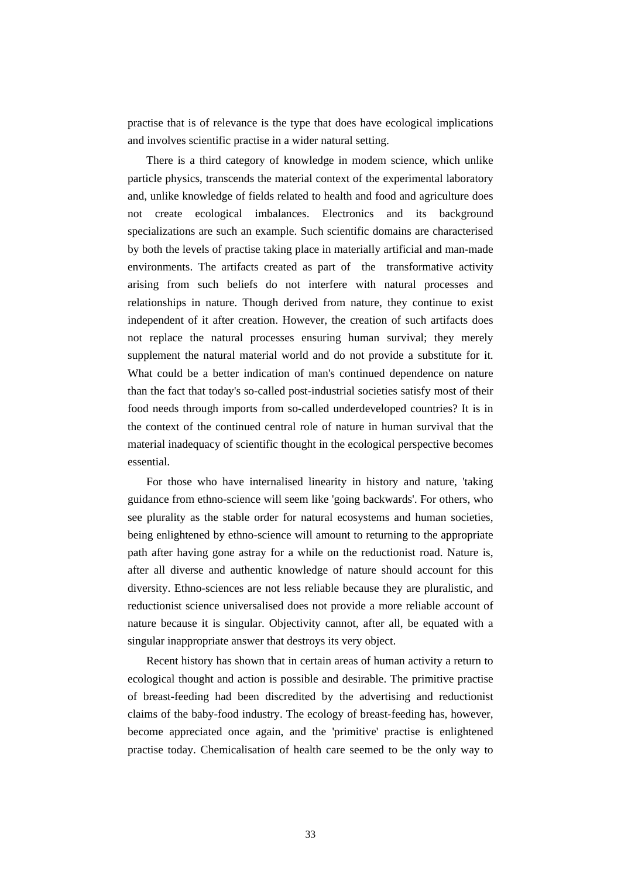practise that is of relevance is the type that does have ecological implications and involves scientific practise in a wider natural setting.

There is a third category of knowledge in modem science, which unlike particle physics, transcends the material context of the experimental laboratory and, unlike knowledge of fields related to health and food and agriculture does not create ecological imbalances. Electronics and its background specializations are such an example. Such scientific domains are characterised by both the levels of practise taking place in materially artificial and man-made environments. The artifacts created as part of the transformative activity arising from such beliefs do not interfere with natural processes and relationships in nature. Though derived from nature, they continue to exist independent of it after creation. However, the creation of such artifacts does not replace the natural processes ensuring human survival; they merely supplement the natural material world and do not provide a substitute for it. What could be a better indication of man's continued dependence on nature than the fact that today's so-called post-industrial societies satisfy most of their food needs through imports from so-called underdeveloped countries? It is in the context of the continued central role of nature in human survival that the material inadequacy of scientific thought in the ecological perspective becomes essential.

For those who have internalised linearity in history and nature, 'taking guidance from ethno-science will seem like 'going backwards'. For others, who see plurality as the stable order for natural ecosystems and human societies, being enlightened by ethno-science will amount to returning to the appropriate path after having gone astray for a while on the reductionist road. Nature is, after all diverse and authentic knowledge of nature should account for this diversity. Ethno-sciences are not less reliable because they are pluralistic, and reductionist science universalised does not provide a more reliable account of nature because it is singular. Objectivity cannot, after all, be equated with a singular inappropriate answer that destroys its very object.

Recent history has shown that in certain areas of human activity a return to ecological thought and action is possible and desirable. The primitive practise of breast-feeding had been discredited by the advertising and reductionist claims of the baby-food industry. The ecology of breast-feeding has, however, become appreciated once again, and the 'primitive' practise is enlightened practise today. Chemicalisation of health care seemed to be the only way to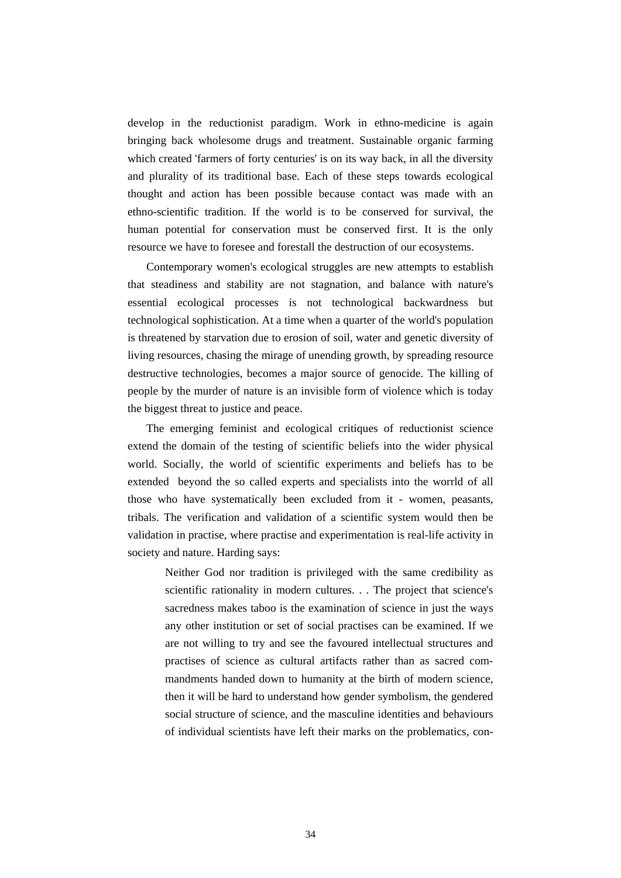develop in the reductionist paradigm. Work in ethno-medicine is again bringing back wholesome drugs and treatment. Sustainable organic farming which created 'farmers of forty centuries' is on its way back, in all the diversity and plurality of its traditional base. Each of these steps towards ecological thought and action has been possible because contact was made with an ethno-scientific tradition. If the world is to be conserved for survival, the human potential for conservation must be conserved first. It is the only resource we have to foresee and forestall the destruction of our ecosystems.

Contemporary women's ecological struggles are new attempts to establish that steadiness and stability are not stagnation, and balance with nature's essential ecological processes is not technological backwardness but technological sophistication. At a time when a quarter of the world's population is threatened by starvation due to erosion of soil, water and genetic diversity of living resources, chasing the mirage of unending growth, by spreading resource destructive technologies, becomes a major source of genocide. The killing of people by the murder of nature is an invisible form of violence which is today the biggest threat to justice and peace.

The emerging feminist and ecological critiques of reductionist science extend the domain of the testing of scientific beliefs into the wider physical world. Socially, the world of scientific experiments and beliefs has to be extended beyond the so called experts and specialists into the worrld of all those who have systematically been excluded from it - women, peasants, tribals. The verification and validation of a scientific system would then be validation in practise, where practise and experimentation is real-life activity in society and nature. Harding says:

Neither God nor tradition is privileged with the same credibility as scientific rationality in modern cultures. . . The project that science's sacredness makes taboo is the examination of science in just the ways any other institution or set of social practises can be examined. If we are not willing to try and see the favoured intellectual structures and practises of science as cultural artifacts rather than as sacred commandments handed down to humanity at the birth of modern science, then it will be hard to understand how gender symbolism, the gendered social structure of science, and the masculine identities and behaviours of individual scientists have left their marks on the problematics, con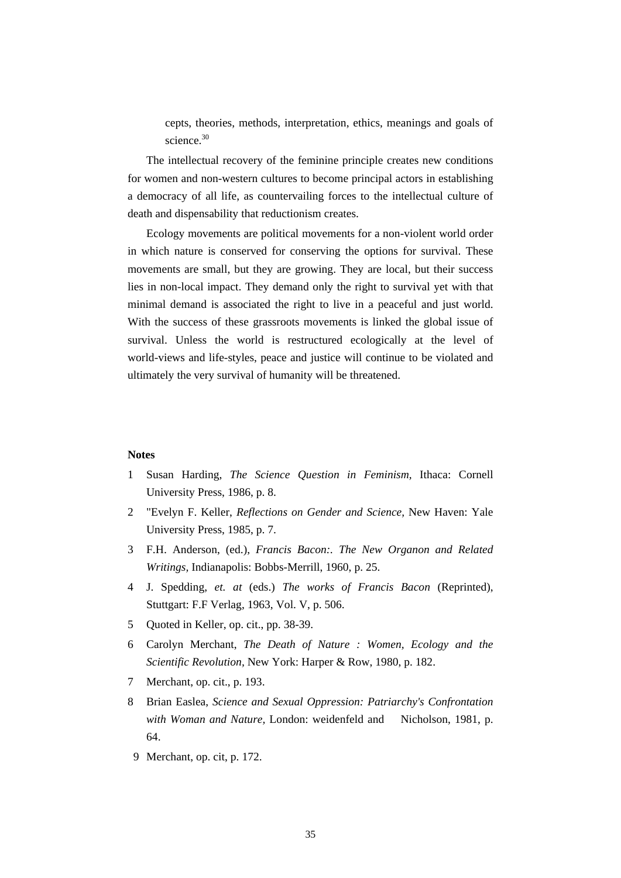cepts, theories, methods, interpretation, ethics, meanings and goals of science<sup>30</sup>

The intellectual recovery of the feminine principle creates new conditions for women and non-western cultures to become principal actors in establishing a democracy of all life, as countervailing forces to the intellectual culture of death and dispensability that reductionism creates.

Ecology movements are political movements for a non-violent world order in which nature is conserved for conserving the options for survival. These movements are small, but they are growing. They are local, but their success lies in non-local impact. They demand only the right to survival yet with that minimal demand is associated the right to live in a peaceful and just world. With the success of these grassroots movements is linked the global issue of survival. Unless the world is restructured ecologically at the level of world-views and life-styles, peace and justice will continue to be violated and ultimately the very survival of humanity will be threatened.

## **Notes**

- 1 Susan Harding, *The Science Question in Feminism,* Ithaca: Cornell University Press, 1986, p. 8.
- 2 "Evelyn F. Keller, *Reflections on Gender and Science,* New Haven: Yale University Press, 1985, p. 7.
- 3 F.H. Anderson, (ed.), *Francis Bacon:. The New Organon and Related Writings,* Indianapolis: Bobbs-Merrill, 1960, p. 25.
- 4 J. Spedding, *et. at* (eds.) *The works of Francis Bacon* (Reprinted), Stuttgart: F.F Verlag, 1963, Vol. V, p. 506.
- 5 Quoted in Keller, op. cit., pp. 38-39.
- 6 Carolyn Merchant, *The Death of Nature : Women, Ecology and the Scientific Revolution,* New York: Harper & Row, 1980, p. 182.
- 7 Merchant, op. cit., p. 193.
- 8 Brian Easlea, *Science and Sexual Oppression: Patriarchy's Confrontation*  with Woman and Nature, London: weidenfeld and Nicholson, 1981, p. 64.
- 9 Merchant, op. cit, p. 172.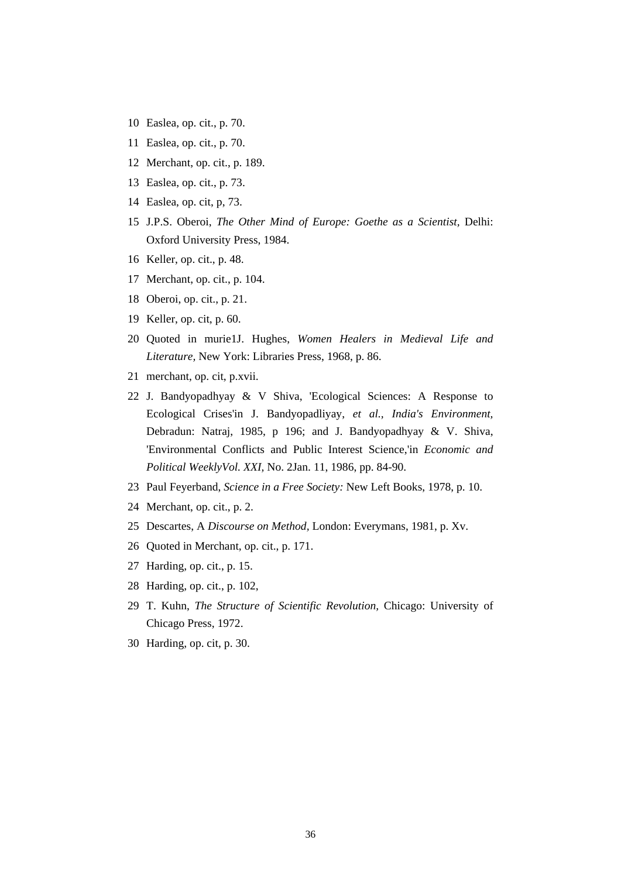- 10 Easlea, op. cit., p. 70.
- 11 Easlea, op. cit., p. 70.
- 12 Merchant, op. cit., p. 189.
- 13 Easlea, op. cit., p. 73.
- 14 Easlea, op. cit, p, 73.
- 15 J.P.S. Oberoi, *The Other Mind of Europe: Goethe as a Scientist,* Delhi: Oxford University Press, 1984.
- 16 Keller, op. cit., p. 48.
- 17 Merchant, op. cit., p. 104.
- 18 Oberoi, op. cit., p. 21.
- 19 Keller, op. cit, p. 60.
- 20 Quoted in murie1J. Hughes, *Women Healers in Medieval Life and Literature,* New York: Libraries Press, 1968, p. 86.
- 21 merchant, op. cit, p.xvii.
- 22 J. Bandyopadhyay & V Shiva, 'Ecological Sciences: A Response to Ecological Crises'in J. Bandyopadliyay, *et al., India's Environment,*  Debradun: Natraj, 1985, p 196; and J. Bandyopadhyay & V. Shiva, 'Environmental Conflicts and Public Interest Science,'in *Economic and Political WeeklyVol. XXI,* No. 2Jan. 11, 1986, pp. 84-90.
- 23 Paul Feyerband, *Science in a Free Society:* New Left Books, 1978, p. 10.
- 24 Merchant, op. cit., p. 2.
- 25 Descartes, A *Discourse on Method,* London: Everymans, 1981, p. Xv.
- 26 Quoted in Merchant, op. cit., p. 171.
- 27 Harding, op. cit., p. 15.
- 28 Harding, op. cit., p. 102,
- 29 T. Kuhn, *The Structure of Scientific Revolution,* Chicago: University of Chicago Press, 1972.
- 30 Harding, op. cit, p. 30.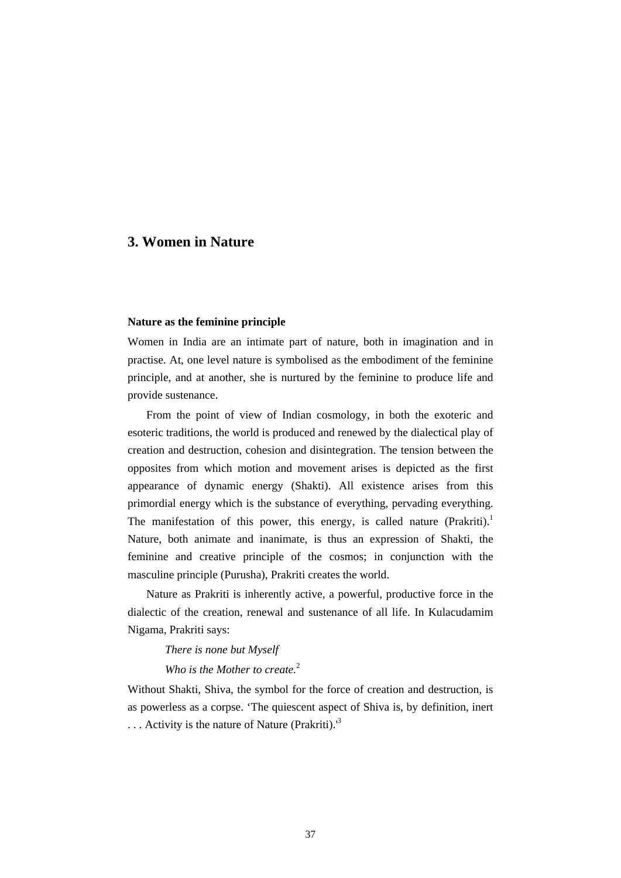# **3. Women in Nature**

#### **Nature as the feminine principle**

Women in India are an intimate part of nature, both in imagination and in practise. At, one level nature is symbolised as the embodiment of the feminine principle, and at another, she is nurtured by the feminine to produce life and provide sustenance.

From the point of view of Indian cosmology, in both the exoteric and esoteric traditions, the world is produced and renewed by the dialectical play of creation and destruction, cohesion and disintegration. The tension between the opposites from which motion and movement arises is depicted as the first appearance of dynamic energy (Shakti). All existence arises from this primordial energy which is the substance of everything, pervading everything. The manifestation of this power, this energy, is called nature (Prakriti).<sup>1</sup> Nature, both animate and inanimate, is thus an expression of Shakti, the feminine and creative principle of the cosmos; in conjunction with the masculine principle (Purusha), Prakriti creates the world.

Nature as Prakriti is inherently active, a powerful, productive force in the dialectic of the creation, renewal and sustenance of all life. In Kulacudamim Nigama, Prakriti says:

## *There is none but Myself*

# *Who is the Mother to create.*<sup>2</sup>

Without Shakti, Shiva, the symbol for the force of creation and destruction, is as powerless as a corpse. 'The quiescent aspect of Shiva is, by definition, inert ... Activity is the nature of Nature (Prakriti).<sup>13</sup>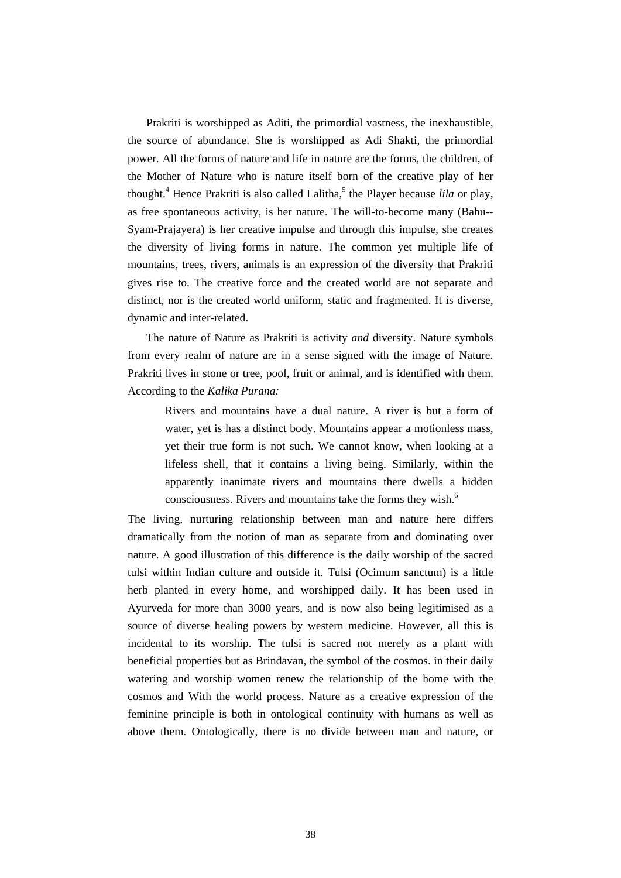Prakriti is worshipped as Aditi, the primordial vastness, the inexhaustible, the source of abundance. She is worshipped as Adi Shakti, the primordial power. All the forms of nature and life in nature are the forms, the children, of the Mother of Nature who is nature itself born of the creative play of her thought.<sup>4</sup> Hence Prakriti is also called Lalitha,<sup>5</sup> the Player because *lila* or play, as free spontaneous activity, is her nature. The will-to-become many (Bahu-- Syam-Prajayera) is her creative impulse and through this impulse, she creates the diversity of living forms in nature. The common yet multiple life of mountains, trees, rivers, animals is an expression of the diversity that Prakriti gives rise to. The creative force and the created world are not separate and distinct, nor is the created world uniform, static and fragmented. It is diverse, dynamic and inter-related.

The nature of Nature as Prakriti is activity *and* diversity. Nature symbols from every realm of nature are in a sense signed with the image of Nature. Prakriti lives in stone or tree, pool, fruit or animal, and is identified with them. According to the *Kalika Purana:* 

> Rivers and mountains have a dual nature. A river is but a form of water, yet is has a distinct body. Mountains appear a motionless mass, yet their true form is not such. We cannot know, when looking at a lifeless shell, that it contains a living being. Similarly, within the apparently inanimate rivers and mountains there dwells a hidden consciousness. Rivers and mountains take the forms they wish.<sup>6</sup>

The living, nurturing relationship between man and nature here differs dramatically from the notion of man as separate from and dominating over nature. A good illustration of this difference is the daily worship of the sacred tulsi within Indian culture and outside it. Tulsi (Ocimum sanctum) is a little herb planted in every home, and worshipped daily. It has been used in Ayurveda for more than 3000 years, and is now also being legitimised as a source of diverse healing powers by western medicine. However, all this is incidental to its worship. The tulsi is sacred not merely as a plant with beneficial properties but as Brindavan, the symbol of the cosmos. in their daily watering and worship women renew the relationship of the home with the cosmos and With the world process. Nature as a creative expression of the feminine principle is both in ontological continuity with humans as well as above them. Ontologically, there is no divide between man and nature, or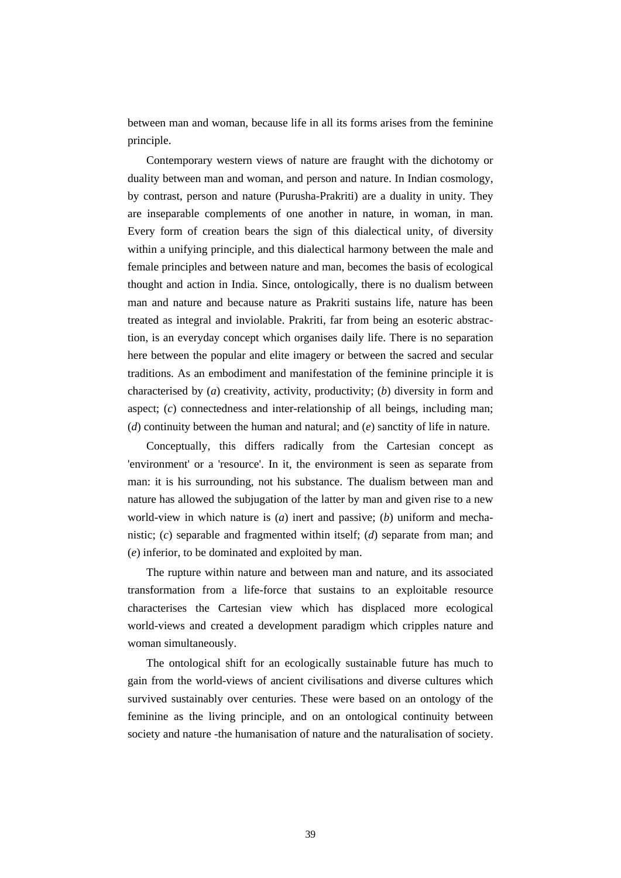between man and woman, because life in all its forms arises from the feminine principle.

Contemporary western views of nature are fraught with the dichotomy or duality between man and woman, and person and nature. In Indian cosmology, by contrast, person and nature (Purusha-Prakriti) are a duality in unity. They are inseparable complements of one another in nature, in woman, in man. Every form of creation bears the sign of this dialectical unity, of diversity within a unifying principle, and this dialectical harmony between the male and female principles and between nature and man, becomes the basis of ecological thought and action in India. Since, ontologically, there is no dualism between man and nature and because nature as Prakriti sustains life, nature has been treated as integral and inviolable. Prakriti, far from being an esoteric abstraction, is an everyday concept which organises daily life. There is no separation here between the popular and elite imagery or between the sacred and secular traditions. As an embodiment and manifestation of the feminine principle it is characterised by (*a*) creativity, activity, productivity; (*b*) diversity in form and aspect; (*c*) connectedness and inter-relationship of all beings, including man; (*d*) continuity between the human and natural; and (*e*) sanctity of life in nature.

Conceptually, this differs radically from the Cartesian concept as 'environment' or a 'resource'. In it, the environment is seen as separate from man: it is his surrounding, not his substance. The dualism between man and nature has allowed the subjugation of the latter by man and given rise to a new world-view in which nature is (*a*) inert and passive; (*b*) uniform and mechanistic; (*c*) separable and fragmented within itself; (*d*) separate from man; and (*e*) inferior, to be dominated and exploited by man.

The rupture within nature and between man and nature, and its associated transformation from a life-force that sustains to an exploitable resource characterises the Cartesian view which has displaced more ecological world-views and created a development paradigm which cripples nature and woman simultaneously.

The ontological shift for an ecologically sustainable future has much to gain from the world-views of ancient civilisations and diverse cultures which survived sustainably over centuries. These were based on an ontology of the feminine as the living principle, and on an ontological continuity between society and nature -the humanisation of nature and the naturalisation of society.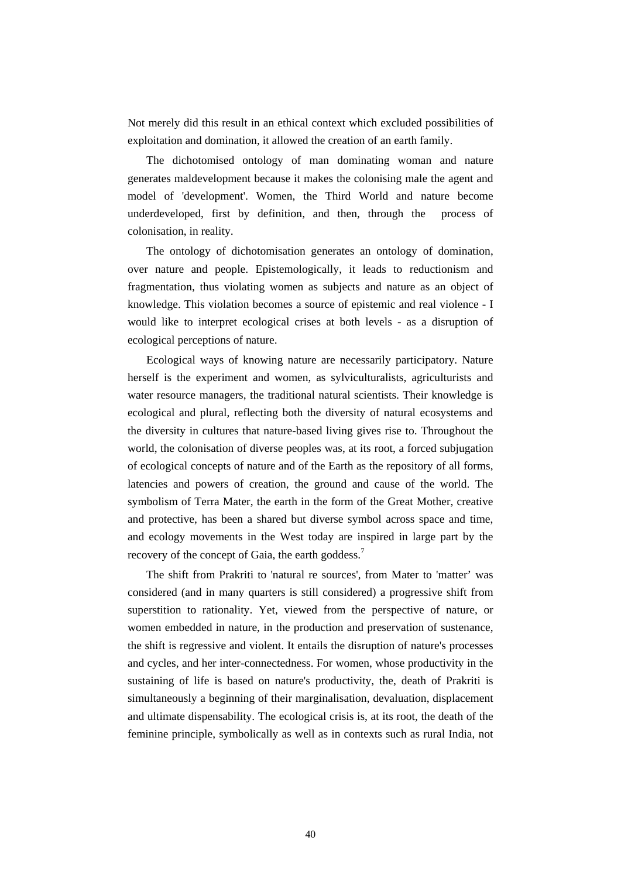Not merely did this result in an ethical context which excluded possibilities of exploitation and domination, it allowed the creation of an earth family.

The dichotomised ontology of man dominating woman and nature generates maldevelopment because it makes the colonising male the agent and model of 'development'. Women, the Third World and nature become underdeveloped, first by definition, and then, through the process of colonisation, in reality.

The ontology of dichotomisation generates an ontology of domination, over nature and people. Epistemologically, it leads to reductionism and fragmentation, thus violating women as subjects and nature as an object of knowledge. This violation becomes a source of epistemic and real violence - I would like to interpret ecological crises at both levels - as a disruption of ecological perceptions of nature.

Ecological ways of knowing nature are necessarily participatory. Nature herself is the experiment and women, as sylviculturalists, agriculturists and water resource managers, the traditional natural scientists. Their knowledge is ecological and plural, reflecting both the diversity of natural ecosystems and the diversity in cultures that nature-based living gives rise to. Throughout the world, the colonisation of diverse peoples was, at its root, a forced subjugation of ecological concepts of nature and of the Earth as the repository of all forms, latencies and powers of creation, the ground and cause of the world. The symbolism of Terra Mater, the earth in the form of the Great Mother, creative and protective, has been a shared but diverse symbol across space and time, and ecology movements in the West today are inspired in large part by the recovery of the concept of Gaia, the earth goddess.<sup>7</sup>

The shift from Prakriti to 'natural re sources', from Mater to 'matter' was considered (and in many quarters is still considered) a progressive shift from superstition to rationality. Yet, viewed from the perspective of nature, or women embedded in nature, in the production and preservation of sustenance, the shift is regressive and violent. It entails the disruption of nature's processes and cycles, and her inter-connectedness. For women, whose productivity in the sustaining of life is based on nature's productivity, the, death of Prakriti is simultaneously a beginning of their marginalisation, devaluation, displacement and ultimate dispensability. The ecological crisis is, at its root, the death of the feminine principle, symbolically as well as in contexts such as rural India, not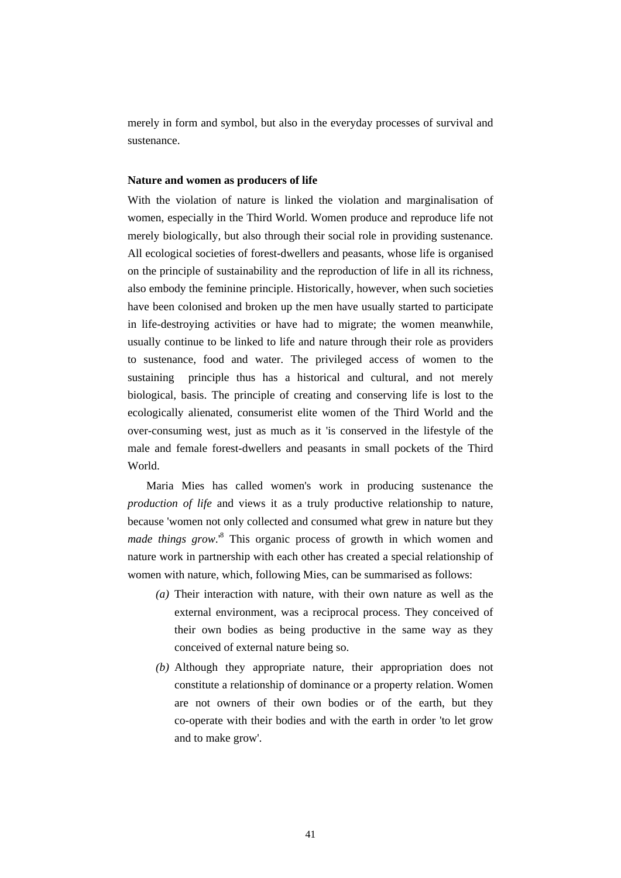merely in form and symbol, but also in the everyday processes of survival and sustenance.

### **Nature and women as producers of life**

With the violation of nature is linked the violation and marginalisation of women, especially in the Third World. Women produce and reproduce life not merely biologically, but also through their social role in providing sustenance. All ecological societies of forest-dwellers and peasants, whose life is organised on the principle of sustainability and the reproduction of life in all its richness, also embody the feminine principle. Historically, however, when such societies have been colonised and broken up the men have usually started to participate in life-destroying activities or have had to migrate; the women meanwhile, usually continue to be linked to life and nature through their role as providers to sustenance, food and water. The privileged access of women to the sustaining principle thus has a historical and cultural, and not merely biological, basis. The principle of creating and conserving life is lost to the ecologically alienated, consumerist elite women of the Third World and the over-consuming west, just as much as it 'is conserved in the lifestyle of the male and female forest-dwellers and peasants in small pockets of the Third World.

Maria Mies has called women's work in producing sustenance the *production of life* and views it as a truly productive relationship to nature, because 'women not only collected and consumed what grew in nature but they *made things grow*.'<sup>8</sup> This organic process of growth in which women and nature work in partnership with each other has created a special relationship of women with nature, which, following Mies, can be summarised as follows:

- *(a)* Their interaction with nature, with their own nature as well as the external environment, was a reciprocal process. They conceived of their own bodies as being productive in the same way as they conceived of external nature being so.
- *(b)* Although they appropriate nature, their appropriation does not constitute a relationship of dominance or a property relation. Women are not owners of their own bodies or of the earth, but they co-operate with their bodies and with the earth in order 'to let grow and to make grow'.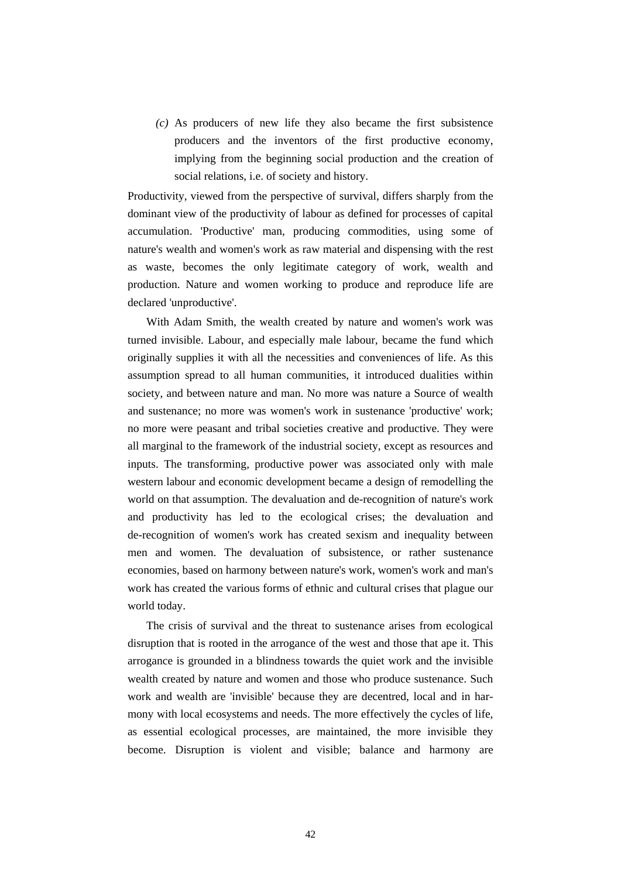*(c)* As producers of new life they also became the first subsistence producers and the inventors of the first productive economy, implying from the beginning social production and the creation of social relations, i.e. of society and history.

Productivity, viewed from the perspective of survival, differs sharply from the dominant view of the productivity of labour as defined for processes of capital accumulation. 'Productive' man, producing commodities, using some of nature's wealth and women's work as raw material and dispensing with the rest as waste, becomes the only legitimate category of work, wealth and production. Nature and women working to produce and reproduce life are declared 'unproductive'.

With Adam Smith, the wealth created by nature and women's work was turned invisible. Labour, and especially male labour, became the fund which originally supplies it with all the necessities and conveniences of life. As this assumption spread to all human communities, it introduced dualities within society, and between nature and man. No more was nature a Source of wealth and sustenance; no more was women's work in sustenance 'productive' work; no more were peasant and tribal societies creative and productive. They were all marginal to the framework of the industrial society, except as resources and inputs. The transforming, productive power was associated only with male western labour and economic development became a design of remodelling the world on that assumption. The devaluation and de-recognition of nature's work and productivity has led to the ecological crises; the devaluation and de-recognition of women's work has created sexism and inequality between men and women. The devaluation of subsistence, or rather sustenance economies, based on harmony between nature's work, women's work and man's work has created the various forms of ethnic and cultural crises that plague our world today.

The crisis of survival and the threat to sustenance arises from ecological disruption that is rooted in the arrogance of the west and those that ape it. This arrogance is grounded in a blindness towards the quiet work and the invisible wealth created by nature and women and those who produce sustenance. Such work and wealth are 'invisible' because they are decentred, local and in harmony with local ecosystems and needs. The more effectively the cycles of life, as essential ecological processes, are maintained, the more invisible they become. Disruption is violent and visible; balance and harmony are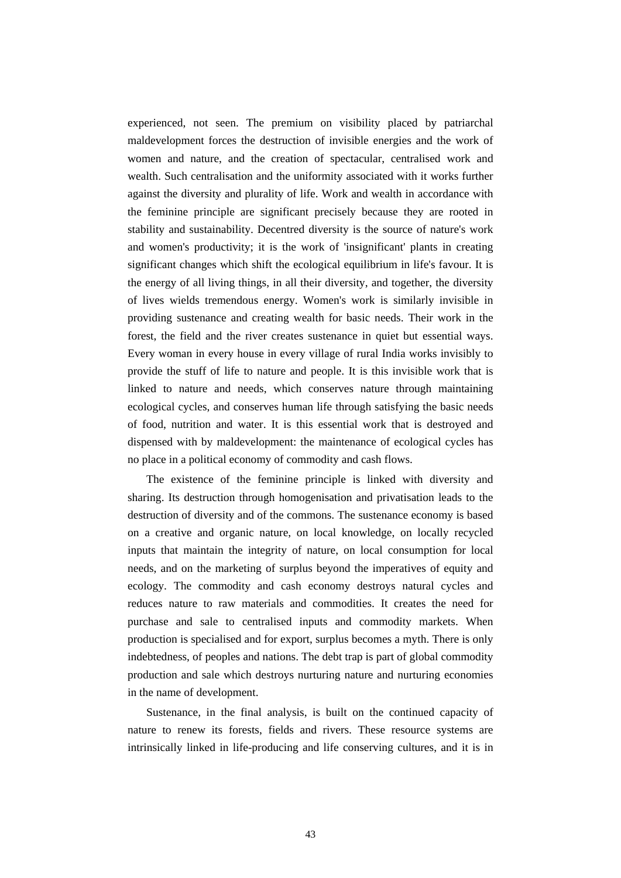experienced, not seen. The premium on visibility placed by patriarchal maldevelopment forces the destruction of invisible energies and the work of women and nature, and the creation of spectacular, centralised work and wealth. Such centralisation and the uniformity associated with it works further against the diversity and plurality of life. Work and wealth in accordance with the feminine principle are significant precisely because they are rooted in stability and sustainability. Decentred diversity is the source of nature's work and women's productivity; it is the work of 'insignificant' plants in creating significant changes which shift the ecological equilibrium in life's favour. It is the energy of all living things, in all their diversity, and together, the diversity of lives wields tremendous energy. Women's work is similarly invisible in providing sustenance and creating wealth for basic needs. Their work in the forest, the field and the river creates sustenance in quiet but essential ways. Every woman in every house in every village of rural India works invisibly to provide the stuff of life to nature and people. It is this invisible work that is linked to nature and needs, which conserves nature through maintaining ecological cycles, and conserves human life through satisfying the basic needs of food, nutrition and water. It is this essential work that is destroyed and dispensed with by maldevelopment: the maintenance of ecological cycles has no place in a political economy of commodity and cash flows.

The existence of the feminine principle is linked with diversity and sharing. Its destruction through homogenisation and privatisation leads to the destruction of diversity and of the commons. The sustenance economy is based on a creative and organic nature, on local knowledge, on locally recycled inputs that maintain the integrity of nature, on local consumption for local needs, and on the marketing of surplus beyond the imperatives of equity and ecology. The commodity and cash economy destroys natural cycles and reduces nature to raw materials and commodities. It creates the need for purchase and sale to centralised inputs and commodity markets. When production is specialised and for export, surplus becomes a myth. There is only indebtedness, of peoples and nations. The debt trap is part of global commodity production and sale which destroys nurturing nature and nurturing economies in the name of development.

Sustenance, in the final analysis, is built on the continued capacity of nature to renew its forests, fields and rivers. These resource systems are intrinsically linked in life-producing and life conserving cultures, and it is in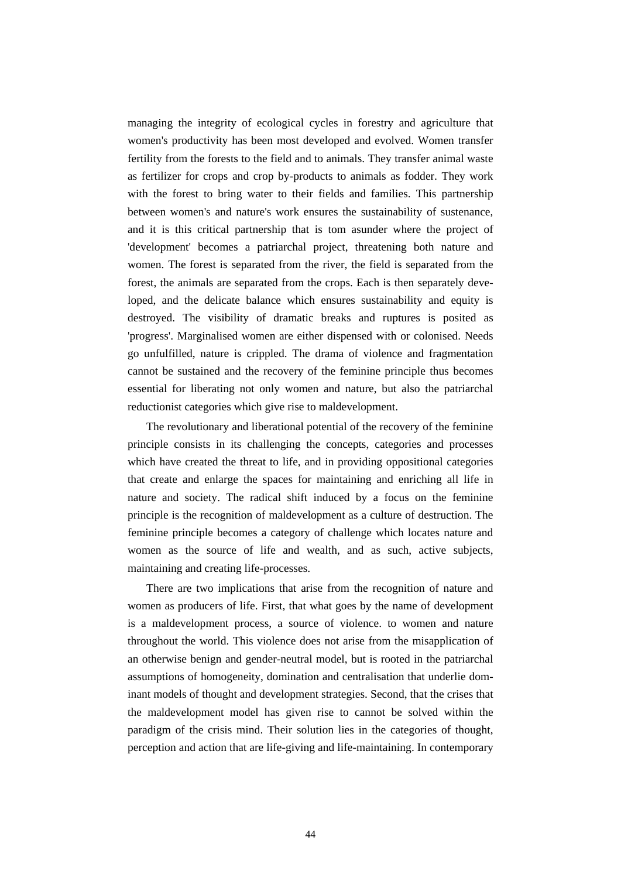managing the integrity of ecological cycles in forestry and agriculture that women's productivity has been most developed and evolved. Women transfer fertility from the forests to the field and to animals. They transfer animal waste as fertilizer for crops and crop by-products to animals as fodder. They work with the forest to bring water to their fields and families. This partnership between women's and nature's work ensures the sustainability of sustenance, and it is this critical partnership that is tom asunder where the project of 'development' becomes a patriarchal project, threatening both nature and women. The forest is separated from the river, the field is separated from the forest, the animals are separated from the crops. Each is then separately developed, and the delicate balance which ensures sustainability and equity is destroyed. The visibility of dramatic breaks and ruptures is posited as 'progress'. Marginalised women are either dispensed with or colonised. Needs go unfulfilled, nature is crippled. The drama of violence and fragmentation cannot be sustained and the recovery of the feminine principle thus becomes essential for liberating not only women and nature, but also the patriarchal reductionist categories which give rise to maldevelopment.

The revolutionary and liberational potential of the recovery of the feminine principle consists in its challenging the concepts, categories and processes which have created the threat to life, and in providing oppositional categories that create and enlarge the spaces for maintaining and enriching all life in nature and society. The radical shift induced by a focus on the feminine principle is the recognition of maldevelopment as a culture of destruction. The feminine principle becomes a category of challenge which locates nature and women as the source of life and wealth, and as such, active subjects, maintaining and creating life-processes.

There are two implications that arise from the recognition of nature and women as producers of life. First, that what goes by the name of development is a maldevelopment process, a source of violence. to women and nature throughout the world. This violence does not arise from the misapplication of an otherwise benign and gender-neutral model, but is rooted in the patriarchal assumptions of homogeneity, domination and centralisation that underlie dominant models of thought and development strategies. Second, that the crises that the maldevelopment model has given rise to cannot be solved within the paradigm of the crisis mind. Their solution lies in the categories of thought, perception and action that are life-giving and life-maintaining. In contemporary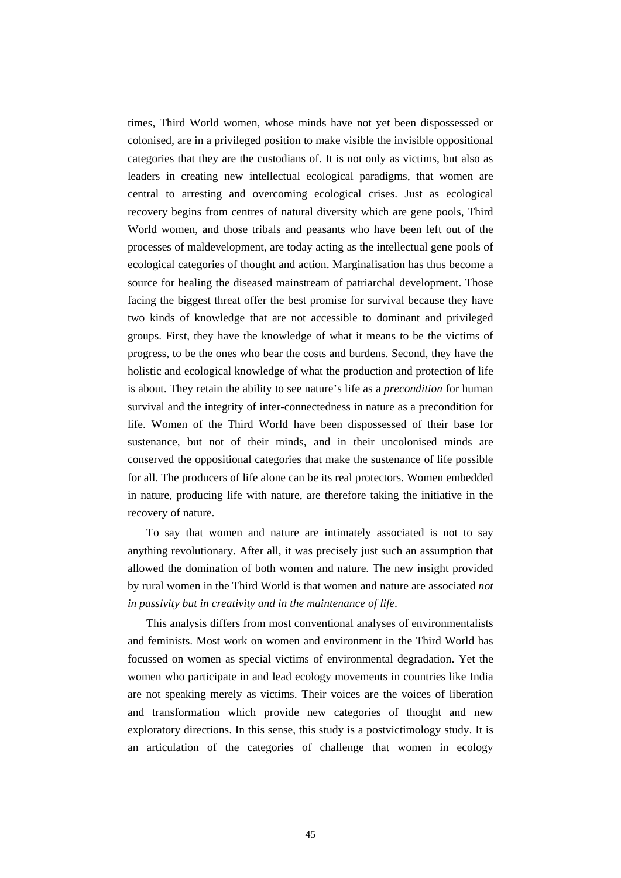times, Third World women, whose minds have not yet been dispossessed or colonised, are in a privileged position to make visible the invisible oppositional categories that they are the custodians of. It is not only as victims, but also as leaders in creating new intellectual ecological paradigms, that women are central to arresting and overcoming ecological crises. Just as ecological recovery begins from centres of natural diversity which are gene pools, Third World women, and those tribals and peasants who have been left out of the processes of maldevelopment, are today acting as the intellectual gene pools of ecological categories of thought and action. Marginalisation has thus become a source for healing the diseased mainstream of patriarchal development. Those facing the biggest threat offer the best promise for survival because they have two kinds of knowledge that are not accessible to dominant and privileged groups. First, they have the knowledge of what it means to be the victims of progress, to be the ones who bear the costs and burdens. Second, they have the holistic and ecological knowledge of what the production and protection of life is about. They retain the ability to see nature's life as a *precondition* for human survival and the integrity of inter-connectedness in nature as a precondition for life. Women of the Third World have been dispossessed of their base for sustenance, but not of their minds, and in their uncolonised minds are conserved the oppositional categories that make the sustenance of life possible for all. The producers of life alone can be its real protectors. Women embedded in nature, producing life with nature, are therefore taking the initiative in the recovery of nature.

To say that women and nature are intimately associated is not to say anything revolutionary. After all, it was precisely just such an assumption that allowed the domination of both women and nature. The new insight provided by rural women in the Third World is that women and nature are associated *not in passivity but in creativity and in the maintenance of life*.

This analysis differs from most conventional analyses of environmentalists and feminists. Most work on women and environment in the Third World has focussed on women as special victims of environmental degradation. Yet the women who participate in and lead ecology movements in countries like India are not speaking merely as victims. Their voices are the voices of liberation and transformation which provide new categories of thought and new exploratory directions. In this sense, this study is a postvictimology study. It is an articulation of the categories of challenge that women in ecology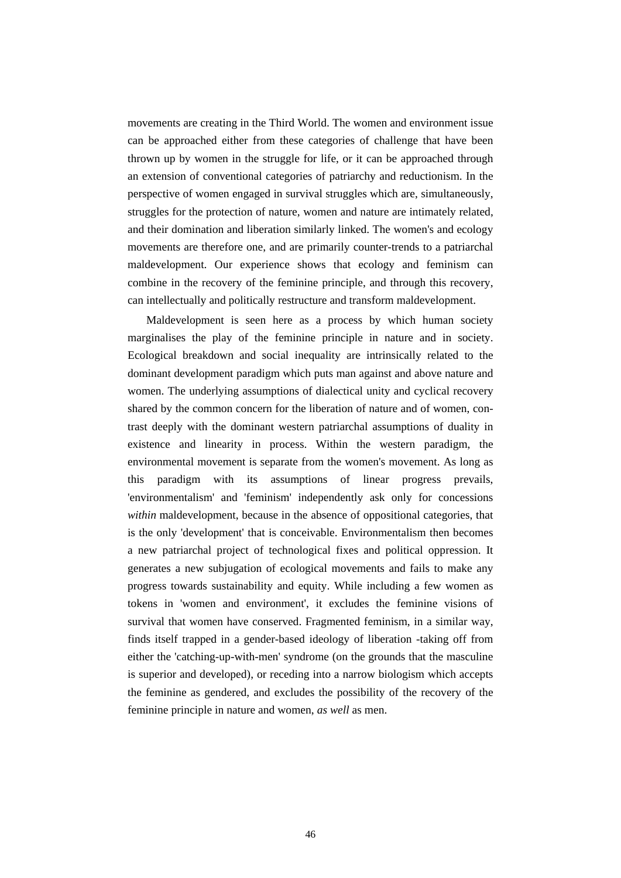movements are creating in the Third World. The women and environment issue can be approached either from these categories of challenge that have been thrown up by women in the struggle for life, or it can be approached through an extension of conventional categories of patriarchy and reductionism. In the perspective of women engaged in survival struggles which are, simultaneously, struggles for the protection of nature, women and nature are intimately related, and their domination and liberation similarly linked. The women's and ecology movements are therefore one, and are primarily counter-trends to a patriarchal maldevelopment. Our experience shows that ecology and feminism can combine in the recovery of the feminine principle, and through this recovery, can intellectually and politically restructure and transform maldevelopment.

Maldevelopment is seen here as a process by which human society marginalises the play of the feminine principle in nature and in society. Ecological breakdown and social inequality are intrinsically related to the dominant development paradigm which puts man against and above nature and women. The underlying assumptions of dialectical unity and cyclical recovery shared by the common concern for the liberation of nature and of women, contrast deeply with the dominant western patriarchal assumptions of duality in existence and linearity in process. Within the western paradigm, the environmental movement is separate from the women's movement. As long as this paradigm with its assumptions of linear progress prevails, 'environmentalism' and 'feminism' independently ask only for concessions *within* maldevelopment, because in the absence of oppositional categories, that is the only 'development' that is conceivable. Environmentalism then becomes a new patriarchal project of technological fixes and political oppression. It generates a new subjugation of ecological movements and fails to make any progress towards sustainability and equity. While including a few women as tokens in 'women and environment', it excludes the feminine visions of survival that women have conserved. Fragmented feminism, in a similar way, finds itself trapped in a gender-based ideology of liberation -taking off from either the 'catching-up-with-men' syndrome (on the grounds that the masculine is superior and developed), or receding into a narrow biologism which accepts the feminine as gendered, and excludes the possibility of the recovery of the feminine principle in nature and women, *as well* as men.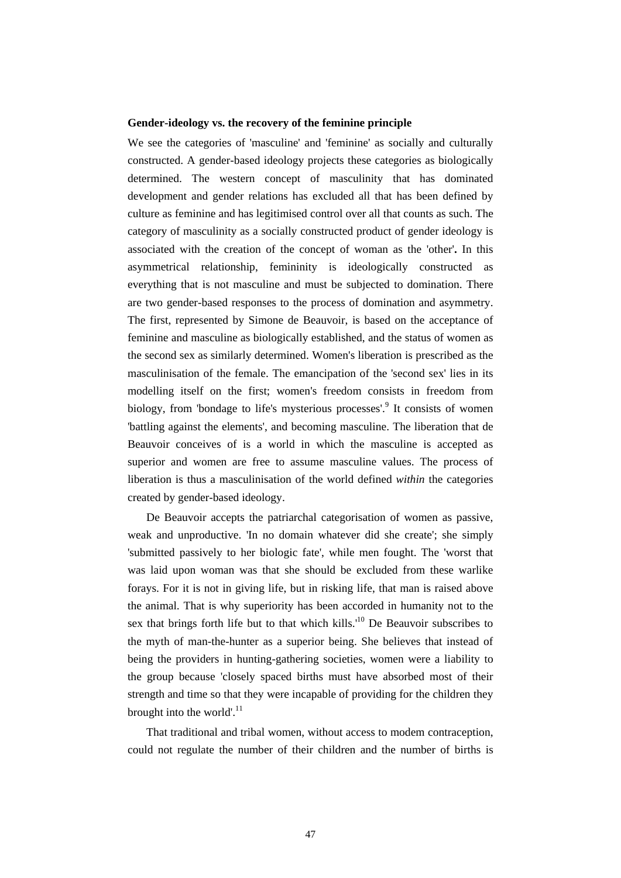### **Gender-ideology vs. the recovery of the feminine principle**

We see the categories of 'masculine' and 'feminine' as socially and culturally constructed. A gender-based ideology projects these categories as biologically determined. The western concept of masculinity that has dominated development and gender relations has excluded all that has been defined by culture as feminine and has legitimised control over all that counts as such. The category of masculinity as a socially constructed product of gender ideology is associated with the creation of the concept of woman as the 'other'**.** In this asymmetrical relationship, femininity is ideologically constructed as everything that is not masculine and must be subjected to domination. There are two gender-based responses to the process of domination and asymmetry. The first, represented by Simone de Beauvoir, is based on the acceptance of feminine and masculine as biologically established, and the status of women as the second sex as similarly determined. Women's liberation is prescribed as the masculinisation of the female. The emancipation of the 'second sex' lies in its modelling itself on the first; women's freedom consists in freedom from biology, from 'bondage to life's mysterious processes'.<sup>9</sup> It consists of women 'battling against the elements', and becoming masculine. The liberation that de Beauvoir conceives of is a world in which the masculine is accepted as superior and women are free to assume masculine values. The process of liberation is thus a masculinisation of the world defined *within* the categories created by gender-based ideology.

De Beauvoir accepts the patriarchal categorisation of women as passive, weak and unproductive. 'In no domain whatever did she create'; she simply 'submitted passively to her biologic fate', while men fought. The 'worst that was laid upon woman was that she should be excluded from these warlike forays. For it is not in giving life, but in risking life, that man is raised above the animal. That is why superiority has been accorded in humanity not to the sex that brings forth life but to that which kills.<sup>10</sup> De Beauvoir subscribes to the myth of man-the-hunter as a superior being. She believes that instead of being the providers in hunting-gathering societies, women were a liability to the group because 'closely spaced births must have absorbed most of their strength and time so that they were incapable of providing for the children they brought into the world'. $^{11}$ 

That traditional and tribal women, without access to modem contraception, could not regulate the number of their children and the number of births is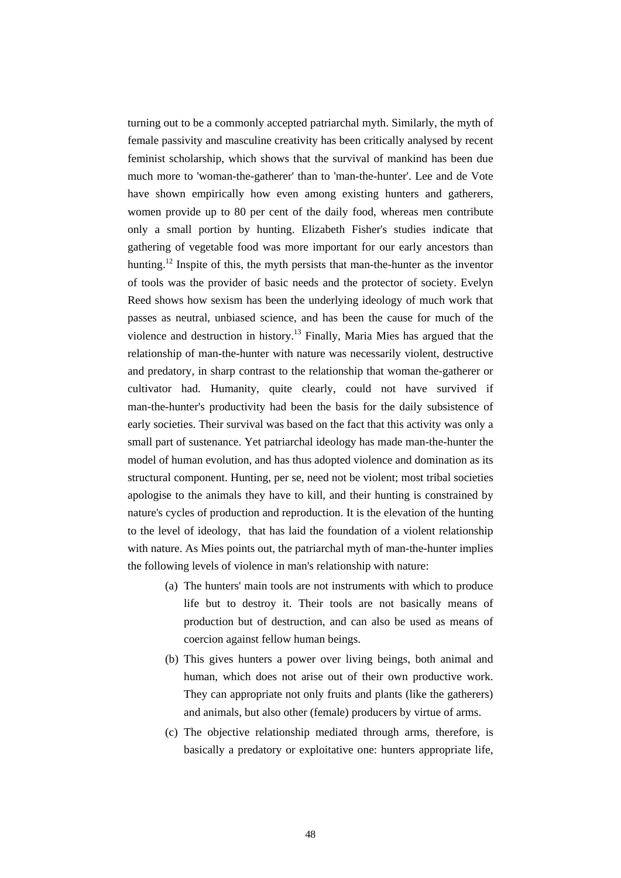turning out to be a commonly accepted patriarchal myth. Similarly, the myth of female passivity and masculine creativity has been critically analysed by recent feminist scholarship, which shows that the survival of mankind has been due much more to 'woman-the-gatherer' than to 'man-the-hunter'. Lee and de Vote have shown empirically how even among existing hunters and gatherers, women provide up to 80 per cent of the daily food, whereas men contribute only a small portion by hunting. Elizabeth Fisher's studies indicate that gathering of vegetable food was more important for our early ancestors than hunting.<sup>12</sup> Inspite of this, the myth persists that man-the-hunter as the inventor of tools was the provider of basic needs and the protector of society. Evelyn Reed shows how sexism has been the underlying ideology of much work that passes as neutral, unbiased science, and has been the cause for much of the violence and destruction in history.<sup>13</sup> Finally, Maria Mies has argued that the relationship of man-the-hunter with nature was necessarily violent, destructive and predatory, in sharp contrast to the relationship that woman the-gatherer or cultivator had. Humanity, quite clearly, could not have survived if man-the-hunter's productivity had been the basis for the daily subsistence of early societies. Their survival was based on the fact that this activity was only a small part of sustenance. Yet patriarchal ideology has made man-the-hunter the model of human evolution, and has thus adopted violence and domination as its structural component. Hunting, per se, need not be violent; most tribal societies apologise to the animals they have to kill, and their hunting is constrained by nature's cycles of production and reproduction. It is the elevation of the hunting to the level of ideology, that has laid the foundation of a violent relationship with nature. As Mies points out, the patriarchal myth of man-the-hunter implies the following levels of violence in man's relationship with nature:

- (a) The hunters' main tools are not instruments with which to produce life but to destroy it. Their tools are not basically means of production but of destruction, and can also be used as means of coercion against fellow human beings.
- (b) This gives hunters a power over living beings, both animal and human, which does not arise out of their own productive work. They can appropriate not only fruits and plants (like the gatherers) and animals, but also other (female) producers by virtue of arms.
- (c) The objective relationship mediated through arms, therefore, is basically a predatory or exploitative one: hunters appropriate life,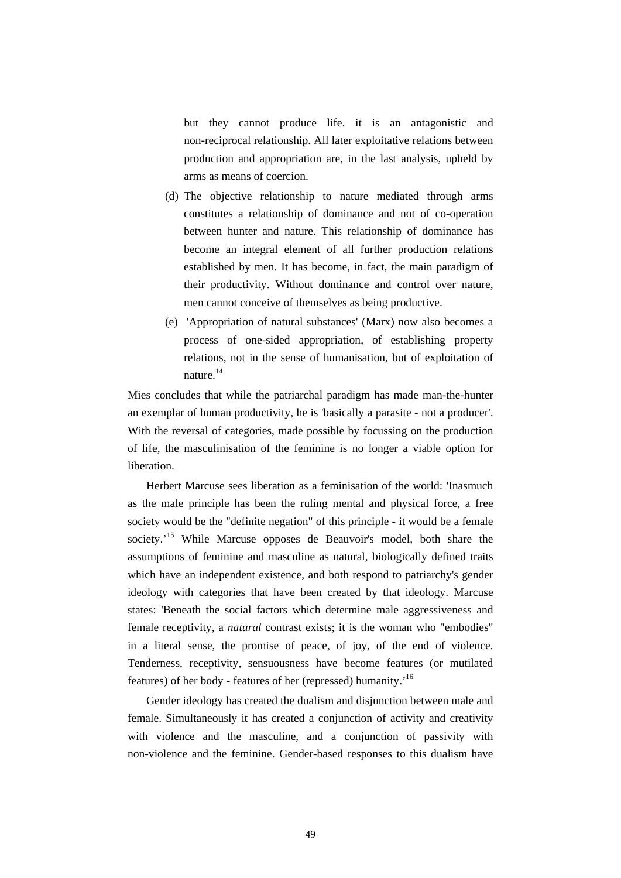but they cannot produce life. it is an antagonistic and non-reciprocal relationship. All later exploitative relations between production and appropriation are, in the last analysis, upheld by arms as means of coercion.

- (d) The objective relationship to nature mediated through arms constitutes a relationship of dominance and not of co-operation between hunter and nature. This relationship of dominance has become an integral element of all further production relations established by men. It has become, in fact, the main paradigm of their productivity. Without dominance and control over nature, men cannot conceive of themselves as being productive.
- (e) 'Appropriation of natural substances' (Marx) now also becomes a process of one-sided appropriation, of establishing property relations, not in the sense of humanisation, but of exploitation of nature.<sup>14</sup>

Mies concludes that while the patriarchal paradigm has made man-the-hunter an exemplar of human productivity, he is 'basically a parasite - not a producer'. With the reversal of categories, made possible by focussing on the production of life, the masculinisation of the feminine is no longer a viable option for liberation.

Herbert Marcuse sees liberation as a feminisation of the world: 'Inasmuch as the male principle has been the ruling mental and physical force, a free society would be the "definite negation" of this principle - it would be a female society.<sup>15</sup> While Marcuse opposes de Beauvoir's model, both share the assumptions of feminine and masculine as natural, biologically defined traits which have an independent existence, and both respond to patriarchy's gender ideology with categories that have been created by that ideology. Marcuse states: 'Beneath the social factors which determine male aggressiveness and female receptivity, a *natural* contrast exists; it is the woman who "embodies" in a literal sense, the promise of peace, of joy, of the end of violence. Tenderness, receptivity, sensuousness have become features (or mutilated features) of her body - features of her (repressed) humanity.'16

Gender ideology has created the dualism and disjunction between male and female. Simultaneously it has created a conjunction of activity and creativity with violence and the masculine, and a conjunction of passivity with non-violence and the feminine. Gender-based responses to this dualism have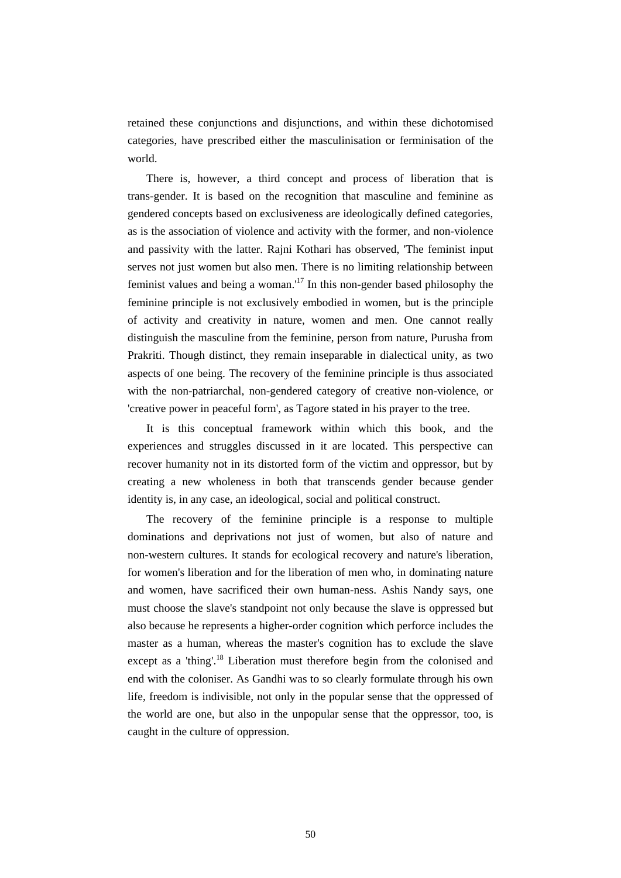retained these conjunctions and disjunctions, and within these dichotomised categories, have prescribed either the masculinisation or ferminisation of the world.

There is, however, a third concept and process of liberation that is trans-gender. It is based on the recognition that masculine and feminine as gendered concepts based on exclusiveness are ideologically defined categories, as is the association of violence and activity with the former, and non-violence and passivity with the latter. Rajni Kothari has observed, 'The feminist input serves not just women but also men. There is no limiting relationship between feminist values and being a woman. $1^{17}$  In this non-gender based philosophy the feminine principle is not exclusively embodied in women, but is the principle of activity and creativity in nature, women and men. One cannot really distinguish the masculine from the feminine, person from nature, Purusha from Prakriti. Though distinct, they remain inseparable in dialectical unity, as two aspects of one being. The recovery of the feminine principle is thus associated with the non-patriarchal, non-gendered category of creative non-violence, or 'creative power in peaceful form', as Tagore stated in his prayer to the tree.

It is this conceptual framework within which this book, and the experiences and struggles discussed in it are located. This perspective can recover humanity not in its distorted form of the victim and oppressor, but by creating a new wholeness in both that transcends gender because gender identity is, in any case, an ideological, social and political construct.

The recovery of the feminine principle is a response to multiple dominations and deprivations not just of women, but also of nature and non-western cultures. It stands for ecological recovery and nature's liberation, for women's liberation and for the liberation of men who, in dominating nature and women, have sacrificed their own human-ness. Ashis Nandy says, one must choose the slave's standpoint not only because the slave is oppressed but also because he represents a higher-order cognition which perforce includes the master as a human, whereas the master's cognition has to exclude the slave except as a 'thing'.<sup>18</sup> Liberation must therefore begin from the colonised and end with the coloniser. As Gandhi was to so clearly formulate through his own life, freedom is indivisible, not only in the popular sense that the oppressed of the world are one, but also in the unpopular sense that the oppressor, too, is caught in the culture of oppression.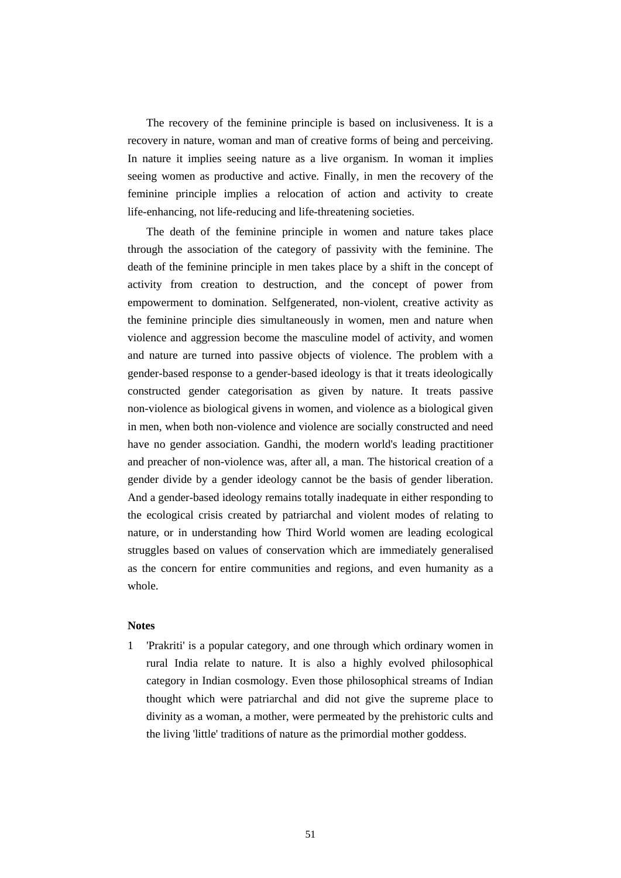The recovery of the feminine principle is based on inclusiveness. It is a recovery in nature, woman and man of creative forms of being and perceiving. In nature it implies seeing nature as a live organism. In woman it implies seeing women as productive and active. Finally, in men the recovery of the feminine principle implies a relocation of action and activity to create life-enhancing, not life-reducing and life-threatening societies.

The death of the feminine principle in women and nature takes place through the association of the category of passivity with the feminine. The death of the feminine principle in men takes place by a shift in the concept of activity from creation to destruction, and the concept of power from empowerment to domination. Selfgenerated, non-violent, creative activity as the feminine principle dies simultaneously in women, men and nature when violence and aggression become the masculine model of activity, and women and nature are turned into passive objects of violence. The problem with a gender-based response to a gender-based ideology is that it treats ideologically constructed gender categorisation as given by nature. It treats passive non-violence as biological givens in women, and violence as a biological given in men, when both non-violence and violence are socially constructed and need have no gender association. Gandhi, the modern world's leading practitioner and preacher of non-violence was, after all, a man. The historical creation of a gender divide by a gender ideology cannot be the basis of gender liberation. And a gender-based ideology remains totally inadequate in either responding to the ecological crisis created by patriarchal and violent modes of relating to nature, or in understanding how Third World women are leading ecological struggles based on values of conservation which are immediately generalised as the concern for entire communities and regions, and even humanity as a whole.

## **Notes**

1 'Prakriti' is a popular category, and one through which ordinary women in rural India relate to nature. It is also a highly evolved philosophical category in Indian cosmology. Even those philosophical streams of Indian thought which were patriarchal and did not give the supreme place to divinity as a woman, a mother, were permeated by the prehistoric cults and the living 'little' traditions of nature as the primordial mother goddess.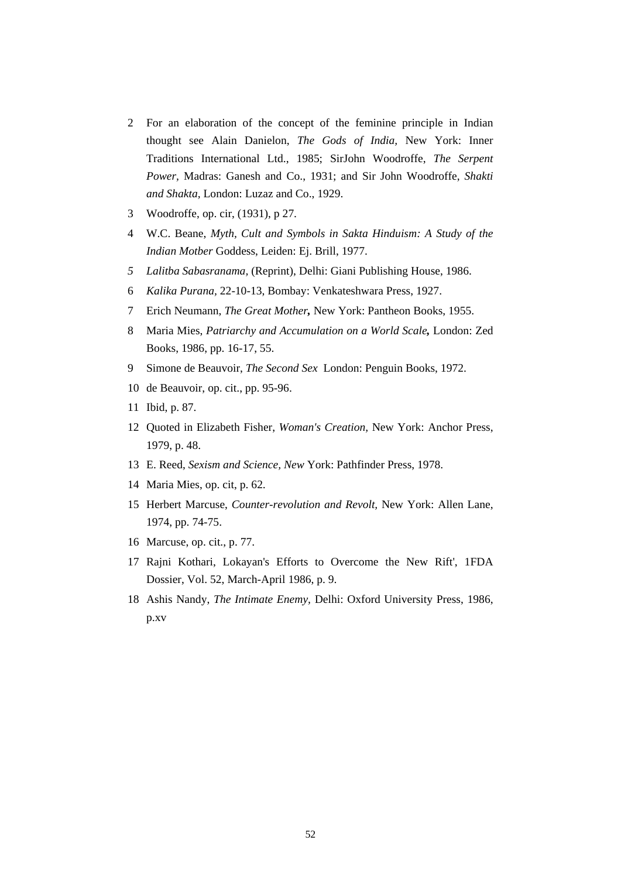- 2 For an elaboration of the concept of the feminine principle in Indian thought see Alain Danielon, *The Gods of India,* New York: Inner Traditions International Ltd., 1985; SirJohn Woodroffe, *The Serpent Power,* Madras: Ganesh and Co., 1931; and Sir John Woodroffe, *Shakti and Shakta,* London: Luzaz and Co., 1929.
- 3 Woodroffe, op. cir, (1931), p 27.
- 4 W.C. Beane, *Myth, Cult and Symbols in Sakta Hinduism: A Study of the Indian Motber* Goddess, Leiden: Ej. Brill, 1977.
- *5 Lalitba Sabasranama,* (Reprint), Delhi: Giani Publishing House, 1986.
- 6 *Kalika Purana,* 22-10-13, Bombay: Venkateshwara Press, 1927.
- 7 Erich Neumann, *The Great Mother,* New York: Pantheon Books, 1955.
- 8 Maria Mies, *Patriarchy and Accumulation on a World Scale,* London: Zed Books, 1986, pp. 16-17, 55.
- 9 Simone de Beauvoir, *The Second Sex* London: Penguin Books, 1972.
- 10 de Beauvoir, op. cit., pp. 95-96.
- 11 Ibid, p. 87.
- 12 Quoted in Elizabeth Fisher, *Woman's Creation,* New York: Anchor Press, 1979, p. 48.
- 13 E. Reed, *Sexism and Science, New* York: Pathfinder Press, 1978.
- 14 Maria Mies, op. cit, p. 62.
- 15 Herbert Marcuse, *Counter-revolution and Revolt,* New York: Allen Lane, 1974, pp. 74-75.
- 16 Marcuse, op. cit., p. 77.
- 17 Rajni Kothari, Lokayan's Efforts to Overcome the New Rift', 1FDA Dossier, Vol. 52, March-April 1986, p. 9.
- 18 Ashis Nandy, *The Intimate Enemy,* Delhi: Oxford University Press, 1986, p.xv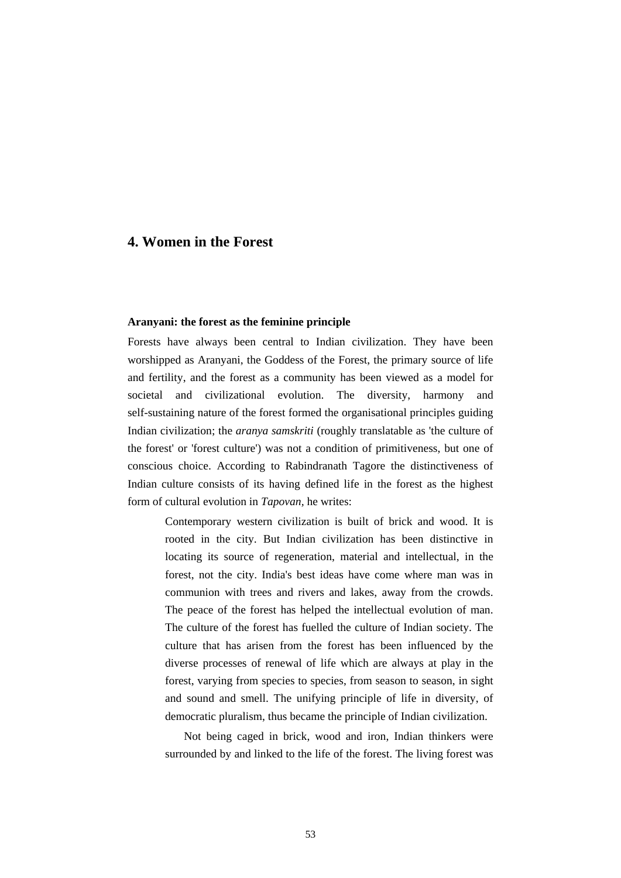# **4. Women in the Forest**

#### **Aranyani: the forest as the feminine principle**

Forests have always been central to Indian civilization. They have been worshipped as Aranyani, the Goddess of the Forest, the primary source of life and fertility, and the forest as a community has been viewed as a model for societal and civilizational evolution. The diversity, harmony and self-sustaining nature of the forest formed the organisational principles guiding Indian civilization; the *aranya samskriti* (roughly translatable as 'the culture of the forest' or 'forest culture') was not a condition of primitiveness, but one of conscious choice. According to Rabindranath Tagore the distinctiveness of Indian culture consists of its having defined life in the forest as the highest form of cultural evolution in *Tapovan,* he writes:

Contemporary western civilization is built of brick and wood. It is rooted in the city. But Indian civilization has been distinctive in locating its source of regeneration, material and intellectual, in the forest, not the city. India's best ideas have come where man was in communion with trees and rivers and lakes, away from the crowds. The peace of the forest has helped the intellectual evolution of man. The culture of the forest has fuelled the culture of Indian society. The culture that has arisen from the forest has been influenced by the diverse processes of renewal of life which are always at play in the forest, varying from species to species, from season to season, in sight and sound and smell. The unifying principle of life in diversity, of democratic pluralism, thus became the principle of Indian civilization.

Not being caged in brick, wood and iron, Indian thinkers were surrounded by and linked to the life of the forest. The living forest was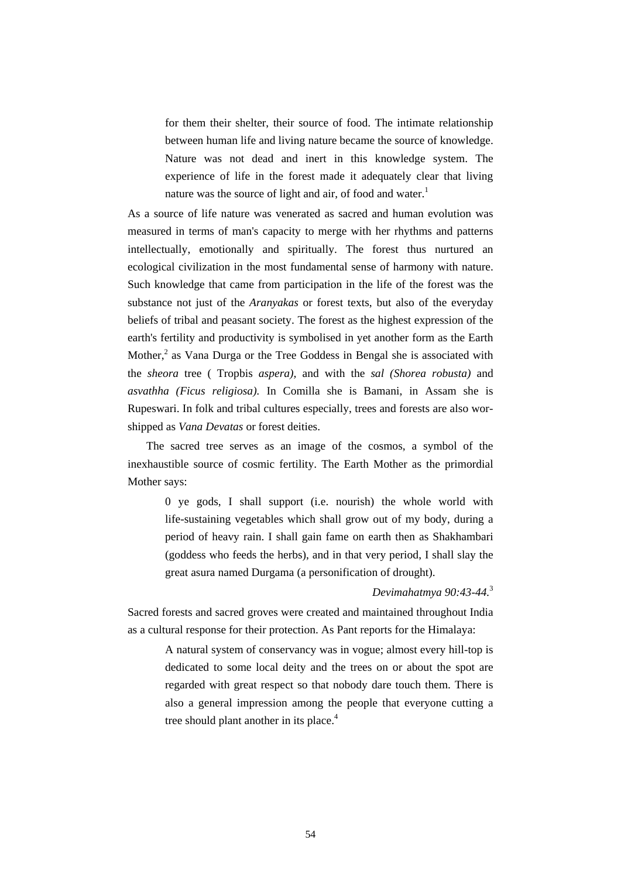for them their shelter, their source of food. The intimate relationship between human life and living nature became the source of knowledge. Nature was not dead and inert in this knowledge system. The experience of life in the forest made it adequately clear that living nature was the source of light and air, of food and water.<sup>1</sup>

As a source of life nature was venerated as sacred and human evolution was measured in terms of man's capacity to merge with her rhythms and patterns intellectually, emotionally and spiritually. The forest thus nurtured an ecological civilization in the most fundamental sense of harmony with nature. Such knowledge that came from participation in the life of the forest was the substance not just of the *Aranyakas* or forest texts, but also of the everyday beliefs of tribal and peasant society. The forest as the highest expression of the earth's fertility and productivity is symbolised in yet another form as the Earth Mother,<sup>2</sup> as Vana Durga or the Tree Goddess in Bengal she is associated with the *sheora* tree ( Tropbis *aspera),* and with the *sal (Shorea robusta)* and *asvathha (Ficus religiosa).* In Comilla she is Bamani, in Assam she is Rupeswari. In folk and tribal cultures especially, trees and forests are also worshipped as *Vana Devatas* or forest deities.

The sacred tree serves as an image of the cosmos, a symbol of the inexhaustible source of cosmic fertility. The Earth Mother as the primordial Mother says:

0 ye gods, I shall support (i.e. nourish) the whole world with life-sustaining vegetables which shall grow out of my body, during a period of heavy rain. I shall gain fame on earth then as Shakhambari (goddess who feeds the herbs), and in that very period, I shall slay the great asura named Durgama (a personification of drought).

#### *Devimahatmya 90:43-44.*<sup>3</sup>

Sacred forests and sacred groves were created and maintained throughout India as a cultural response for their protection. As Pant reports for the Himalaya:

> A natural system of conservancy was in vogue; almost every hill-top is dedicated to some local deity and the trees on or about the spot are regarded with great respect so that nobody dare touch them. There is also a general impression among the people that everyone cutting a tree should plant another in its place.<sup>4</sup>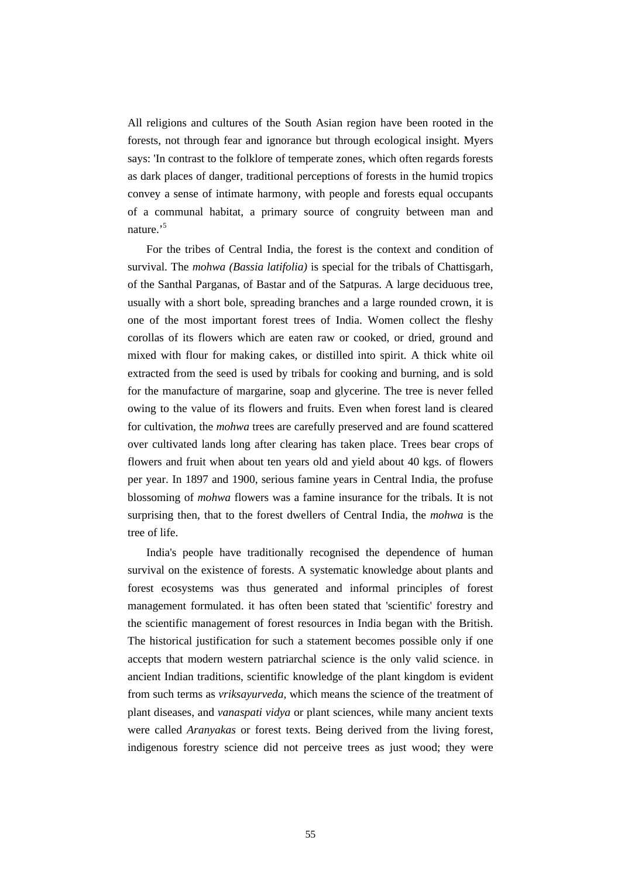All religions and cultures of the South Asian region have been rooted in the forests, not through fear and ignorance but through ecological insight. Myers says: 'In contrast to the folklore of temperate zones, which often regards forests as dark places of danger, traditional perceptions of forests in the humid tropics convey a sense of intimate harmony, with people and forests equal occupants of a communal habitat, a primary source of congruity between man and nature.<sup>5</sup>

For the tribes of Central India, the forest is the context and condition of survival. The *mohwa (Bassia latifolia)* is special for the tribals of Chattisgarh, of the Santhal Parganas, of Bastar and of the Satpuras. A large deciduous tree, usually with a short bole, spreading branches and a large rounded crown, it is one of the most important forest trees of India. Women collect the fleshy corollas of its flowers which are eaten raw or cooked, or dried, ground and mixed with flour for making cakes, or distilled into spirit. A thick white oil extracted from the seed is used by tribals for cooking and burning, and is sold for the manufacture of margarine, soap and glycerine. The tree is never felled owing to the value of its flowers and fruits. Even when forest land is cleared for cultivation, the *mohwa* trees are carefully preserved and are found scattered over cultivated lands long after clearing has taken place. Trees bear crops of flowers and fruit when about ten years old and yield about 40 kgs. of flowers per year. In 1897 and 1900, serious famine years in Central India, the profuse blossoming of *mohwa* flowers was a famine insurance for the tribals. It is not surprising then, that to the forest dwellers of Central India, the *mohwa* is the tree of life.

India's people have traditionally recognised the dependence of human survival on the existence of forests. A systematic knowledge about plants and forest ecosystems was thus generated and informal principles of forest management formulated. it has often been stated that 'scientific' forestry and the scientific management of forest resources in India began with the British. The historical justification for such a statement becomes possible only if one accepts that modern western patriarchal science is the only valid science. in ancient Indian traditions, scientific knowledge of the plant kingdom is evident from such terms as *vriksayurveda,* which means the science of the treatment of plant diseases, and *vanaspati vidya* or plant sciences, while many ancient texts were called *Aranyakas* or forest texts. Being derived from the living forest, indigenous forestry science did not perceive trees as just wood; they were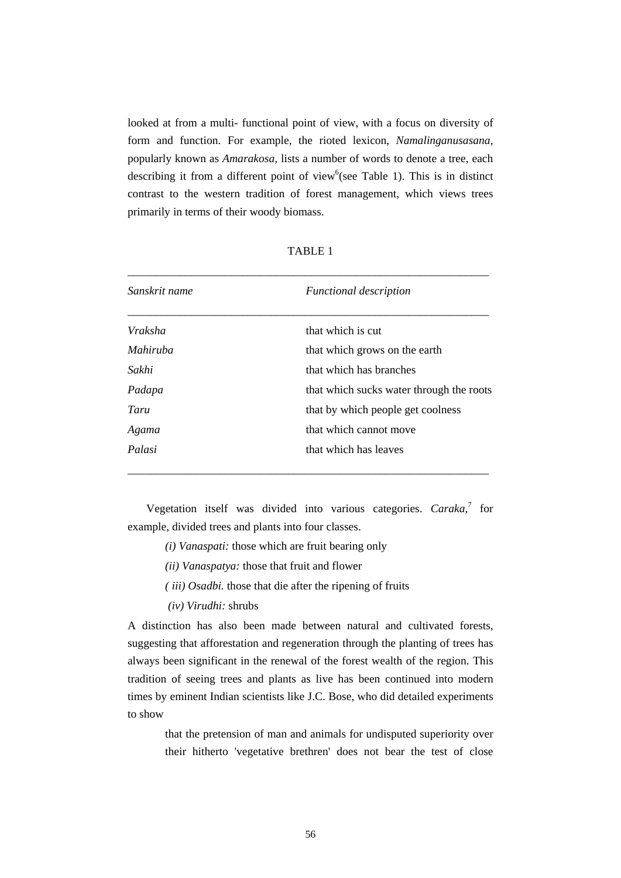looked at from a multi- functional point of view, with a focus on diversity of form and function. For example, the rioted lexicon, *Namalinganusasana,*  popularly known as *Amarakosa,* lists a number of words to denote a tree, each describing it from a different point of view<sup>6</sup>(see Table 1). This is in distinct contrast to the western tradition of forest management, which views trees primarily in terms of their woody biomass.

| Sanskrit name  | <b>Functional description</b>            |  |
|----------------|------------------------------------------|--|
| <i>Vraksha</i> | that which is cut                        |  |
| Mahiruba       | that which grows on the earth            |  |
| Sakhi          | that which has branches                  |  |
| Padapa         | that which sucks water through the roots |  |
| Taru           | that by which people get coolness        |  |
| Agama          | that which cannot move                   |  |
| Palasi         | that which has leaves                    |  |

TABLE 1

Vegetation itself was divided into various categories. *Caraka*,<sup>7</sup> for example, divided trees and plants into four classes.

- *(i) Vanaspati:* those which are fruit bearing only
- *(ii) Vanaspatya:* those that fruit and flower
- *( iii) Osadbi.* those that die after the ripening of fruits
- *(iv) Virudhi:* shrubs

A distinction has also been made between natural and cultivated forests, suggesting that afforestation and regeneration through the planting of trees has always been significant in the renewal of the forest wealth of the region. This tradition of seeing trees and plants as live has been continued into modern times by eminent Indian scientists like J.C. Bose, who did detailed experiments to show

that the pretension of man and animals for undisputed superiority over their hitherto 'vegetative brethren' does not bear the test of close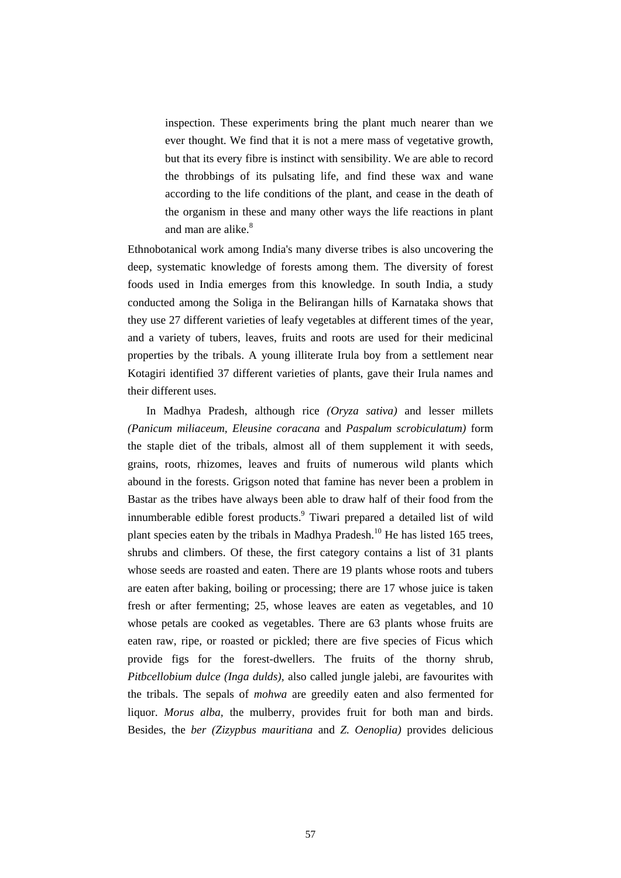inspection. These experiments bring the plant much nearer than we ever thought. We find that it is not a mere mass of vegetative growth, but that its every fibre is instinct with sensibility. We are able to record the throbbings of its pulsating life, and find these wax and wane according to the life conditions of the plant, and cease in the death of the organism in these and many other ways the life reactions in plant and man are alike.<sup>8</sup>

Ethnobotanical work among India's many diverse tribes is also uncovering the deep, systematic knowledge of forests among them. The diversity of forest foods used in India emerges from this knowledge. In south India, a study conducted among the Soliga in the Belirangan hills of Karnataka shows that they use 27 different varieties of leafy vegetables at different times of the year, and a variety of tubers, leaves, fruits and roots are used for their medicinal properties by the tribals. A young illiterate Irula boy from a settlement near Kotagiri identified 37 different varieties of plants, gave their Irula names and their different uses.

In Madhya Pradesh, although rice *(Oryza sativa)* and lesser millets *(Panicum miliaceum, Eleusine coracana* and *Paspalum scrobiculatum)* form the staple diet of the tribals, almost all of them supplement it with seeds, grains, roots, rhizomes, leaves and fruits of numerous wild plants which abound in the forests. Grigson noted that famine has never been a problem in Bastar as the tribes have always been able to draw half of their food from the innumberable edible forest products.<sup>9</sup> Tiwari prepared a detailed list of wild plant species eaten by the tribals in Madhya Pradesh.<sup>10</sup> He has listed 165 trees, shrubs and climbers. Of these, the first category contains a list of 31 plants whose seeds are roasted and eaten. There are 19 plants whose roots and tubers are eaten after baking, boiling or processing; there are 17 whose juice is taken fresh or after fermenting; 25, whose leaves are eaten as vegetables, and 10 whose petals are cooked as vegetables. There are 63 plants whose fruits are eaten raw, ripe, or roasted or pickled; there are five species of Ficus which provide figs for the forest-dwellers. The fruits of the thorny shrub, *Pitbcellobium dulce (Inga dulds),* also called jungle jalebi, are favourites with the tribals. The sepals of *mohwa* are greedily eaten and also fermented for liquor. *Morus alba,* the mulberry, provides fruit for both man and birds. Besides, the *ber (Zizypbus mauritiana* and *Z. Oenoplia)* provides delicious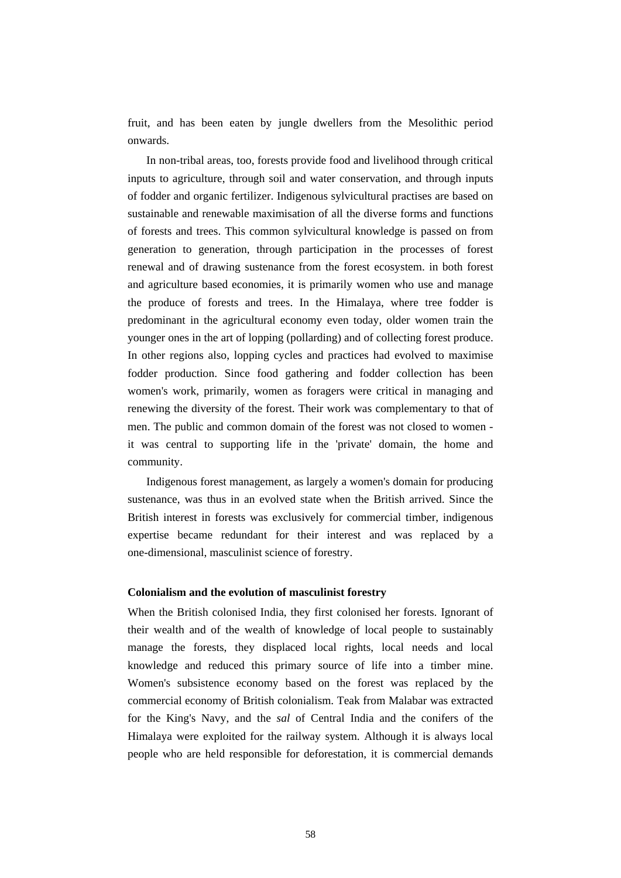fruit, and has been eaten by jungle dwellers from the Mesolithic period onwards.

In non-tribal areas, too, forests provide food and livelihood through critical inputs to agriculture, through soil and water conservation, and through inputs of fodder and organic fertilizer. Indigenous sylvicultural practises are based on sustainable and renewable maximisation of all the diverse forms and functions of forests and trees. This common sylvicultural knowledge is passed on from generation to generation, through participation in the processes of forest renewal and of drawing sustenance from the forest ecosystem. in both forest and agriculture based economies, it is primarily women who use and manage the produce of forests and trees. In the Himalaya, where tree fodder is predominant in the agricultural economy even today, older women train the younger ones in the art of lopping (pollarding) and of collecting forest produce. In other regions also, lopping cycles and practices had evolved to maximise fodder production. Since food gathering and fodder collection has been women's work, primarily, women as foragers were critical in managing and renewing the diversity of the forest. Their work was complementary to that of men. The public and common domain of the forest was not closed to women it was central to supporting life in the 'private' domain, the home and community.

Indigenous forest management, as largely a women's domain for producing sustenance, was thus in an evolved state when the British arrived. Since the British interest in forests was exclusively for commercial timber, indigenous expertise became redundant for their interest and was replaced by a one-dimensional, masculinist science of forestry.

### **Colonialism and the evolution of masculinist forestry**

When the British colonised India, they first colonised her forests. Ignorant of their wealth and of the wealth of knowledge of local people to sustainably manage the forests, they displaced local rights, local needs and local knowledge and reduced this primary source of life into a timber mine. Women's subsistence economy based on the forest was replaced by the commercial economy of British colonialism. Teak from Malabar was extracted for the King's Navy, and the *sal* of Central India and the conifers of the Himalaya were exploited for the railway system. Although it is always local people who are held responsible for deforestation, it is commercial demands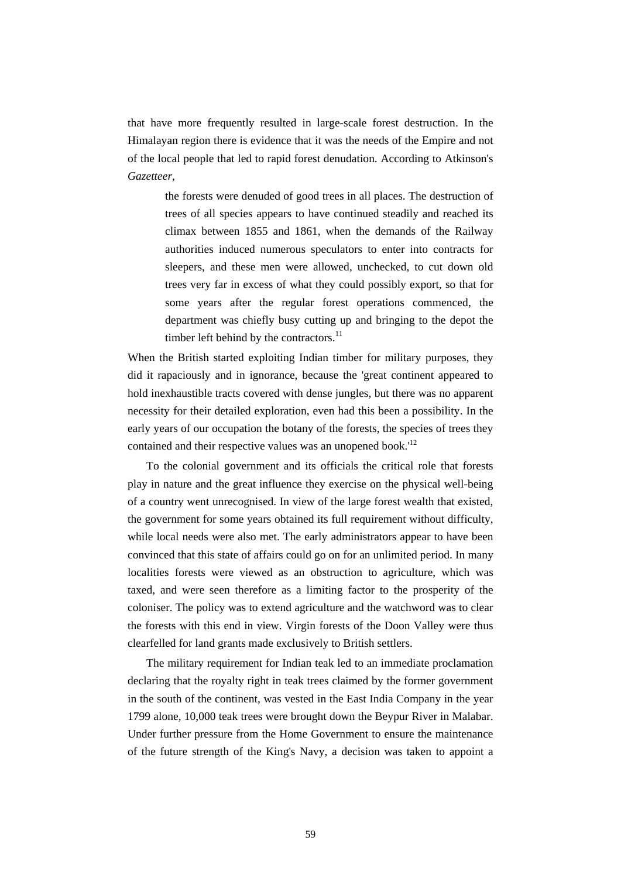that have more frequently resulted in large-scale forest destruction. In the Himalayan region there is evidence that it was the needs of the Empire and not of the local people that led to rapid forest denudation. According to Atkinson's *Gazetteer,* 

> the forests were denuded of good trees in all places. The destruction of trees of all species appears to have continued steadily and reached its climax between 1855 and 1861, when the demands of the Railway authorities induced numerous speculators to enter into contracts for sleepers, and these men were allowed, unchecked, to cut down old trees very far in excess of what they could possibly export, so that for some years after the regular forest operations commenced, the department was chiefly busy cutting up and bringing to the depot the timber left behind by the contractors.<sup>11</sup>

When the British started exploiting Indian timber for military purposes, they did it rapaciously and in ignorance, because the 'great continent appeared to hold inexhaustible tracts covered with dense jungles, but there was no apparent necessity for their detailed exploration, even had this been a possibility. In the early years of our occupation the botany of the forests, the species of trees they contained and their respective values was an unopened book.<sup>12</sup>

To the colonial government and its officials the critical role that forests play in nature and the great influence they exercise on the physical well-being of a country went unrecognised. In view of the large forest wealth that existed, the government for some years obtained its full requirement without difficulty, while local needs were also met. The early administrators appear to have been convinced that this state of affairs could go on for an unlimited period. In many localities forests were viewed as an obstruction to agriculture, which was taxed, and were seen therefore as a limiting factor to the prosperity of the coloniser. The policy was to extend agriculture and the watchword was to clear the forests with this end in view. Virgin forests of the Doon Valley were thus clearfelled for land grants made exclusively to British settlers.

The military requirement for Indian teak led to an immediate proclamation declaring that the royalty right in teak trees claimed by the former government in the south of the continent, was vested in the East India Company in the year 1799 alone, 10,000 teak trees were brought down the Beypur River in Malabar. Under further pressure from the Home Government to ensure the maintenance of the future strength of the King's Navy, a decision was taken to appoint a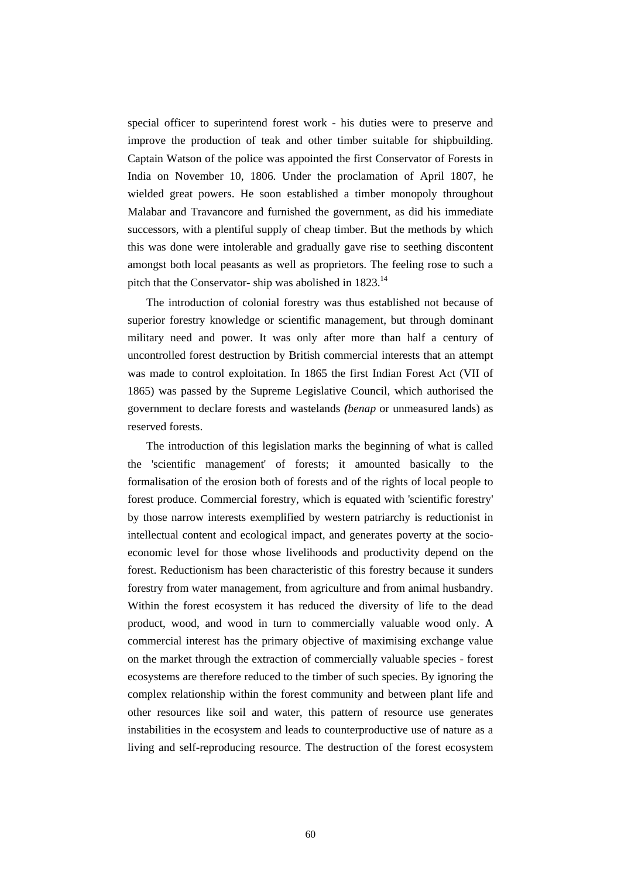special officer to superintend forest work - his duties were to preserve and improve the production of teak and other timber suitable for shipbuilding. Captain Watson of the police was appointed the first Conservator of Forests in India on November 10, 1806. Under the proclamation of April 1807, he wielded great powers. He soon established a timber monopoly throughout Malabar and Travancore and furnished the government, as did his immediate successors, with a plentiful supply of cheap timber. But the methods by which this was done were intolerable and gradually gave rise to seething discontent amongst both local peasants as well as proprietors. The feeling rose to such a pitch that the Conservator- ship was abolished in 1823.<sup>14</sup>

The introduction of colonial forestry was thus established not because of superior forestry knowledge or scientific management, but through dominant military need and power. It was only after more than half a century of uncontrolled forest destruction by British commercial interests that an attempt was made to control exploitation. In 1865 the first Indian Forest Act (VII of 1865) was passed by the Supreme Legislative Council, which authorised the government to declare forests and wastelands *(benap* or unmeasured lands) as reserved forests.

The introduction of this legislation marks the beginning of what is called the 'scientific management' of forests; it amounted basically to the formalisation of the erosion both of forests and of the rights of local people to forest produce. Commercial forestry, which is equated with 'scientific forestry' by those narrow interests exemplified by western patriarchy is reductionist in intellectual content and ecological impact, and generates poverty at the socioeconomic level for those whose livelihoods and productivity depend on the forest. Reductionism has been characteristic of this forestry because it sunders forestry from water management, from agriculture and from animal husbandry. Within the forest ecosystem it has reduced the diversity of life to the dead product, wood, and wood in turn to commercially valuable wood only. A commercial interest has the primary objective of maximising exchange value on the market through the extraction of commercially valuable species - forest ecosystems are therefore reduced to the timber of such species. By ignoring the complex relationship within the forest community and between plant life and other resources like soil and water, this pattern of resource use generates instabilities in the ecosystem and leads to counterproductive use of nature as a living and self-reproducing resource. The destruction of the forest ecosystem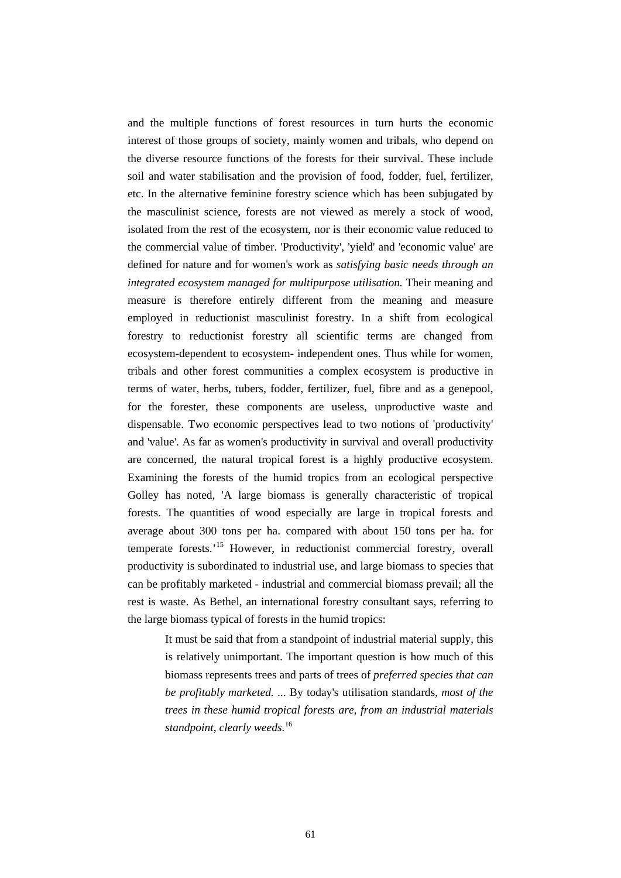and the multiple functions of forest resources in turn hurts the economic interest of those groups of society, mainly women and tribals, who depend on the diverse resource functions of the forests for their survival. These include soil and water stabilisation and the provision of food, fodder, fuel, fertilizer, etc. In the alternative feminine forestry science which has been subjugated by the masculinist science, forests are not viewed as merely a stock of wood, isolated from the rest of the ecosystem, nor is their economic value reduced to the commercial value of timber. 'Productivity', 'yield' and 'economic value' are defined for nature and for women's work as *satisfying basic needs through an integrated ecosystem managed for multipurpose utilisation.* Their meaning and measure is therefore entirely different from the meaning and measure employed in reductionist masculinist forestry. In a shift from ecological forestry to reductionist forestry all scientific terms are changed from ecosystem-dependent to ecosystem- independent ones. Thus while for women, tribals and other forest communities a complex ecosystem is productive in terms of water, herbs, tubers, fodder, fertilizer, fuel, fibre and as a genepool, for the forester, these components are useless, unproductive waste and dispensable. Two economic perspectives lead to two notions of 'productivity' and 'value'. As far as women's productivity in survival and overall productivity are concerned, the natural tropical forest is a highly productive ecosystem. Examining the forests of the humid tropics from an ecological perspective Golley has noted, 'A large biomass is generally characteristic of tropical forests. The quantities of wood especially are large in tropical forests and average about 300 tons per ha. compared with about 150 tons per ha. for temperate forests.'15 However, in reductionist commercial forestry, overall productivity is subordinated to industrial use, and large biomass to species that can be profitably marketed - industrial and commercial biomass prevail; all the rest is waste. As Bethel, an international forestry consultant says, referring to the large biomass typical of forests in the humid tropics:

It must be said that from a standpoint of industrial material supply, this is relatively unimportant. The important question is how much of this biomass represents trees and parts of trees of *preferred species that can be profitably marketed.* ... By today's utilisation standards, *most of the trees in these humid tropical forests are, from an industrial materials standpoint, clearly weeds.*<sup>16</sup>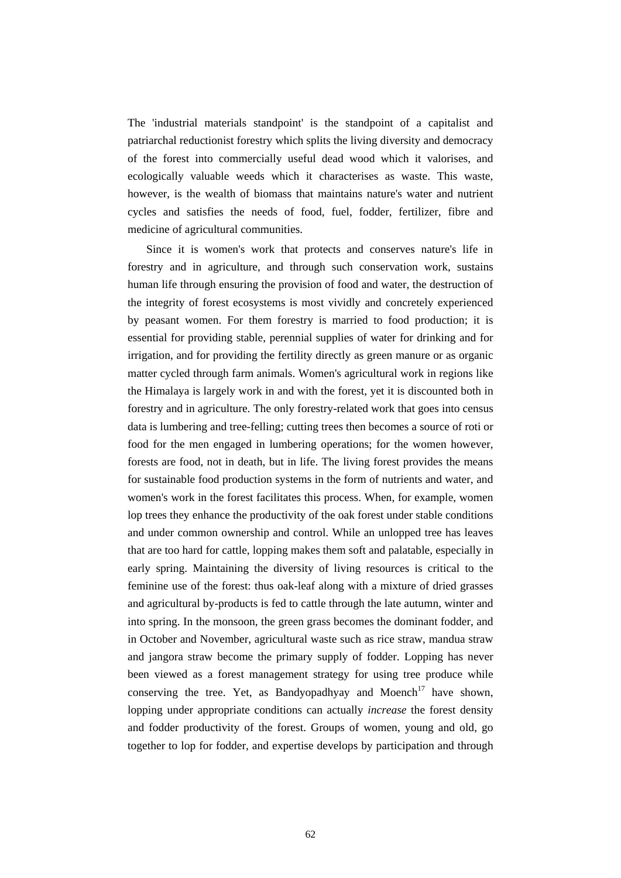The 'industrial materials standpoint' is the standpoint of a capitalist and patriarchal reductionist forestry which splits the living diversity and democracy of the forest into commercially useful dead wood which it valorises, and ecologically valuable weeds which it characterises as waste. This waste, however, is the wealth of biomass that maintains nature's water and nutrient cycles and satisfies the needs of food, fuel, fodder, fertilizer, fibre and medicine of agricultural communities.

Since it is women's work that protects and conserves nature's life in forestry and in agriculture, and through such conservation work, sustains human life through ensuring the provision of food and water, the destruction of the integrity of forest ecosystems is most vividly and concretely experienced by peasant women. For them forestry is married to food production; it is essential for providing stable, perennial supplies of water for drinking and for irrigation, and for providing the fertility directly as green manure or as organic matter cycled through farm animals. Women's agricultural work in regions like the Himalaya is largely work in and with the forest, yet it is discounted both in forestry and in agriculture. The only forestry-related work that goes into census data is lumbering and tree-felling; cutting trees then becomes a source of roti or food for the men engaged in lumbering operations; for the women however, forests are food, not in death, but in life. The living forest provides the means for sustainable food production systems in the form of nutrients and water, and women's work in the forest facilitates this process. When, for example, women lop trees they enhance the productivity of the oak forest under stable conditions and under common ownership and control. While an unlopped tree has leaves that are too hard for cattle, lopping makes them soft and palatable, especially in early spring. Maintaining the diversity of living resources is critical to the feminine use of the forest: thus oak-leaf along with a mixture of dried grasses and agricultural by-products is fed to cattle through the late autumn, winter and into spring. In the monsoon, the green grass becomes the dominant fodder, and in October and November, agricultural waste such as rice straw, mandua straw and jangora straw become the primary supply of fodder. Lopping has never been viewed as a forest management strategy for using tree produce while conserving the tree. Yet, as Bandyopadhyay and Moench<sup>17</sup> have shown, lopping under appropriate conditions can actually *increase* the forest density and fodder productivity of the forest. Groups of women, young and old, go together to lop for fodder, and expertise develops by participation and through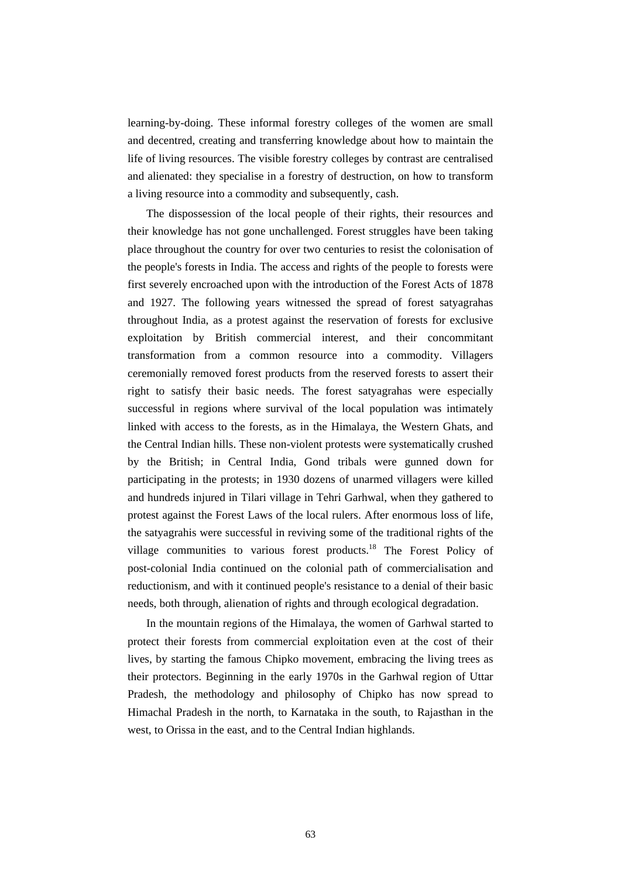learning-by-doing. These informal forestry colleges of the women are small and decentred, creating and transferring knowledge about how to maintain the life of living resources. The visible forestry colleges by contrast are centralised and alienated: they specialise in a forestry of destruction, on how to transform a living resource into a commodity and subsequently, cash.

The dispossession of the local people of their rights, their resources and their knowledge has not gone unchallenged. Forest struggles have been taking place throughout the country for over two centuries to resist the colonisation of the people's forests in India. The access and rights of the people to forests were first severely encroached upon with the introduction of the Forest Acts of 1878 and 1927. The following years witnessed the spread of forest satyagrahas throughout India, as a protest against the reservation of forests for exclusive exploitation by British commercial interest, and their concommitant transformation from a common resource into a commodity. Villagers ceremonially removed forest products from the reserved forests to assert their right to satisfy their basic needs. The forest satyagrahas were especially successful in regions where survival of the local population was intimately linked with access to the forests, as in the Himalaya, the Western Ghats, and the Central Indian hills. These non-violent protests were systematically crushed by the British; in Central India, Gond tribals were gunned down for participating in the protests; in 1930 dozens of unarmed villagers were killed and hundreds injured in Tilari village in Tehri Garhwal, when they gathered to protest against the Forest Laws of the local rulers. After enormous loss of life, the satyagrahis were successful in reviving some of the traditional rights of the village communities to various forest products.<sup>18</sup> The Forest Policy of post-colonial India continued on the colonial path of commercialisation and reductionism, and with it continued people's resistance to a denial of their basic needs, both through, alienation of rights and through ecological degradation.

In the mountain regions of the Himalaya, the women of Garhwal started to protect their forests from commercial exploitation even at the cost of their lives, by starting the famous Chipko movement, embracing the living trees as their protectors. Beginning in the early 1970s in the Garhwal region of Uttar Pradesh, the methodology and philosophy of Chipko has now spread to Himachal Pradesh in the north, to Karnataka in the south, to Rajasthan in the west, to Orissa in the east, and to the Central Indian highlands.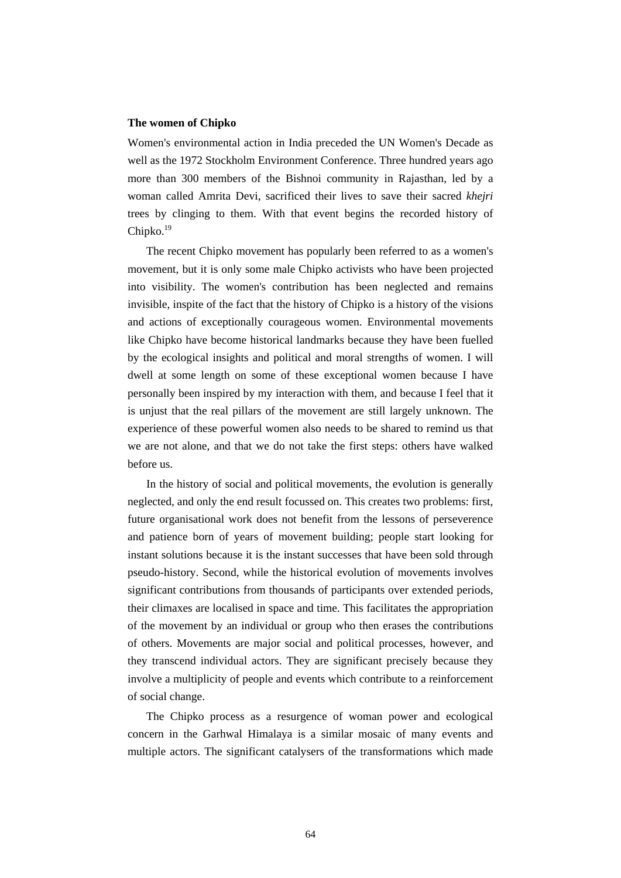### **The women of Chipko**

Women's environmental action in India preceded the UN Women's Decade as well as the 1972 Stockholm Environment Conference. Three hundred years ago more than 300 members of the Bishnoi community in Rajasthan, led by a woman called Amrita Devi, sacrificed their lives to save their sacred *khejri* trees by clinging to them. With that event begins the recorded history of  $Chipko.<sup>19</sup>$ 

The recent Chipko movement has popularly been referred to as a women's movement, but it is only some male Chipko activists who have been projected into visibility. The women's contribution has been neglected and remains invisible, inspite of the fact that the history of Chipko is a history of the visions and actions of exceptionally courageous women. Environmental movements like Chipko have become historical landmarks because they have been fuelled by the ecological insights and political and moral strengths of women. I will dwell at some length on some of these exceptional women because I have personally been inspired by my interaction with them, and because I feel that it is unjust that the real pillars of the movement are still largely unknown. The experience of these powerful women also needs to be shared to remind us that we are not alone, and that we do not take the first steps: others have walked before us.

In the history of social and political movements, the evolution is generally neglected, and only the end result focussed on. This creates two problems: first, future organisational work does not benefit from the lessons of perseverence and patience born of years of movement building; people start looking for instant solutions because it is the instant successes that have been sold through pseudo-history. Second, while the historical evolution of movements involves significant contributions from thousands of participants over extended periods, their climaxes are localised in space and time. This facilitates the appropriation of the movement by an individual or group who then erases the contributions of others. Movements are major social and political processes, however, and they transcend individual actors. They are significant precisely because they involve a multiplicity of people and events which contribute to a reinforcement of social change.

The Chipko process as a resurgence of woman power and ecological concern in the Garhwal Himalaya is a similar mosaic of many events and multiple actors. The significant catalysers of the transformations which made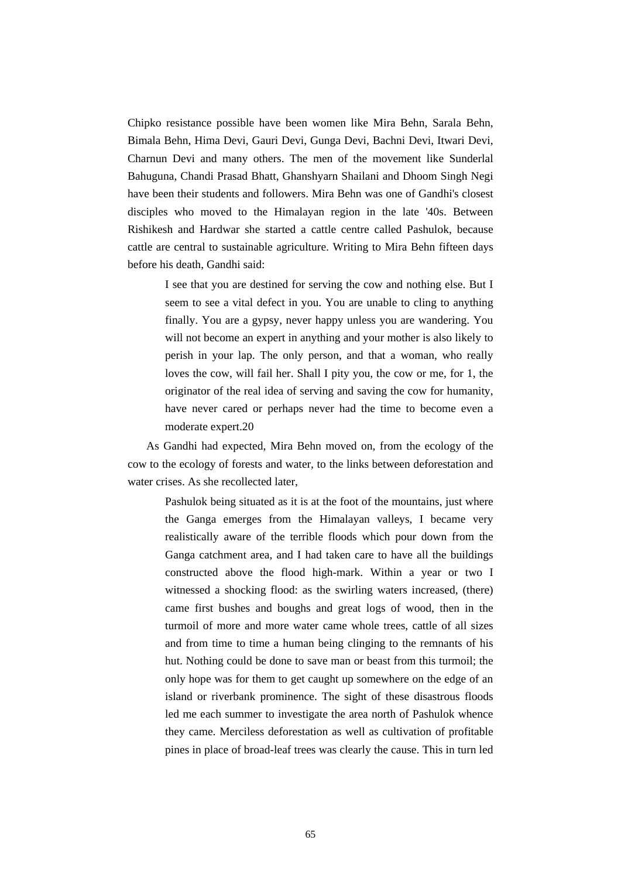Chipko resistance possible have been women like Mira Behn, Sarala Behn, Bimala Behn, Hima Devi, Gauri Devi, Gunga Devi, Bachni Devi, Itwari Devi, Charnun Devi and many others. The men of the movement like Sunderlal Bahuguna, Chandi Prasad Bhatt, Ghanshyarn Shailani and Dhoom Singh Negi have been their students and followers. Mira Behn was one of Gandhi's closest disciples who moved to the Himalayan region in the late '40s. Between Rishikesh and Hardwar she started a cattle centre called Pashulok, because cattle are central to sustainable agriculture. Writing to Mira Behn fifteen days before his death, Gandhi said:

> I see that you are destined for serving the cow and nothing else. But I seem to see a vital defect in you. You are unable to cling to anything finally. You are a gypsy, never happy unless you are wandering. You will not become an expert in anything and your mother is also likely to perish in your lap. The only person, and that a woman, who really loves the cow, will fail her. Shall I pity you, the cow or me, for 1, the originator of the real idea of serving and saving the cow for humanity, have never cared or perhaps never had the time to become even a moderate expert.20

As Gandhi had expected, Mira Behn moved on, from the ecology of the cow to the ecology of forests and water, to the links between deforestation and water crises. As she recollected later,

> Pashulok being situated as it is at the foot of the mountains, just where the Ganga emerges from the Himalayan valleys, I became very realistically aware of the terrible floods which pour down from the Ganga catchment area, and I had taken care to have all the buildings constructed above the flood high-mark. Within a year or two I witnessed a shocking flood: as the swirling waters increased, (there) came first bushes and boughs and great logs of wood, then in the turmoil of more and more water came whole trees, cattle of all sizes and from time to time a human being clinging to the remnants of his hut. Nothing could be done to save man or beast from this turmoil; the only hope was for them to get caught up somewhere on the edge of an island or riverbank prominence. The sight of these disastrous floods led me each summer to investigate the area north of Pashulok whence they came. Merciless deforestation as well as cultivation of profitable pines in place of broad-leaf trees was clearly the cause. This in turn led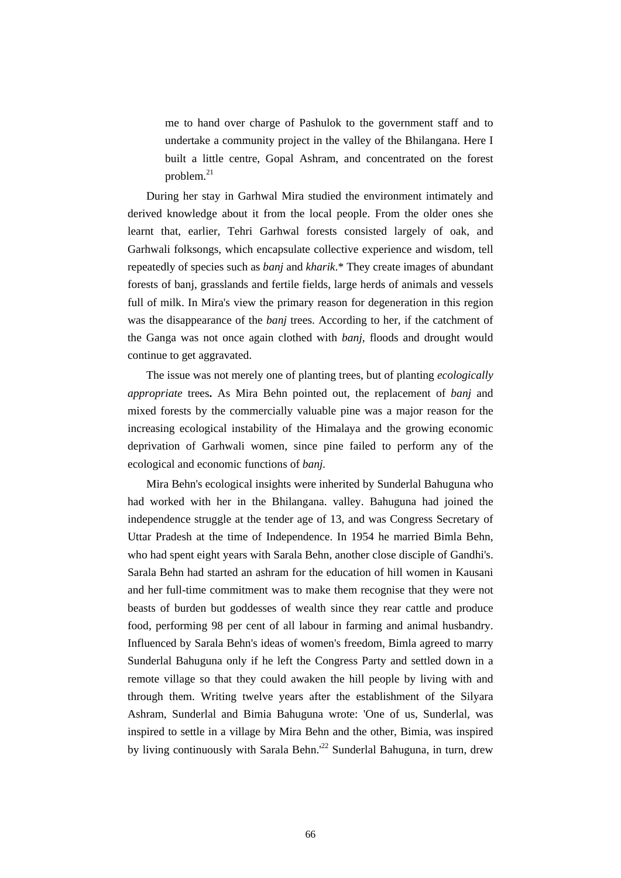me to hand over charge of Pashulok to the government staff and to undertake a community project in the valley of the Bhilangana. Here I built a little centre, Gopal Ashram, and concentrated on the forest problem. $21$ 

During her stay in Garhwal Mira studied the environment intimately and derived knowledge about it from the local people. From the older ones she learnt that, earlier, Tehri Garhwal forests consisted largely of oak, and Garhwali folksongs, which encapsulate collective experience and wisdom, tell repeatedly of species such as *banj* and *kharik*.\* They create images of abundant forests of banj, grasslands and fertile fields, large herds of animals and vessels full of milk. In Mira's view the primary reason for degeneration in this region was the disappearance of the *banj* trees. According to her, if the catchment of the Ganga was not once again clothed with *banj*, floods and drought would continue to get aggravated.

The issue was not merely one of planting trees, but of planting *ecologically appropriate* trees**.** As Mira Behn pointed out, the replacement of *banj* and mixed forests by the commercially valuable pine was a major reason for the increasing ecological instability of the Himalaya and the growing economic deprivation of Garhwali women, since pine failed to perform any of the ecological and economic functions of *banj.* 

Mira Behn's ecological insights were inherited by Sunderlal Bahuguna who had worked with her in the Bhilangana. valley. Bahuguna had joined the independence struggle at the tender age of 13, and was Congress Secretary of Uttar Pradesh at the time of Independence. In 1954 he married Bimla Behn, who had spent eight years with Sarala Behn, another close disciple of Gandhi's. Sarala Behn had started an ashram for the education of hill women in Kausani and her full-time commitment was to make them recognise that they were not beasts of burden but goddesses of wealth since they rear cattle and produce food, performing 98 per cent of all labour in farming and animal husbandry. Influenced by Sarala Behn's ideas of women's freedom, Bimla agreed to marry Sunderlal Bahuguna only if he left the Congress Party and settled down in a remote village so that they could awaken the hill people by living with and through them. Writing twelve years after the establishment of the Silyara Ashram, Sunderlal and Bimia Bahuguna wrote: 'One of us, Sunderlal, was inspired to settle in a village by Mira Behn and the other, Bimia, was inspired by living continuously with Sarala Behn.<sup>22</sup> Sunderlal Bahuguna, in turn, drew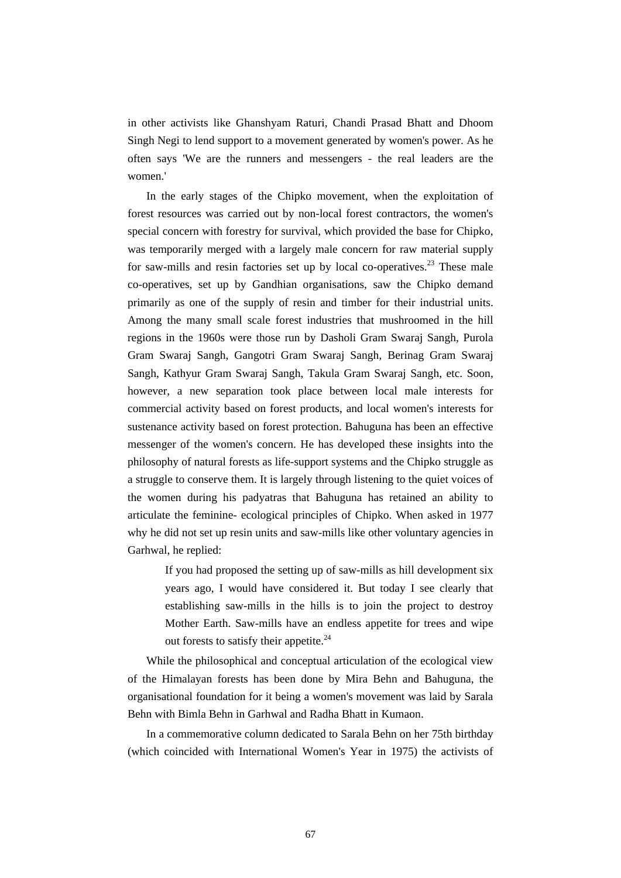in other activists like Ghanshyam Raturi, Chandi Prasad Bhatt and Dhoom Singh Negi to lend support to a movement generated by women's power. As he often says 'We are the runners and messengers - the real leaders are the women.'

In the early stages of the Chipko movement, when the exploitation of forest resources was carried out by non-local forest contractors, the women's special concern with forestry for survival, which provided the base for Chipko, was temporarily merged with a largely male concern for raw material supply for saw-mills and resin factories set up by local co-operatives.<sup>23</sup> These male co-operatives, set up by Gandhian organisations, saw the Chipko demand primarily as one of the supply of resin and timber for their industrial units. Among the many small scale forest industries that mushroomed in the hill regions in the 1960s were those run by Dasholi Gram Swaraj Sangh, Purola Gram Swaraj Sangh, Gangotri Gram Swaraj Sangh, Berinag Gram Swaraj Sangh, Kathyur Gram Swaraj Sangh, Takula Gram Swaraj Sangh, etc. Soon, however, a new separation took place between local male interests for commercial activity based on forest products, and local women's interests for sustenance activity based on forest protection. Bahuguna has been an effective messenger of the women's concern. He has developed these insights into the philosophy of natural forests as life-support systems and the Chipko struggle as a struggle to conserve them. It is largely through listening to the quiet voices of the women during his padyatras that Bahuguna has retained an ability to articulate the feminine- ecological principles of Chipko. When asked in 1977 why he did not set up resin units and saw-mills like other voluntary agencies in Garhwal, he replied:

> If you had proposed the setting up of saw-mills as hill development six years ago, I would have considered it. But today I see clearly that establishing saw-mills in the hills is to join the project to destroy Mother Earth. Saw-mills have an endless appetite for trees and wipe out forests to satisfy their appetite.<sup>24</sup>

While the philosophical and conceptual articulation of the ecological view of the Himalayan forests has been done by Mira Behn and Bahuguna, the organisational foundation for it being a women's movement was laid by Sarala Behn with Bimla Behn in Garhwal and Radha Bhatt in Kumaon.

In a commemorative column dedicated to Sarala Behn on her 75th birthday (which coincided with International Women's Year in 1975) the activists of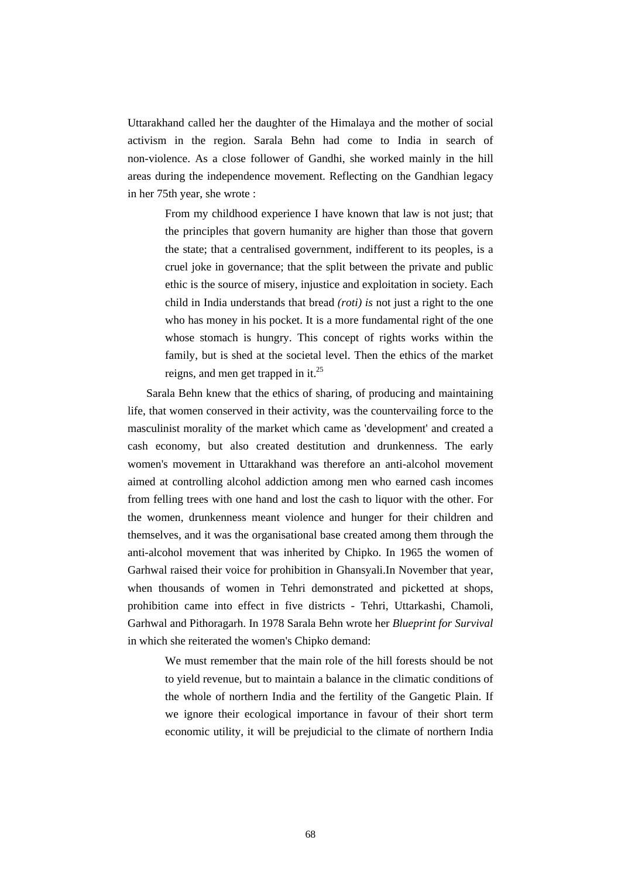Uttarakhand called her the daughter of the Himalaya and the mother of social activism in the region. Sarala Behn had come to India in search of non-violence. As a close follower of Gandhi, she worked mainly in the hill areas during the independence movement. Reflecting on the Gandhian legacy in her 75th year, she wrote :

> From my childhood experience I have known that law is not just; that the principles that govern humanity are higher than those that govern the state; that a centralised government, indifferent to its peoples, is a cruel joke in governance; that the split between the private and public ethic is the source of misery, injustice and exploitation in society. Each child in India understands that bread *(roti) is* not just a right to the one who has money in his pocket. It is a more fundamental right of the one whose stomach is hungry. This concept of rights works within the family, but is shed at the societal level. Then the ethics of the market reigns, and men get trapped in it. $^{25}$

Sarala Behn knew that the ethics of sharing, of producing and maintaining life, that women conserved in their activity, was the countervailing force to the masculinist morality of the market which came as 'development' and created a cash economy, but also created destitution and drunkenness. The early women's movement in Uttarakhand was therefore an anti-alcohol movement aimed at controlling alcohol addiction among men who earned cash incomes from felling trees with one hand and lost the cash to liquor with the other. For the women, drunkenness meant violence and hunger for their children and themselves, and it was the organisational base created among them through the anti-alcohol movement that was inherited by Chipko. In 1965 the women of Garhwal raised their voice for prohibition in Ghansyali.In November that year, when thousands of women in Tehri demonstrated and picketted at shops, prohibition came into effect in five districts - Tehri, Uttarkashi, Chamoli, Garhwal and Pithoragarh. In 1978 Sarala Behn wrote her *Blueprint for Survival*  in which she reiterated the women's Chipko demand:

> We must remember that the main role of the hill forests should be not to yield revenue, but to maintain a balance in the climatic conditions of the whole of northern India and the fertility of the Gangetic Plain. If we ignore their ecological importance in favour of their short term economic utility, it will be prejudicial to the climate of northern India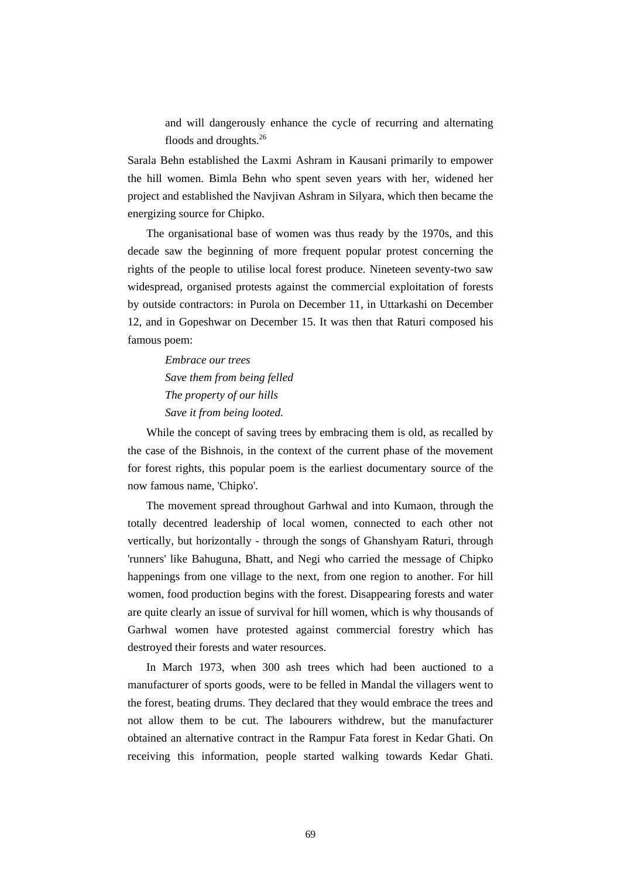and will dangerously enhance the cycle of recurring and alternating floods and droughts.<sup>26</sup>

Sarala Behn established the Laxmi Ashram in Kausani primarily to empower the hill women. Bimla Behn who spent seven years with her, widened her project and established the Navjivan Ashram in Silyara, which then became the energizing source for Chipko.

The organisational base of women was thus ready by the 1970s, and this decade saw the beginning of more frequent popular protest concerning the rights of the people to utilise local forest produce. Nineteen seventy-two saw widespread, organised protests against the commercial exploitation of forests by outside contractors: in Purola on December 11, in Uttarkashi on December 12, and in Gopeshwar on December 15. It was then that Raturi composed his famous poem:

> *Embrace our trees Save them from being felled The property of our hills Save it from being looted.*

While the concept of saving trees by embracing them is old, as recalled by the case of the Bishnois, in the context of the current phase of the movement for forest rights, this popular poem is the earliest documentary source of the now famous name, 'Chipko'.

The movement spread throughout Garhwal and into Kumaon, through the totally decentred leadership of local women, connected to each other not vertically, but horizontally - through the songs of Ghanshyam Raturi, through 'runners' like Bahuguna, Bhatt, and Negi who carried the message of Chipko happenings from one village to the next, from one region to another. For hill women, food production begins with the forest. Disappearing forests and water are quite clearly an issue of survival for hill women, which is why thousands of Garhwal women have protested against commercial forestry which has destroyed their forests and water resources.

In March 1973, when 300 ash trees which had been auctioned to a manufacturer of sports goods, were to be felled in Mandal the villagers went to the forest, beating drums. They declared that they would embrace the trees and not allow them to be cut. The labourers withdrew, but the manufacturer obtained an alternative contract in the Rampur Fata forest in Kedar Ghati. On receiving this information, people started walking towards Kedar Ghati.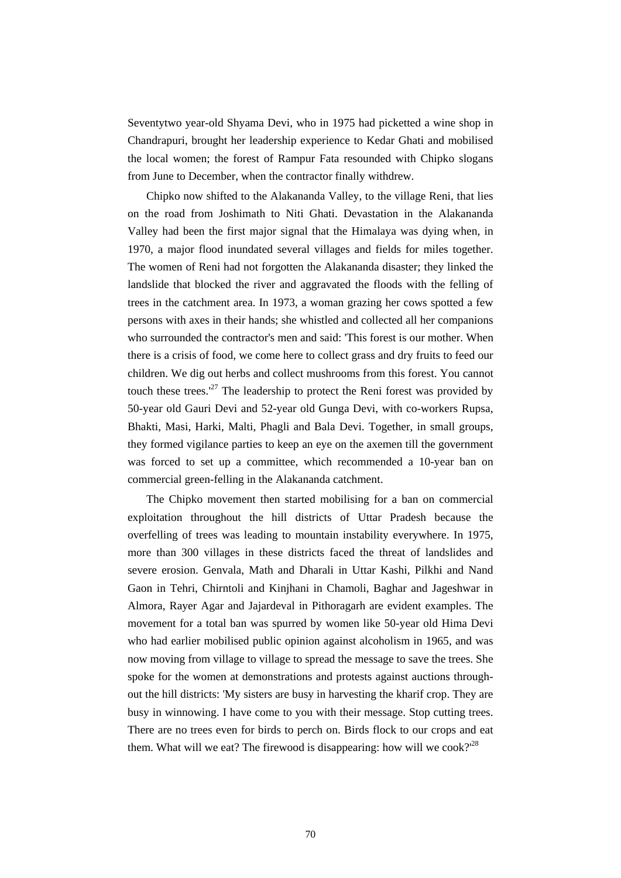Seventytwo year-old Shyama Devi, who in 1975 had picketted a wine shop in Chandrapuri, brought her leadership experience to Kedar Ghati and mobilised the local women; the forest of Rampur Fata resounded with Chipko slogans from June to December, when the contractor finally withdrew.

Chipko now shifted to the Alakananda Valley, to the village Reni, that lies on the road from Joshimath to Niti Ghati. Devastation in the Alakananda Valley had been the first major signal that the Himalaya was dying when, in 1970, a major flood inundated several villages and fields for miles together. The women of Reni had not forgotten the Alakananda disaster; they linked the landslide that blocked the river and aggravated the floods with the felling of trees in the catchment area. In 1973, a woman grazing her cows spotted a few persons with axes in their hands; she whistled and collected all her companions who surrounded the contractor's men and said: 'This forest is our mother. When there is a crisis of food, we come here to collect grass and dry fruits to feed our children. We dig out herbs and collect mushrooms from this forest. You cannot touch these trees. $^{27}$  The leadership to protect the Reni forest was provided by 50-year old Gauri Devi and 52-year old Gunga Devi, with co-workers Rupsa, Bhakti, Masi, Harki, Malti, Phagli and Bala Devi. Together, in small groups, they formed vigilance parties to keep an eye on the axemen till the government was forced to set up a committee, which recommended a 10-year ban on commercial green-felling in the Alakananda catchment.

The Chipko movement then started mobilising for a ban on commercial exploitation throughout the hill districts of Uttar Pradesh because the overfelling of trees was leading to mountain instability everywhere. In 1975, more than 300 villages in these districts faced the threat of landslides and severe erosion. Genvala, Math and Dharali in Uttar Kashi, Pilkhi and Nand Gaon in Tehri, Chirntoli and Kinjhani in Chamoli, Baghar and Jageshwar in Almora, Rayer Agar and Jajardeval in Pithoragarh are evident examples. The movement for a total ban was spurred by women like 50-year old Hima Devi who had earlier mobilised public opinion against alcoholism in 1965, and was now moving from village to village to spread the message to save the trees. She spoke for the women at demonstrations and protests against auctions throughout the hill districts: 'My sisters are busy in harvesting the kharif crop. They are busy in winnowing. I have come to you with their message. Stop cutting trees. There are no trees even for birds to perch on. Birds flock to our crops and eat them. What will we eat? The firewood is disappearing: how will we cook?<sup>'28</sup>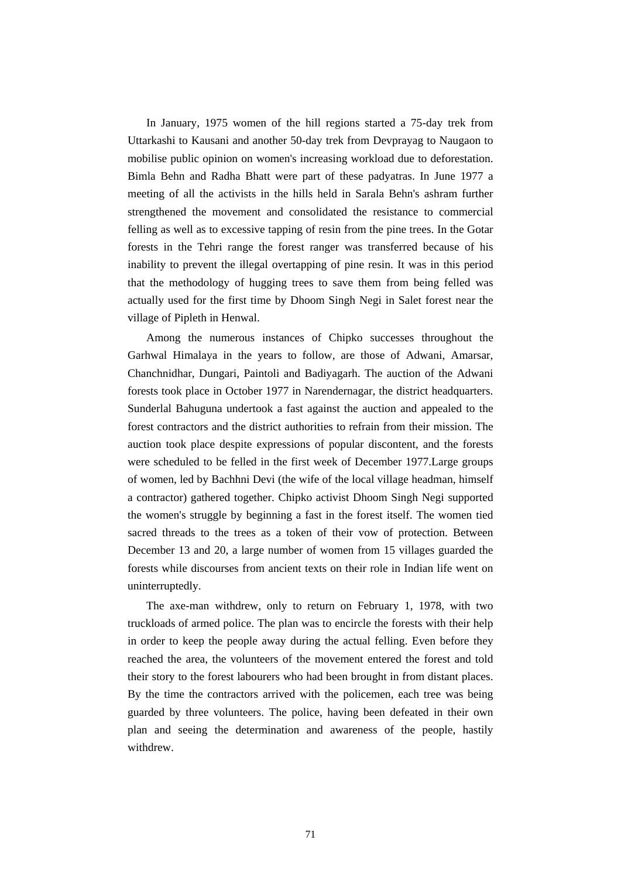In January, 1975 women of the hill regions started a 75-day trek from Uttarkashi to Kausani and another 50-day trek from Devprayag to Naugaon to mobilise public opinion on women's increasing workload due to deforestation. Bimla Behn and Radha Bhatt were part of these padyatras. In June 1977 a meeting of all the activists in the hills held in Sarala Behn's ashram further strengthened the movement and consolidated the resistance to commercial felling as well as to excessive tapping of resin from the pine trees. In the Gotar forests in the Tehri range the forest ranger was transferred because of his inability to prevent the illegal overtapping of pine resin. It was in this period that the methodology of hugging trees to save them from being felled was actually used for the first time by Dhoom Singh Negi in Salet forest near the village of Pipleth in Henwal.

Among the numerous instances of Chipko successes throughout the Garhwal Himalaya in the years to follow, are those of Adwani, Amarsar, Chanchnidhar, Dungari, Paintoli and Badiyagarh. The auction of the Adwani forests took place in October 1977 in Narendernagar, the district headquarters. Sunderlal Bahuguna undertook a fast against the auction and appealed to the forest contractors and the district authorities to refrain from their mission. The auction took place despite expressions of popular discontent, and the forests were scheduled to be felled in the first week of December 1977.Large groups of women, led by Bachhni Devi (the wife of the local village headman, himself a contractor) gathered together. Chipko activist Dhoom Singh Negi supported the women's struggle by beginning a fast in the forest itself. The women tied sacred threads to the trees as a token of their vow of protection. Between December 13 and 20, a large number of women from 15 villages guarded the forests while discourses from ancient texts on their role in Indian life went on uninterruptedly.

The axe-man withdrew, only to return on February 1, 1978, with two truckloads of armed police. The plan was to encircle the forests with their help in order to keep the people away during the actual felling. Even before they reached the area, the volunteers of the movement entered the forest and told their story to the forest labourers who had been brought in from distant places. By the time the contractors arrived with the policemen, each tree was being guarded by three volunteers. The police, having been defeated in their own plan and seeing the determination and awareness of the people, hastily withdrew.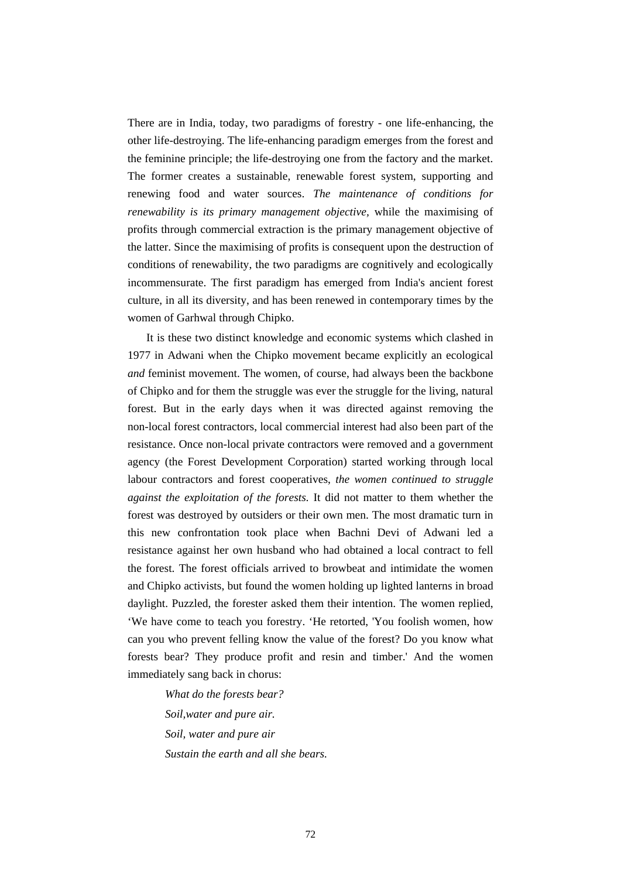There are in India, today, two paradigms of forestry - one life-enhancing, the other life-destroying. The life-enhancing paradigm emerges from the forest and the feminine principle; the life-destroying one from the factory and the market. The former creates a sustainable, renewable forest system, supporting and renewing food and water sources. *The maintenance of conditions for renewability is its primary management objective,* while the maximising of profits through commercial extraction is the primary management objective of the latter. Since the maximising of profits is consequent upon the destruction of conditions of renewability, the two paradigms are cognitively and ecologically incommensurate. The first paradigm has emerged from India's ancient forest culture, in all its diversity, and has been renewed in contemporary times by the women of Garhwal through Chipko.

It is these two distinct knowledge and economic systems which clashed in 1977 in Adwani when the Chipko movement became explicitly an ecological *and* feminist movement. The women, of course, had always been the backbone of Chipko and for them the struggle was ever the struggle for the living, natural forest. But in the early days when it was directed against removing the non-local forest contractors, local commercial interest had also been part of the resistance. Once non-local private contractors were removed and a government agency (the Forest Development Corporation) started working through local labour contractors and forest cooperatives, *the women continued to struggle against the exploitation of the forests.* It did not matter to them whether the forest was destroyed by outsiders or their own men. The most dramatic turn in this new confrontation took place when Bachni Devi of Adwani led a resistance against her own husband who had obtained a local contract to fell the forest. The forest officials arrived to browbeat and intimidate the women and Chipko activists, but found the women holding up lighted lanterns in broad daylight. Puzzled, the forester asked them their intention. The women replied, 'We have come to teach you forestry. 'He retorted, 'You foolish women, how can you who prevent felling know the value of the forest? Do you know what forests bear? They produce profit and resin and timber.' And the women immediately sang back in chorus:

> *What do the forests bear? Soil,water and pure air. Soil, water and pure air Sustain the earth and all she bears.*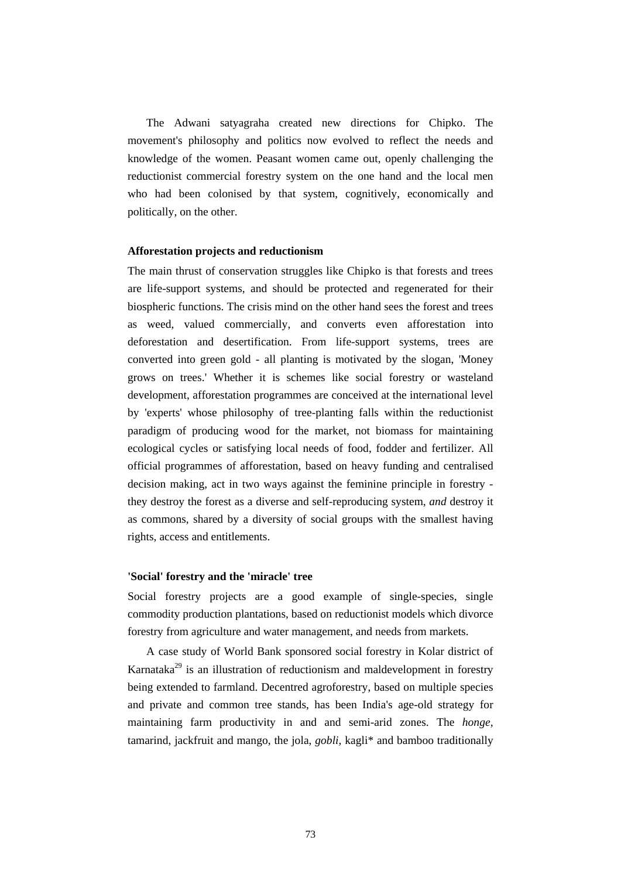The Adwani satyagraha created new directions for Chipko. The movement's philosophy and politics now evolved to reflect the needs and knowledge of the women. Peasant women came out, openly challenging the reductionist commercial forestry system on the one hand and the local men who had been colonised by that system, cognitively, economically and politically, on the other.

### **Afforestation projects and reductionism**

The main thrust of conservation struggles like Chipko is that forests and trees are life-support systems, and should be protected and regenerated for their biospheric functions. The crisis mind on the other hand sees the forest and trees as weed, valued commercially, and converts even afforestation into deforestation and desertification. From life-support systems, trees are converted into green gold - all planting is motivated by the slogan, 'Money grows on trees.' Whether it is schemes like social forestry or wasteland development, afforestation programmes are conceived at the international level by 'experts' whose philosophy of tree-planting falls within the reductionist paradigm of producing wood for the market, not biomass for maintaining ecological cycles or satisfying local needs of food, fodder and fertilizer. All official programmes of afforestation, based on heavy funding and centralised decision making, act in two ways against the feminine principle in forestry they destroy the forest as a diverse and self-reproducing system, *and* destroy it as commons, shared by a diversity of social groups with the smallest having rights, access and entitlements.

#### **'Social' forestry and the 'miracle' tree**

Social forestry projects are a good example of single-species, single commodity production plantations, based on reductionist models which divorce forestry from agriculture and water management, and needs from markets.

A case study of World Bank sponsored social forestry in Kolar district of Karnataka<sup>29</sup> is an illustration of reductionism and maldevelopment in forestry being extended to farmland. Decentred agroforestry, based on multiple species and private and common tree stands, has been India's age-old strategy for maintaining farm productivity in and and semi-arid zones. The *honge,*  tamarind, jackfruit and mango, the jola, *gobli,* kagli\* and bamboo traditionally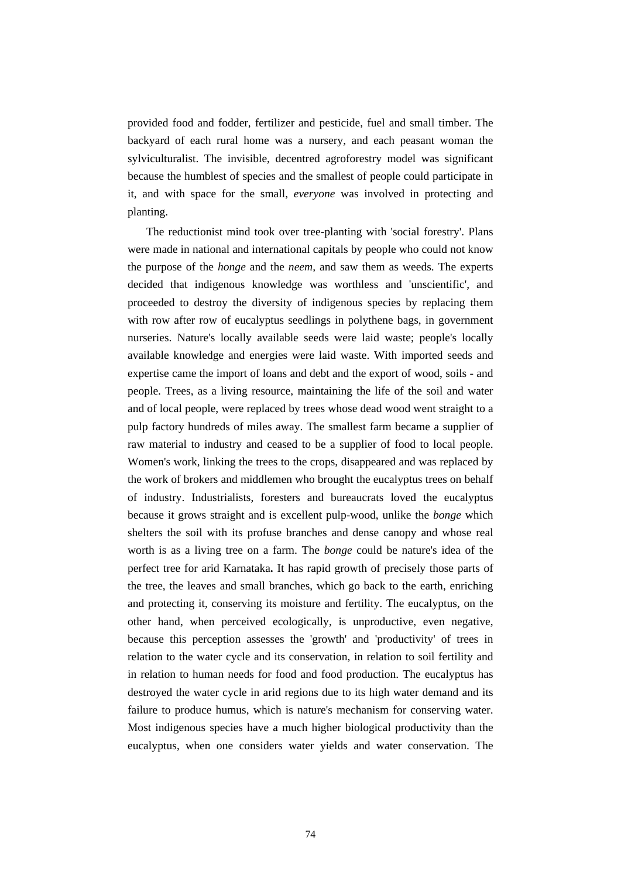provided food and fodder, fertilizer and pesticide, fuel and small timber. The backyard of each rural home was a nursery, and each peasant woman the sylviculturalist. The invisible, decentred agroforestry model was significant because the humblest of species and the smallest of people could participate in it, and with space for the small, *everyone* was involved in protecting and planting.

The reductionist mind took over tree-planting with 'social forestry'. Plans were made in national and international capitals by people who could not know the purpose of the *honge* and the *neem,* and saw them as weeds. The experts decided that indigenous knowledge was worthless and 'unscientific', and proceeded to destroy the diversity of indigenous species by replacing them with row after row of eucalyptus seedlings in polythene bags, in government nurseries. Nature's locally available seeds were laid waste; people's locally available knowledge and energies were laid waste. With imported seeds and expertise came the import of loans and debt and the export of wood, soils - and people. Trees, as a living resource, maintaining the life of the soil and water and of local people, were replaced by trees whose dead wood went straight to a pulp factory hundreds of miles away. The smallest farm became a supplier of raw material to industry and ceased to be a supplier of food to local people. Women's work, linking the trees to the crops, disappeared and was replaced by the work of brokers and middlemen who brought the eucalyptus trees on behalf of industry. Industrialists, foresters and bureaucrats loved the eucalyptus because it grows straight and is excellent pulp-wood, unlike the *bonge* which shelters the soil with its profuse branches and dense canopy and whose real worth is as a living tree on a farm. The *bonge* could be nature's idea of the perfect tree for arid Karnataka**.** It has rapid growth of precisely those parts of the tree, the leaves and small branches, which go back to the earth, enriching and protecting it, conserving its moisture and fertility. The eucalyptus, on the other hand, when perceived ecologically, is unproductive, even negative, because this perception assesses the 'growth' and 'productivity' of trees in relation to the water cycle and its conservation, in relation to soil fertility and in relation to human needs for food and food production. The eucalyptus has destroyed the water cycle in arid regions due to its high water demand and its failure to produce humus, which is nature's mechanism for conserving water. Most indigenous species have a much higher biological productivity than the eucalyptus, when one considers water yields and water conservation. The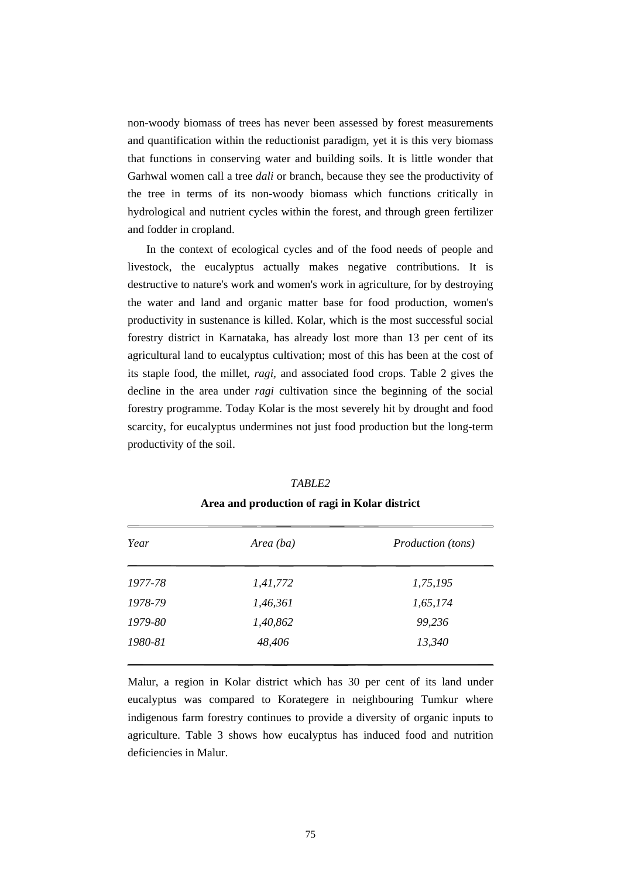non-woody biomass of trees has never been assessed by forest measurements and quantification within the reductionist paradigm, yet it is this very biomass that functions in conserving water and building soils. It is little wonder that Garhwal women call a tree *dali* or branch, because they see the productivity of the tree in terms of its non-woody biomass which functions critically in hydrological and nutrient cycles within the forest, and through green fertilizer and fodder in cropland.

In the context of ecological cycles and of the food needs of people and livestock, the eucalyptus actually makes negative contributions. It is destructive to nature's work and women's work in agriculture, for by destroying the water and land and organic matter base for food production, women's productivity in sustenance is killed. Kolar, which is the most successful social forestry district in Karnataka, has already lost more than 13 per cent of its agricultural land to eucalyptus cultivation; most of this has been at the cost of its staple food, the millet, *ragi,* and associated food crops. Table 2 gives the decline in the area under *ragi* cultivation since the beginning of the social forestry programme. Today Kolar is the most severely hit by drought and food scarcity, for eucalyptus undermines not just food production but the long-term productivity of the soil.

| Area (ba) | Production (tons) |
|-----------|-------------------|
| 1,41,772  | 1,75,195          |
| 1,46,361  | 1,65,174          |
| 1,40,862  | 99,236            |
| 48,406    | 13,340            |
|           |                   |

# *TABLE2*

# **Area and production of ragi in Kolar district**

Malur, a region in Kolar district which has 30 per cent of its land under eucalyptus was compared to Korategere in neighbouring Tumkur where indigenous farm forestry continues to provide a diversity of organic inputs to agriculture. Table 3 shows how eucalyptus has induced food and nutrition deficiencies in Malur.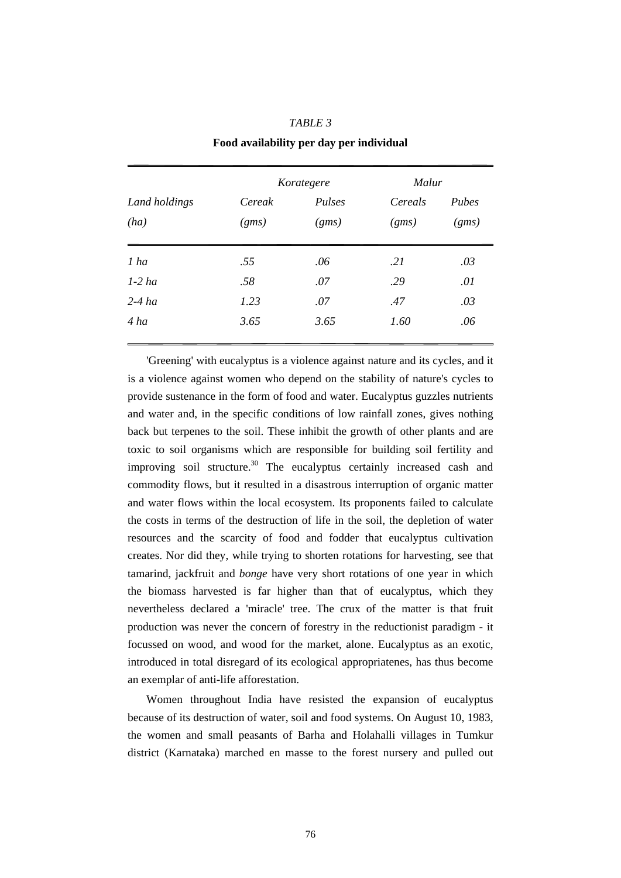| Land holdings<br>(ha) | Korategere      |                        | Malur            |                |
|-----------------------|-----------------|------------------------|------------------|----------------|
|                       | Cereak<br>(gms) | <b>Pulses</b><br>(gms) | Cereals<br>(gms) | Pubes<br>(gms) |
| 1 ha                  | .55             | .06                    | .21              | .03            |
| $1-2$ ha              | .58             | .07                    | .29              | .01            |
| $2-4$ ha              | 1.23            | .07                    | .47              | .03            |
| 4 ha                  | 3.65            | 3.65                   | 1.60             | .06            |

| TABLE 3                                  |
|------------------------------------------|
| Food availability per day per individual |

'Greening' with eucalyptus is a violence against nature and its cycles, and it is a violence against women who depend on the stability of nature's cycles to provide sustenance in the form of food and water. Eucalyptus guzzles nutrients and water and, in the specific conditions of low rainfall zones, gives nothing back but terpenes to the soil. These inhibit the growth of other plants and are toxic to soil organisms which are responsible for building soil fertility and improving soil structure.<sup>30</sup> The eucalyptus certainly increased cash and commodity flows, but it resulted in a disastrous interruption of organic matter and water flows within the local ecosystem. Its proponents failed to calculate the costs in terms of the destruction of life in the soil, the depletion of water resources and the scarcity of food and fodder that eucalyptus cultivation creates. Nor did they, while trying to shorten rotations for harvesting, see that tamarind, jackfruit and *bonge* have very short rotations of one year in which the biomass harvested is far higher than that of eucalyptus, which they nevertheless declared a 'miracle' tree. The crux of the matter is that fruit production was never the concern of forestry in the reductionist paradigm - it focussed on wood, and wood for the market, alone. Eucalyptus as an exotic, introduced in total disregard of its ecological appropriatenes, has thus become an exemplar of anti-life afforestation.

Women throughout India have resisted the expansion of eucalyptus because of its destruction of water, soil and food systems. On August 10, 1983, the women and small peasants of Barha and Holahalli villages in Tumkur district (Karnataka) marched en masse to the forest nursery and pulled out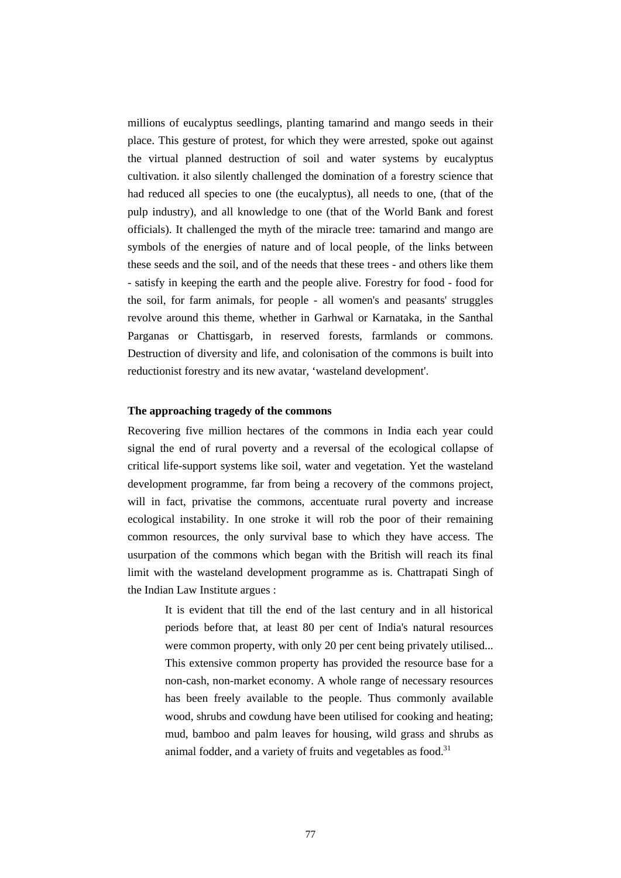millions of eucalyptus seedlings, planting tamarind and mango seeds in their place. This gesture of protest, for which they were arrested, spoke out against the virtual planned destruction of soil and water systems by eucalyptus cultivation. it also silently challenged the domination of a forestry science that had reduced all species to one (the eucalyptus), all needs to one, (that of the pulp industry), and all knowledge to one (that of the World Bank and forest officials). It challenged the myth of the miracle tree: tamarind and mango are symbols of the energies of nature and of local people, of the links between these seeds and the soil, and of the needs that these trees - and others like them - satisfy in keeping the earth and the people alive. Forestry for food - food for the soil, for farm animals, for people - all women's and peasants' struggles revolve around this theme, whether in Garhwal or Karnataka, in the Santhal Parganas or Chattisgarb, in reserved forests, farmlands or commons. Destruction of diversity and life, and colonisation of the commons is built into reductionist forestry and its new avatar, 'wasteland development'.

### **The approaching tragedy of the commons**

Recovering five million hectares of the commons in India each year could signal the end of rural poverty and a reversal of the ecological collapse of critical life-support systems like soil, water and vegetation. Yet the wasteland development programme, far from being a recovery of the commons project, will in fact, privatise the commons, accentuate rural poverty and increase ecological instability. In one stroke it will rob the poor of their remaining common resources, the only survival base to which they have access. The usurpation of the commons which began with the British will reach its final limit with the wasteland development programme as is. Chattrapati Singh of the Indian Law Institute argues :

It is evident that till the end of the last century and in all historical periods before that, at least 80 per cent of India's natural resources were common property, with only 20 per cent being privately utilised... This extensive common property has provided the resource base for a non-cash, non-market economy. A whole range of necessary resources has been freely available to the people. Thus commonly available wood, shrubs and cowdung have been utilised for cooking and heating; mud, bamboo and palm leaves for housing, wild grass and shrubs as animal fodder, and a variety of fruits and vegetables as food.<sup>31</sup>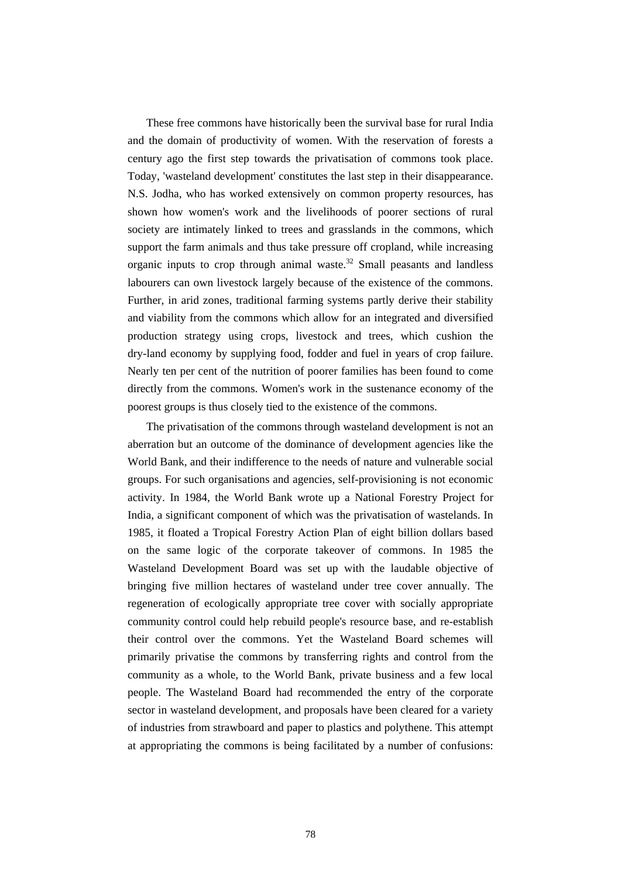These free commons have historically been the survival base for rural India and the domain of productivity of women. With the reservation of forests a century ago the first step towards the privatisation of commons took place. Today, 'wasteland development' constitutes the last step in their disappearance. N.S. Jodha, who has worked extensively on common property resources, has shown how women's work and the livelihoods of poorer sections of rural society are intimately linked to trees and grasslands in the commons, which support the farm animals and thus take pressure off cropland, while increasing organic inputs to crop through animal waste. $32$  Small peasants and landless labourers can own livestock largely because of the existence of the commons. Further, in arid zones, traditional farming systems partly derive their stability and viability from the commons which allow for an integrated and diversified production strategy using crops, livestock and trees, which cushion the dry-land economy by supplying food, fodder and fuel in years of crop failure. Nearly ten per cent of the nutrition of poorer families has been found to come directly from the commons. Women's work in the sustenance economy of the poorest groups is thus closely tied to the existence of the commons.

The privatisation of the commons through wasteland development is not an aberration but an outcome of the dominance of development agencies like the World Bank, and their indifference to the needs of nature and vulnerable social groups. For such organisations and agencies, self-provisioning is not economic activity. In 1984, the World Bank wrote up a National Forestry Project for India, a significant component of which was the privatisation of wastelands. In 1985, it floated a Tropical Forestry Action Plan of eight billion dollars based on the same logic of the corporate takeover of commons. In 1985 the Wasteland Development Board was set up with the laudable objective of bringing five million hectares of wasteland under tree cover annually. The regeneration of ecologically appropriate tree cover with socially appropriate community control could help rebuild people's resource base, and re-establish their control over the commons. Yet the Wasteland Board schemes will primarily privatise the commons by transferring rights and control from the community as a whole, to the World Bank, private business and a few local people. The Wasteland Board had recommended the entry of the corporate sector in wasteland development, and proposals have been cleared for a variety of industries from strawboard and paper to plastics and polythene. This attempt at appropriating the commons is being facilitated by a number of confusions: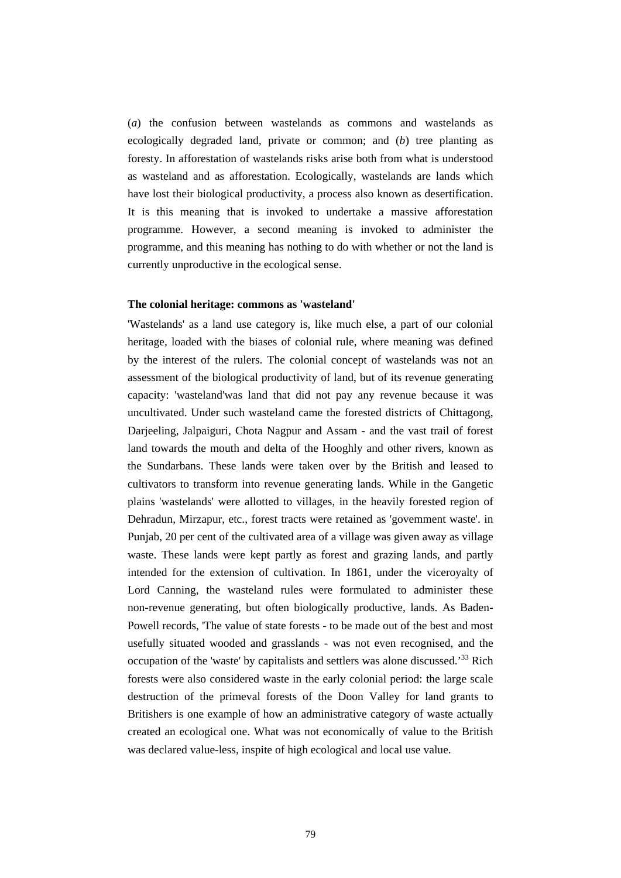(*a*) the confusion between wastelands as commons and wastelands as ecologically degraded land, private or common; and (*b*) tree planting as foresty. In afforestation of wastelands risks arise both from what is understood as wasteland and as afforestation. Ecologically, wastelands are lands which have lost their biological productivity, a process also known as desertification. It is this meaning that is invoked to undertake a massive afforestation programme. However, a second meaning is invoked to administer the programme, and this meaning has nothing to do with whether or not the land is currently unproductive in the ecological sense.

### **The colonial heritage: commons as 'wasteland'**

'Wastelands' as a land use category is, like much else, a part of our colonial heritage, loaded with the biases of colonial rule, where meaning was defined by the interest of the rulers. The colonial concept of wastelands was not an assessment of the biological productivity of land, but of its revenue generating capacity: 'wasteland'was land that did not pay any revenue because it was uncultivated. Under such wasteland came the forested districts of Chittagong, Darjeeling, Jalpaiguri, Chota Nagpur and Assam - and the vast trail of forest land towards the mouth and delta of the Hooghly and other rivers, known as the Sundarbans. These lands were taken over by the British and leased to cultivators to transform into revenue generating lands. While in the Gangetic plains 'wastelands' were allotted to villages, in the heavily forested region of Dehradun, Mirzapur, etc., forest tracts were retained as 'govemment waste'. in Punjab, 20 per cent of the cultivated area of a village was given away as village waste. These lands were kept partly as forest and grazing lands, and partly intended for the extension of cultivation. In 1861, under the viceroyalty of Lord Canning, the wasteland rules were formulated to administer these non-revenue generating, but often biologically productive, lands. As Baden-Powell records, 'The value of state forests - to be made out of the best and most usefully situated wooded and grasslands - was not even recognised, and the occupation of the 'waste' by capitalists and settlers was alone discussed.'33 Rich forests were also considered waste in the early colonial period: the large scale destruction of the primeval forests of the Doon Valley for land grants to Britishers is one example of how an administrative category of waste actually created an ecological one. What was not economically of value to the British was declared value-less, inspite of high ecological and local use value.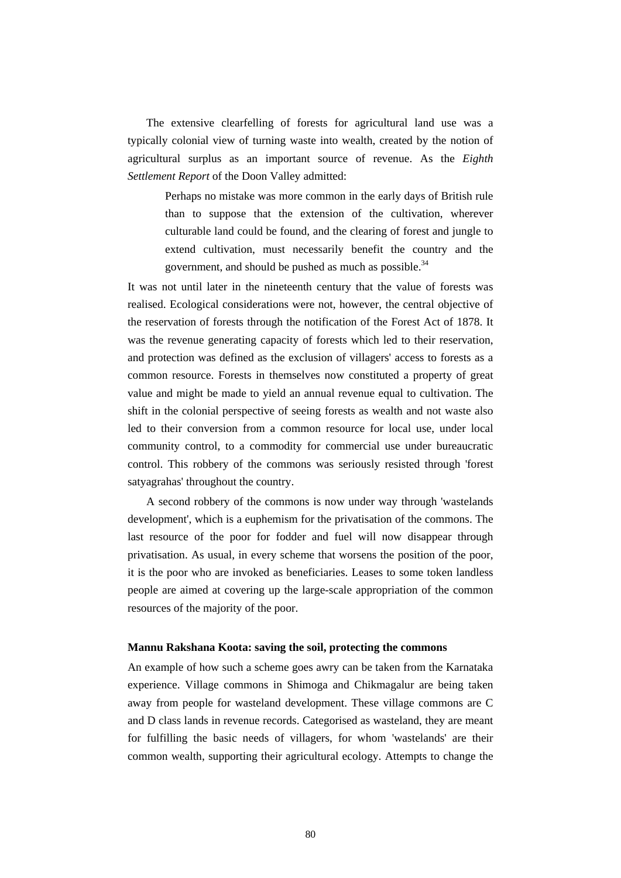The extensive clearfelling of forests for agricultural land use was a typically colonial view of turning waste into wealth, created by the notion of agricultural surplus as an important source of revenue. As the *Eighth Settlement Report* of the Doon Valley admitted:

> Perhaps no mistake was more common in the early days of British rule than to suppose that the extension of the cultivation, wherever culturable land could be found, and the clearing of forest and jungle to extend cultivation, must necessarily benefit the country and the government, and should be pushed as much as possible.<sup>34</sup>

It was not until later in the nineteenth century that the value of forests was realised. Ecological considerations were not, however, the central objective of the reservation of forests through the notification of the Forest Act of 1878. It was the revenue generating capacity of forests which led to their reservation, and protection was defined as the exclusion of villagers' access to forests as a common resource. Forests in themselves now constituted a property of great value and might be made to yield an annual revenue equal to cultivation. The shift in the colonial perspective of seeing forests as wealth and not waste also led to their conversion from a common resource for local use, under local community control, to a commodity for commercial use under bureaucratic control. This robbery of the commons was seriously resisted through 'forest satyagrahas' throughout the country.

A second robbery of the commons is now under way through 'wastelands development', which is a euphemism for the privatisation of the commons. The last resource of the poor for fodder and fuel will now disappear through privatisation. As usual, in every scheme that worsens the position of the poor, it is the poor who are invoked as beneficiaries. Leases to some token landless people are aimed at covering up the large-scale appropriation of the common resources of the majority of the poor.

#### **Mannu Rakshana Koota: saving the soil, protecting the commons**

An example of how such a scheme goes awry can be taken from the Karnataka experience. Village commons in Shimoga and Chikmagalur are being taken away from people for wasteland development. These village commons are C and D class lands in revenue records. Categorised as wasteland, they are meant for fulfilling the basic needs of villagers, for whom 'wastelands' are their common wealth, supporting their agricultural ecology. Attempts to change the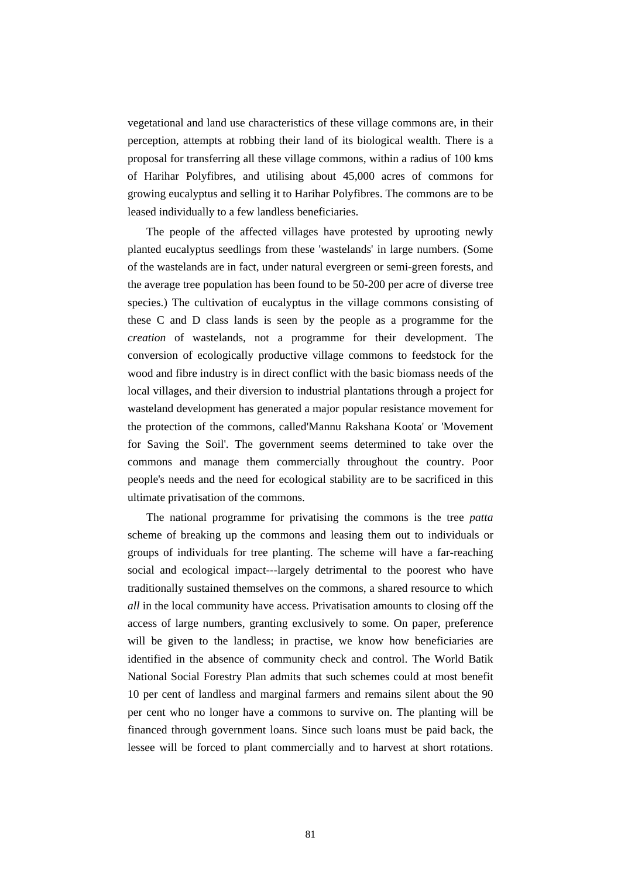vegetational and land use characteristics of these village commons are, in their perception, attempts at robbing their land of its biological wealth. There is a proposal for transferring all these village commons, within a radius of 100 kms of Harihar Polyfibres, and utilising about 45,000 acres of commons for growing eucalyptus and selling it to Harihar Polyfibres. The commons are to be leased individually to a few landless beneficiaries.

The people of the affected villages have protested by uprooting newly planted eucalyptus seedlings from these 'wastelands' in large numbers. (Some of the wastelands are in fact, under natural evergreen or semi-green forests, and the average tree population has been found to be 50-200 per acre of diverse tree species.) The cultivation of eucalyptus in the village commons consisting of these C and D class lands is seen by the people as a programme for the *creation* of wastelands, not a programme for their development. The conversion of ecologically productive village commons to feedstock for the wood and fibre industry is in direct conflict with the basic biomass needs of the local villages, and their diversion to industrial plantations through a project for wasteland development has generated a major popular resistance movement for the protection of the commons, called'Mannu Rakshana Koota' or 'Movement for Saving the Soil'. The government seems determined to take over the commons and manage them commercially throughout the country. Poor people's needs and the need for ecological stability are to be sacrificed in this ultimate privatisation of the commons.

The national programme for privatising the commons is the tree *patta* scheme of breaking up the commons and leasing them out to individuals or groups of individuals for tree planting. The scheme will have a far-reaching social and ecological impact---largely detrimental to the poorest who have traditionally sustained themselves on the commons, a shared resource to which *all* in the local community have access. Privatisation amounts to closing off the access of large numbers, granting exclusively to some. On paper, preference will be given to the landless; in practise, we know how beneficiaries are identified in the absence of community check and control. The World Batik National Social Forestry Plan admits that such schemes could at most benefit 10 per cent of landless and marginal farmers and remains silent about the 90 per cent who no longer have a commons to survive on. The planting will be financed through government loans. Since such loans must be paid back, the lessee will be forced to plant commercially and to harvest at short rotations.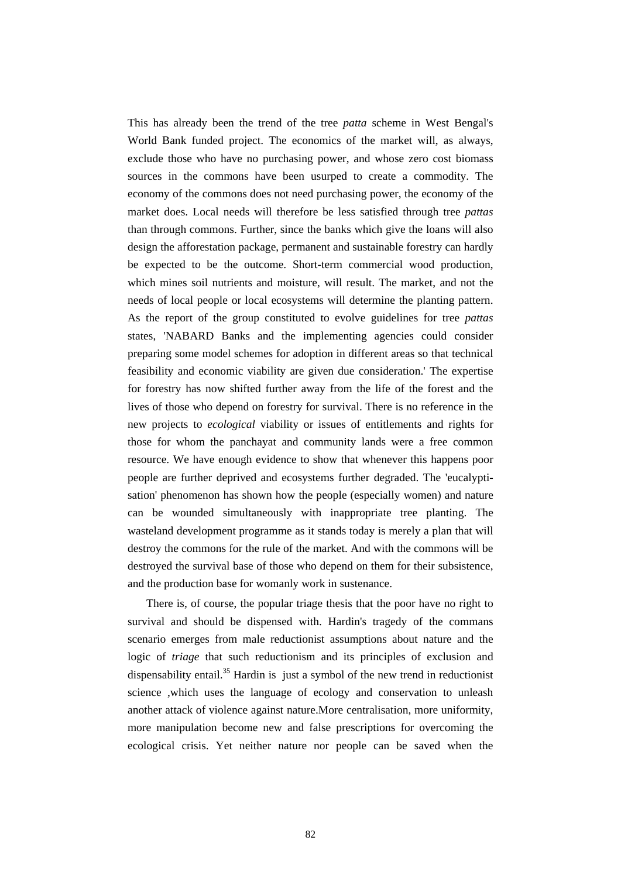This has already been the trend of the tree *patta* scheme in West Bengal's World Bank funded project. The economics of the market will, as always, exclude those who have no purchasing power, and whose zero cost biomass sources in the commons have been usurped to create a commodity. The economy of the commons does not need purchasing power, the economy of the market does. Local needs will therefore be less satisfied through tree *pattas* than through commons. Further, since the banks which give the loans will also design the afforestation package, permanent and sustainable forestry can hardly be expected to be the outcome. Short-term commercial wood production, which mines soil nutrients and moisture, will result. The market, and not the needs of local people or local ecosystems will determine the planting pattern. As the report of the group constituted to evolve guidelines for tree *pattas* states, 'NABARD Banks and the implementing agencies could consider preparing some model schemes for adoption in different areas so that technical feasibility and economic viability are given due consideration.' The expertise for forestry has now shifted further away from the life of the forest and the lives of those who depend on forestry for survival. There is no reference in the new projects to *ecological* viability or issues of entitlements and rights for those for whom the panchayat and community lands were a free common resource. We have enough evidence to show that whenever this happens poor people are further deprived and ecosystems further degraded. The 'eucalyptisation' phenomenon has shown how the people (especially women) and nature can be wounded simultaneously with inappropriate tree planting. The wasteland development programme as it stands today is merely a plan that will destroy the commons for the rule of the market. And with the commons will be destroyed the survival base of those who depend on them for their subsistence, and the production base for womanly work in sustenance.

There is, of course, the popular triage thesis that the poor have no right to survival and should be dispensed with. Hardin's tragedy of the commans scenario emerges from male reductionist assumptions about nature and the logic of *triage* that such reductionism and its principles of exclusion and dispensability entail.<sup>35</sup> Hardin is just a symbol of the new trend in reductionist science ,which uses the language of ecology and conservation to unleash another attack of violence against nature.More centralisation, more uniformity, more manipulation become new and false prescriptions for overcoming the ecological crisis. Yet neither nature nor people can be saved when the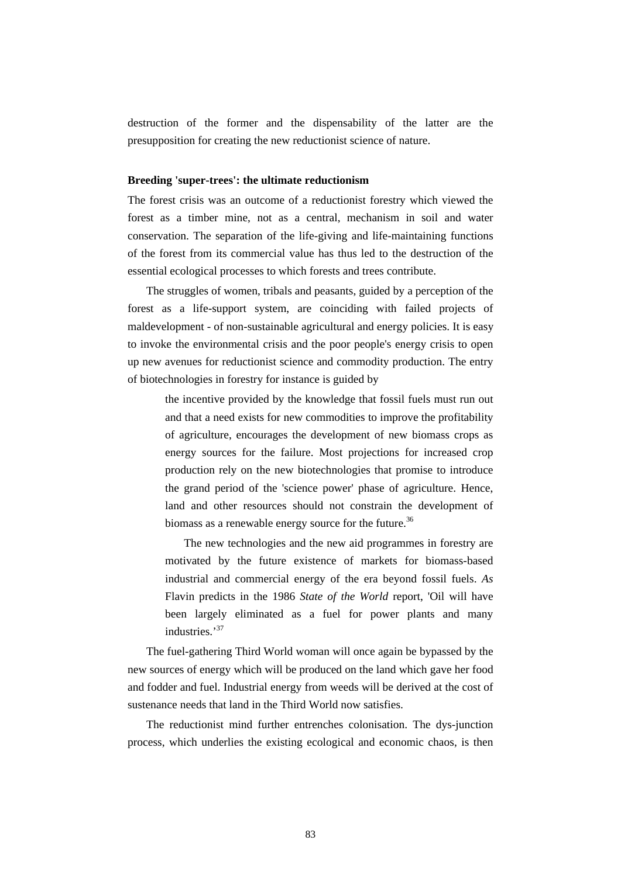destruction of the former and the dispensability of the latter are the presupposition for creating the new reductionist science of nature.

#### **Breeding 'super-trees': the ultimate reductionism**

The forest crisis was an outcome of a reductionist forestry which viewed the forest as a timber mine, not as a central, mechanism in soil and water conservation. The separation of the life-giving and life-maintaining functions of the forest from its commercial value has thus led to the destruction of the essential ecological processes to which forests and trees contribute.

The struggles of women, tribals and peasants, guided by a perception of the forest as a life-support system, are coinciding with failed projects of maldevelopment - of non-sustainable agricultural and energy policies. It is easy to invoke the environmental crisis and the poor people's energy crisis to open up new avenues for reductionist science and commodity production. The entry of biotechnologies in forestry for instance is guided by

> the incentive provided by the knowledge that fossil fuels must run out and that a need exists for new commodities to improve the profitability of agriculture, encourages the development of new biomass crops as energy sources for the failure. Most projections for increased crop production rely on the new biotechnologies that promise to introduce the grand period of the 'science power' phase of agriculture. Hence, land and other resources should not constrain the development of biomass as a renewable energy source for the future.<sup>36</sup>

> The new technologies and the new aid programmes in forestry are motivated by the future existence of markets for biomass-based industrial and commercial energy of the era beyond fossil fuels. *As*  Flavin predicts in the 1986 *State of the World* report, 'Oil will have been largely eliminated as a fuel for power plants and many industries.'<sup>37</sup>

The fuel-gathering Third World woman will once again be bypassed by the new sources of energy which will be produced on the land which gave her food and fodder and fuel. Industrial energy from weeds will be derived at the cost of sustenance needs that land in the Third World now satisfies.

The reductionist mind further entrenches colonisation. The dys-junction process, which underlies the existing ecological and economic chaos, is then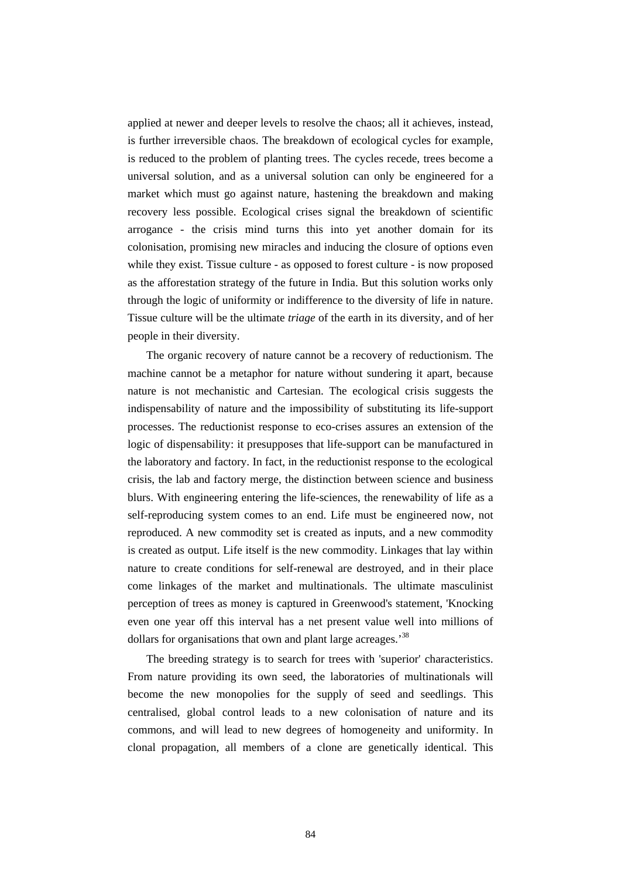applied at newer and deeper levels to resolve the chaos; all it achieves, instead, is further irreversible chaos. The breakdown of ecological cycles for example, is reduced to the problem of planting trees. The cycles recede, trees become a universal solution, and as a universal solution can only be engineered for a market which must go against nature, hastening the breakdown and making recovery less possible. Ecological crises signal the breakdown of scientific arrogance - the crisis mind turns this into yet another domain for its colonisation, promising new miracles and inducing the closure of options even while they exist. Tissue culture - as opposed to forest culture - is now proposed as the afforestation strategy of the future in India. But this solution works only through the logic of uniformity or indifference to the diversity of life in nature. Tissue culture will be the ultimate *triage* of the earth in its diversity, and of her people in their diversity.

The organic recovery of nature cannot be a recovery of reductionism. The machine cannot be a metaphor for nature without sundering it apart, because nature is not mechanistic and Cartesian. The ecological crisis suggests the indispensability of nature and the impossibility of substituting its life-support processes. The reductionist response to eco-crises assures an extension of the logic of dispensability: it presupposes that life-support can be manufactured in the laboratory and factory. In fact, in the reductionist response to the ecological crisis, the lab and factory merge, the distinction between science and business blurs. With engineering entering the life-sciences, the renewability of life as a self-reproducing system comes to an end. Life must be engineered now, not reproduced. A new commodity set is created as inputs, and a new commodity is created as output. Life itself is the new commodity. Linkages that lay within nature to create conditions for self-renewal are destroyed, and in their place come linkages of the market and multinationals. The ultimate masculinist perception of trees as money is captured in Greenwood's statement, 'Knocking even one year off this interval has a net present value well into millions of dollars for organisations that own and plant large acreages.<sup>38</sup>

The breeding strategy is to search for trees with 'superior' characteristics. From nature providing its own seed, the laboratories of multinationals will become the new monopolies for the supply of seed and seedlings. This centralised, global control leads to a new colonisation of nature and its commons, and will lead to new degrees of homogeneity and uniformity. In clonal propagation, all members of a clone are genetically identical. This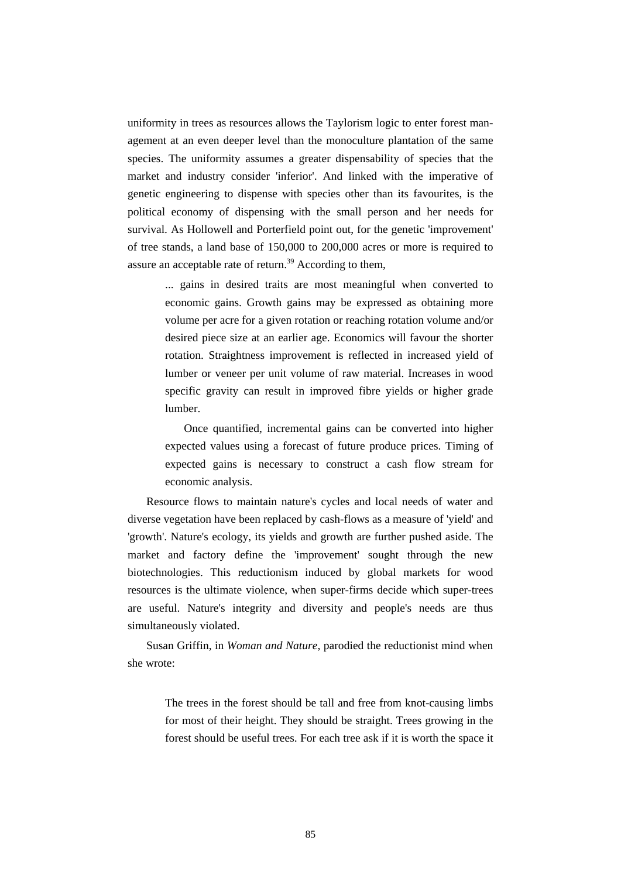uniformity in trees as resources allows the Taylorism logic to enter forest management at an even deeper level than the monoculture plantation of the same species. The uniformity assumes a greater dispensability of species that the market and industry consider 'inferior'. And linked with the imperative of genetic engineering to dispense with species other than its favourites, is the political economy of dispensing with the small person and her needs for survival. As Hollowell and Porterfield point out, for the genetic 'improvement' of tree stands, a land base of 150,000 to 200,000 acres or more is required to assure an acceptable rate of return.<sup>39</sup> According to them,

> ... gains in desired traits are most meaningful when converted to economic gains. Growth gains may be expressed as obtaining more volume per acre for a given rotation or reaching rotation volume and/or desired piece size at an earlier age. Economics will favour the shorter rotation. Straightness improvement is reflected in increased yield of lumber or veneer per unit volume of raw material. Increases in wood specific gravity can result in improved fibre yields or higher grade lumber.

> Once quantified, incremental gains can be converted into higher expected values using a forecast of future produce prices. Timing of expected gains is necessary to construct a cash flow stream for economic analysis.

Resource flows to maintain nature's cycles and local needs of water and diverse vegetation have been replaced by cash-flows as a measure of 'yield' and 'growth'. Nature's ecology, its yields and growth are further pushed aside. The market and factory define the 'improvement' sought through the new biotechnologies. This reductionism induced by global markets for wood resources is the ultimate violence, when super-firms decide which super-trees are useful. Nature's integrity and diversity and people's needs are thus simultaneously violated.

Susan Griffin, in *Woman and Nature,* parodied the reductionist mind when she wrote:

The trees in the forest should be tall and free from knot-causing limbs for most of their height. They should be straight. Trees growing in the forest should be useful trees. For each tree ask if it is worth the space it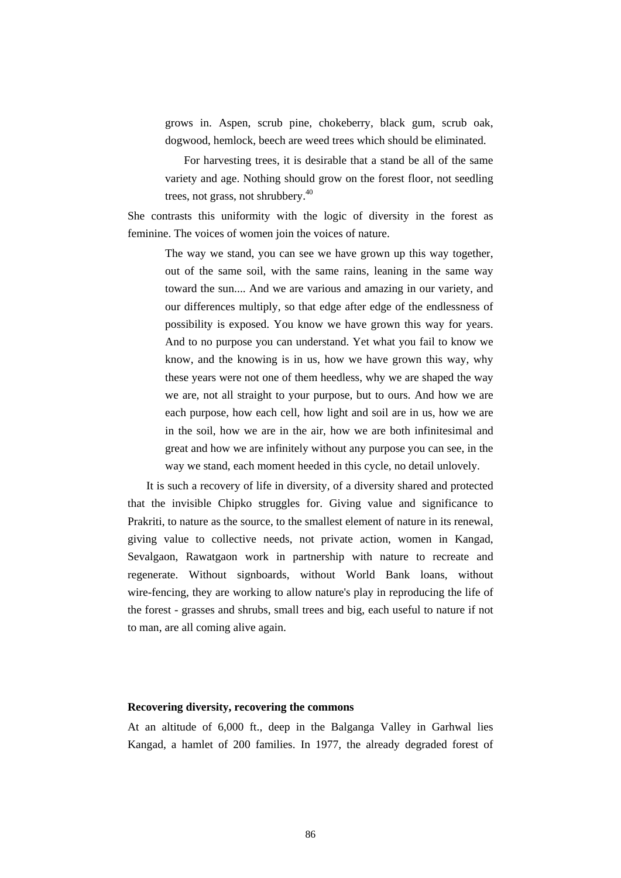grows in. Aspen, scrub pine, chokeberry, black gum, scrub oak, dogwood, hemlock, beech are weed trees which should be eliminated.

For harvesting trees, it is desirable that a stand be all of the same variety and age. Nothing should grow on the forest floor, not seedling trees, not grass, not shrubbery.<sup>40</sup>

She contrasts this uniformity with the logic of diversity in the forest as feminine. The voices of women join the voices of nature.

> The way we stand, you can see we have grown up this way together, out of the same soil, with the same rains, leaning in the same way toward the sun.... And we are various and amazing in our variety, and our differences multiply, so that edge after edge of the endlessness of possibility is exposed. You know we have grown this way for years. And to no purpose you can understand. Yet what you fail to know we know, and the knowing is in us, how we have grown this way, why these years were not one of them heedless, why we are shaped the way we are, not all straight to your purpose, but to ours. And how we are each purpose, how each cell, how light and soil are in us, how we are in the soil, how we are in the air, how we are both infinitesimal and great and how we are infinitely without any purpose you can see, in the way we stand, each moment heeded in this cycle, no detail unlovely.

It is such a recovery of life in diversity, of a diversity shared and protected that the invisible Chipko struggles for. Giving value and significance to Prakriti, to nature as the source, to the smallest element of nature in its renewal, giving value to collective needs, not private action, women in Kangad, Sevalgaon, Rawatgaon work in partnership with nature to recreate and regenerate. Without signboards, without World Bank loans, without wire-fencing, they are working to allow nature's play in reproducing the life of the forest - grasses and shrubs, small trees and big, each useful to nature if not to man, are all coming alive again.

## **Recovering diversity, recovering the commons**

At an altitude of 6,000 ft., deep in the Balganga Valley in Garhwal lies Kangad, a hamlet of 200 families. In 1977*,* the already degraded forest of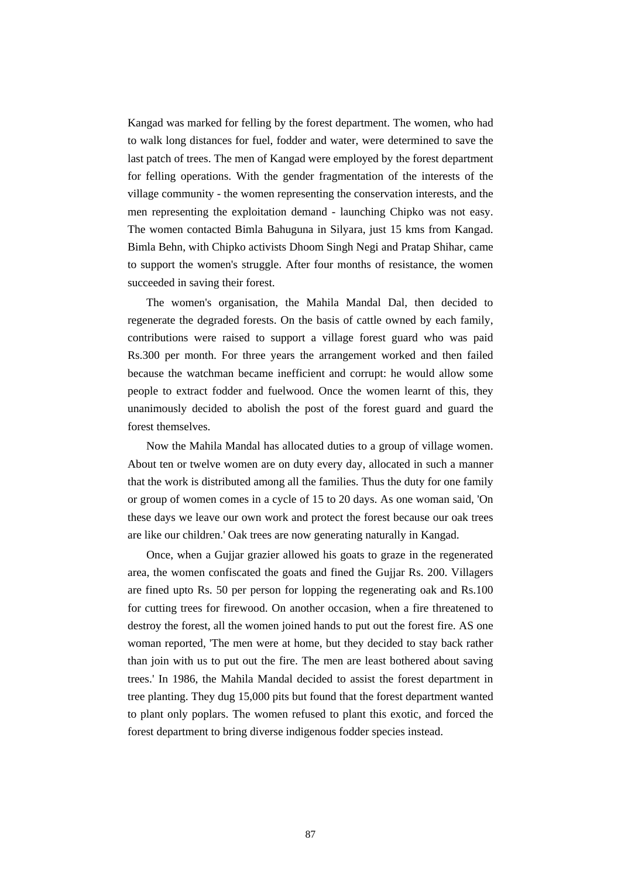Kangad was marked for felling by the forest department. The women, who had to walk long distances for fuel, fodder and water, were determined to save the last patch of trees. The men of Kangad were employed by the forest department for felling operations. With the gender fragmentation of the interests of the village community - the women representing the conservation interests, and the men representing the exploitation demand - launching Chipko was not easy. The women contacted Bimla Bahuguna in Silyara, just 15 kms from Kangad. Bimla Behn, with Chipko activists Dhoom Singh Negi and Pratap Shihar, came to support the women's struggle. After four months of resistance, the women succeeded in saving their forest.

The women's organisation, the Mahila Mandal Dal, then decided to regenerate the degraded forests. On the basis of cattle owned by each family, contributions were raised to support a village forest guard who was paid Rs.300 per month. For three years the arrangement worked and then failed because the watchman became inefficient and corrupt: he would allow some people to extract fodder and fuelwood. Once the women learnt of this, they unanimously decided to abolish the post of the forest guard and guard the forest themselves.

Now the Mahila Mandal has allocated duties to a group of village women. About ten or twelve women are on duty every day, allocated in such a manner that the work is distributed among all the families. Thus the duty for one family or group of women comes in a cycle of 15 to 20 days. As one woman said, 'On these days we leave our own work and protect the forest because our oak trees are like our children.' Oak trees are now generating naturally in Kangad.

Once, when a Gujjar grazier allowed his goats to graze in the regenerated area, the women confiscated the goats and fined the Gujjar Rs. 200. Villagers are fined upto Rs. 50 per person for lopping the regenerating oak and Rs.100 for cutting trees for firewood. On another occasion, when a fire threatened to destroy the forest, all the women joined hands to put out the forest fire. AS one woman reported, 'The men were at home, but they decided to stay back rather than join with us to put out the fire. The men are least bothered about saving trees.' In 1986, the Mahila Mandal decided to assist the forest department in tree planting. They dug 15,000 pits but found that the forest department wanted to plant only poplars. The women refused to plant this exotic, and forced the forest department to bring diverse indigenous fodder species instead.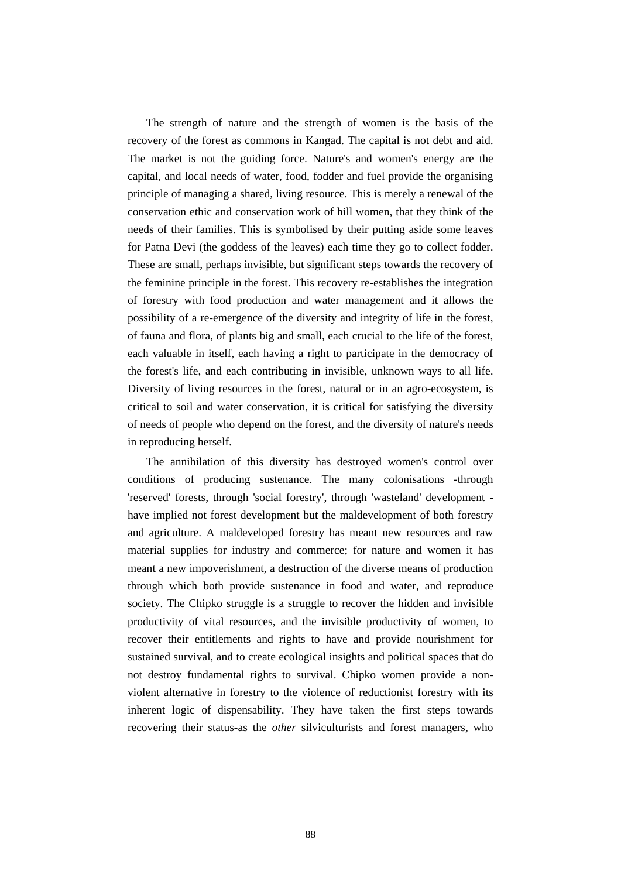The strength of nature and the strength of women is the basis of the recovery of the forest as commons in Kangad. The capital is not debt and aid. The market is not the guiding force. Nature's and women's energy are the capital, and local needs of water, food, fodder and fuel provide the organising principle of managing a shared, living resource. This is merely a renewal of the conservation ethic and conservation work of hill women, that they think of the needs of their families. This is symbolised by their putting aside some leaves for Patna Devi (the goddess of the leaves) each time they go to collect fodder. These are small, perhaps invisible, but significant steps towards the recovery of the feminine principle in the forest. This recovery re-establishes the integration of forestry with food production and water management and it allows the possibility of a re-emergence of the diversity and integrity of life in the forest, of fauna and flora, of plants big and small, each crucial to the life of the forest, each valuable in itself, each having a right to participate in the democracy of the forest's life, and each contributing in invisible, unknown ways to all life. Diversity of living resources in the forest, natural or in an agro-ecosystem, is critical to soil and water conservation, it is critical for satisfying the diversity of needs of people who depend on the forest, and the diversity of nature's needs in reproducing herself.

The annihilation of this diversity has destroyed women's control over conditions of producing sustenance. The many colonisations -through 'reserved' forests, through 'social forestry', through 'wasteland' development have implied not forest development but the maldevelopment of both forestry and agriculture. A maldeveloped forestry has meant new resources and raw material supplies for industry and commerce; for nature and women it has meant a new impoverishment, a destruction of the diverse means of production through which both provide sustenance in food and water, and reproduce society. The Chipko struggle is a struggle to recover the hidden and invisible productivity of vital resources, and the invisible productivity of women, to recover their entitlements and rights to have and provide nourishment for sustained survival, and to create ecological insights and political spaces that do not destroy fundamental rights to survival. Chipko women provide a nonviolent alternative in forestry to the violence of reductionist forestry with its inherent logic of dispensability. They have taken the first steps towards recovering their status-as the *other* silviculturists and forest managers, who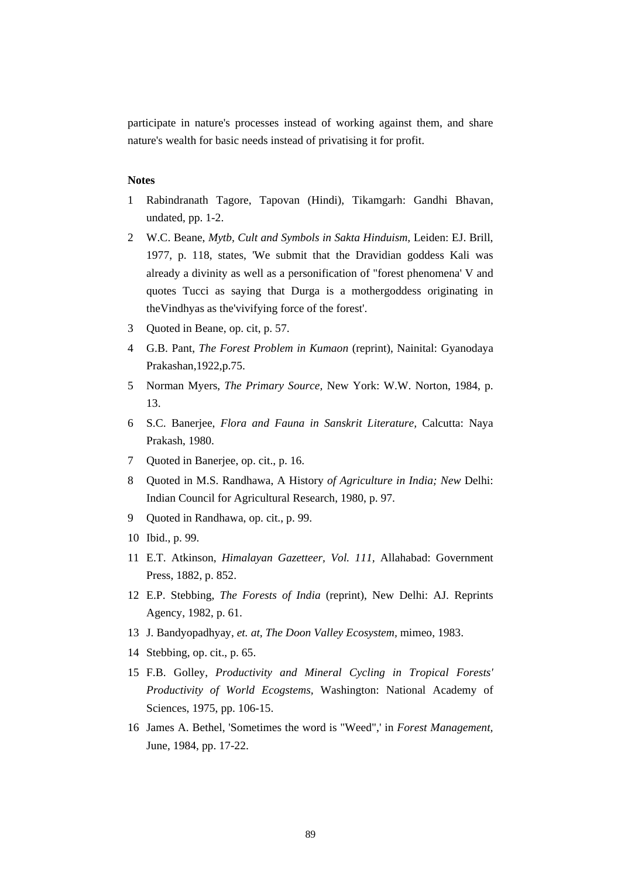participate in nature's processes instead of working against them, and share nature's wealth for basic needs instead of privatising it for profit.

# **Notes**

- 1 Rabindranath Tagore, Tapovan (Hindi), Tikamgarh: Gandhi Bhavan, undated, pp. 1-2.
- 2 W.C. Beane, *Mytb, Cult and Symbols in Sakta Hinduism,* Leiden: EJ. Brill, 1977, p. 118, states, 'We submit that the Dravidian goddess Kali was already a divinity as well as a personification of "forest phenomena' V and quotes Tucci as saying that Durga is a mothergoddess originating in theVindhyas as the'vivifying force of the forest'.
- 3 Quoted in Beane, op. cit, p. 57.
- 4 G.B. Pant, *The Forest Problem in Kumaon* (reprint), Nainital: Gyanodaya Prakashan,1922,p.75.
- 5 Norman Myers, *The Primary Source,* New York: W.W. Norton, 1984, p. 13.
- 6 S.C. Banerjee, *Flora and Fauna in Sanskrit Literature,* Calcutta: Naya Prakash, 1980.
- 7 Quoted in Banerjee, op. cit., p. 16.
- 8 Quoted in M.S. Randhawa, A History *of Agriculture in India; New* Delhi: Indian Council for Agricultural Research, 1980, p. 97.
- 9 Quoted in Randhawa, op. cit., p. 99.
- 10 Ibid., p. 99.
- 11 E.T. Atkinson, *Himalayan Gazetteer, Vol. 111,* Allahabad: Government Press, 1882, p. 852.
- 12 E.P. Stebbing, *The Forests of India* (reprint), New Delhi: AJ. Reprints Agency, 1982, p. 61.
- 13 J. Bandyopadhyay, *et. at, The Doon Valley Ecosystem,* mimeo, 1983.
- 14 Stebbing, op. cit., p. 65.
- 15 F.B. Golley, *Productivity and Mineral Cycling in Tropical Forests' Productivity of World Ecogstems,* Washington: National Academy of Sciences, 1975, pp. 106-15.
- 16 James A. Bethel, 'Sometimes the word is "Weed",' in *Forest Management,*  June, 1984, pp. 17-22.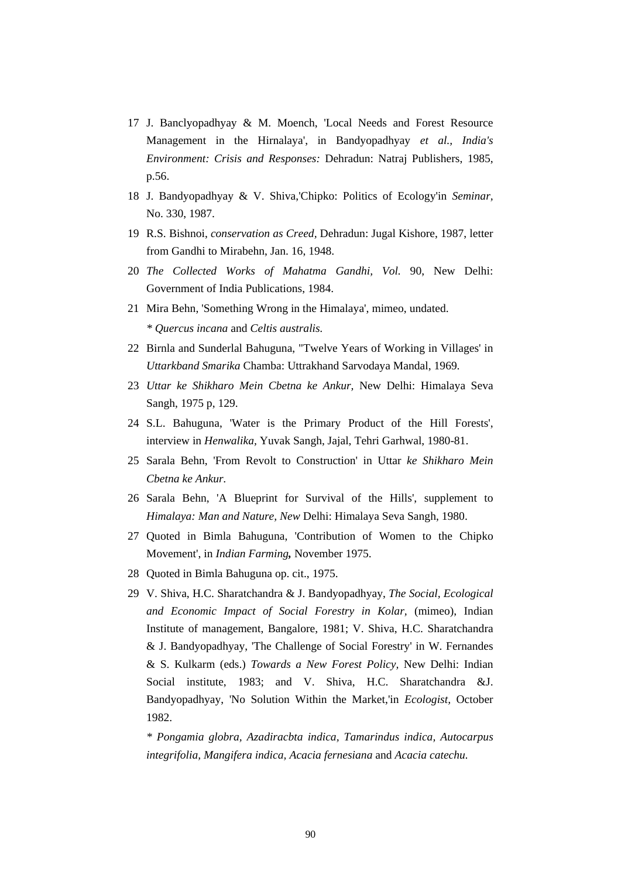- 17 J. Banclyopadhyay & M. Moench, 'Local Needs and Forest Resource Management in the Hirnalaya', in Bandyopadhyay *et al., India's Environment: Crisis and Responses:* Dehradun: Natraj Publishers, 1985, p.56.
- 18 J. Bandyopadhyay & V. Shiva,'Chipko: Politics of Ecology'in *Seminar,*  No. 330, 1987.
- 19 R.S. Bishnoi, *conservation as Creed,* Dehradun: Jugal Kishore, 1987, letter from Gandhi to Mirabehn, Jan. 16, 1948.
- 20 *The Collected Works of Mahatma Gandhi, Vol.* 90, New Delhi: Government of India Publications, 1984.
- 21 Mira Behn, 'Something Wrong in the Himalaya', mimeo, undated.  *\* Quercus incana* and *Celtis australis.*
- 22 Birnla and Sunderlal Bahuguna, "Twelve Years of Working in Villages' in *Uttarkband Smarika* Chamba: Uttrakhand Sarvodaya Mandal, 1969.
- 23 *Uttar ke Shikharo Mein Cbetna ke Ankur,* New Delhi: Himalaya Seva Sangh, 1975 p, 129.
- 24 S.L. Bahuguna, 'Water is the Primary Product of the Hill Forests', interview in *Henwalika,* Yuvak Sangh, Jajal, Tehri Garhwal, 1980-81.
- 25 Sarala Behn, 'From Revolt to Construction' in Uttar *ke Shikharo Mein Cbetna ke Ankur.*
- 26 Sarala Behn, 'A Blueprint for Survival of the Hills', supplement to *Himalaya: Man and Nature, New* Delhi: Himalaya Seva Sangh, 1980.
- 27 Quoted in Bimla Bahuguna, 'Contribution of Women to the Chipko Movement', in *Indian Farming,* November 1975.
- 28 Quoted in Bimla Bahuguna op. cit., 1975.
- 29 V. Shiva, H.C. Sharatchandra & J. Bandyopadhyay, *The Social, Ecological and Economic Impact of Social Forestry in Kolar,* (mimeo), Indian Institute of management, Bangalore, 1981; V. Shiva, H.C. Sharatchandra & J. Bandyopadhyay, 'The Challenge of Social Forestry' in W. Fernandes & S. Kulkarm (eds.) *Towards a New Forest Policy,* New Delhi: Indian Social institute, 1983; and V. Shiva, H.C. Sharatchandra &J. Bandyopadhyay, 'No Solution Within the Market,'in *Ecologist,* October 1982.

 *\* Pongamia globra, Azadiracbta indica, Tamarindus indica, Autocarpus integrifolia, Mangifera indica, Acacia fernesiana* and *Acacia catechu.*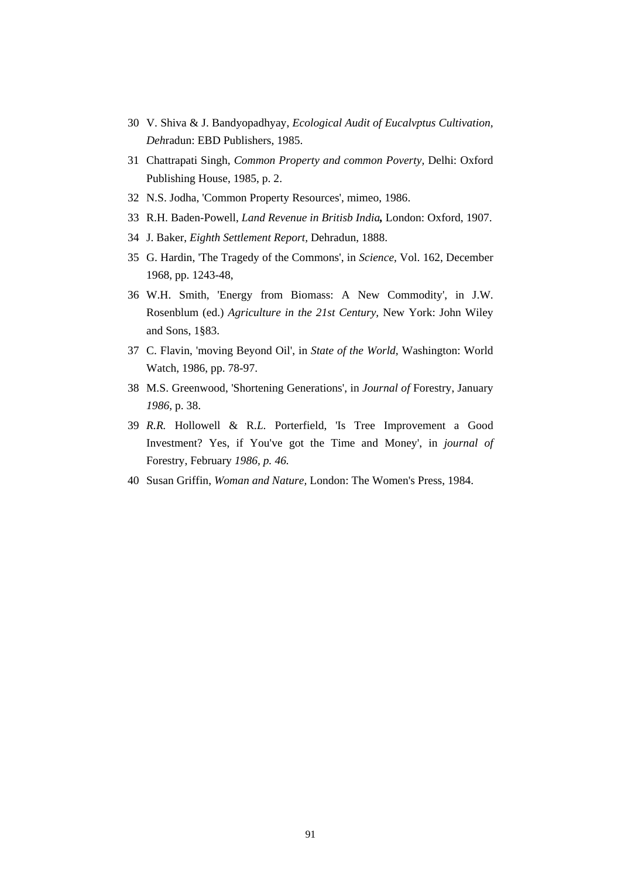- 30 V. Shiva & J. Bandyopadhyay, *Ecological Audit of Eucalvptus Cultivation, Deh*radun: EBD Publishers, 1985.
- 31 Chattrapati Singh, *Common Property and common Poverty,* Delhi: Oxford Publishing House, 1985, p. 2.
- 32 N.S. Jodha, 'Common Property Resources', mimeo, 1986.
- 33 R.H. Baden-Powell, *Land Revenue in Britisb India,* London: Oxford, 1907.
- 34 J. Baker, *Eighth Settlement Report,* Dehradun, 1888.
- 35 G. Hardin, 'The Tragedy of the Commons', in *Science,* Vol. 162, December 1968, pp. 1243-48,
- 36 W.H. Smith, 'Energy from Biomass: A New Commodity', in J.W. Rosenblum (ed.) *Agriculture in the 21st Century,* New York: John Wiley and Sons, 1§83.
- 37 C. Flavin, 'moving Beyond Oil', in *State of the World,* Washington: World Watch, 1986, pp. 78-97.
- 38 M.S. Greenwood, 'Shortening Generations', in *Journal of* Forestry, January *1986,* p. 38.
- 39 *R.R.* Hollowell & R*.L.* Porterfield, 'Is Tree Improvement a Good Investment? Yes, if You've got the Time and Money', in *journal of*  Forestry, February *1986, p. 46.*
- 40 Susan Griffin, *Woman and Nature,* London: The Women's Press, 1984.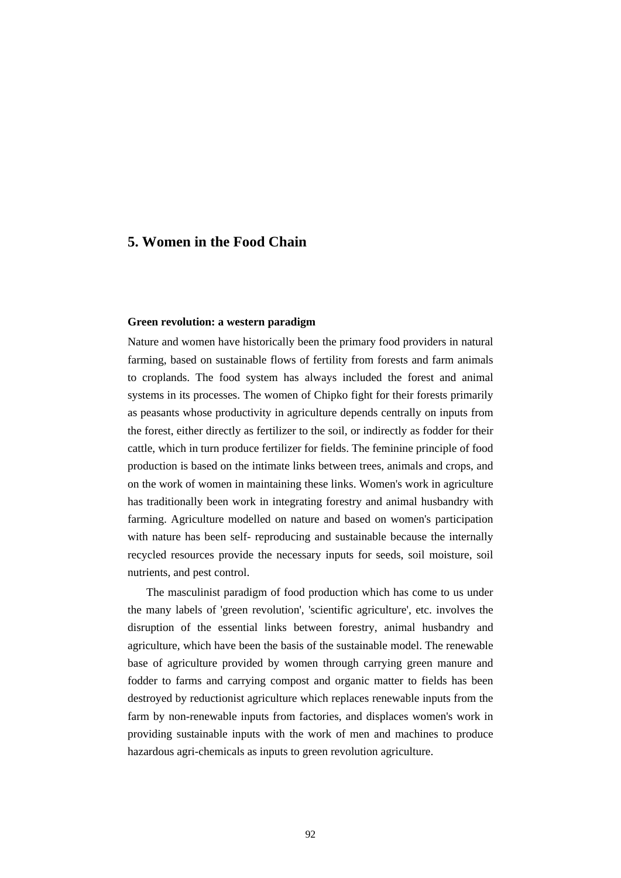## **5. Women in the Food Chain**

#### **Green revolution: a western paradigm**

Nature and women have historically been the primary food providers in natural farming, based on sustainable flows of fertility from forests and farm animals to croplands. The food system has always included the forest and animal systems in its processes. The women of Chipko fight for their forests primarily as peasants whose productivity in agriculture depends centrally on inputs from the forest, either directly as fertilizer to the soil, or indirectly as fodder for their cattle, which in turn produce fertilizer for fields. The feminine principle of food production is based on the intimate links between trees, animals and crops, and on the work of women in maintaining these links. Women's work in agriculture has traditionally been work in integrating forestry and animal husbandry with farming. Agriculture modelled on nature and based on women's participation with nature has been self- reproducing and sustainable because the internally recycled resources provide the necessary inputs for seeds, soil moisture, soil nutrients, and pest control.

The masculinist paradigm of food production which has come to us under the many labels of 'green revolution', 'scientific agriculture', etc. involves the disruption of the essential links between forestry, animal husbandry and agriculture, which have been the basis of the sustainable model. The renewable base of agriculture provided by women through carrying green manure and fodder to farms and carrying compost and organic matter to fields has been destroyed by reductionist agriculture which replaces renewable inputs from the farm by non-renewable inputs from factories, and displaces women's work in providing sustainable inputs with the work of men and machines to produce hazardous agri-chemicals as inputs to green revolution agriculture.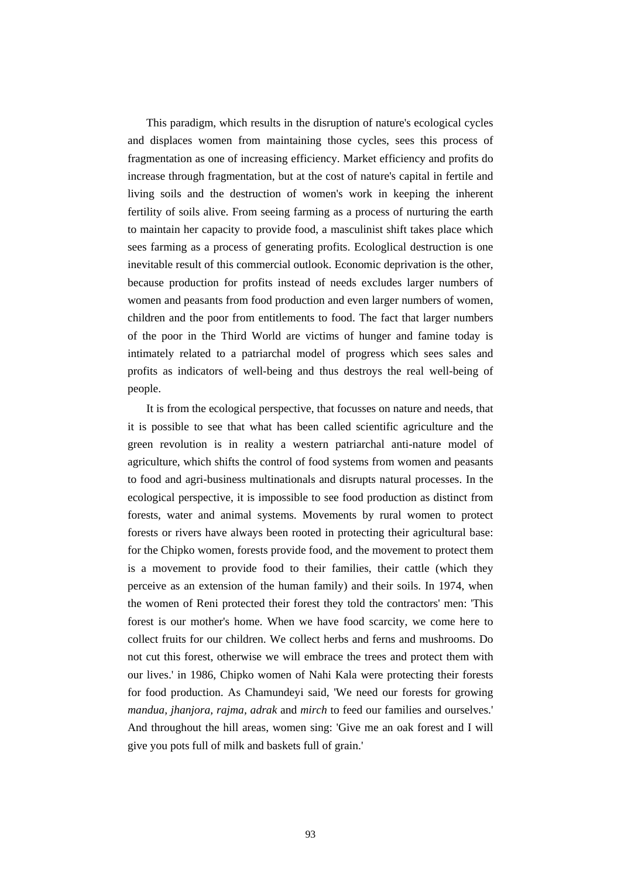This paradigm, which results in the disruption of nature's ecological cycles and displaces women from maintaining those cycles, sees this process of fragmentation as one of increasing efficiency. Market efficiency and profits do increase through fragmentation, but at the cost of nature's capital in fertile and living soils and the destruction of women's work in keeping the inherent fertility of soils alive. From seeing farming as a process of nurturing the earth to maintain her capacity to provide food, a masculinist shift takes place which sees farming as a process of generating profits. Ecologlical destruction is one inevitable result of this commercial outlook. Economic deprivation is the other, because production for profits instead of needs excludes larger numbers of women and peasants from food production and even larger numbers of women, children and the poor from entitlements to food. The fact that larger numbers of the poor in the Third World are victims of hunger and famine today is intimately related to a patriarchal model of progress which sees sales and profits as indicators of well-being and thus destroys the real well-being of people.

It is from the ecological perspective, that focusses on nature and needs, that it is possible to see that what has been called scientific agriculture and the green revolution is in reality a western patriarchal anti-nature model of agriculture, which shifts the control of food systems from women and peasants to food and agri-business multinationals and disrupts natural processes. In the ecological perspective, it is impossible to see food production as distinct from forests, water and animal systems. Movements by rural women to protect forests or rivers have always been rooted in protecting their agricultural base: for the Chipko women, forests provide food, and the movement to protect them is a movement to provide food to their families, their cattle (which they perceive as an extension of the human family) and their soils. In 1974, when the women of Reni protected their forest they told the contractors' men: 'This forest is our mother's home. When we have food scarcity, we come here to collect fruits for our children. We collect herbs and ferns and mushrooms. Do not cut this forest, otherwise we will embrace the trees and protect them with our lives.' in 1986, Chipko women of Nahi Kala were protecting their forests for food production. As Chamundeyi said, 'We need our forests for growing *mandua, jhanjora, rajma, adrak* and *mirch* to feed our families and ourselves.' And throughout the hill areas, women sing: 'Give me an oak forest and I will give you pots full of milk and baskets full of grain.'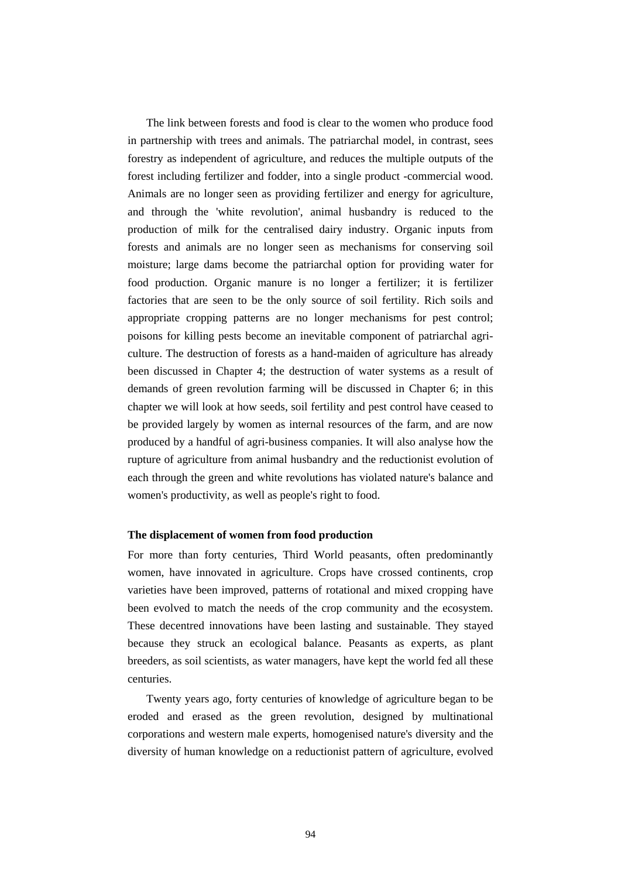The link between forests and food is clear to the women who produce food in partnership with trees and animals. The patriarchal model, in contrast, sees forestry as independent of agriculture, and reduces the multiple outputs of the forest including fertilizer and fodder, into a single product -commercial wood. Animals are no longer seen as providing fertilizer and energy for agriculture, and through the 'white revolution', animal husbandry is reduced to the production of milk for the centralised dairy industry. Organic inputs from forests and animals are no longer seen as mechanisms for conserving soil moisture; large dams become the patriarchal option for providing water for food production. Organic manure is no longer a fertilizer; it is fertilizer factories that are seen to be the only source of soil fertility. Rich soils and appropriate cropping patterns are no longer mechanisms for pest control; poisons for killing pests become an inevitable component of patriarchal agriculture. The destruction of forests as a hand-maiden of agriculture has already been discussed in Chapter 4; the destruction of water systems as a result of demands of green revolution farming will be discussed in Chapter 6; in this chapter we will look at how seeds, soil fertility and pest control have ceased to be provided largely by women as internal resources of the farm, and are now produced by a handful of agri-business companies. It will also analyse how the rupture of agriculture from animal husbandry and the reductionist evolution of each through the green and white revolutions has violated nature's balance and women's productivity, as well as people's right to food.

#### **The displacement of women from food production**

For more than forty centuries, Third World peasants, often predominantly women, have innovated in agriculture. Crops have crossed continents, crop varieties have been improved, patterns of rotational and mixed cropping have been evolved to match the needs of the crop community and the ecosystem. These decentred innovations have been lasting and sustainable. They stayed because they struck an ecological balance. Peasants as experts, as plant breeders, as soil scientists, as water managers, have kept the world fed all these centuries.

Twenty years ago, forty centuries of knowledge of agriculture began to be eroded and erased as the green revolution, designed by multinational corporations and western male experts, homogenised nature's diversity and the diversity of human knowledge on a reductionist pattern of agriculture, evolved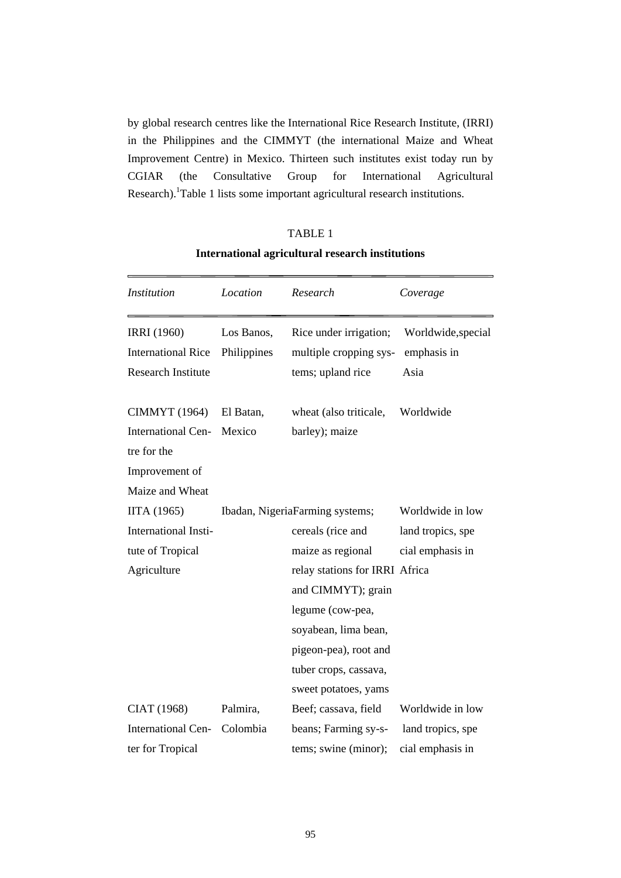by global research centres like the International Rice Research Institute, (IRRI) in the Philippines and the CIMMYT (the international Maize and Wheat Improvement Centre) in Mexico. Thirteen such institutes exist today run by CGIAR (the Consultative Group for International Agricultural Research). Table 1 lists some important agricultural research institutions.

# TABLE 1

| <b>Institution</b>                                                                               | Location                  | Research                                                                                                                                                                                               | Coverage                                                  |
|--------------------------------------------------------------------------------------------------|---------------------------|--------------------------------------------------------------------------------------------------------------------------------------------------------------------------------------------------------|-----------------------------------------------------------|
| <b>IRRI</b> (1960)<br><b>International Rice</b><br><b>Research Institute</b>                     | Los Banos,<br>Philippines | Rice under irrigation;<br>multiple cropping sys-<br>tems; upland rice                                                                                                                                  | Worldwide, special<br>emphasis in<br>Asia                 |
| <b>CIMMYT</b> (1964)<br><b>International Cen-</b><br>tre for the<br>Improvement of               | El Batan,<br>Mexico       | wheat (also triticale,<br>barley); maize                                                                                                                                                               | Worldwide                                                 |
| Maize and Wheat<br><b>IITA</b> (1965)<br>International Insti-<br>tute of Tropical<br>Agriculture |                           | Ibadan, NigeriaFarming systems;<br>cereals (rice and<br>maize as regional<br>relay stations for IRRI Africa<br>and CIMMYT); grain<br>legume (cow-pea,<br>soyabean, lima bean,<br>pigeon-pea), root and | Worldwide in low<br>land tropics, spe<br>cial emphasis in |
| CIAT (1968)<br><b>International Cen-</b><br>ter for Tropical                                     | Palmira,<br>Colombia      | tuber crops, cassava,<br>sweet potatoes, yams<br>Beef; cassava, field<br>beans; Farming sy-s-<br>tems; swine (minor);                                                                                  | Worldwide in low<br>land tropics, spe<br>cial emphasis in |

# **International agricultural research institutions**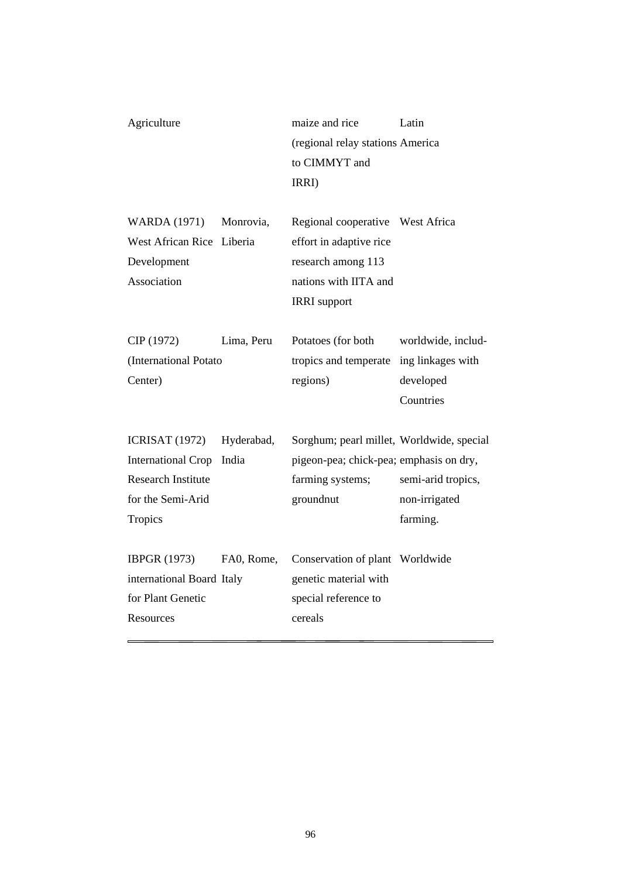| Agriculture | maize and rice                    | Latin |
|-------------|-----------------------------------|-------|
|             | (regional relay stations America) |       |
|             | to CIMMYT and                     |       |
|             | IRRI)                             |       |
|             |                                   |       |

| <b>WARDA</b> (1971)       | Monrovia,  | Regional cooperative West Africa          |                    |
|---------------------------|------------|-------------------------------------------|--------------------|
| West African Rice Liberia |            | effort in adaptive rice                   |                    |
| Development               |            | research among 113                        |                    |
| Association               |            | nations with IITA and                     |                    |
|                           |            | <b>IRRI</b> support                       |                    |
| CIP (1972)                | Lima, Peru | Potatoes (for both                        | worldwide, includ- |
| (International Potato     |            | tropics and temperate                     | ing linkages with  |
| Center)                   |            | regions)                                  | developed          |
|                           |            |                                           | Countries          |
| ICRISAT (1972)            | Hyderabad, | Sorghum; pearl millet, Worldwide, special |                    |
| <b>International Crop</b> | India      | pigeon-pea; chick-pea; emphasis on dry,   |                    |
| <b>Research Institute</b> |            | farming systems;                          | semi-arid tropics, |
| for the Semi-Arid         |            | groundnut                                 | non-irrigated      |
| Tropics                   |            |                                           | farming.           |
| <b>IBPGR</b> (1973)       | FA0, Rome, | Conservation of plant Worldwide           |                    |
| international Board Italy |            | genetic material with                     |                    |
| for Plant Genetic         |            | special reference to                      |                    |
| Resources                 |            | cereals                                   |                    |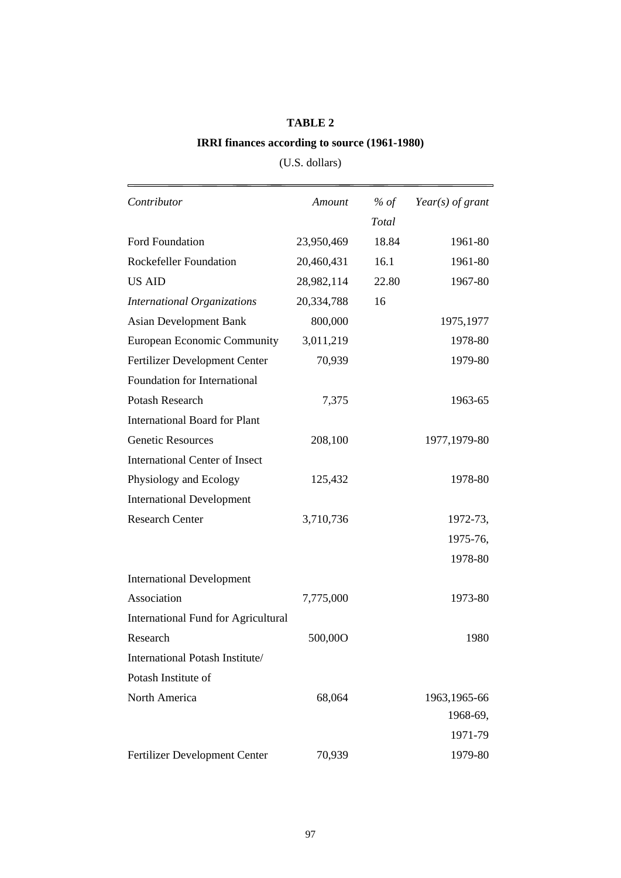# **TABLE 2 IRRI finances according to source (1961-1980)**

*Contributor Amount % of Year(s) of grant Total*  Ford Foundation 23,950,469 18.84 1961-80 Rockefeller Foundation 20,460,431 16.1 1961-80 US AID 28,982,114 22.80 1967-80 *International Organizations* 20,334,788 16 Asian Development Bank 800,000 1975,1977 European Economic Community 3,011,219 1978-80 Fertilizer Development Center 70,939 1979-80 Foundation for International Potash Research 7,375 1963-65 International Board for Plant Genetic Resources 208,100 1977,1979-80 International Center of Insect Physiology and Ecology 125,432 1978-80 International Development Research Center 3,710,736 1972-73, 1975-76, 1978-80 International Development Association 7,775,000 1973-80 International Fund for Agricultural Research 500,000 1980 International Potash Institute/ Potash Institute of North America 68,064 1963,1965-66 1968-69, 1971-79 Fertilizer Development Center 70,939 1979-80

(U.S. dollars)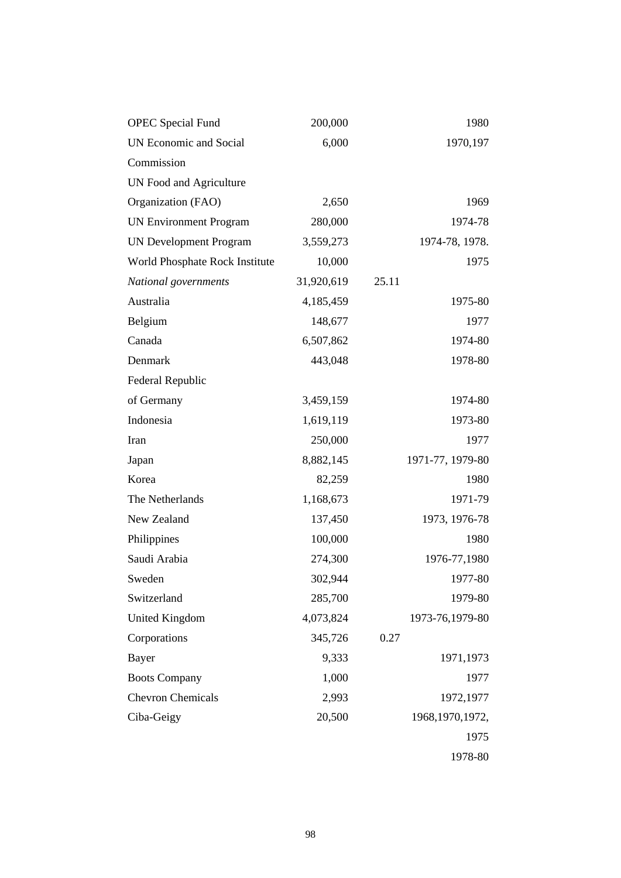| <b>OPEC</b> Special Fund       | 200,000    | 1980              |
|--------------------------------|------------|-------------------|
| <b>UN Economic and Social</b>  | 6,000      | 1970,197          |
| Commission                     |            |                   |
| UN Food and Agriculture        |            |                   |
| Organization (FAO)             | 2,650      | 1969              |
| <b>UN Environment Program</b>  | 280,000    | 1974-78           |
| <b>UN Development Program</b>  | 3,559,273  | 1974-78, 1978.    |
| World Phosphate Rock Institute | 10,000     | 1975              |
| National governments           | 31,920,619 | 25.11             |
| Australia                      | 4,185,459  | 1975-80           |
| Belgium                        | 148,677    | 1977              |
| Canada                         | 6,507,862  | 1974-80           |
| Denmark                        | 443,048    | 1978-80           |
| Federal Republic               |            |                   |
| of Germany                     | 3,459,159  | 1974-80           |
| Indonesia                      | 1,619,119  | 1973-80           |
| Iran                           | 250,000    | 1977              |
| Japan                          | 8,882,145  | 1971-77, 1979-80  |
| Korea                          | 82,259     | 1980              |
| The Netherlands                | 1,168,673  | 1971-79           |
| New Zealand                    | 137,450    | 1973, 1976-78     |
| Philippines                    | 100,000    | 1980              |
| Saudi Arabia                   | 274,300    | 1976-77,1980      |
| Sweden                         | 302,944    | 1977-80           |
| Switzerland                    | 285,700    | 1979-80           |
| <b>United Kingdom</b>          | 4,073,824  | 1973-76,1979-80   |
| Corporations                   | 345,726    | 0.27              |
| Bayer                          | 9,333      | 1971,1973         |
| <b>Boots Company</b>           | 1,000      | 1977              |
| <b>Chevron Chemicals</b>       | 2,993      | 1972,1977         |
| Ciba-Geigy                     | 20,500     | 1968, 1970, 1972, |
|                                |            | 1975              |
|                                |            | 1978-80           |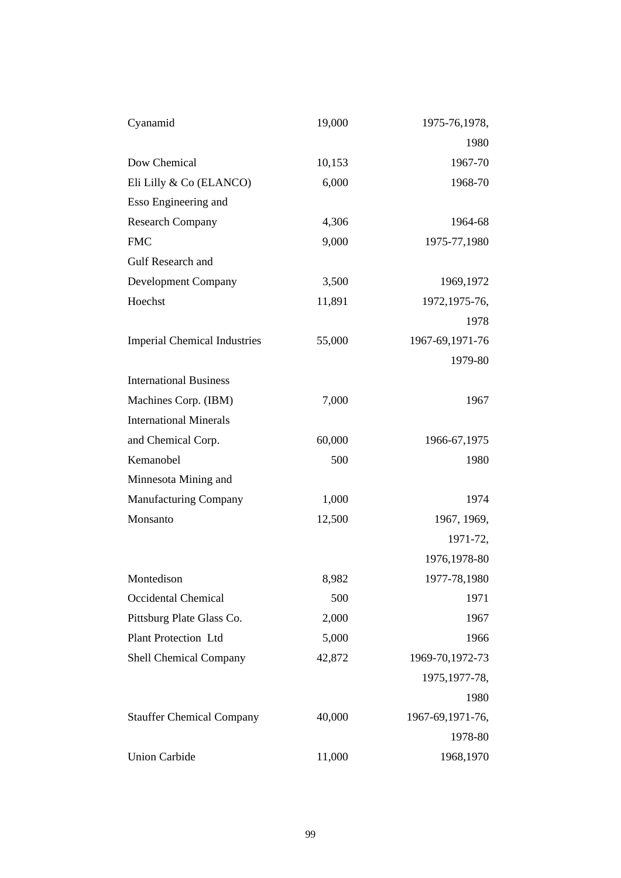| Cyanamid                            | 19,000 | 1975-76,1978,    |
|-------------------------------------|--------|------------------|
|                                     |        | 1980             |
| Dow Chemical                        | 10,153 | 1967-70          |
| Eli Lilly & Co (ELANCO)             | 6,000  | 1968-70          |
| Esso Engineering and                |        |                  |
| <b>Research Company</b>             | 4,306  | 1964-68          |
| <b>FMC</b>                          | 9,000  | 1975-77,1980     |
| Gulf Research and                   |        |                  |
| Development Company                 | 3,500  | 1969,1972        |
| Hoechst                             | 11,891 | 1972, 1975-76,   |
|                                     |        | 1978             |
| <b>Imperial Chemical Industries</b> | 55,000 | 1967-69,1971-76  |
|                                     |        | 1979-80          |
| <b>International Business</b>       |        |                  |
| Machines Corp. (IBM)                | 7,000  | 1967             |
| <b>International Minerals</b>       |        |                  |
| and Chemical Corp.                  | 60,000 | 1966-67,1975     |
| Kemanobel                           | 500    | 1980             |
| Minnesota Mining and                |        |                  |
| <b>Manufacturing Company</b>        | 1,000  | 1974             |
| Monsanto                            | 12,500 | 1967, 1969,      |
|                                     |        | 1971-72,         |
|                                     |        | 1976, 1978-80    |
| Montedison                          | 8,982  | 1977-78,1980     |
| Occidental Chemical                 | 500    | 1971             |
| Pittsburg Plate Glass Co.           | 2,000  | 1967             |
| <b>Plant Protection Ltd</b>         | 5,000  | 1966             |
| <b>Shell Chemical Company</b>       | 42,872 | 1969-70,1972-73  |
|                                     |        | 1975, 1977-78,   |
|                                     |        | 1980             |
| <b>Stauffer Chemical Company</b>    | 40,000 | 1967-69,1971-76, |
|                                     |        | 1978-80          |
| <b>Union Carbide</b>                | 11,000 | 1968,1970        |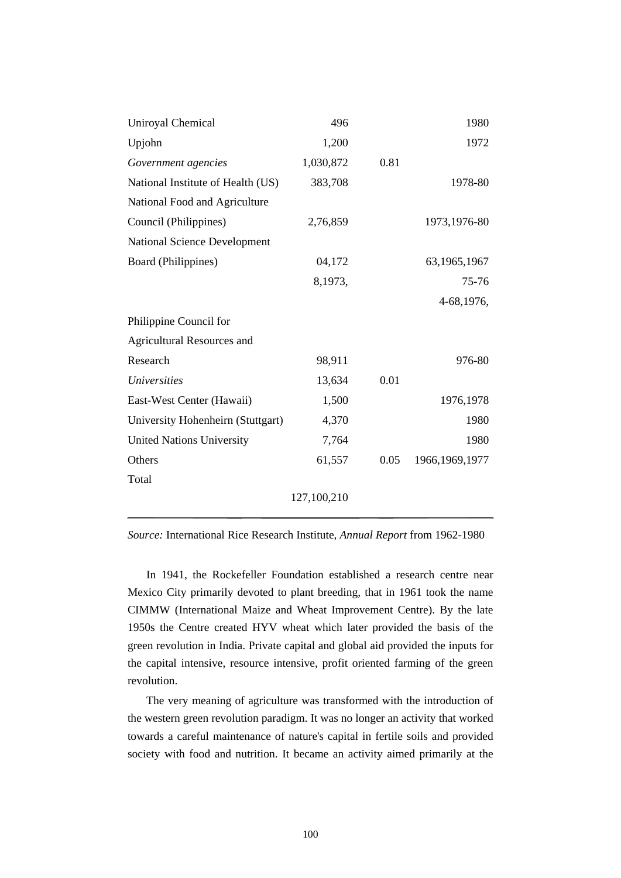| Uniroyal Chemical                   | 496         |      | 1980             |
|-------------------------------------|-------------|------|------------------|
| Upjohn                              | 1,200       |      | 1972             |
| Government agencies                 | 1,030,872   | 0.81 |                  |
| National Institute of Health (US)   | 383,708     |      | 1978-80          |
| National Food and Agriculture       |             |      |                  |
| Council (Philippines)               | 2,76,859    |      | 1973, 1976-80    |
| <b>National Science Development</b> |             |      |                  |
| Board (Philippines)                 | 04,172      |      | 63,1965,1967     |
|                                     | 8,1973,     |      | $75 - 76$        |
|                                     |             |      | 4-68,1976,       |
| Philippine Council for              |             |      |                  |
| <b>Agricultural Resources and</b>   |             |      |                  |
| Research                            | 98,911      |      | 976-80           |
| Universities                        | 13,634      | 0.01 |                  |
| East-West Center (Hawaii)           | 1,500       |      | 1976, 1978       |
| University Hohenheirn (Stuttgart)   | 4,370       |      | 1980             |
| <b>United Nations University</b>    | 7,764       |      | 1980             |
| Others                              | 61,557      | 0.05 | 1966, 1969, 1977 |
| Total                               |             |      |                  |
|                                     | 127,100,210 |      |                  |

*Source:* International Rice Research Institute, *Annual Report* from 1962-1980

In 1941, the Rockefeller Foundation established a research centre near Mexico City primarily devoted to plant breeding, that in 1961 took the name CIMMW (International Maize and Wheat Improvement Centre). By the late 1950s the Centre created HYV wheat which later provided the basis of the green revolution in India. Private capital and global aid provided the inputs for the capital intensive, resource intensive, profit oriented farming of the green revolution.

The very meaning of agriculture was transformed with the introduction of the western green revolution paradigm. It was no longer an activity that worked towards a careful maintenance of nature's capital in fertile soils and provided society with food and nutrition. It became an activity aimed primarily at the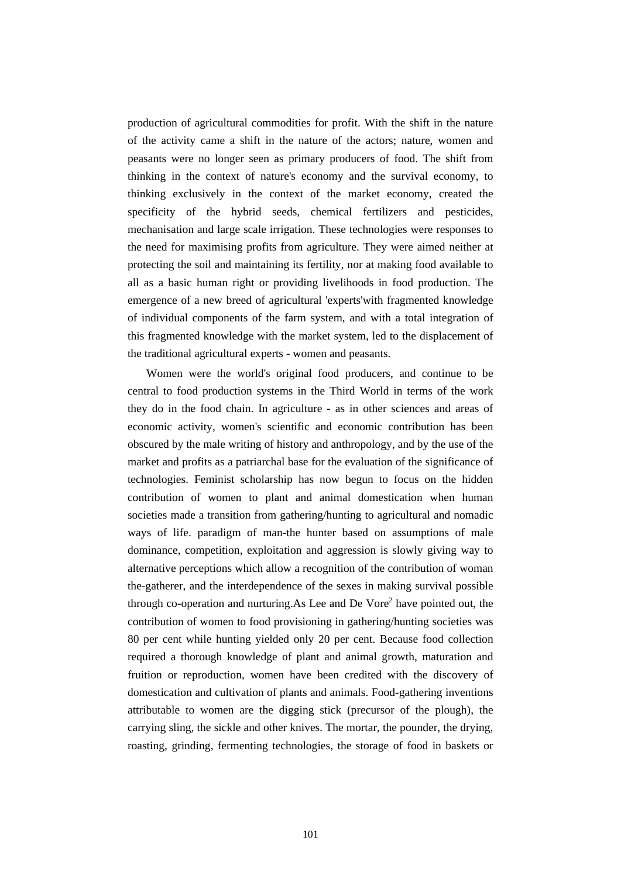production of agricultural commodities for profit. With the shift in the nature of the activity came a shift in the nature of the actors; nature, women and peasants were no longer seen as primary producers of food. The shift from thinking in the context of nature's economy and the survival economy, to thinking exclusively in the context of the market economy, created the specificity of the hybrid seeds, chemical fertilizers and pesticides, mechanisation and large scale irrigation. These technologies were responses to the need for maximising profits from agriculture. They were aimed neither at protecting the soil and maintaining its fertility, nor at making food available to all as a basic human right or providing livelihoods in food production. The emergence of a new breed of agricultural 'experts'with fragmented knowledge of individual components of the farm system, and with a total integration of this fragmented knowledge with the market system, led to the displacement of the traditional agricultural experts - women and peasants.

Women were the world's original food producers, and continue to be central to food production systems in the Third World in terms of the work they do in the food chain. In agriculture - as in other sciences and areas of economic activity, women's scientific and economic contribution has been obscured by the male writing of history and anthropology, and by the use of the market and profits as a patriarchal base for the evaluation of the significance of technologies. Feminist scholarship has now begun to focus on the hidden contribution of women to plant and animal domestication when human societies made a transition from gathering/hunting to agricultural and nomadic ways of life. paradigm of man-the hunter based on assumptions of male dominance, competition, exploitation and aggression is slowly giving way to alternative perceptions which allow a recognition of the contribution of woman the-gatherer, and the interdependence of the sexes in making survival possible through co-operation and nurturing. As Lee and De Vore<sup>2</sup> have pointed out, the contribution of women to food provisioning in gathering/hunting societies was 80 per cent while hunting yielded only 20 per cent. Because food collection required a thorough knowledge of plant and animal growth, maturation and fruition or reproduction, women have been credited with the discovery of domestication and cultivation of plants and animals. Food-gathering inventions attributable to women are the digging stick (precursor of the plough), the carrying sling, the sickle and other knives. The mortar, the pounder, the drying, roasting, grinding, fermenting technologies, the storage of food in baskets or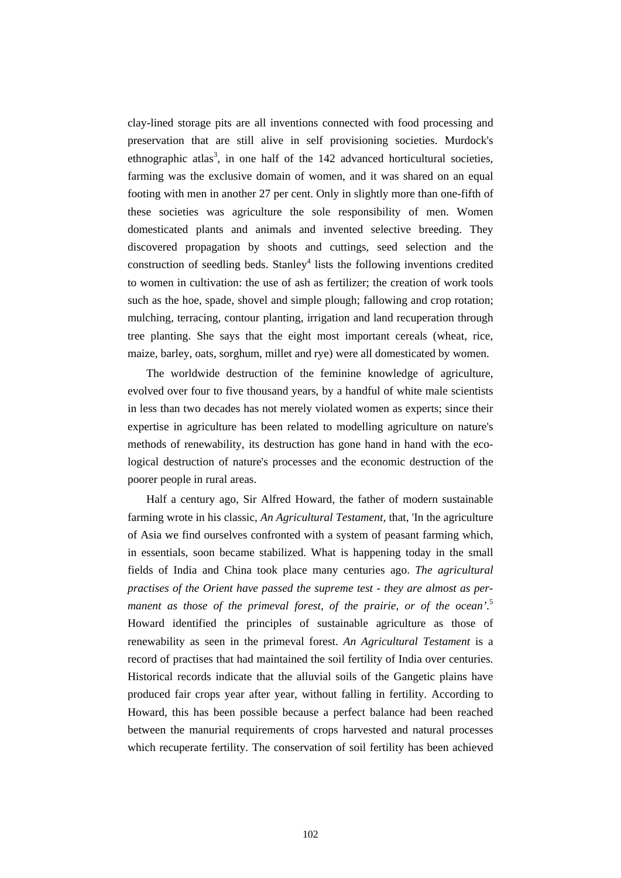clay-lined storage pits are all inventions connected with food processing and preservation that are still alive in self provisioning societies. Murdock's ethnographic atlas<sup>3</sup>, in one half of the  $142$  advanced horticultural societies, farming was the exclusive domain of women, and it was shared on an equal footing with men in another 27 per cent. Only in slightly more than one-fifth of these societies was agriculture the sole responsibility of men. Women domesticated plants and animals and invented selective breeding. They discovered propagation by shoots and cuttings, seed selection and the construction of seedling beds. Stanley<sup>4</sup> lists the following inventions credited to women in cultivation: the use of ash as fertilizer; the creation of work tools such as the hoe, spade, shovel and simple plough; fallowing and crop rotation; mulching, terracing, contour planting, irrigation and land recuperation through tree planting. She says that the eight most important cereals (wheat, rice, maize, barley, oats, sorghum, millet and rye) were all domesticated by women.

The worldwide destruction of the feminine knowledge of agriculture, evolved over four to five thousand years, by a handful of white male scientists in less than two decades has not merely violated women as experts; since their expertise in agriculture has been related to modelling agriculture on nature's methods of renewability, its destruction has gone hand in hand with the ecological destruction of nature's processes and the economic destruction of the poorer people in rural areas.

Half a century ago, Sir Alfred Howard, the father of modern sustainable farming wrote in his classic, *An Agricultural Testament,* that, 'In the agriculture of Asia we find ourselves confronted with a system of peasant farming which, in essentials, soon became stabilized. What is happening today in the small fields of India and China took place many centuries ago. *The agricultural practises of the Orient have passed the supreme test - they are almost as permanent as those of the primeval forest, of the prairie, or of the ocean'.*<sup>5</sup> Howard identified the principles of sustainable agriculture as those of renewability as seen in the primeval forest. *An Agricultural Testament* is a record of practises that had maintained the soil fertility of India over centuries. Historical records indicate that the alluvial soils of the Gangetic plains have produced fair crops year after year, without falling in fertility. According to Howard, this has been possible because a perfect balance had been reached between the manurial requirements of crops harvested and natural processes which recuperate fertility. The conservation of soil fertility has been achieved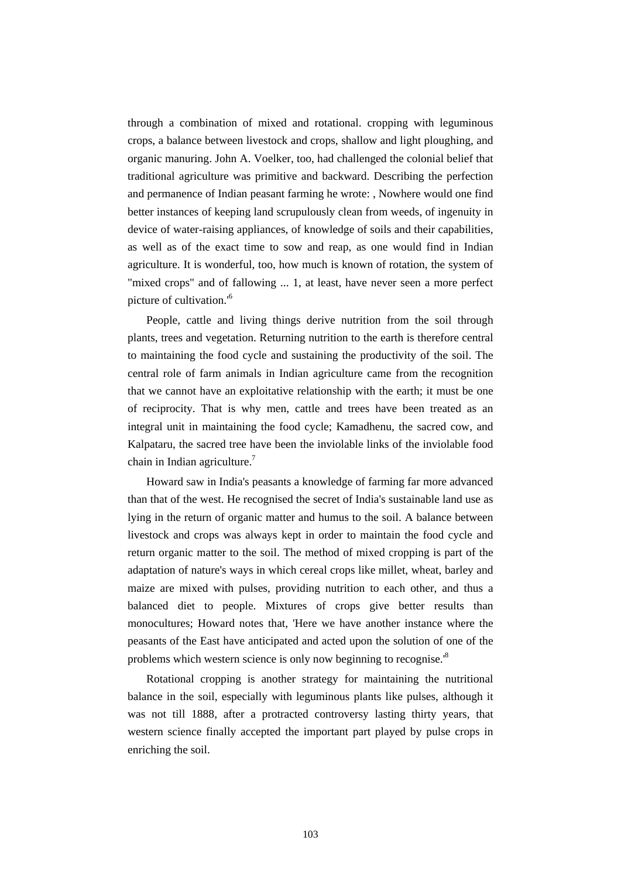through a combination of mixed and rotational. cropping with leguminous crops, a balance between livestock and crops, shallow and light ploughing, and organic manuring. John A. Voelker, too, had challenged the colonial belief that traditional agriculture was primitive and backward. Describing the perfection and permanence of Indian peasant farming he wrote: , Nowhere would one find better instances of keeping land scrupulously clean from weeds, of ingenuity in device of water-raising appliances, of knowledge of soils and their capabilities, as well as of the exact time to sow and reap, as one would find in Indian agriculture. It is wonderful, too, how much is known of rotation, the system of "mixed crops" and of fallowing ... 1, at least, have never seen a more perfect picture of cultivation.'<sup>6</sup>

People, cattle and living things derive nutrition from the soil through plants, trees and vegetation. Returning nutrition to the earth is therefore central to maintaining the food cycle and sustaining the productivity of the soil. The central role of farm animals in Indian agriculture came from the recognition that we cannot have an exploitative relationship with the earth; it must be one of reciprocity. That is why men, cattle and trees have been treated as an integral unit in maintaining the food cycle; Kamadhenu, the sacred cow, and Kalpataru, the sacred tree have been the inviolable links of the inviolable food chain in Indian agriculture.7

Howard saw in India's peasants a knowledge of farming far more advanced than that of the west. He recognised the secret of India's sustainable land use as lying in the return of organic matter and humus to the soil. A balance between livestock and crops was always kept in order to maintain the food cycle and return organic matter to the soil. The method of mixed cropping is part of the adaptation of nature's ways in which cereal crops like millet, wheat, barley and maize are mixed with pulses, providing nutrition to each other, and thus a balanced diet to people. Mixtures of crops give better results than monocultures; Howard notes that, 'Here we have another instance where the peasants of the East have anticipated and acted upon the solution of one of the problems which western science is only now beginning to recognise.'<sup>8</sup>

Rotational cropping is another strategy for maintaining the nutritional balance in the soil, especially with leguminous plants like pulses, although it was not till 1888, after a protracted controversy lasting thirty years, that western science finally accepted the important part played by pulse crops in enriching the soil.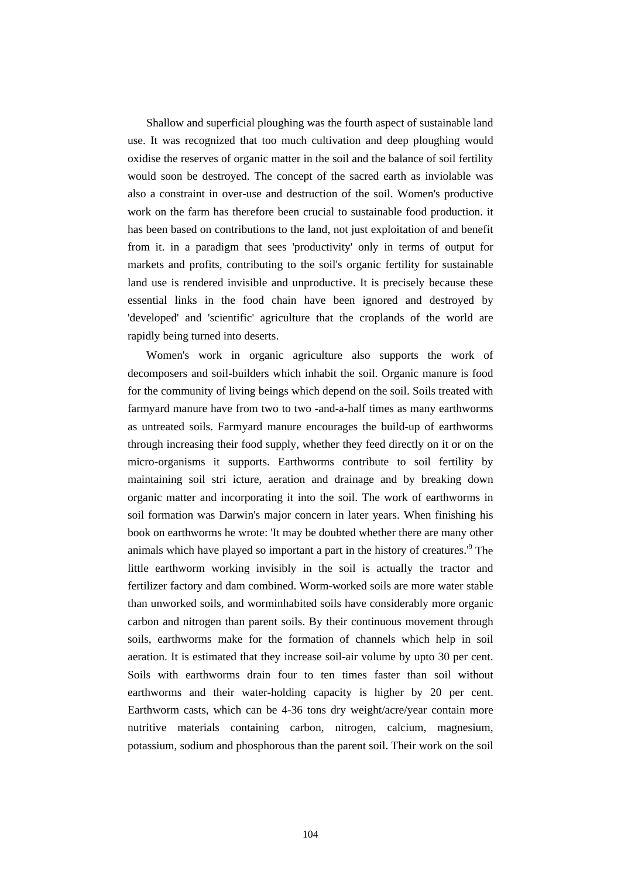Shallow and superficial ploughing was the fourth aspect of sustainable land use. It was recognized that too much cultivation and deep ploughing would oxidise the reserves of organic matter in the soil and the balance of soil fertility would soon be destroyed. The concept of the sacred earth as inviolable was also a constraint in over-use and destruction of the soil. Women's productive work on the farm has therefore been crucial to sustainable food production. it has been based on contributions to the land, not just exploitation of and benefit from it. in a paradigm that sees 'productivity' only in terms of output for markets and profits, contributing to the soil's organic fertility for sustainable land use is rendered invisible and unproductive. It is precisely because these essential links in the food chain have been ignored and destroyed by 'developed' and 'scientific' agriculture that the croplands of the world are rapidly being turned into deserts.

Women's work in organic agriculture also supports the work of decomposers and soil-builders which inhabit the soil. Organic manure is food for the community of living beings which depend on the soil. Soils treated with farmyard manure have from two to two -and-a-half times as many earthworms as untreated soils. Farmyard manure encourages the build-up of earthworms through increasing their food supply, whether they feed directly on it or on the micro-organisms it supports. Earthworms contribute to soil fertility by maintaining soil stri icture, aeration and drainage and by breaking down organic matter and incorporating it into the soil. The work of earthworms in soil formation was Darwin's major concern in later years. When finishing his book on earthworms he wrote: 'It may be doubted whether there are many other animals which have played so important a part in the history of creatures.'<sup>9</sup> The little earthworm working invisibly in the soil is actually the tractor and fertilizer factory and dam combined. Worm-worked soils are more water stable than unworked soils, and worminhabited soils have considerably more organic carbon and nitrogen than parent soils. By their continuous movement through soils, earthworms make for the formation of channels which help in soil aeration. It is estimated that they increase soil-air volume by upto 30 per cent. Soils with earthworms drain four to ten times faster than soil without earthworms and their water-holding capacity is higher by 20 per cent. Earthworm casts, which can be 4-36 tons dry weight/acre/year contain more nutritive materials containing carbon, nitrogen, calcium, magnesium, potassium, sodium and phosphorous than the parent soil. Their work on the soil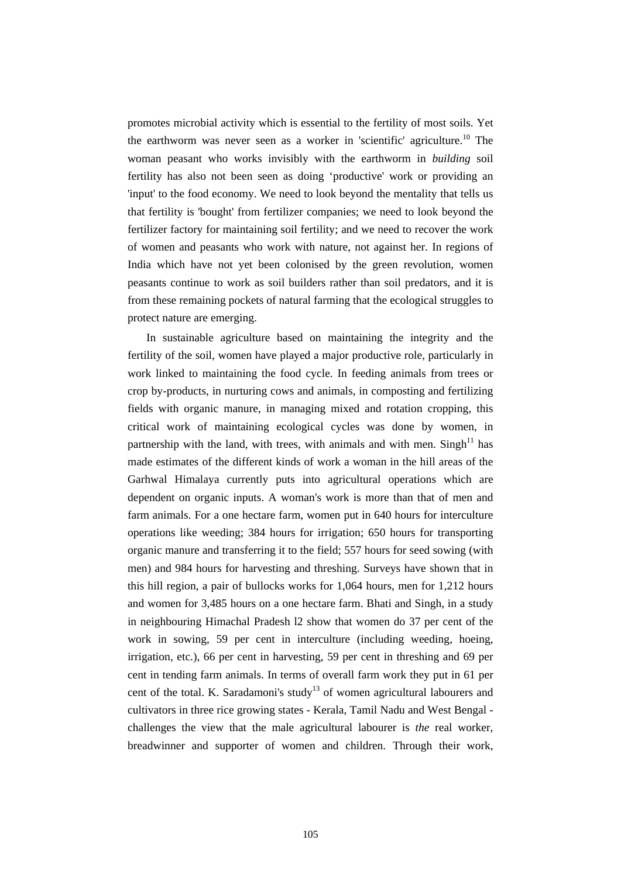promotes microbial activity which is essential to the fertility of most soils. Yet the earthworm was never seen as a worker in 'scientific' agriculture.<sup>10</sup> The woman peasant who works invisibly with the earthworm in *building* soil fertility has also not been seen as doing 'productive' work or providing an 'input' to the food economy. We need to look beyond the mentality that tells us that fertility is 'bought' from fertilizer companies; we need to look beyond the fertilizer factory for maintaining soil fertility; and we need to recover the work of women and peasants who work with nature, not against her. In regions of India which have not yet been colonised by the green revolution, women peasants continue to work as soil builders rather than soil predators, and it is from these remaining pockets of natural farming that the ecological struggles to protect nature are emerging.

In sustainable agriculture based on maintaining the integrity and the fertility of the soil, women have played a major productive role, particularly in work linked to maintaining the food cycle. In feeding animals from trees or crop by-products, in nurturing cows and animals, in composting and fertilizing fields with organic manure, in managing mixed and rotation cropping, this critical work of maintaining ecological cycles was done by women, in partnership with the land, with trees, with animals and with men. Singh<sup>11</sup> has made estimates of the different kinds of work a woman in the hill areas of the Garhwal Himalaya currently puts into agricultural operations which are dependent on organic inputs. A woman's work is more than that of men and farm animals. For a one hectare farm, women put in 640 hours for interculture operations like weeding; 384 hours for irrigation; 650 hours for transporting organic manure and transferring it to the field; 557 hours for seed sowing (with men) and 984 hours for harvesting and threshing. Surveys have shown that in this hill region, a pair of bullocks works for 1,064 hours, men for 1,212 hours and women for 3,485 hours on a one hectare farm. Bhati and Singh, in a study in neighbouring Himachal Pradesh l2 show that women do 37 per cent of the work in sowing, 59 per cent in interculture (including weeding, hoeing, irrigation, etc.), 66 per cent in harvesting, 59 per cent in threshing and 69 per cent in tending farm animals. In terms of overall farm work they put in 61 per cent of the total. K. Saradamoni's study<sup>13</sup> of women agricultural labourers and cultivators in three rice growing states - Kerala, Tamil Nadu and West Bengal challenges the view that the male agricultural labourer is *the* real worker, breadwinner and supporter of women and children. Through their work,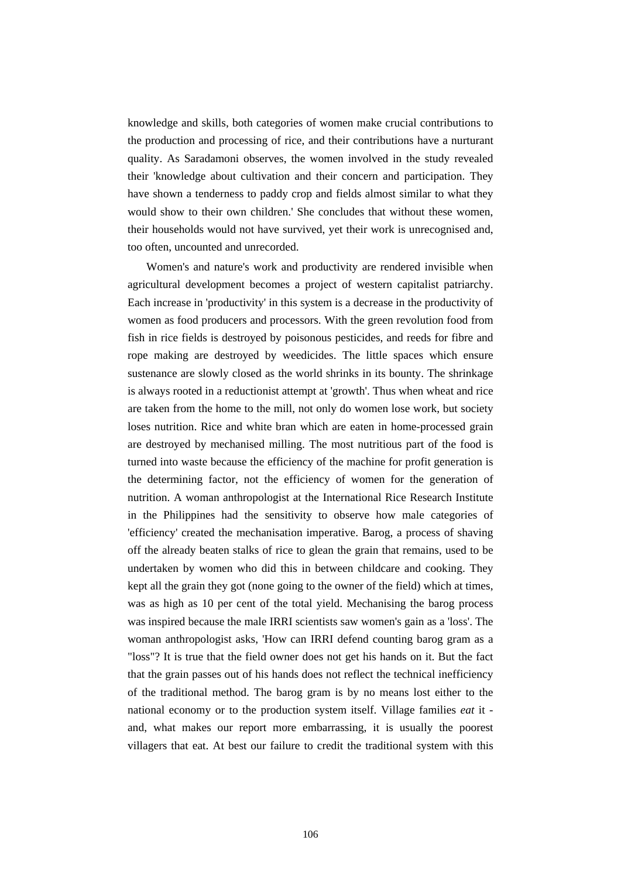knowledge and skills, both categories of women make crucial contributions to the production and processing of rice, and their contributions have a nurturant quality. As Saradamoni observes, the women involved in the study revealed their 'knowledge about cultivation and their concern and participation. They have shown a tenderness to paddy crop and fields almost similar to what they would show to their own children.' She concludes that without these women, their households would not have survived, yet their work is unrecognised and, too often, uncounted and unrecorded.

Women's and nature's work and productivity are rendered invisible when agricultural development becomes a project of western capitalist patriarchy. Each increase in 'productivity' in this system is a decrease in the productivity of women as food producers and processors. With the green revolution food from fish in rice fields is destroyed by poisonous pesticides, and reeds for fibre and rope making are destroyed by weedicides. The little spaces which ensure sustenance are slowly closed as the world shrinks in its bounty. The shrinkage is always rooted in a reductionist attempt at 'growth'. Thus when wheat and rice are taken from the home to the mill, not only do women lose work, but society loses nutrition. Rice and white bran which are eaten in home-processed grain are destroyed by mechanised milling. The most nutritious part of the food is turned into waste because the efficiency of the machine for profit generation is the determining factor, not the efficiency of women for the generation of nutrition. A woman anthropologist at the International Rice Research Institute in the Philippines had the sensitivity to observe how male categories of 'efficiency' created the mechanisation imperative. Barog, a process of shaving off the already beaten stalks of rice to glean the grain that remains, used to be undertaken by women who did this in between childcare and cooking. They kept all the grain they got (none going to the owner of the field) which at times, was as high as 10 per cent of the total yield. Mechanising the barog process was inspired because the male IRRI scientists saw women's gain as a 'loss'. The woman anthropologist asks, 'How can IRRI defend counting barog gram as a "loss"? It is true that the field owner does not get his hands on it. But the fact that the grain passes out of his hands does not reflect the technical inefficiency of the traditional method. The barog gram is by no means lost either to the national economy or to the production system itself. Village families *eat* it and, what makes our report more embarrassing, it is usually the poorest villagers that eat. At best our failure to credit the traditional system with this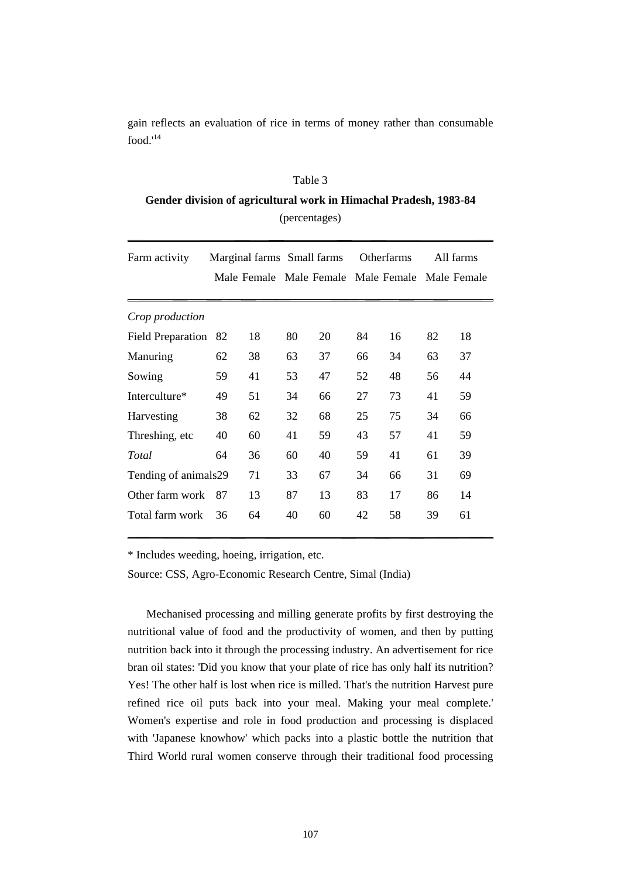gain reflects an evaluation of rice in terms of money rather than consumable food.'<sup>14</sup>

# Table 3 **Gender division of agricultural work in Himachal Pradesh, 1983-84** (percentages)

| Farm activity        |    | Marginal farms Small farms |    | Male Female Male Female Male Female Male Female |    | Otherfarms |    | All farms |
|----------------------|----|----------------------------|----|-------------------------------------------------|----|------------|----|-----------|
| Crop production      |    |                            |    |                                                 |    |            |    |           |
| Field Preparation 82 |    | 18                         | 80 | 20                                              | 84 | 16         | 82 | 18        |
| Manuring             | 62 | 38                         | 63 | 37                                              | 66 | 34         | 63 | 37        |
| Sowing               | 59 | 41                         | 53 | 47                                              | 52 | 48         | 56 | 44        |
| Interculture*        | 49 | 51                         | 34 | 66                                              | 27 | 73         | 41 | 59        |
| Harvesting           | 38 | 62                         | 32 | 68                                              | 25 | 75         | 34 | 66        |
| Threshing, etc       | 40 | 60                         | 41 | 59                                              | 43 | 57         | 41 | 59        |
| Total                | 64 | 36                         | 60 | 40                                              | 59 | 41         | 61 | 39        |
| Tending of animals29 |    | 71                         | 33 | 67                                              | 34 | 66         | 31 | 69        |
| Other farm work      | 87 | 13                         | 87 | 13                                              | 83 | 17         | 86 | 14        |
| Total farm work      | 36 | 64                         | 40 | 60                                              | 42 | 58         | 39 | 61        |

\* Includes weeding, hoeing, irrigation, etc.

Source: CSS, Agro-Economic Research Centre, Simal (India)

Mechanised processing and milling generate profits by first destroying the nutritional value of food and the productivity of women, and then by putting nutrition back into it through the processing industry. An advertisement for rice bran oil states: 'Did you know that your plate of rice has only half its nutrition? Yes! The other half is lost when rice is milled. That's the nutrition Harvest pure refined rice oil puts back into your meal. Making your meal complete.' Women's expertise and role in food production and processing is displaced with 'Japanese knowhow' which packs into a plastic bottle the nutrition that Third World rural women conserve through their traditional food processing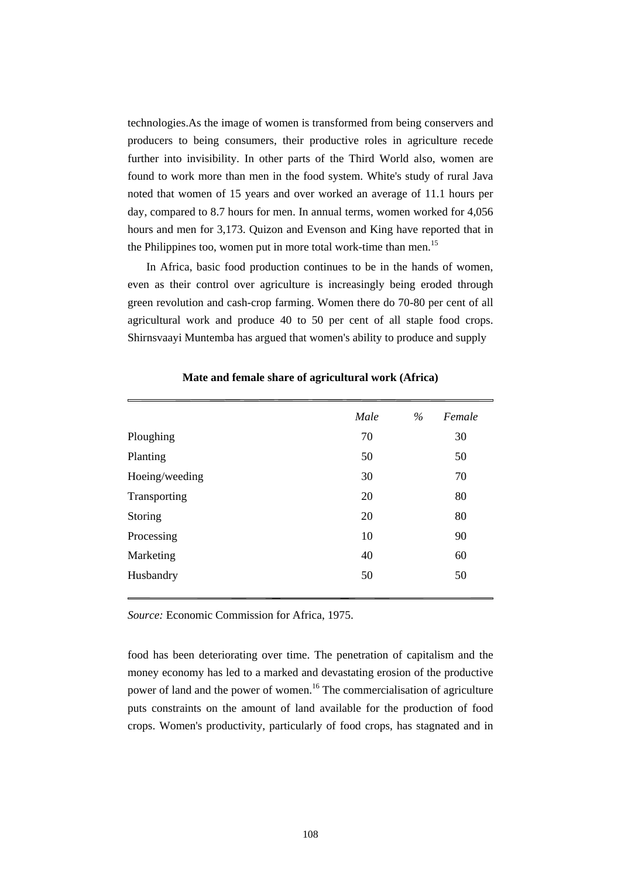technologies.As the image of women is transformed from being conservers and producers to being consumers, their productive roles in agriculture recede further into invisibility. In other parts of the Third World also, women are found to work more than men in the food system. White's study of rural Java noted that women of 15 years and over worked an average of 11.1 hours per day, compared to 8.7 hours for men. In annual terms, women worked for 4,056 hours and men for 3,173. Quizon and Evenson and King have reported that in the Philippines too, women put in more total work-time than men.<sup>15</sup>

In Africa, basic food production continues to be in the hands of women, even as their control over agriculture is increasingly being eroded through green revolution and cash-crop farming. Women there do 70-80 per cent of all agricultural work and produce 40 to 50 per cent of all staple food crops. Shirnsvaayi Muntemba has argued that women's ability to produce and supply

|                | Male | $\%$ | Female |
|----------------|------|------|--------|
| Ploughing      | 70   |      | 30     |
| Planting       | 50   |      | 50     |
| Hoeing/weeding | 30   |      | 70     |
| Transporting   | 20   |      | 80     |
| Storing        | 20   |      | 80     |
| Processing     | 10   |      | 90     |
| Marketing      | 40   |      | 60     |
| Husbandry      | 50   |      | 50     |
|                |      |      |        |

## **Mate and female share of agricultural work (Africa)**

*Source:* Economic Commission for Africa, 1975.

food has been deteriorating over time. The penetration of capitalism and the money economy has led to a marked and devastating erosion of the productive power of land and the power of women.<sup>16</sup> The commercialisation of agriculture puts constraints on the amount of land available for the production of food crops. Women's productivity, particularly of food crops, has stagnated and in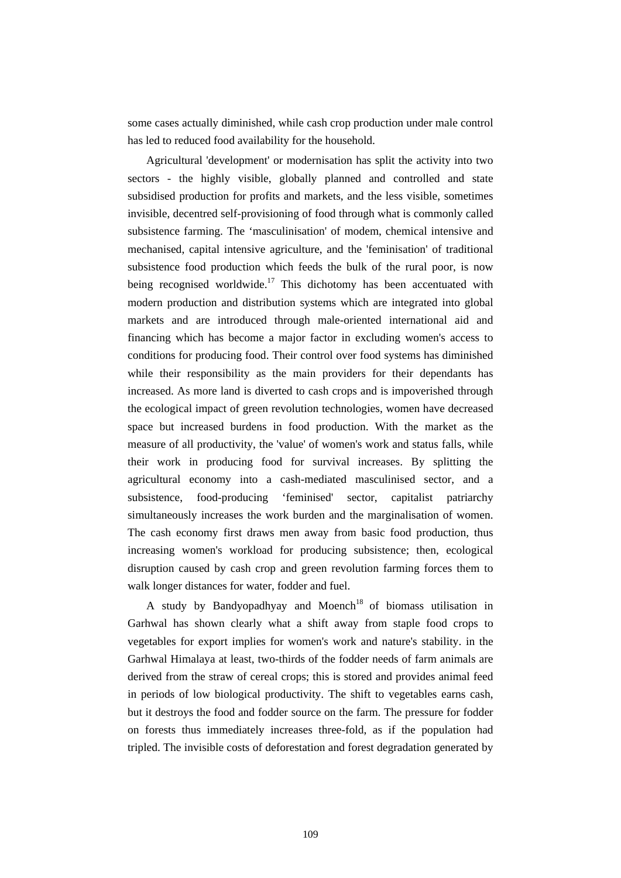some cases actually diminished, while cash crop production under male control has led to reduced food availability for the household.

Agricultural 'development' or modernisation has split the activity into two sectors - the highly visible, globally planned and controlled and state subsidised production for profits and markets, and the less visible, sometimes invisible, decentred self-provisioning of food through what is commonly called subsistence farming. The 'masculinisation' of modem, chemical intensive and mechanised, capital intensive agriculture, and the 'feminisation' of traditional subsistence food production which feeds the bulk of the rural poor, is now being recognised worldwide.<sup>17</sup> This dichotomy has been accentuated with modern production and distribution systems which are integrated into global markets and are introduced through male-oriented international aid and financing which has become a major factor in excluding women's access to conditions for producing food. Their control over food systems has diminished while their responsibility as the main providers for their dependants has increased. As more land is diverted to cash crops and is impoverished through the ecological impact of green revolution technologies, women have decreased space but increased burdens in food production. With the market as the measure of all productivity, the 'value' of women's work and status falls, while their work in producing food for survival increases. By splitting the agricultural economy into a cash-mediated masculinised sector, and a subsistence, food-producing 'feminised' sector, capitalist patriarchy simultaneously increases the work burden and the marginalisation of women. The cash economy first draws men away from basic food production, thus increasing women's workload for producing subsistence; then, ecological disruption caused by cash crop and green revolution farming forces them to walk longer distances for water, fodder and fuel.

A study by Bandyopadhyay and Moench<sup>18</sup> of biomass utilisation in Garhwal has shown clearly what a shift away from staple food crops to vegetables for export implies for women's work and nature's stability. in the Garhwal Himalaya at least, two-thirds of the fodder needs of farm animals are derived from the straw of cereal crops; this is stored and provides animal feed in periods of low biological productivity. The shift to vegetables earns cash, but it destroys the food and fodder source on the farm. The pressure for fodder on forests thus immediately increases three-fold, as if the population had tripled. The invisible costs of deforestation and forest degradation generated by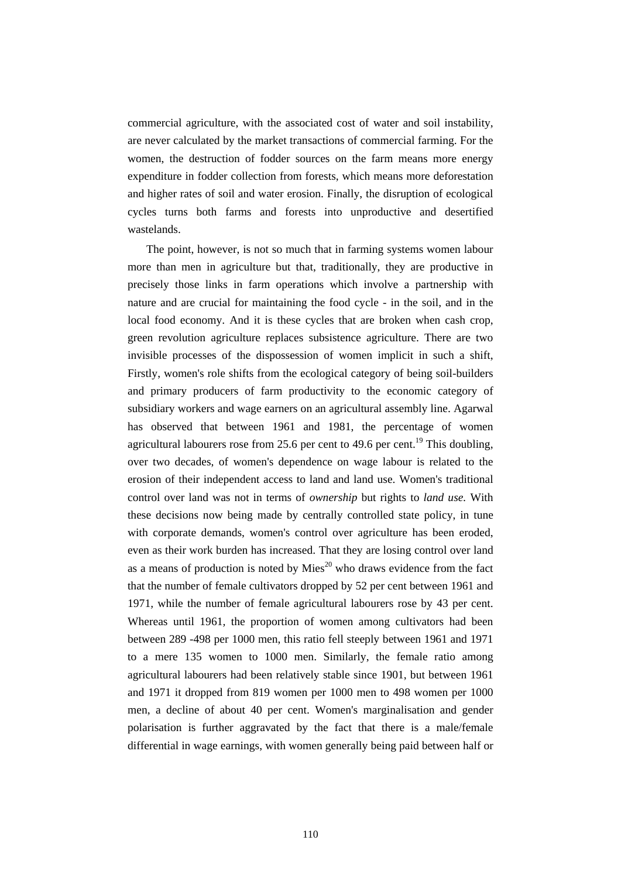commercial agriculture, with the associated cost of water and soil instability, are never calculated by the market transactions of commercial farming. For the women, the destruction of fodder sources on the farm means more energy expenditure in fodder collection from forests, which means more deforestation and higher rates of soil and water erosion. Finally, the disruption of ecological cycles turns both farms and forests into unproductive and desertified wastelands.

The point, however, is not so much that in farming systems women labour more than men in agriculture but that, traditionally, they are productive in precisely those links in farm operations which involve a partnership with nature and are crucial for maintaining the food cycle - in the soil, and in the local food economy. And it is these cycles that are broken when cash crop, green revolution agriculture replaces subsistence agriculture. There are two invisible processes of the dispossession of women implicit in such a shift, Firstly, women's role shifts from the ecological category of being soil-builders and primary producers of farm productivity to the economic category of subsidiary workers and wage earners on an agricultural assembly line. Agarwal has observed that between 1961 and 1981, the percentage of women agricultural labourers rose from 25.6 per cent to 49.6 per cent.<sup>19</sup> This doubling, over two decades, of women's dependence on wage labour is related to the erosion of their independent access to land and land use. Women's traditional control over land was not in terms of *ownership* but rights to *land use.* With these decisions now being made by centrally controlled state policy, in tune with corporate demands, women's control over agriculture has been eroded, even as their work burden has increased. That they are losing control over land as a means of production is noted by  $Mies^{20}$  who draws evidence from the fact that the number of female cultivators dropped by 52 per cent between 1961 and 1971*,* while the number of female agricultural labourers rose by 43 per cent. Whereas until 1961*,* the proportion of women among cultivators had been between 289 -498 per 1000 men, this ratio fell steeply between 1961 and 1971 to a mere 135 women to 1000 men. Similarly, the female ratio among agricultural labourers had been relatively stable since 1901, but between 1961 and 1971 it dropped from 819 women per 1000 men to 498 women per 1000 men, a decline of about 40 per cent. Women's marginalisation and gender polarisation is further aggravated by the fact that there is a male/female differential in wage earnings, with women generally being paid between half or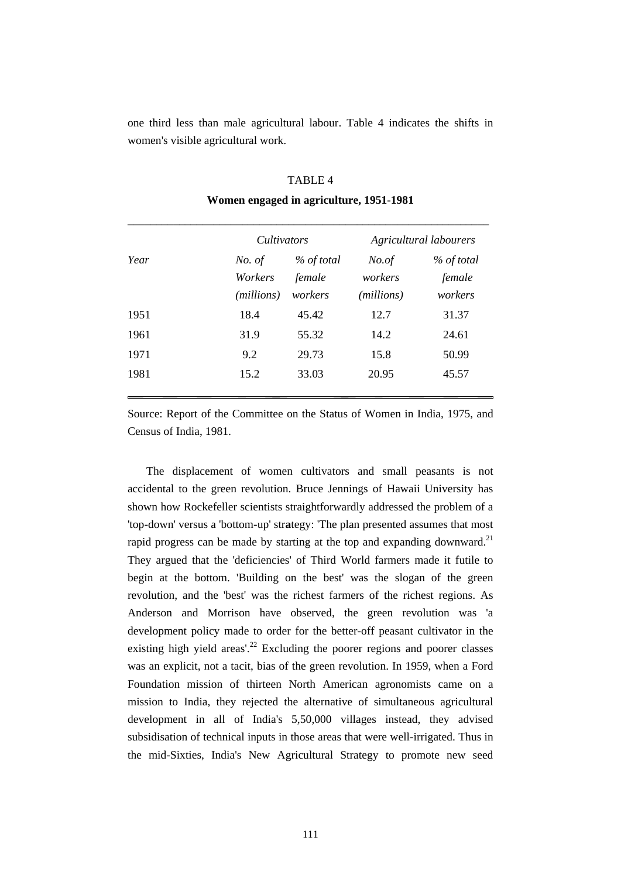one third less than male agricultural labour. Table 4 indicates the shifts in women's visible agricultural work.

#### TABLE 4

|      | <i>Cultivators</i>                       |                                 | Agricultural labourers                   |                                 |  |
|------|------------------------------------------|---------------------------------|------------------------------------------|---------------------------------|--|
| Year | No. of<br>Workers<br>( <i>millions</i> ) | % of total<br>female<br>workers | No. of<br>workers<br>( <i>millions</i> ) | % of total<br>female<br>workers |  |
| 1951 | 18.4                                     | 45.42                           | 12.7                                     | 31.37                           |  |
| 1961 | 31.9                                     | 55.32                           | 14.2                                     | 24.61                           |  |
| 1971 | 9.2                                      | 29.73                           | 15.8                                     | 50.99                           |  |
| 1981 | 15.2                                     | 33.03                           | 20.95                                    | 45.57                           |  |
|      |                                          |                                 |                                          |                                 |  |

### **Women engaged in agriculture, 1951-1981**

Source: Report of the Committee on the Status of Women in India, 1975, and Census of India, 1981.

The displacement of women cultivators and small peasants is not accidental to the green revolution. Bruce Jennings of Hawaii University has shown how Rockefeller scientists straightforwardly addressed the problem of a 'top-down' versus a 'bottom-up' str**a**tegy: 'The plan presented assumes that most rapid progress can be made by starting at the top and expanding downward.<sup>21</sup> They argued that the 'deficiencies' of Third World farmers made it futile to begin at the bottom. 'Building on the best' was the slogan of the green revolution, and the 'best' was the richest farmers of the richest regions. As Anderson and Morrison have observed, the green revolution was 'a development policy made to order for the better-off peasant cultivator in the existing high yield areas'.<sup>22</sup> Excluding the poorer regions and poorer classes was an explicit, not a tacit, bias of the green revolution. In 1959, when a Ford Foundation mission of thirteen North American agronomists came on a mission to India, they rejected the alternative of simultaneous agricultural development in all of India's 5,50,000 villages instead, they advised subsidisation of technical inputs in those areas that were well-irrigated. Thus in the mid-Sixties, India's New Agricultural Strategy to promote new seed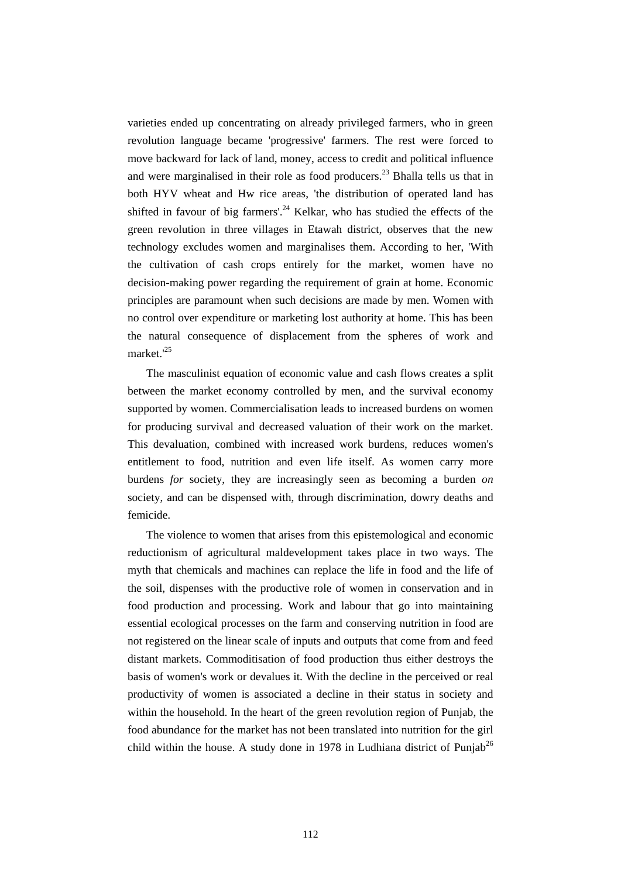varieties ended up concentrating on already privileged farmers, who in green revolution language became 'progressive' farmers. The rest were forced to move backward for lack of land, money, access to credit and political influence and were marginalised in their role as food producers.<sup>23</sup> Bhalla tells us that in both HYV wheat and Hw rice areas, 'the distribution of operated land has shifted in favour of big farmers'.<sup>24</sup> Kelkar, who has studied the effects of the green revolution in three villages in Etawah district, observes that the new technology excludes women and marginalises them. According to her, 'With the cultivation of cash crops entirely for the market, women have no decision-making power regarding the requirement of grain at home. Economic principles are paramount when such decisions are made by men. Women with no control over expenditure or marketing lost authority at home. This has been the natural consequence of displacement from the spheres of work and market<sup>125</sup>

The masculinist equation of economic value and cash flows creates a split between the market economy controlled by men, and the survival economy supported by women. Commercialisation leads to increased burdens on women for producing survival and decreased valuation of their work on the market. This devaluation, combined with increased work burdens, reduces women's entitlement to food, nutrition and even life itself. As women carry more burdens *for* society, they are increasingly seen as becoming a burden *on*  society, and can be dispensed with, through discrimination, dowry deaths and femicide.

The violence to women that arises from this epistemological and economic reductionism of agricultural maldevelopment takes place in two ways. The myth that chemicals and machines can replace the life in food and the life of the soil, dispenses with the productive role of women in conservation and in food production and processing. Work and labour that go into maintaining essential ecological processes on the farm and conserving nutrition in food are not registered on the linear scale of inputs and outputs that come from and feed distant markets. Commoditisation of food production thus either destroys the basis of women's work or devalues it. With the decline in the perceived or real productivity of women is associated a decline in their status in society and within the household. In the heart of the green revolution region of Punjab, the food abundance for the market has not been translated into nutrition for the girl child within the house. A study done in 1978 in Ludhiana district of Punjab<sup>26</sup>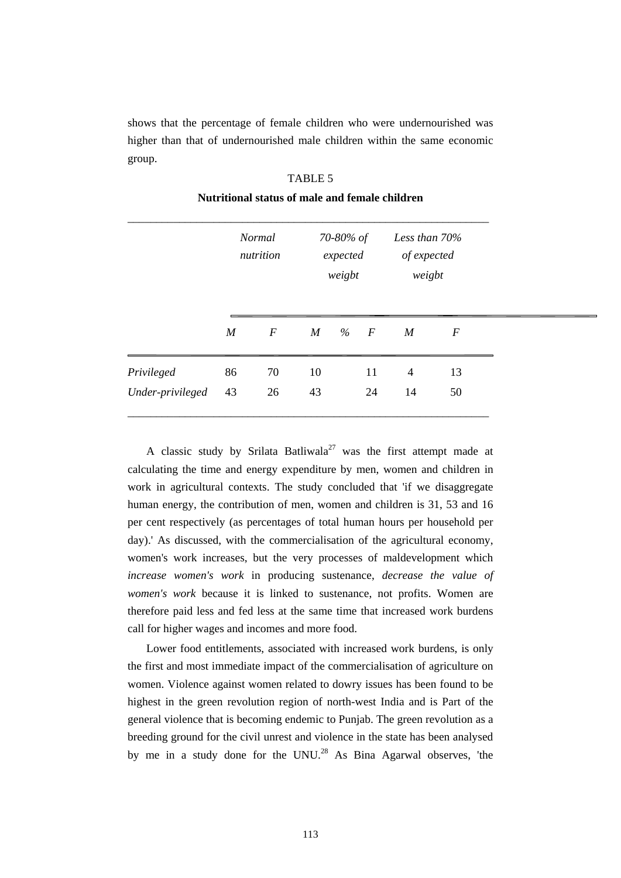shows that the percentage of female children who were undernourished was higher than that of undernourished male children within the same economic group.

### TABLE 5

**Nutritional status of male and female children** 

|                  |                  | <b>Normal</b><br>nutrition |    | 70-80% of<br>expected<br>weight |    | Less than $70%$<br>of expected<br>weight |       |
|------------------|------------------|----------------------------|----|---------------------------------|----|------------------------------------------|-------|
|                  | $\boldsymbol{M}$ | $\boldsymbol{F}$           | M  | $%$ F                           |    | M                                        | $\,F$ |
| Privileged       | 86               | 70                         | 10 |                                 | 11 | $\overline{4}$                           | 13    |
| Under-privileged | 43               | 26                         | 43 |                                 | 24 | 14                                       | 50    |

A classic study by Srilata Batliwala<sup>27</sup> was the first attempt made at calculating the time and energy expenditure by men, women and children in work in agricultural contexts. The study concluded that 'if we disaggregate human energy, the contribution of men, women and children is 31, 53 and 16 per cent respectively (as percentages of total human hours per household per day).' As discussed, with the commercialisation of the agricultural economy, women's work increases, but the very processes of maldevelopment which *increase women's work* in producing sustenance, *decrease the value of women's work* because it is linked to sustenance, not profits. Women are therefore paid less and fed less at the same time that increased work burdens call for higher wages and incomes and more food.

Lower food entitlements, associated with increased work burdens, is only the first and most immediate impact of the commercialisation of agriculture on women. Violence against women related to dowry issues has been found to be highest in the green revolution region of north-west India and is Part of the general violence that is becoming endemic to Punjab. The green revolution as a breeding ground for the civil unrest and violence in the state has been analysed by me in a study done for the UNU.<sup>28</sup> As Bina Agarwal observes, 'the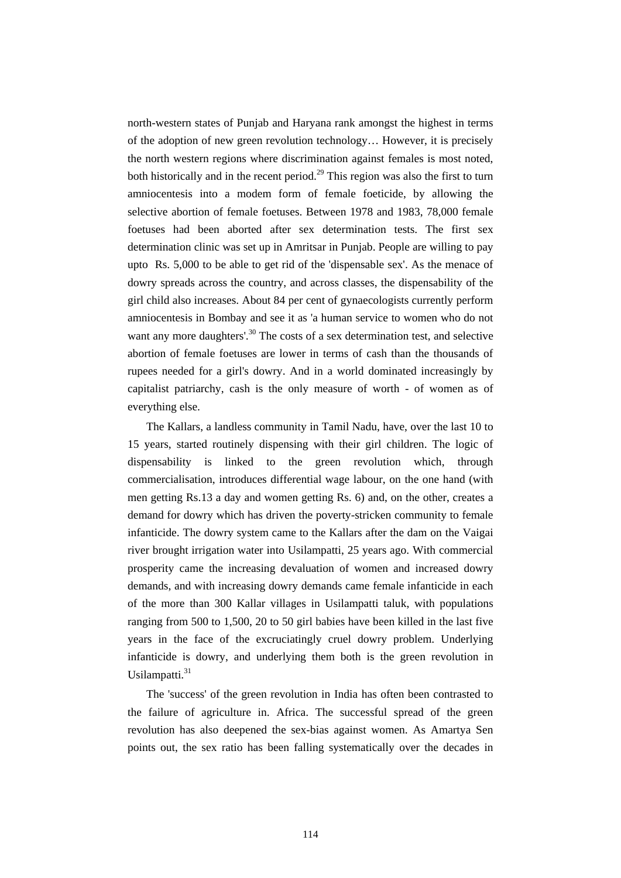north-western states of Punjab and Haryana rank amongst the highest in terms of the adoption of new green revolution technology… However, it is precisely the north western regions where discrimination against females is most noted, both historically and in the recent period.<sup>29</sup> This region was also the first to turn amniocentesis into a modem form of female foeticide, by allowing the selective abortion of female foetuses. Between 1978 and 1983, 78,000 female foetuses had been aborted after sex determination tests. The first sex determination clinic was set up in Amritsar in Punjab. People are willing to pay upto Rs. 5,000 to be able to get rid of the 'dispensable sex'. As the menace of dowry spreads across the country, and across classes, the dispensability of the girl child also increases. About 84 per cent of gynaecologists currently perform amniocentesis in Bombay and see it as 'a human service to women who do not want any more daughters'.<sup>30</sup> The costs of a sex determination test, and selective abortion of female foetuses are lower in terms of cash than the thousands of rupees needed for a girl's dowry. And in a world dominated increasingly by capitalist patriarchy, cash is the only measure of worth - of women as of everything else.

The Kallars, a landless community in Tamil Nadu, have, over the last 10 to 15 years, started routinely dispensing with their girl children. The logic of dispensability is linked to the green revolution which, through commercialisation, introduces differential wage labour, on the one hand (with men getting Rs.13 a day and women getting Rs. 6) and, on the other, creates a demand for dowry which has driven the poverty-stricken community to female infanticide. The dowry system came to the Kallars after the dam on the Vaigai river brought irrigation water into Usilampatti, 25 years ago. With commercial prosperity came the increasing devaluation of women and increased dowry demands, and with increasing dowry demands came female infanticide in each of the more than 300 Kallar villages in Usilampatti taluk, with populations ranging from 500 to 1,500, 20 to 50 girl babies have been killed in the last five years in the face of the excruciatingly cruel dowry problem. Underlying infanticide is dowry, and underlying them both is the green revolution in Usilampatti. $31$ 

The 'success' of the green revolution in India has often been contrasted to the failure of agriculture in. Africa. The successful spread of the green revolution has also deepened the sex-bias against women. As Amartya Sen points out, the sex ratio has been falling systematically over the decades in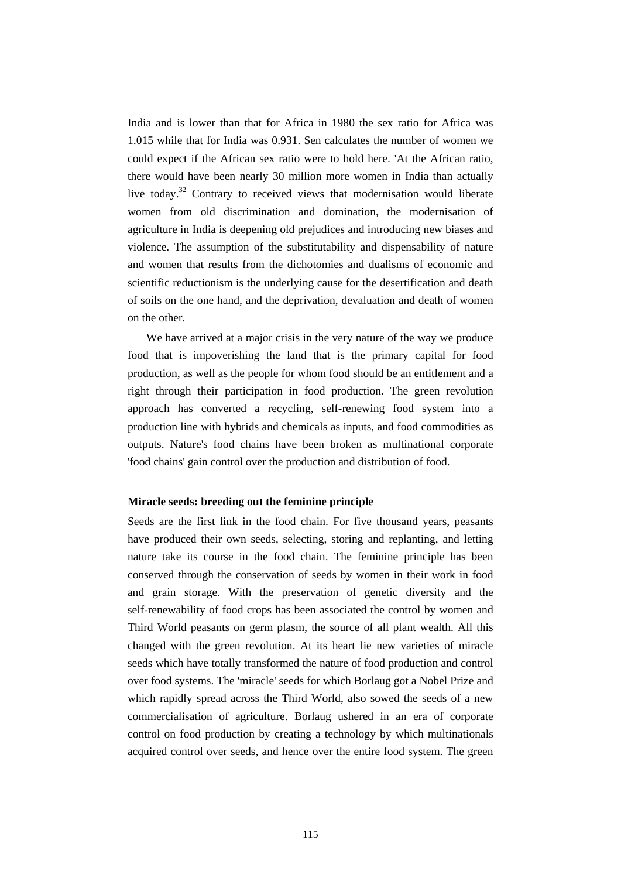India and is lower than that for Africa in 1980 the sex ratio for Africa was 1.015 while that for India was 0.931. Sen calculates the number of women we could expect if the African sex ratio were to hold here. 'At the African ratio, there would have been nearly 30 million more women in India than actually live today.<sup>32</sup> Contrary to received views that modernisation would liberate women from old discrimination and domination, the modernisation of agriculture in India is deepening old prejudices and introducing new biases and violence. The assumption of the substitutability and dispensability of nature and women that results from the dichotomies and dualisms of economic and scientific reductionism is the underlying cause for the desertification and death of soils on the one hand, and the deprivation, devaluation and death of women on the other.

We have arrived at a major crisis in the very nature of the way we produce food that is impoverishing the land that is the primary capital for food production, as well as the people for whom food should be an entitlement and a right through their participation in food production. The green revolution approach has converted a recycling, self-renewing food system into a production line with hybrids and chemicals as inputs, and food commodities as outputs. Nature's food chains have been broken as multinational corporate 'food chains' gain control over the production and distribution of food.

### **Miracle seeds: breeding out the feminine principle**

Seeds are the first link in the food chain. For five thousand years, peasants have produced their own seeds, selecting, storing and replanting, and letting nature take its course in the food chain. The feminine principle has been conserved through the conservation of seeds by women in their work in food and grain storage. With the preservation of genetic diversity and the self-renewability of food crops has been associated the control by women and Third World peasants on germ plasm, the source of all plant wealth. All this changed with the green revolution. At its heart lie new varieties of miracle seeds which have totally transformed the nature of food production and control over food systems. The 'miracle' seeds for which Borlaug got a Nobel Prize and which rapidly spread across the Third World, also sowed the seeds of a new commercialisation of agriculture. Borlaug ushered in an era of corporate control on food production by creating a technology by which multinationals acquired control over seeds, and hence over the entire food system. The green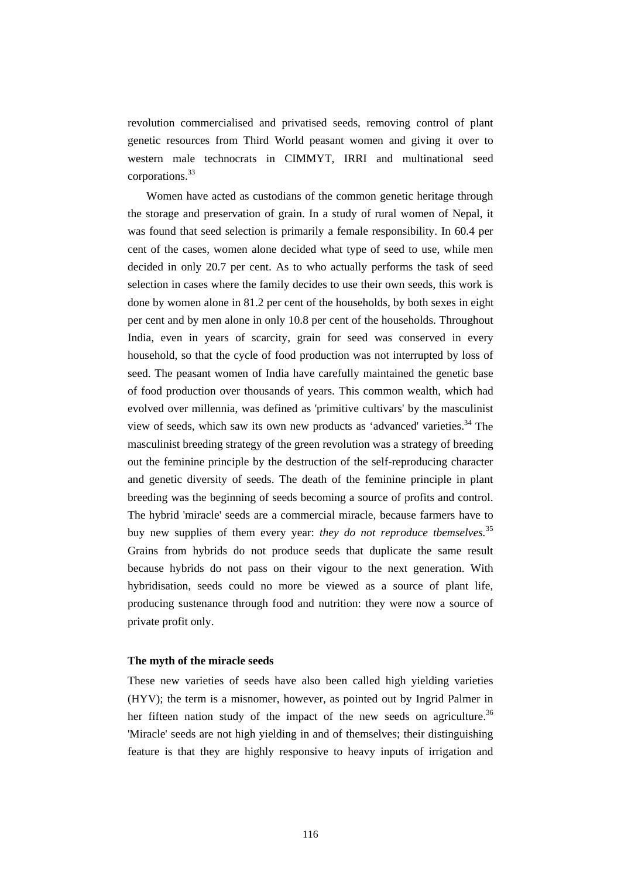revolution commercialised and privatised seeds, removing control of plant genetic resources from Third World peasant women and giving it over to western male technocrats in CIMMYT, IRRI and multinational seed corporations.33

Women have acted as custodians of the common genetic heritage through the storage and preservation of grain. In a study of rural women of Nepal, it was found that seed selection is primarily a female responsibility. In 60.4 per cent of the cases, women alone decided what type of seed to use, while men decided in only 20.7 per cent. As to who actually performs the task of seed selection in cases where the family decides to use their own seeds, this work is done by women alone in 81.2 per cent of the households, by both sexes in eight per cent and by men alone in only 10.8 per cent of the households. Throughout India, even in years of scarcity, grain for seed was conserved in every household, so that the cycle of food production was not interrupted by loss of seed. The peasant women of India have carefully maintained the genetic base of food production over thousands of years. This common wealth, which had evolved over millennia, was defined as 'primitive cultivars' by the masculinist view of seeds, which saw its own new products as 'advanced' varieties.<sup>34</sup> The masculinist breeding strategy of the green revolution was a strategy of breeding out the feminine principle by the destruction of the self-reproducing character and genetic diversity of seeds. The death of the feminine principle in plant breeding was the beginning of seeds becoming a source of profits and control. The hybrid 'miracle' seeds are a commercial miracle, because farmers have to buy new supplies of them every year: *they do not reproduce tbemselves.*<sup>35</sup> Grains from hybrids do not produce seeds that duplicate the same result because hybrids do not pass on their vigour to the next generation. With hybridisation, seeds could no more be viewed as a source of plant life, producing sustenance through food and nutrition: they were now a source of private profit only.

#### **The myth of the miracle seeds**

These new varieties of seeds have also been called high yielding varieties (HYV); the term is a misnomer, however, as pointed out by Ingrid Palmer in her fifteen nation study of the impact of the new seeds on agriculture.<sup>36</sup> 'Miracle' seeds are not high yielding in and of themselves; their distinguishing feature is that they are highly responsive to heavy inputs of irrigation and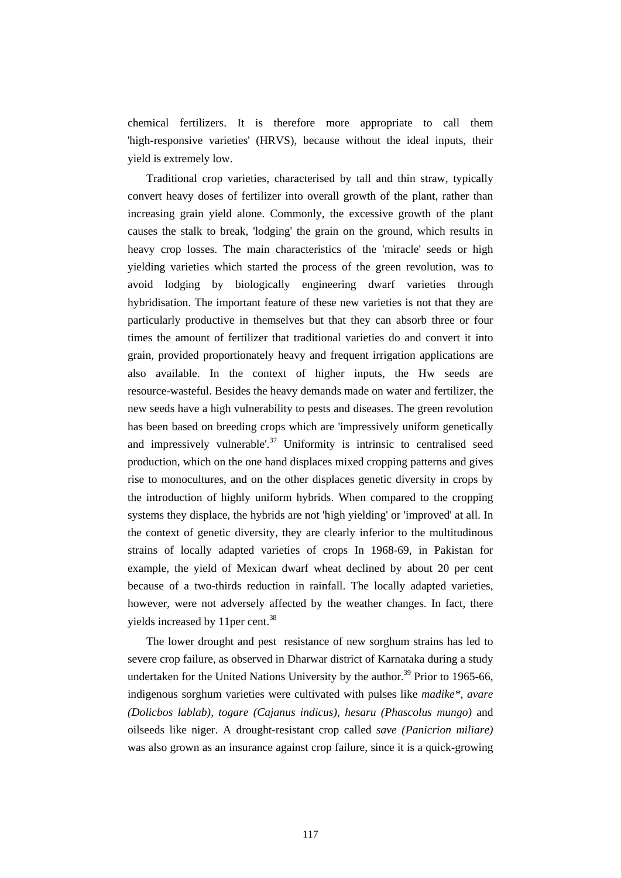chemical fertilizers. It is therefore more appropriate to call them 'high-responsive varieties' (HRVS), because without the ideal inputs, their yield is extremely low.

Traditional crop varieties, characterised by tall and thin straw, typically convert heavy doses of fertilizer into overall growth of the plant, rather than increasing grain yield alone. Commonly, the excessive growth of the plant causes the stalk to break, 'lodging' the grain on the ground, which results in heavy crop losses. The main characteristics of the 'miracle' seeds or high yielding varieties which started the process of the green revolution, was to avoid lodging by biologically engineering dwarf varieties through hybridisation. The important feature of these new varieties is not that they are particularly productive in themselves but that they can absorb three or four times the amount of fertilizer that traditional varieties do and convert it into grain, provided proportionately heavy and frequent irrigation applications are also available. In the context of higher inputs, the Hw seeds are resource-wasteful. Besides the heavy demands made on water and fertilizer, the new seeds have a high vulnerability to pests and diseases. The green revolution has been based on breeding crops which are 'impressively uniform genetically and impressively vulnerable'. $37$  Uniformity is intrinsic to centralised seed production, which on the one hand displaces mixed cropping patterns and gives rise to monocultures, and on the other displaces genetic diversity in crops by the introduction of highly uniform hybrids. When compared to the cropping systems they displace, the hybrids are not 'high yielding' or 'improved' at all. In the context of genetic diversity, they are clearly inferior to the multitudinous strains of locally adapted varieties of crops In 1968-69, in Pakistan for example, the yield of Mexican dwarf wheat declined by about 20 per cent because of a two-thirds reduction in rainfall. The locally adapted varieties, however, were not adversely affected by the weather changes. In fact, there yields increased by 11per cent.<sup>38</sup>

The lower drought and pest resistance of new sorghum strains has led to severe crop failure, as observed in Dharwar district of Karnataka during a study undertaken for the United Nations University by the author.<sup>39</sup> Prior to 1965-66, indigenous sorghum varieties were cultivated with pulses like *madike\*, avare (Dolicbos lablab), togare (Cajanus indicus), hesaru (Phascolus mungo)* and oilseeds like niger. A drought-resistant crop called *save (Panicrion miliare)*  was also grown as an insurance against crop failure, since it is a quick-growing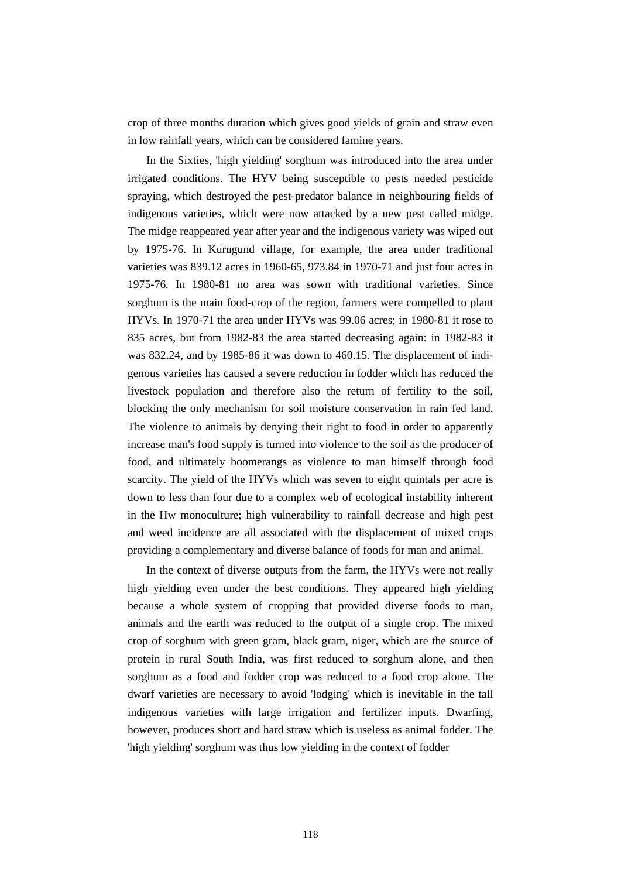crop of three months duration which gives good yields of grain and straw even in low rainfall years, which can be considered famine years.

In the Sixties, 'high yielding' sorghum was introduced into the area under irrigated conditions. The HYV being susceptible to pests needed pesticide spraying, which destroyed the pest-predator balance in neighbouring fields of indigenous varieties, which were now attacked by a new pest called midge. The midge reappeared year after year and the indigenous variety was wiped out by 1975-76*.* In Kurugund village, for example, the area under traditional varieties was 839.12 acres in 1960-65, 973.84 in 1970-71 and just four acres in 1975-76*.* In 1980-81 no area was sown with traditional varieties. Since sorghum is the main food-crop of the region, farmers were compelled to plant HYVs. In 1970-71 the area under HYVs was 99.06 acres; in 1980-81 it rose to 835 acres, but from 1982-83 the area started decreasing again: in 1982-83 it was 832.24*,* and by 1985-86 it was down to 460.15*.* The displacement of indigenous varieties has caused a severe reduction in fodder which has reduced the livestock population and therefore also the return of fertility to the soil, blocking the only mechanism for soil moisture conservation in rain fed land. The violence to animals by denying their right to food in order to apparently increase man's food supply is turned into violence to the soil as the producer of food, and ultimately boomerangs as violence to man himself through food scarcity. The yield of the HYVs which was seven to eight quintals per acre is down to less than four due to a complex web of ecological instability inherent in the Hw monoculture; high vulnerability to rainfall decrease and high pest and weed incidence are all associated with the displacement of mixed crops providing a complementary and diverse balance of foods for man and animal.

In the context of diverse outputs from the farm, the HYVs were not really high yielding even under the best conditions. They appeared high yielding because a whole system of cropping that provided diverse foods to man, animals and the earth was reduced to the output of a single crop. The mixed crop of sorghum with green gram, black gram, niger, which are the source of protein in rural South India, was first reduced to sorghum alone, and then sorghum as a food and fodder crop was reduced to a food crop alone. The dwarf varieties are necessary to avoid 'lodging' which is inevitable in the tall indigenous varieties with large irrigation and fertilizer inputs. Dwarfing, however, produces short and hard straw which is useless as animal fodder. The 'high yielding' sorghum was thus low yielding in the context of fodder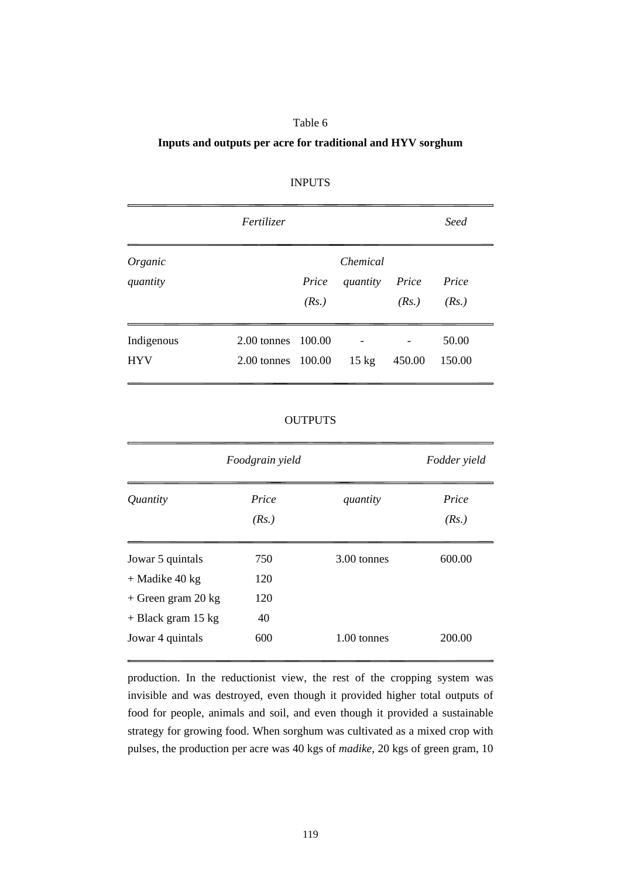## Table 6

### **Inputs and outputs per acre for traditional and HYV sorghum**

|                          | Fertilizer                               |                |                                             |                | Seed            |
|--------------------------|------------------------------------------|----------------|---------------------------------------------|----------------|-----------------|
| Organic<br>quantity      |                                          | Price<br>(Rs.) | Chemical<br>quantity                        | Price<br>(Rs.) | Price<br>(Rs.)  |
| Indigenous<br><b>HYV</b> | 2.00 tonnes 100.00<br>2.00 tonnes 100.00 |                | $\overline{\phantom{a}}$<br>$15 \text{ kg}$ | 450.00         | 50.00<br>150.00 |

## INPUTS

### **OUTPUTS**

|                      | Foodgrain yield |             | Fodder yield   |
|----------------------|-----------------|-------------|----------------|
| Quantity             | Price<br>(Rs.)  | quantity    | Price<br>(Rs.) |
| Jowar 5 quintals     | 750             | 3.00 tonnes | 600.00         |
| $+$ Madike 40 kg     | 120             |             |                |
| $+$ Green gram 20 kg | 120             |             |                |
| $+$ Black gram 15 kg | 40              |             |                |
| Jowar 4 quintals     | 600             | 1.00 tonnes | 200.00         |

production. In the reductionist view, the rest of the cropping system was invisible and was destroyed, even though it provided higher total outputs of food for people, animals and soil, and even though it provided a sustainable strategy for growing food. When sorghum was cultivated as a mixed crop with pulses, the production per acre was 40 kgs of *madike,* 20 kgs of green gram, 10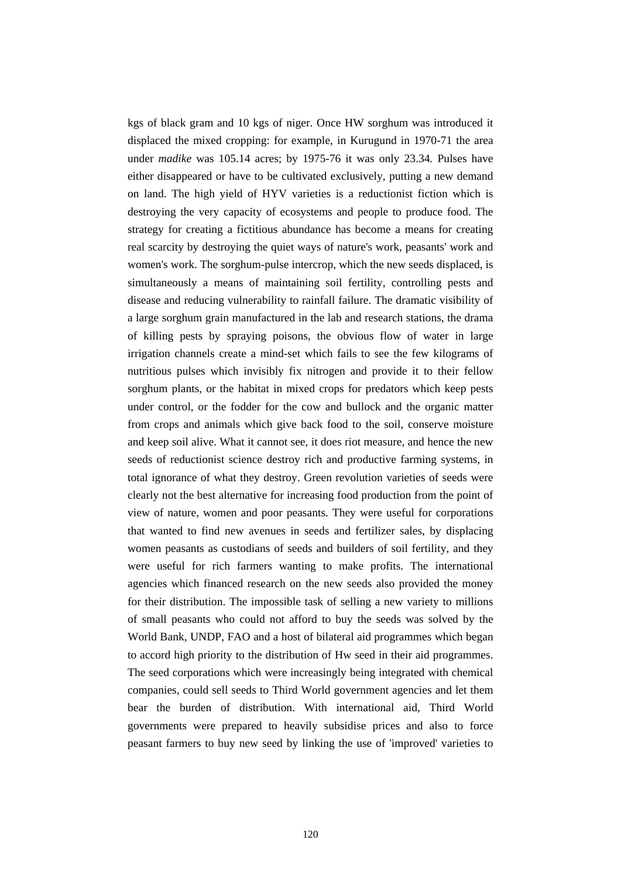kgs of black gram and 10 kgs of niger. Once HW sorghum was introduced it displaced the mixed cropping: for example, in Kurugund in 1970-71 the area under *madike* was 105.14 acres; by 1975-76 it was only 23.34*.* Pulses have either disappeared or have to be cultivated exclusively, putting a new demand on land. The high yield of HYV varieties is a reductionist fiction which is destroying the very capacity of ecosystems and people to produce food. The strategy for creating a fictitious abundance has become a means for creating real scarcity by destroying the quiet ways of nature's work, peasants' work and women's work. The sorghum-pulse intercrop, which the new seeds displaced, is simultaneously a means of maintaining soil fertility, controlling pests and disease and reducing vulnerability to rainfall failure. The dramatic visibility of a large sorghum grain manufactured in the lab and research stations, the drama of killing pests by spraying poisons, the obvious flow of water in large irrigation channels create a mind-set which fails to see the few kilograms of nutritious pulses which invisibly fix nitrogen and provide it to their fellow sorghum plants, or the habitat in mixed crops for predators which keep pests under control, or the fodder for the cow and bullock and the organic matter from crops and animals which give back food to the soil, conserve moisture and keep soil alive. What it cannot see, it does riot measure, and hence the new seeds of reductionist science destroy rich and productive farming systems, in total ignorance of what they destroy. Green revolution varieties of seeds were clearly not the best alternative for increasing food production from the point of view of nature, women and poor peasants. They were useful for corporations that wanted to find new avenues in seeds and fertilizer sales, by displacing women peasants as custodians of seeds and builders of soil fertility, and they were useful for rich farmers wanting to make profits. The international agencies which financed research on the new seeds also provided the money for their distribution. The impossible task of selling a new variety to millions of small peasants who could not afford to buy the seeds was solved by the World Bank, UNDP, FAO and a host of bilateral aid programmes which began to accord high priority to the distribution of Hw seed in their aid programmes. The seed corporations which were increasingly being integrated with chemical companies, could sell seeds to Third World government agencies and let them bear the burden of distribution. With international aid, Third World governments were prepared to heavily subsidise prices and also to force peasant farmers to buy new seed by linking the use of 'improved' varieties to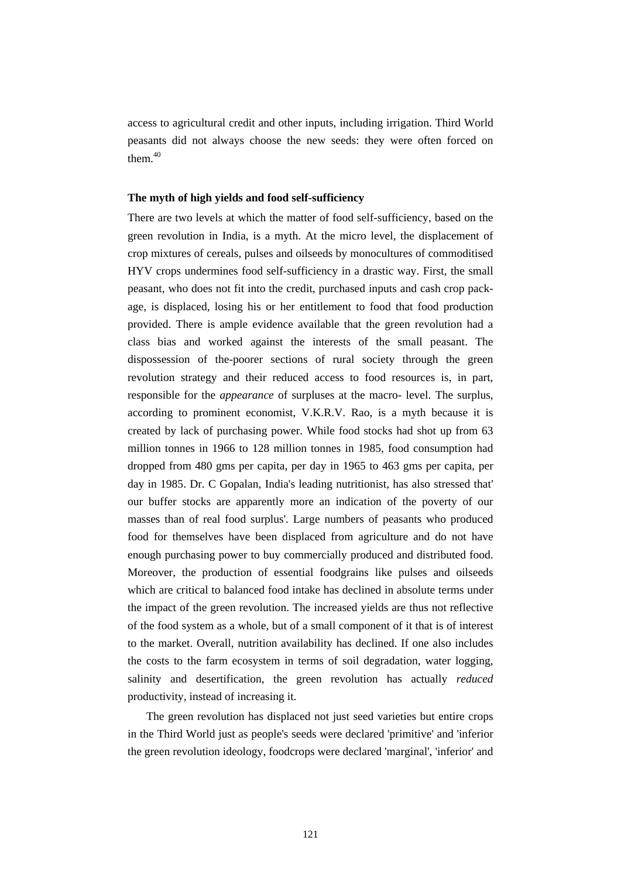access to agricultural credit and other inputs, including irrigation. Third World peasants did not always choose the new seeds: they were often forced on them.40

#### **The myth of high yields and food self-sufficiency**

There are two levels at which the matter of food self-sufficiency, based on the green revolution in India, is a myth. At the micro level, the displacement of crop mixtures of cereals, pulses and oilseeds by monocultures of commoditised HYV crops undermines food self-sufficiency in a drastic way. First, the small peasant, who does not fit into the credit, purchased inputs and cash crop package, is displaced, losing his or her entitlement to food that food production provided. There is ample evidence available that the green revolution had a class bias and worked against the interests of the small peasant. The dispossession of the-poorer sections of rural society through the green revolution strategy and their reduced access to food resources is, in part, responsible for the *appearance* of surpluses at the macro- level. The surplus, according to prominent economist, V.K.R.V. Rao, is a myth because it is created by lack of purchasing power. While food stocks had shot up from 63 million tonnes in 1966 to 128 million tonnes in 1985, food consumption had dropped from 480 gms per capita, per day in 1965 to 463 gms per capita, per day in 1985. Dr. C Gopalan, India's leading nutritionist, has also stressed that' our buffer stocks are apparently more an indication of the poverty of our masses than of real food surplus'. Large numbers of peasants who produced food for themselves have been displaced from agriculture and do not have enough purchasing power to buy commercially produced and distributed food. Moreover, the production of essential foodgrains like pulses and oilseeds which are critical to balanced food intake has declined in absolute terms under the impact of the green revolution. The increased yields are thus not reflective of the food system as a whole, but of a small component of it that is of interest to the market. Overall, nutrition availability has declined. If one also includes the costs to the farm ecosystem in terms of soil degradation, water logging, salinity and desertification, the green revolution has actually *reduced*  productivity, instead of increasing it.

The green revolution has displaced not just seed varieties but entire crops in the Third World just as people's seeds were declared 'primitive' and 'inferior the green revolution ideology, foodcrops were declared 'marginal', 'inferior' and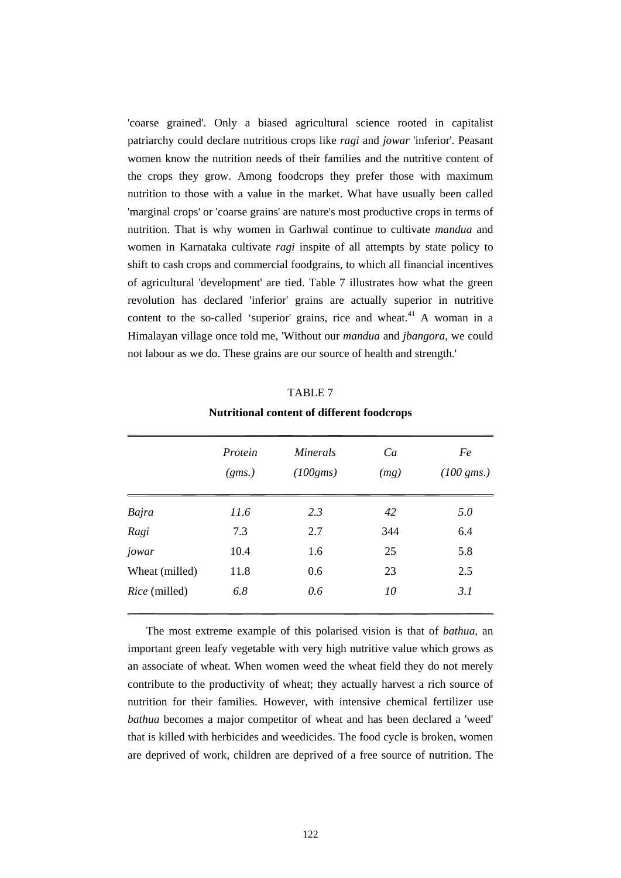'coarse grained'. Only a biased agricultural science rooted in capitalist patriarchy could declare nutritious crops like *ragi* and *jowar* 'inferior'. Peasant women know the nutrition needs of their families and the nutritive content of the crops they grow. Among foodcrops they prefer those with maximum nutrition to those with a value in the market. What have usually been called 'marginal crops' or 'coarse grains' are nature's most productive crops in terms of nutrition. That is why women in Garhwal continue to cultivate *mandua* and women in Karnataka cultivate *ragi* inspite of all attempts by state policy to shift to cash crops and commercial foodgrains, to which all financial incentives of agricultural 'development' are tied. Table 7 illustrates how what the green revolution has declared 'inferior' grains are actually superior in nutritive content to the so-called 'superior' grains, rice and wheat. $41$  A woman in a Himalayan village once told me, 'Without our *mandua* and *jbangora,* we could not labour as we do. These grains are our source of health and strength.'

|                      | Protein | Minerals | Ca   | Fe                   |
|----------------------|---------|----------|------|----------------------|
|                      | (gms.)  | (100gms) | (mg) | $(100 \text{ gms.})$ |
| Bajra                | 11.6    | 2.3      | 42   | 5.0                  |
| Ragi                 | 7.3     | 2.7      | 344  | 6.4                  |
| jowar                | 10.4    | 1.6      | 25   | 5.8                  |
| Wheat (milled)       | 11.8    | 0.6      | 23   | 2.5                  |
| <i>Rice</i> (milled) | 6.8     | 0.6      | 10   | 3.1                  |

TABLE 7 **Nutritional content of different foodcrops** 

The most extreme example of this polarised vision is that of *bathua,* an important green leafy vegetable with very high nutritive value which grows as an associate of wheat. When women weed the wheat field they do not merely contribute to the productivity of wheat; they actually harvest a rich source of nutrition for their families. However, with intensive chemical fertilizer use *bathua* becomes a major competitor of wheat and has been declared a 'weed' that is killed with herbicides and weedicides. The food cycle is broken, women are deprived of work, children are deprived of a free source of nutrition. The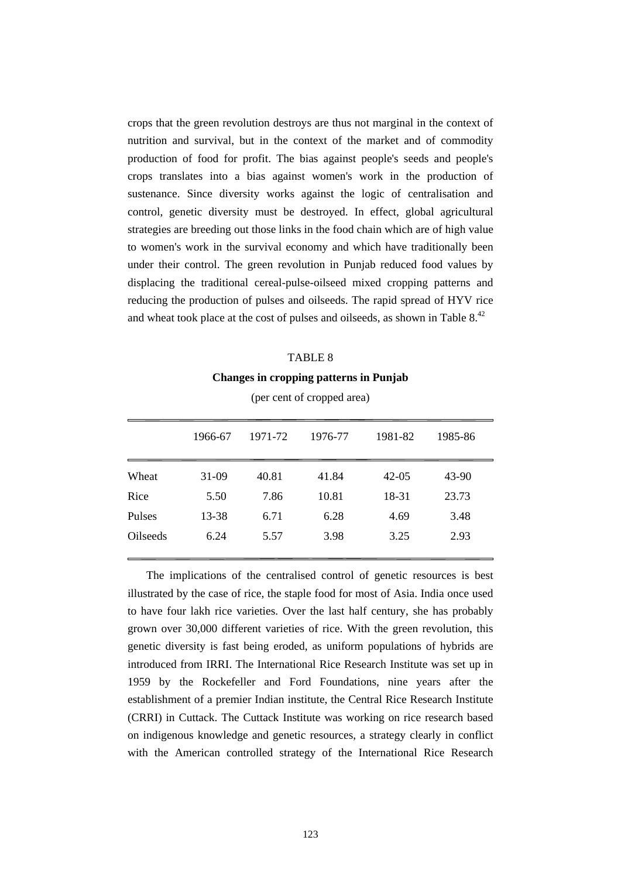crops that the green revolution destroys are thus not marginal in the context of nutrition and survival, but in the context of the market and of commodity production of food for profit. The bias against people's seeds and people's crops translates into a bias against women's work in the production of sustenance. Since diversity works against the logic of centralisation and control, genetic diversity must be destroyed. In effect, global agricultural strategies are breeding out those links in the food chain which are of high value to women's work in the survival economy and which have traditionally been under their control. The green revolution in Punjab reduced food values by displacing the traditional cereal-pulse-oilseed mixed cropping patterns and reducing the production of pulses and oilseeds. The rapid spread of HYV rice and wheat took place at the cost of pulses and oilseeds, as shown in Table 8.<sup>42</sup>

#### TABLE 8

#### **Changes in cropping patterns in Punjab**

| 1966-67 | 1971-72 | 1976-77 | 1981-82    | 1985-86 |
|---------|---------|---------|------------|---------|
| 31-09   | 40.81   | 41.84   | $42 - 0.5$ | 43-90   |
| 5.50    | 7.86    | 10.81   | 18-31      | 23.73   |
| 13-38   | 6.71    | 6.28    | 4.69       | 3.48    |
| 6.24    | 5.57    | 3.98    | 3.25       | 2.93    |
|         |         |         |            |         |

(per cent of cropped area)

The implications of the centralised control of genetic resources is best illustrated by the case of rice, the staple food for most of Asia. India once used to have four lakh rice varieties. Over the last half century, she has probably grown over 30,000 different varieties of rice. With the green revolution, this genetic diversity is fast being eroded, as uniform populations of hybrids are introduced from IRRI. The International Rice Research Institute was set up in 1959 by the Rockefeller and Ford Foundations, nine years after the establishment of a premier Indian institute, the Central Rice Research Institute (CRRI) in Cuttack. The Cuttack Institute was working on rice research based on indigenous knowledge and genetic resources, a strategy clearly in conflict with the American controlled strategy of the International Rice Research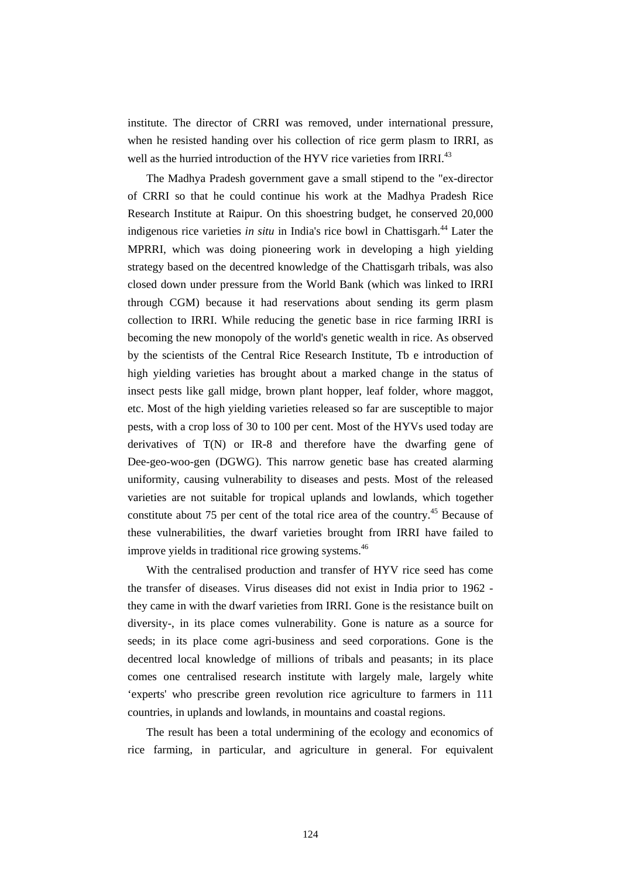institute. The director of CRRI was removed, under international pressure, when he resisted handing over his collection of rice germ plasm to IRRI, as well as the hurried introduction of the HYV rice varieties from IRRI.<sup>43</sup>

The Madhya Pradesh government gave a small stipend to the "ex-director of CRRI so that he could continue his work at the Madhya Pradesh Rice Research Institute at Raipur. On this shoestring budget, he conserved 20,000 indigenous rice varieties *in situ* in India's rice bowl in Chattisgarh.<sup>44</sup> Later the MPRRI, which was doing pioneering work in developing a high yielding strategy based on the decentred knowledge of the Chattisgarh tribals, was also closed down under pressure from the World Bank (which was linked to IRRI through CGM) because it had reservations about sending its germ plasm collection to IRRI. While reducing the genetic base in rice farming IRRI is becoming the new monopoly of the world's genetic wealth in rice. As observed by the scientists of the Central Rice Research Institute, Tb e introduction of high yielding varieties has brought about a marked change in the status of insect pests like gall midge, brown plant hopper, leaf folder, whore maggot, etc. Most of the high yielding varieties released so far are susceptible to major pests, with a crop loss of 30 to 100 per cent. Most of the HYVs used today are derivatives of T(N) or IR-8 and therefore have the dwarfing gene of Dee-geo-woo-gen (DGWG). This narrow genetic base has created alarming uniformity, causing vulnerability to diseases and pests. Most of the released varieties are not suitable for tropical uplands and lowlands, which together constitute about 75 per cent of the total rice area of the country.45 Because of these vulnerabilities, the dwarf varieties brought from IRRI have failed to improve yields in traditional rice growing systems.<sup>46</sup>

With the centralised production and transfer of HYV rice seed has come the transfer of diseases. Virus diseases did not exist in India prior to 1962 they came in with the dwarf varieties from IRRI. Gone is the resistance built on diversity-, in its place comes vulnerability. Gone is nature as a source for seeds; in its place come agri-business and seed corporations. Gone is the decentred local knowledge of millions of tribals and peasants; in its place comes one centralised research institute with largely male, largely white 'experts' who prescribe green revolution rice agriculture to farmers in 111 countries, in uplands and lowlands, in mountains and coastal regions.

The result has been a total undermining of the ecology and economics of rice farming, in particular, and agriculture in general. For equivalent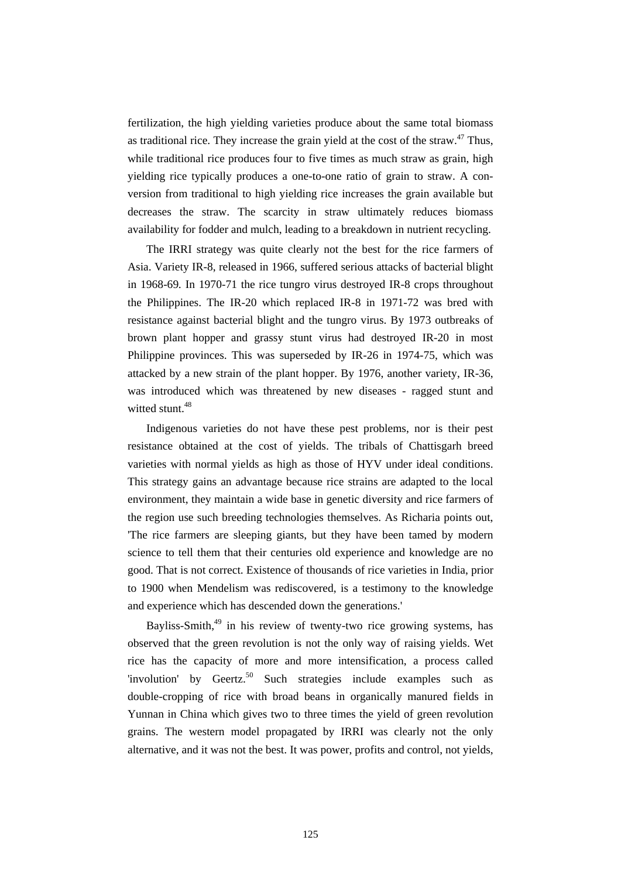fertilization, the high yielding varieties produce about the same total biomass as traditional rice. They increase the grain yield at the cost of the straw.<sup>47</sup> Thus. while traditional rice produces four to five times as much straw as grain, high yielding rice typically produces a one-to-one ratio of grain to straw. A conversion from traditional to high yielding rice increases the grain available but decreases the straw. The scarcity in straw ultimately reduces biomass availability for fodder and mulch, leading to a breakdown in nutrient recycling.

The IRRI strategy was quite clearly not the best for the rice farmers of Asia. Variety IR-8, released in 1966, suffered serious attacks of bacterial blight in 1968-69*.* In 1970-71 the rice tungro virus destroyed IR-8 crops throughout the Philippines. The IR-20 which replaced IR-8 in 1971-72 was bred with resistance against bacterial blight and the tungro virus. By 1973 outbreaks of brown plant hopper and grassy stunt virus had destroyed IR-20 in most Philippine provinces. This was superseded by IR-26 in 1974-75, which was attacked by a new strain of the plant hopper. By 1976, another variety, IR-36, was introduced which was threatened by new diseases - ragged stunt and witted stunt.<sup>48</sup>

Indigenous varieties do not have these pest problems, nor is their pest resistance obtained at the cost of yields. The tribals of Chattisgarh breed varieties with normal yields as high as those of HYV under ideal conditions. This strategy gains an advantage because rice strains are adapted to the local environment, they maintain a wide base in genetic diversity and rice farmers of the region use such breeding technologies themselves. As Richaria points out, 'The rice farmers are sleeping giants, but they have been tamed by modern science to tell them that their centuries old experience and knowledge are no good. That is not correct. Existence of thousands of rice varieties in India, prior to 1900 when Mendelism was rediscovered, is a testimony to the knowledge and experience which has descended down the generations.'

Bayliss-Smith, $49$  in his review of twenty-two rice growing systems, has observed that the green revolution is not the only way of raising yields. Wet rice has the capacity of more and more intensification, a process called 'involution' by Geertz.<sup>50</sup> Such strategies include examples such as double-cropping of rice with broad beans in organically manured fields in Yunnan in China which gives two to three times the yield of green revolution grains. The western model propagated by IRRI was clearly not the only alternative, and it was not the best. It was power, profits and control, not yields,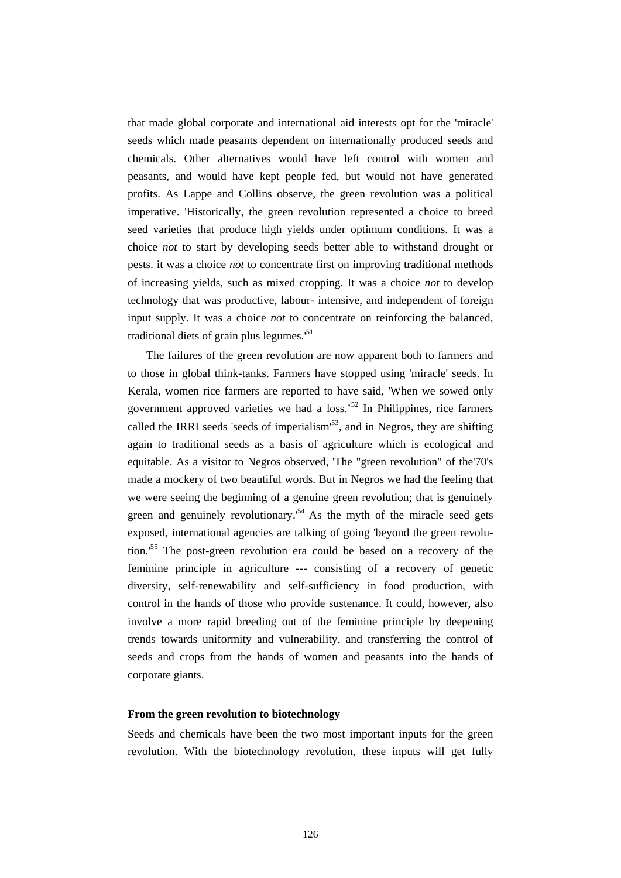that made global corporate and international aid interests opt for the 'miracle' seeds which made peasants dependent on internationally produced seeds and chemicals. Other alternatives would have left control with women and peasants, and would have kept people fed, but would not have generated profits. As Lappe and Collins observe, the green revolution was a political imperative. 'Historically, the green revolution represented a choice to breed seed varieties that produce high yields under optimum conditions. It was a choice *not* to start by developing seeds better able to withstand drought or pests. it was a choice *not* to concentrate first on improving traditional methods of increasing yields, such as mixed cropping. It was a choice *not* to develop technology that was productive, labour- intensive, and independent of foreign input supply. It was a choice *not* to concentrate on reinforcing the balanced, traditional diets of grain plus legumes. $51$ 

The failures of the green revolution are now apparent both to farmers and to those in global think-tanks. Farmers have stopped using 'miracle' seeds. In Kerala, women rice farmers are reported to have said, 'When we sowed only government approved varieties we had a loss.'52 In Philippines, rice farmers called the IRRI seeds 'seeds of imperialism $^{53}$ , and in Negros, they are shifting again to traditional seeds as a basis of agriculture which is ecological and equitable. As a visitor to Negros observed, 'The "green revolution" of the'70's made a mockery of two beautiful words. But in Negros we had the feeling that we were seeing the beginning of a genuine green revolution; that is genuinely green and genuinely revolutionary.<sup>54</sup> As the myth of the miracle seed gets exposed, international agencies are talking of going 'beyond the green revolution.'55 The post-green revolution era could be based on a recovery of the feminine principle in agriculture --- consisting of a recovery of genetic diversity, self-renewability and self-sufficiency in food production, with control in the hands of those who provide sustenance. It could, however, also involve a more rapid breeding out of the feminine principle by deepening trends towards uniformity and vulnerability, and transferring the control of seeds and crops from the hands of women and peasants into the hands of corporate giants.

### **From the green revolution to biotechnology**

Seeds and chemicals have been the two most important inputs for the green revolution. With the biotechnology revolution, these inputs will get fully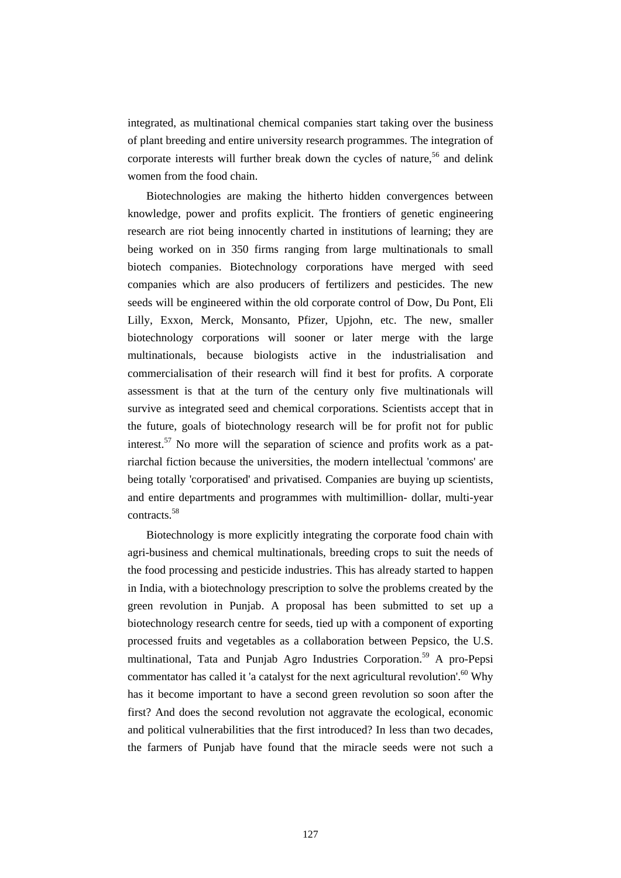integrated, as multinational chemical companies start taking over the business of plant breeding and entire university research programmes. The integration of corporate interests will further break down the cycles of nature,<sup>56</sup> and delink women from the food chain.

Biotechnologies are making the hitherto hidden convergences between knowledge, power and profits explicit. The frontiers of genetic engineering research are riot being innocently charted in institutions of learning; they are being worked on in 350 firms ranging from large multinationals to small biotech companies. Biotechnology corporations have merged with seed companies which are also producers of fertilizers and pesticides. The new seeds will be engineered within the old corporate control of Dow, Du Pont, Eli Lilly, Exxon, Merck, Monsanto, Pfizer, Upjohn, etc. The new, smaller biotechnology corporations will sooner or later merge with the large multinationals, because biologists active in the industrialisation and commercialisation of their research will find it best for profits. A corporate assessment is that at the turn of the century only five multinationals will survive as integrated seed and chemical corporations. Scientists accept that in the future, goals of biotechnology research will be for profit not for public interest.<sup>57</sup> No more will the separation of science and profits work as a patriarchal fiction because the universities, the modern intellectual 'commons' are being totally 'corporatised' and privatised. Companies are buying up scientists, and entire departments and programmes with multimillion- dollar, multi-year contracts.<sup>58</sup>

Biotechnology is more explicitly integrating the corporate food chain with agri-business and chemical multinationals, breeding crops to suit the needs of the food processing and pesticide industries. This has already started to happen in India, with a biotechnology prescription to solve the problems created by the green revolution in Punjab. A proposal has been submitted to set up a biotechnology research centre for seeds, tied up with a component of exporting processed fruits and vegetables as a collaboration between Pepsico, the U.S. multinational, Tata and Punjab Agro Industries Corporation.<sup>59</sup> A pro-Pepsi commentator has called it 'a catalyst for the next agricultural revolution'.60 Why has it become important to have a second green revolution so soon after the first? And does the second revolution not aggravate the ecological, economic and political vulnerabilities that the first introduced? In less than two decades, the farmers of Punjab have found that the miracle seeds were not such a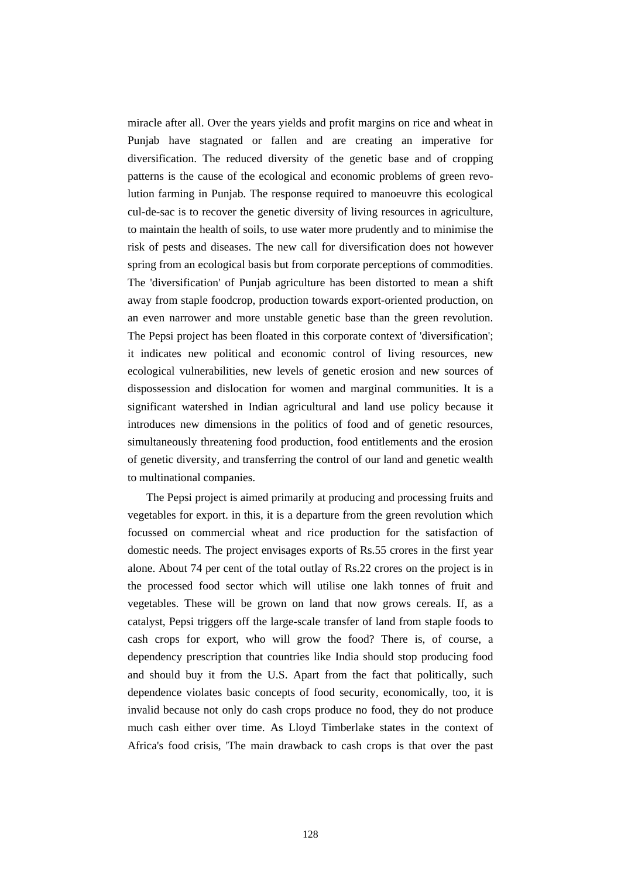miracle after all. Over the years yields and profit margins on rice and wheat in Punjab have stagnated or fallen and are creating an imperative for diversification. The reduced diversity of the genetic base and of cropping patterns is the cause of the ecological and economic problems of green revolution farming in Punjab. The response required to manoeuvre this ecological cul-de-sac is to recover the genetic diversity of living resources in agriculture, to maintain the health of soils, to use water more prudently and to minimise the risk of pests and diseases. The new call for diversification does not however spring from an ecological basis but from corporate perceptions of commodities. The 'diversification' of Punjab agriculture has been distorted to mean a shift away from staple foodcrop, production towards export-oriented production, on an even narrower and more unstable genetic base than the green revolution. The Pepsi project has been floated in this corporate context of 'diversification'; it indicates new political and economic control of living resources, new ecological vulnerabilities, new levels of genetic erosion and new sources of dispossession and dislocation for women and marginal communities. It is a significant watershed in Indian agricultural and land use policy because it introduces new dimensions in the politics of food and of genetic resources, simultaneously threatening food production, food entitlements and the erosion of genetic diversity, and transferring the control of our land and genetic wealth to multinational companies.

The Pepsi project is aimed primarily at producing and processing fruits and vegetables for export. in this, it is a departure from the green revolution which focussed on commercial wheat and rice production for the satisfaction of domestic needs. The project envisages exports of Rs.55 crores in the first year alone. About 74 per cent of the total outlay of Rs.22 crores on the project is in the processed food sector which will utilise one lakh tonnes of fruit and vegetables. These will be grown on land that now grows cereals. If, as a catalyst, Pepsi triggers off the large-scale transfer of land from staple foods to cash crops for export, who will grow the food? There is, of course, a dependency prescription that countries like India should stop producing food and should buy it from the U.S. Apart from the fact that politically, such dependence violates basic concepts of food security, economically, too, it is invalid because not only do cash crops produce no food, they do not produce much cash either over time. As Lloyd Timberlake states in the context of Africa's food crisis, 'The main drawback to cash crops is that over the past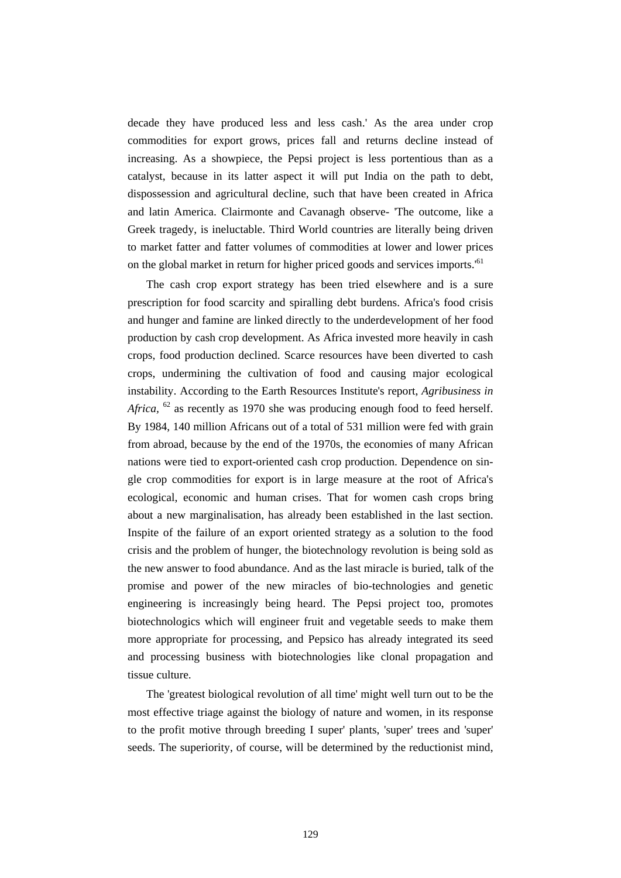decade they have produced less and less cash.' As the area under crop commodities for export grows, prices fall and returns decline instead of increasing. As a showpiece, the Pepsi project is less portentious than as a catalyst, because in its latter aspect it will put India on the path to debt, dispossession and agricultural decline, such that have been created in Africa and latin America. Clairmonte and Cavanagh observe- 'The outcome, like a Greek tragedy, is ineluctable. Third World countries are literally being driven to market fatter and fatter volumes of commodities at lower and lower prices on the global market in return for higher priced goods and services imports.<sup>61</sup>

The cash crop export strategy has been tried elsewhere and is a sure prescription for food scarcity and spiralling debt burdens. Africa's food crisis and hunger and famine are linked directly to the underdevelopment of her food production by cash crop development. As Africa invested more heavily in cash crops, food production declined. Scarce resources have been diverted to cash crops, undermining the cultivation of food and causing major ecological instability. According to the Earth Resources Institute's report, *Agribusiness in Africa,* <sup>62</sup> as recently as 1970 she was producing enough food to feed herself. By 1984, 140 million Africans out of a total of 531 million were fed with grain from abroad, because by the end of the 1970s, the economies of many African nations were tied to export-oriented cash crop production. Dependence on single crop commodities for export is in large measure at the root of Africa's ecological, economic and human crises. That for women cash crops bring about a new marginalisation, has already been established in the last section. Inspite of the failure of an export oriented strategy as a solution to the food crisis and the problem of hunger, the biotechnology revolution is being sold as the new answer to food abundance. And as the last miracle is buried, talk of the promise and power of the new miracles of bio-technologies and genetic engineering is increasingly being heard. The Pepsi project too, promotes biotechnologics which will engineer fruit and vegetable seeds to make them more appropriate for processing, and Pepsico has already integrated its seed and processing business with biotechnologies like clonal propagation and tissue culture.

The 'greatest biological revolution of all time' might well turn out to be the most effective triage against the biology of nature and women, in its response to the profit motive through breeding I super' plants, 'super' trees and 'super' seeds. The superiority, of course, will be determined by the reductionist mind,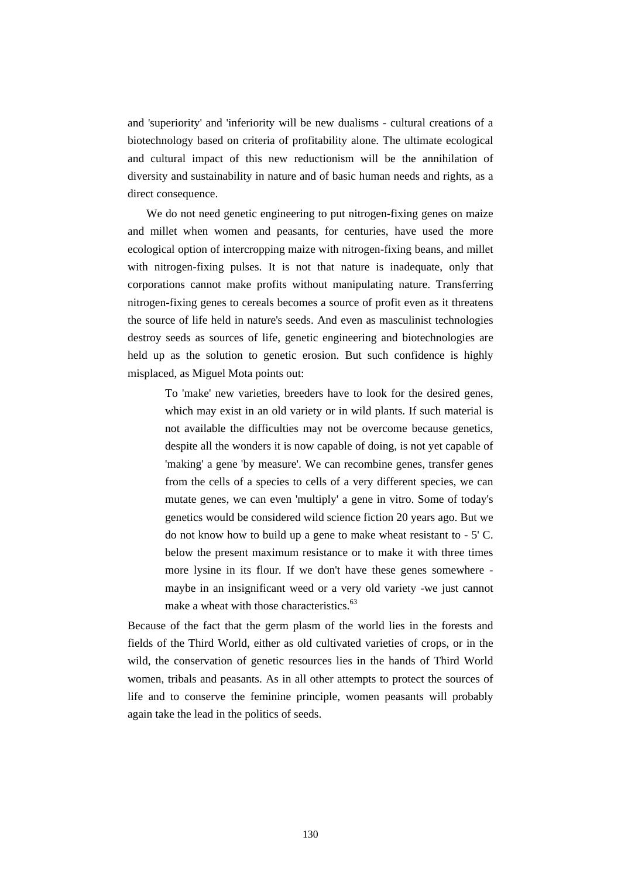and 'superiority' and 'inferiority will be new dualisms - cultural creations of a biotechnology based on criteria of profitability alone. The ultimate ecological and cultural impact of this new reductionism will be the annihilation of diversity and sustainability in nature and of basic human needs and rights, as a direct consequence.

We do not need genetic engineering to put nitrogen-fixing genes on maize and millet when women and peasants, for centuries, have used the more ecological option of intercropping maize with nitrogen-fixing beans, and millet with nitrogen-fixing pulses. It is not that nature is inadequate, only that corporations cannot make profits without manipulating nature. Transferring nitrogen-fixing genes to cereals becomes a source of profit even as it threatens the source of life held in nature's seeds. And even as masculinist technologies destroy seeds as sources of life, genetic engineering and biotechnologies are held up as the solution to genetic erosion. But such confidence is highly misplaced, as Miguel Mota points out:

To 'make' new varieties, breeders have to look for the desired genes, which may exist in an old variety or in wild plants. If such material is not available the difficulties may not be overcome because genetics, despite all the wonders it is now capable of doing, is not yet capable of 'making' a gene 'by measure'. We can recombine genes, transfer genes from the cells of a species to cells of a very different species, we can mutate genes, we can even 'multiply' a gene in vitro. Some of today's genetics would be considered wild science fiction 20 years ago. But we do not know how to build up a gene to make wheat resistant to - 5' C. below the present maximum resistance or to make it with three times more lysine in its flour. If we don't have these genes somewhere maybe in an insignificant weed or a very old variety -we just cannot make a wheat with those characteristics.<sup>63</sup>

Because of the fact that the germ plasm of the world lies in the forests and fields of the Third World, either as old cultivated varieties of crops, or in the wild, the conservation of genetic resources lies in the hands of Third World women, tribals and peasants. As in all other attempts to protect the sources of life and to conserve the feminine principle, women peasants will probably again take the lead in the politics of seeds.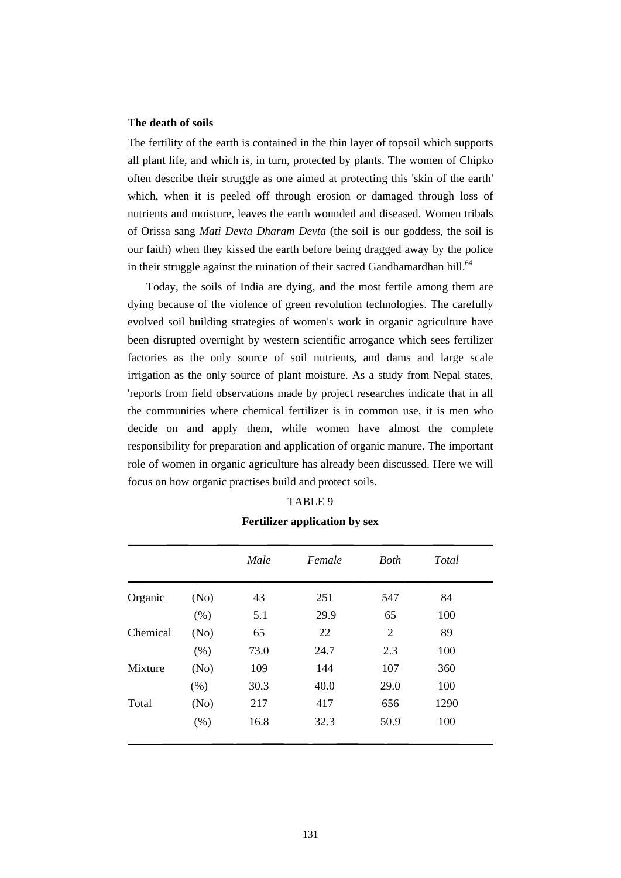#### **The death of soils**

The fertility of the earth is contained in the thin layer of topsoil which supports all plant life, and which is, in turn, protected by plants. The women of Chipko often describe their struggle as one aimed at protecting this 'skin of the earth' which, when it is peeled off through erosion or damaged through loss of nutrients and moisture, leaves the earth wounded and diseased. Women tribals of Orissa sang *Mati Devta Dharam Devta* (the soil is our goddess, the soil is our faith) when they kissed the earth before being dragged away by the police in their struggle against the ruination of their sacred Gandhamardhan hill. $64$ 

Today, the soils of India are dying, and the most fertile among them are dying because of the violence of green revolution technologies. The carefully evolved soil building strategies of women's work in organic agriculture have been disrupted overnight by western scientific arrogance which sees fertilizer factories as the only source of soil nutrients, and dams and large scale irrigation as the only source of plant moisture. As a study from Nepal states, 'reports from field observations made by project researches indicate that in all the communities where chemical fertilizer is in common use, it is men who decide on and apply them, while women have almost the complete responsibility for preparation and application of organic manure. The important role of women in organic agriculture has already been discussed. Here we will focus on how organic practises build and protect soils.

# TABLE 9

|          |      | Male | Female | <b>B</b> oth   | Total |
|----------|------|------|--------|----------------|-------|
| Organic  | (No) | 43   | 251    | 547            | 84    |
|          | (% ) | 5.1  | 29.9   | 65             | 100   |
| Chemical | (No) | 65   | 22     | $\overline{2}$ | 89    |
|          | (% ) | 73.0 | 24.7   | 2.3            | 100   |
| Mixture  | (No) | 109  | 144    | 107            | 360   |
|          | (% ) | 30.3 | 40.0   | 29.0           | 100   |
| Total    | (No) | 217  | 417    | 656            | 1290  |
|          | (% ) | 16.8 | 32.3   | 50.9           | 100   |

# **Fertilizer application by sex**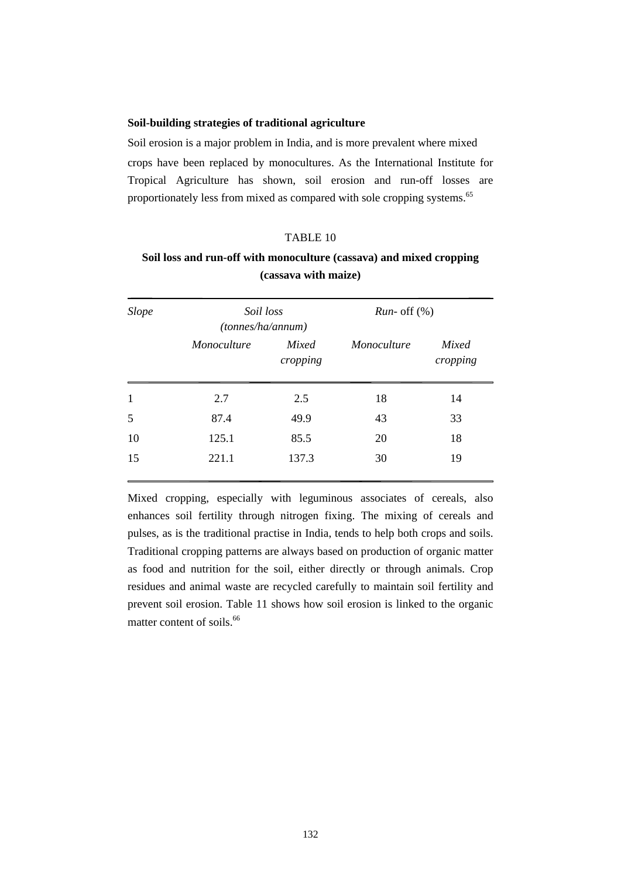## **Soil-building strategies of traditional agriculture**

Soil erosion is a major problem in India, and is more prevalent where mixed crops have been replaced by monocultures. As the International Institute for Tropical Agriculture has shown, soil erosion and run-off losses are proportionately less from mixed as compared with sole cropping systems.<sup>65</sup>

## TABLE 10

# **Soil loss and run-off with monoculture (cassava) and mixed cropping (cassava with maize)**

| <b>Slope</b> | Soil loss<br>(tonnes/ha/annum) |                   | <i>Run-</i> off $(\%)$ |                   |  |
|--------------|--------------------------------|-------------------|------------------------|-------------------|--|
|              | Monoculture                    | Mixed<br>cropping | Monoculture            | Mixed<br>cropping |  |
| 1            | 2.7                            | 2.5               | 18                     | 14                |  |
| 5            | 87.4                           | 49.9              | 43                     | 33                |  |
| 10           | 125.1                          | 85.5              | 20                     | 18                |  |
| 15           | 221.1                          | 137.3             | 30                     | 19                |  |

Mixed cropping, especially with leguminous associates of cereals, also enhances soil fertility through nitrogen fixing. The mixing of cereals and pulses, as is the traditional practise in India, tends to help both crops and soils. Traditional cropping patterns are always based on production of organic matter as food and nutrition for the soil, either directly or through animals. Crop residues and animal waste are recycled carefully to maintain soil fertility and prevent soil erosion. Table 11 shows how soil erosion is linked to the organic matter content of soils.<sup>66</sup>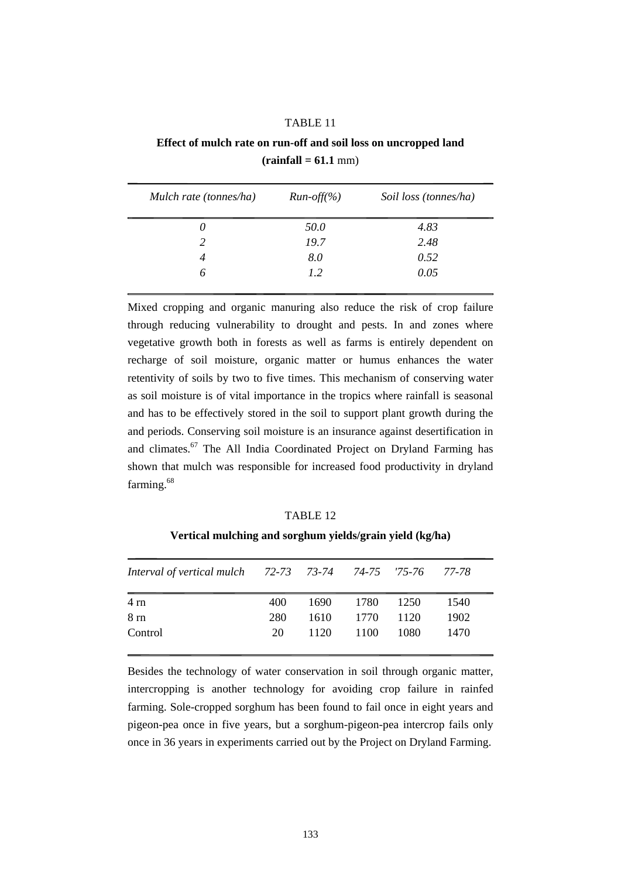#### TABLE 11

**Effect of mulch rate on run-off and soil loss on uncropped land (rainfall = 61.1** mm)

| Mulch rate (tonnes/ha) | $Run-off(\%)$ | Soil loss (tonnes/ha) |
|------------------------|---------------|-----------------------|
|                        | 50.0          | 4.83                  |
|                        | 19.7          | 2.48                  |
|                        | 8.0           | 0.52                  |
|                        | 12            | 0.05                  |

Mixed cropping and organic manuring also reduce the risk of crop failure through reducing vulnerability to drought and pests. In and zones where vegetative growth both in forests as well as farms is entirely dependent on recharge of soil moisture, organic matter or humus enhances the water retentivity of soils by two to five times. This mechanism of conserving water as soil moisture is of vital importance in the tropics where rainfall is seasonal and has to be effectively stored in the soil to support plant growth during the and periods. Conserving soil moisture is an insurance against desertification in and climates.67 The All India Coordinated Project on Dryland Farming has shown that mulch was responsible for increased food productivity in dryland farming.<sup>68</sup>

| TABLE <sub>12</sub>                                      |  |
|----------------------------------------------------------|--|
| Vertical mulching and sorghum yields/grain yield (kg/ha) |  |

| Interval of vertical mulch 72-73 73-74 74-75 75-76 77-78 |     |      |                |      |      |
|----------------------------------------------------------|-----|------|----------------|------|------|
| $4 \text{rn}$                                            | 400 |      | 1690 1780 1250 |      | 1540 |
| 8 rn                                                     | 280 | 1610 | 1770           | 1120 | 1902 |
| Control                                                  | 20  | 1120 | 1100           | 1080 | 1470 |

Besides the technology of water conservation in soil through organic matter, intercropping is another technology for avoiding crop failure in rainfed farming. Sole-cropped sorghum has been found to fail once in eight years and pigeon-pea once in five years, but a sorghum-pigeon-pea intercrop fails only once in 36 years in experiments carried out by the Project on Dryland Farming.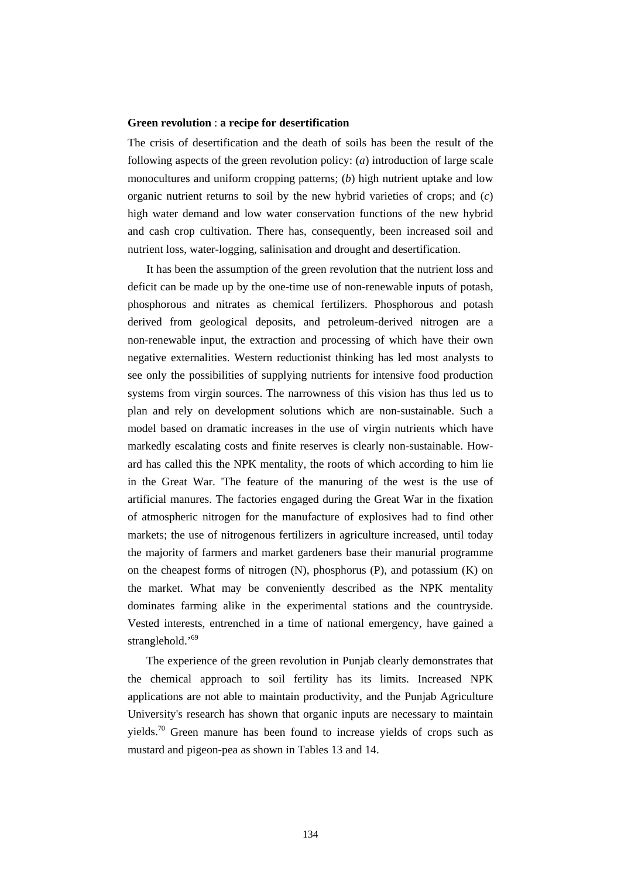#### **Green revolution** : **a recipe for desertification**

The crisis of desertification and the death of soils has been the result of the following aspects of the green revolution policy: (*a*) introduction of large scale monocultures and uniform cropping patterns; (*b*) high nutrient uptake and low organic nutrient returns to soil by the new hybrid varieties of crops; and (*c*) high water demand and low water conservation functions of the new hybrid and cash crop cultivation. There has, consequently, been increased soil and nutrient loss, water-logging, salinisation and drought and desertification.

It has been the assumption of the green revolution that the nutrient loss and deficit can be made up by the one-time use of non-renewable inputs of potash, phosphorous and nitrates as chemical fertilizers. Phosphorous and potash derived from geological deposits, and petroleum-derived nitrogen are a non-renewable input, the extraction and processing of which have their own negative externalities. Western reductionist thinking has led most analysts to see only the possibilities of supplying nutrients for intensive food production systems from virgin sources. The narrowness of this vision has thus led us to plan and rely on development solutions which are non-sustainable. Such a model based on dramatic increases in the use of virgin nutrients which have markedly escalating costs and finite reserves is clearly non-sustainable. Howard has called this the NPK mentality, the roots of which according to him lie in the Great War. 'The feature of the manuring of the west is the use of artificial manures. The factories engaged during the Great War in the fixation of atmospheric nitrogen for the manufacture of explosives had to find other markets; the use of nitrogenous fertilizers in agriculture increased, until today the majority of farmers and market gardeners base their manurial programme on the cheapest forms of nitrogen  $(N)$ , phosphorus  $(P)$ , and potassium  $(K)$  on the market. What may be conveniently described as the NPK mentality dominates farming alike in the experimental stations and the countryside. Vested interests, entrenched in a time of national emergency, have gained a stranglehold.'<sup>69</sup>

The experience of the green revolution in Punjab clearly demonstrates that the chemical approach to soil fertility has its limits. Increased NPK applications are not able to maintain productivity, and the Punjab Agriculture University's research has shown that organic inputs are necessary to maintain yields.<sup>70</sup> Green manure has been found to increase yields of crops such as mustard and pigeon-pea as shown in Tables 13 and 14.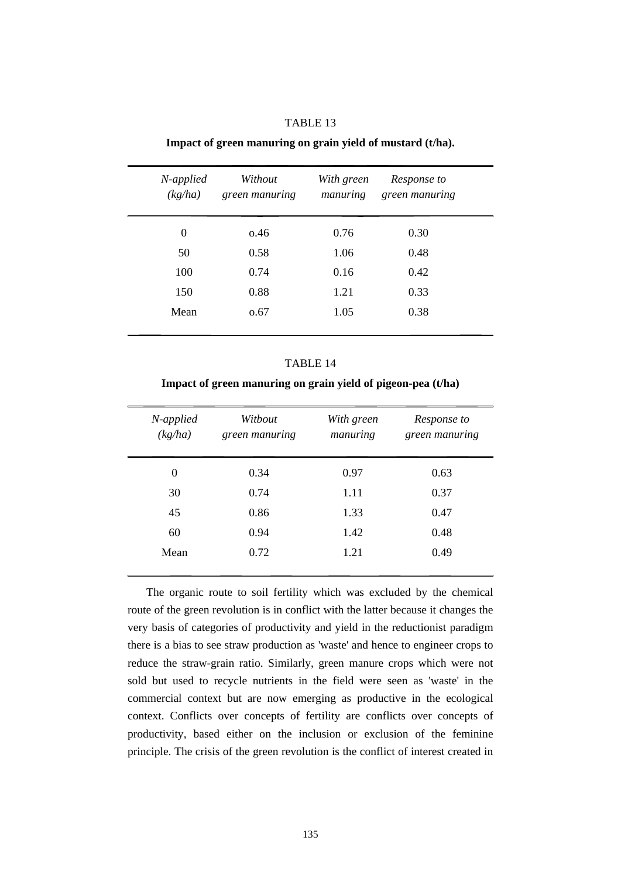| N-applied<br>(kg/ha) | Without<br>green manuring | With green<br>manuring | Response to<br>green manuring |
|----------------------|---------------------------|------------------------|-------------------------------|
| $\overline{0}$       | 0.46                      | 0.76                   | 0.30                          |
| 50                   | 0.58                      | 1.06                   | 0.48                          |
| 100                  | 0.74                      | 0.16                   | 0.42                          |
| 150                  | 0.88                      | 1.21                   | 0.33                          |
| Mean                 | 0.67                      | 1.05                   | 0.38                          |

**Impact of green manuring on grain yield of mustard (t/ha).** 

| ABLF |  |
|------|--|
|------|--|

**Impact of green manuring on grain yield of pigeon-pea (t/ha)** 

| N-applied<br>(kg/ha) | Without<br>green manuring | With green<br>manuring | Response to<br>green manuring |
|----------------------|---------------------------|------------------------|-------------------------------|
| 0                    | 0.34                      | 0.97                   | 0.63                          |
| 30                   | 0.74                      | 1.11                   | 0.37                          |
| 45                   | 0.86                      | 1.33                   | 0.47                          |
| 60                   | 0.94                      | 1.42                   | 0.48                          |
| Mean                 | 0.72                      | 1.21                   | 0.49                          |

The organic route to soil fertility which was excluded by the chemical route of the green revolution is in conflict with the latter because it changes the very basis of categories of productivity and yield in the reductionist paradigm there is a bias to see straw production as 'waste' and hence to engineer crops to reduce the straw-grain ratio. Similarly, green manure crops which were not sold but used to recycle nutrients in the field were seen as 'waste' in the commercial context but are now emerging as productive in the ecological context. Conflicts over concepts of fertility are conflicts over concepts of productivity, based either on the inclusion or exclusion of the feminine principle. The crisis of the green revolution is the conflict of interest created in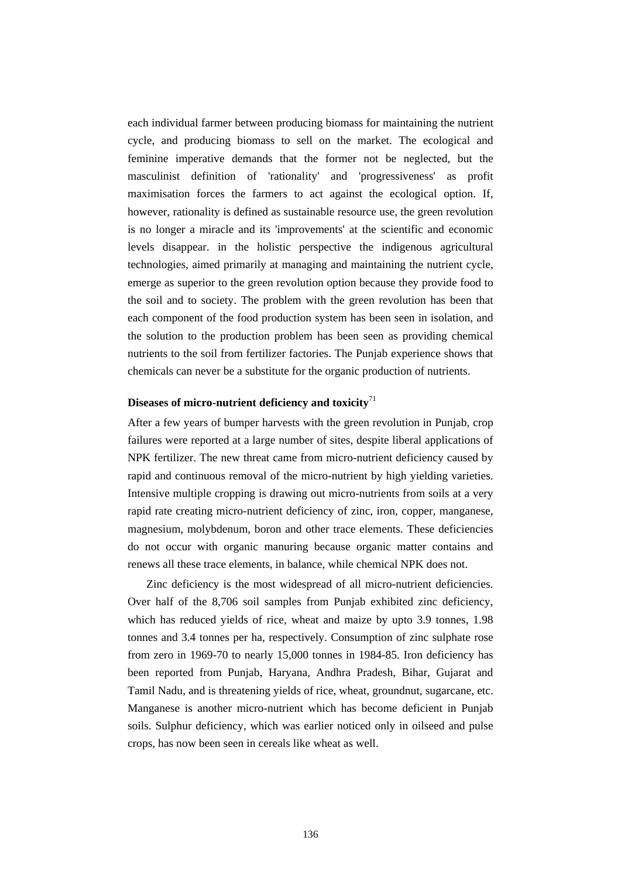each individual farmer between producing biomass for maintaining the nutrient cycle, and producing biomass to sell on the market. The ecological and feminine imperative demands that the former not be neglected, but the masculinist definition of 'rationality' and 'progressiveness' as profit maximisation forces the farmers to act against the ecological option. If, however, rationality is defined as sustainable resource use, the green revolution is no longer a miracle and its 'improvements' at the scientific and economic levels disappear. in the holistic perspective the indigenous agricultural technologies, aimed primarily at managing and maintaining the nutrient cycle, emerge as superior to the green revolution option because they provide food to the soil and to society. The problem with the green revolution has been that each component of the food production system has been seen in isolation, and the solution to the production problem has been seen as providing chemical nutrients to the soil from fertilizer factories. The Punjab experience shows that chemicals can never be a substitute for the organic production of nutrients.

# **Diseases of micro-nutrient deficiency and toxicity**<sup>71</sup>

After a few years of bumper harvests with the green revolution in Punjab, crop failures were reported at a large number of sites, despite liberal applications of NPK fertilizer. The new threat came from micro-nutrient deficiency caused by rapid and continuous removal of the micro-nutrient by high yielding varieties. Intensive multiple cropping is drawing out micro-nutrients from soils at a very rapid rate creating micro-nutrient deficiency of zinc, iron, copper, manganese, magnesium, molybdenum, boron and other trace elements. These deficiencies do not occur with organic manuring because organic matter contains and renews all these trace elements, in balance, while chemical NPK does not.

Zinc deficiency is the most widespread of all micro-nutrient deficiencies. Over half of the 8,706 soil samples from Punjab exhibited zinc deficiency, which has reduced yields of rice, wheat and maize by upto 3.9 tonnes, 1.98 tonnes and 3.4 tonnes per ha, respectively. Consumption of zinc sulphate rose from zero in 1969-70 to nearly 15,000 tonnes in 1984-85*.* Iron deficiency has been reported from Punjab, Haryana, Andhra Pradesh, Bihar, Gujarat and Tamil Nadu, and is threatening yields of rice, wheat, groundnut, sugarcane, etc. Manganese is another micro-nutrient which has become deficient in Punjab soils. Sulphur deficiency, which was earlier noticed only in oilseed and pulse crops, has now been seen in cereals like wheat as well.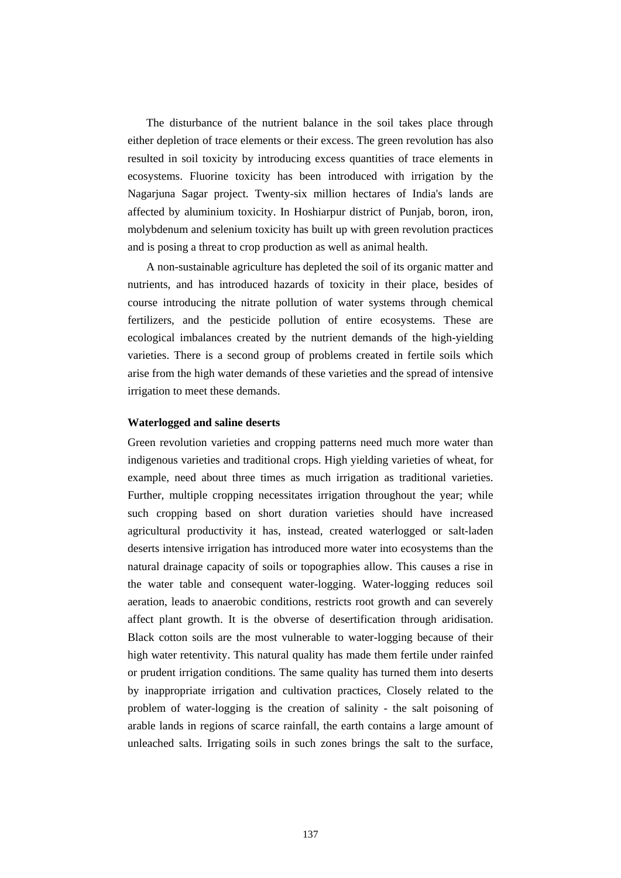The disturbance of the nutrient balance in the soil takes place through either depletion of trace elements or their excess. The green revolution has also resulted in soil toxicity by introducing excess quantities of trace elements in ecosystems. Fluorine toxicity has been introduced with irrigation by the Nagarjuna Sagar project. Twenty-six million hectares of India's lands are affected by aluminium toxicity. In Hoshiarpur district of Punjab, boron, iron, molybdenum and selenium toxicity has built up with green revolution practices and is posing a threat to crop production as well as animal health.

A non-sustainable agriculture has depleted the soil of its organic matter and nutrients, and has introduced hazards of toxicity in their place, besides of course introducing the nitrate pollution of water systems through chemical fertilizers, and the pesticide pollution of entire ecosystems. These are ecological imbalances created by the nutrient demands of the high-yielding varieties. There is a second group of problems created in fertile soils which arise from the high water demands of these varieties and the spread of intensive irrigation to meet these demands.

#### **Waterlogged and saline deserts**

Green revolution varieties and cropping patterns need much more water than indigenous varieties and traditional crops. High yielding varieties of wheat, for example, need about three times as much irrigation as traditional varieties. Further, multiple cropping necessitates irrigation throughout the year; while such cropping based on short duration varieties should have increased agricultural productivity it has, instead, created waterlogged or salt-laden deserts intensive irrigation has introduced more water into ecosystems than the natural drainage capacity of soils or topographies allow. This causes a rise in the water table and consequent water-logging. Water-logging reduces soil aeration, leads to anaerobic conditions, restricts root growth and can severely affect plant growth. It is the obverse of desertification through aridisation. Black cotton soils are the most vulnerable to water-logging because of their high water retentivity. This natural quality has made them fertile under rainfed or prudent irrigation conditions. The same quality has turned them into deserts by inappropriate irrigation and cultivation practices, Closely related to the problem of water-logging is the creation of salinity - the salt poisoning of arable lands in regions of scarce rainfall, the earth contains a large amount of unleached salts. Irrigating soils in such zones brings the salt to the surface,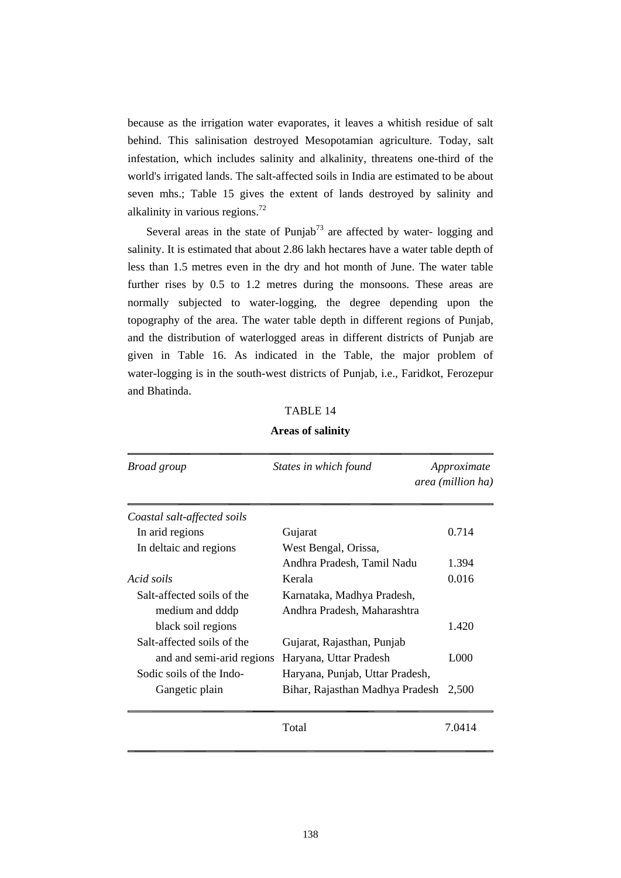because as the irrigation water evaporates, it leaves a whitish residue of salt behind. This salinisation destroyed Mesopotamian agriculture. Today, salt infestation, which includes salinity and alkalinity, threatens one-third of the world's irrigated lands. The salt-affected soils in India are estimated to be about seven mhs.; Table 15 gives the extent of lands destroyed by salinity and alkalinity in various regions.<sup>72</sup>

Several areas in the state of Punjab<sup>73</sup> are affected by water- logging and salinity. It is estimated that about 2.86 lakh hectares have a water table depth of less than 1.5 metres even in the dry and hot month of June. The water table further rises by 0.5 to 1.2 metres during the monsoons. These areas are normally subjected to water-logging, the degree depending upon the topography of the area. The water table depth in different regions of Punjab, and the distribution of waterlogged areas in different districts of Punjab are given in Table 16. As indicated in the Table, the major problem of water-logging is in the south-west districts of Punjab, i.e., Faridkot, Ferozepur and Bhatinda.

## TABLE 14

| <b>Broad</b> group          | States in which found           | Approximate<br>area (million ha) |
|-----------------------------|---------------------------------|----------------------------------|
| Coastal salt-affected soils |                                 |                                  |
| In arid regions             | Gujarat                         | 0.714                            |
| In deltaic and regions      | West Bengal, Orissa,            |                                  |
|                             | Andhra Pradesh, Tamil Nadu      | 1.394                            |
| Acid soils                  | Kerala                          | 0.016                            |
| Salt-affected soils of the  | Karnataka, Madhya Pradesh,      |                                  |
| medium and dddp             | Andhra Pradesh, Maharashtra     |                                  |
| black soil regions          |                                 | 1.420                            |
| Salt-affected soils of the  | Gujarat, Rajasthan, Punjab      |                                  |
| and and semi-arid regions   | Haryana, Uttar Pradesh          | L000                             |
| Sodic soils of the Indo-    | Haryana, Punjab, Uttar Pradesh, |                                  |
| Gangetic plain              | Bihar, Rajasthan Madhya Pradesh | 2,500                            |
|                             | Total                           | 7.0414                           |

#### **Areas of salinity**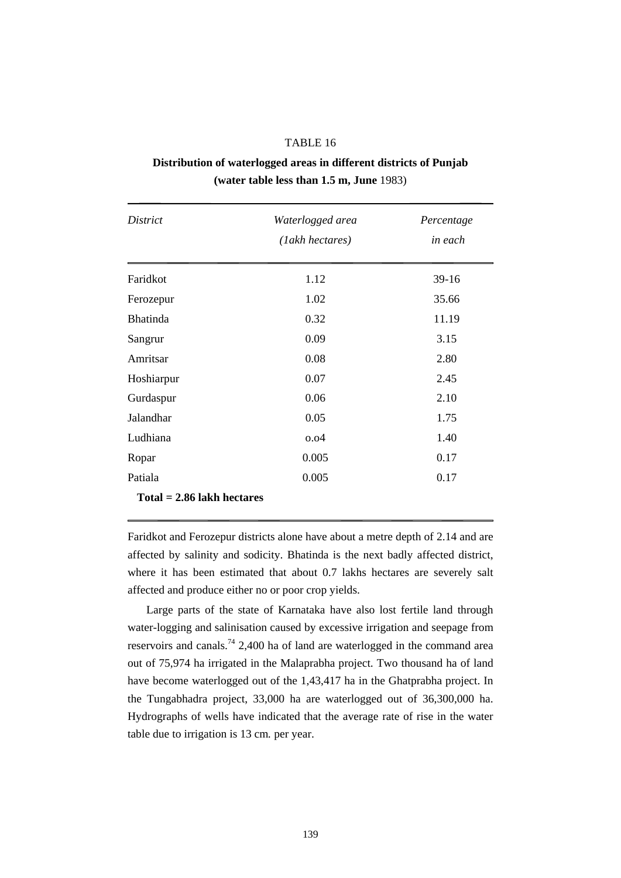#### TABLE 16

# **Distribution of waterlogged areas in different districts of Punjab (water table less than 1.5 m, June** 1983)

| <i>District</i>              | Waterlogged area<br>(lakh hectares) | Percentage<br>in each |
|------------------------------|-------------------------------------|-----------------------|
| Faridkot                     | 1.12                                | $39-16$               |
| Ferozepur                    | 1.02                                | 35.66                 |
| <b>Bhatinda</b>              | 0.32                                | 11.19                 |
| Sangrur                      | 0.09                                | 3.15                  |
| Amritsar                     | 0.08                                | 2.80                  |
| Hoshiarpur                   | 0.07                                | 2.45                  |
| Gurdaspur                    | 0.06                                | 2.10                  |
| Jalandhar                    | 0.05                                | 1.75                  |
| Ludhiana                     | 0.04                                | 1.40                  |
| Ropar                        | 0.005                               | 0.17                  |
| Patiala                      | 0.005                               | 0.17                  |
| $Total = 2.86$ lakh hectares |                                     |                       |

Faridkot and Ferozepur districts alone have about a metre depth of 2.14 and are affected by salinity and sodicity. Bhatinda is the next badly affected district, where it has been estimated that about 0.7 lakhs hectares are severely salt affected and produce either no or poor crop yields.

Large parts of the state of Karnataka have also lost fertile land through water-logging and salinisation caused by excessive irrigation and seepage from reservoirs and canals.74 2,400 ha of land are waterlogged in the command area out of 75,974 ha irrigated in the Malaprabha project. Two thousand ha of land have become waterlogged out of the 1,43,417 ha in the Ghatprabha project. In the Tungabhadra project, 33,000 ha are waterlogged out of 36,300,000 ha. Hydrographs of wells have indicated that the average rate of rise in the water table due to irrigation is 13 cm*.* per year.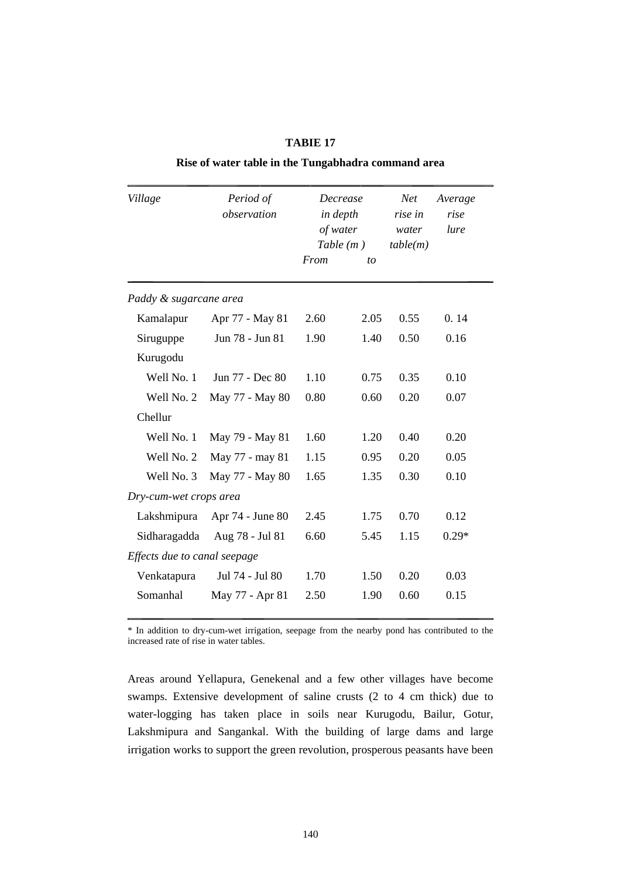| RI<br>. .<br>∖ հ<br>в. |  |
|------------------------|--|
|------------------------|--|

**Rise of water table in the Tungabhadra command area** 

| Village                      | Period of<br>observation | Decrease<br>in depth<br>of water<br>Table $(m)$<br>From<br>to |      | Net<br>rise in<br>water<br>table(m) | Average<br>rise<br>lure |  |  |  |
|------------------------------|--------------------------|---------------------------------------------------------------|------|-------------------------------------|-------------------------|--|--|--|
| Paddy & sugarcane area       |                          |                                                               |      |                                     |                         |  |  |  |
| Kamalapur                    | Apr 77 - May 81          | 2.60                                                          | 2.05 | 0.55                                | 0.14                    |  |  |  |
| Siruguppe                    | Jun 78 - Jun 81          | 1.90                                                          | 1.40 | 0.50                                | 0.16                    |  |  |  |
| Kurugodu                     |                          |                                                               |      |                                     |                         |  |  |  |
| Well No. 1                   | Jun 77 - Dec 80          | 1.10                                                          | 0.75 | 0.35                                | 0.10                    |  |  |  |
| Well No. 2                   | May 77 - May 80          | 0.80                                                          | 0.60 | 0.20                                | 0.07                    |  |  |  |
| Chellur                      |                          |                                                               |      |                                     |                         |  |  |  |
| Well No. 1                   | May 79 - May 81          | 1.60                                                          | 1.20 | 0.40                                | 0.20                    |  |  |  |
| Well No. 2                   | May 77 - may 81          | 1.15                                                          | 0.95 | 0.20                                | 0.05                    |  |  |  |
| Well No. 3                   | May 77 - May 80          | 1.65                                                          | 1.35 | 0.30                                | 0.10                    |  |  |  |
| Dry-cum-wet crops area       |                          |                                                               |      |                                     |                         |  |  |  |
| Lakshmipura                  | Apr 74 - June 80         | 2.45                                                          | 1.75 | 0.70                                | 0.12                    |  |  |  |
| Sidharagadda                 | Aug 78 - Jul 81          | 6.60                                                          | 5.45 | 1.15                                | $0.29*$                 |  |  |  |
| Effects due to canal seepage |                          |                                                               |      |                                     |                         |  |  |  |
| Venkatapura                  | Jul 74 - Jul 80          | 1.70                                                          | 1.50 | 0.20                                | 0.03                    |  |  |  |
| Somanhal                     | May 77 - Apr 81          | 2.50                                                          | 1.90 | 0.60                                | 0.15                    |  |  |  |

\* In addition to dry-cum-wet irrigation, seepage from the nearby pond has contributed to the increased rate of rise in water tables.

Areas around Yellapura, Genekenal and a few other villages have become swamps. Extensive development of saline crusts (2 to 4 cm thick) due to water-logging has taken place in soils near Kurugodu, Bailur, Gotur, Lakshmipura and Sangankal. With the building of large dams and large irrigation works to support the green revolution, prosperous peasants have been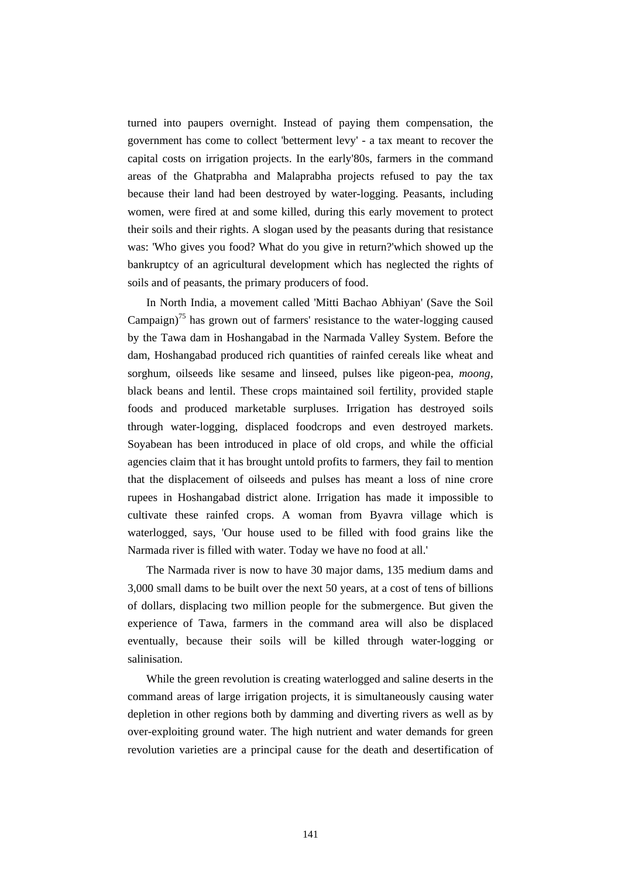turned into paupers overnight. Instead of paying them compensation, the government has come to collect 'betterment levy' - a tax meant to recover the capital costs on irrigation projects. In the early'80s, farmers in the command areas of the Ghatprabha and Malaprabha projects refused to pay the tax because their land had been destroyed by water-logging. Peasants, including women, were fired at and some killed, during this early movement to protect their soils and their rights. A slogan used by the peasants during that resistance was: 'Who gives you food? What do you give in return?'which showed up the bankruptcy of an agricultural development which has neglected the rights of soils and of peasants, the primary producers of food.

In North India, a movement called 'Mitti Bachao Abhiyan' (Save the Soil Campaign)<sup>75</sup> has grown out of farmers' resistance to the water-logging caused by the Tawa dam in Hoshangabad in the Narmada Valley System. Before the dam, Hoshangabad produced rich quantities of rainfed cereals like wheat and sorghum, oilseeds like sesame and linseed, pulses like pigeon-pea, *moong,* black beans and lentil. These crops maintained soil fertility, provided staple foods and produced marketable surpluses. Irrigation has destroyed soils through water-logging, displaced foodcrops and even destroyed markets. Soyabean has been introduced in place of old crops, and while the official agencies claim that it has brought untold profits to farmers, they fail to mention that the displacement of oilseeds and pulses has meant a loss of nine crore rupees in Hoshangabad district alone. Irrigation has made it impossible to cultivate these rainfed crops. A woman from Byavra village which is waterlogged, says, 'Our house used to be filled with food grains like the Narmada river is filled with water. Today we have no food at all.'

The Narmada river is now to have 30 major dams, 135 medium dams and 3,000 small dams to be built over the next 50 years, at a cost of tens of billions of dollars, displacing two million people for the submergence. But given the experience of Tawa, farmers in the command area will also be displaced eventually, because their soils will be killed through water-logging or salinisation.

While the green revolution is creating waterlogged and saline deserts in the command areas of large irrigation projects, it is simultaneously causing water depletion in other regions both by damming and diverting rivers as well as by over-exploiting ground water. The high nutrient and water demands for green revolution varieties are a principal cause for the death and desertification of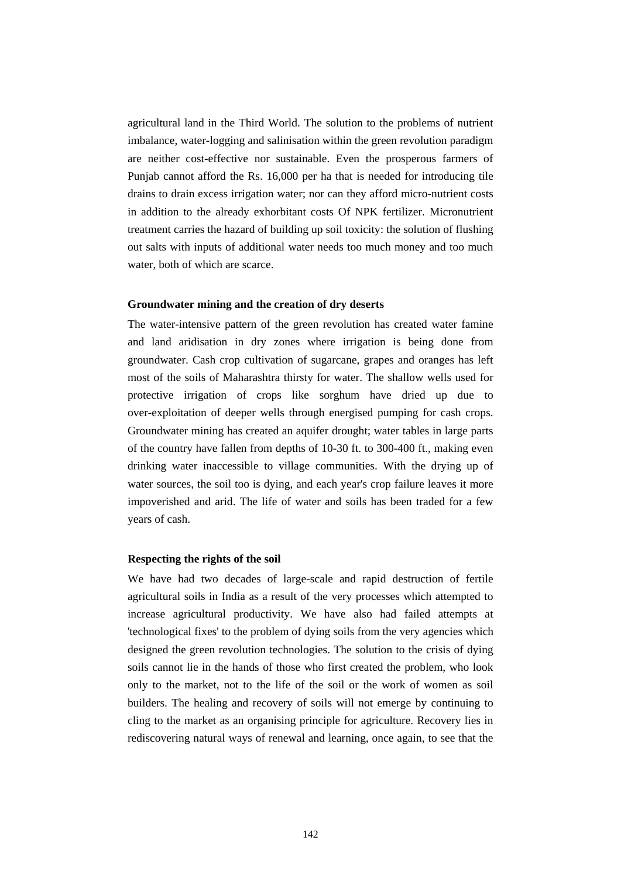agricultural land in the Third World. The solution to the problems of nutrient imbalance, water-logging and salinisation within the green revolution paradigm are neither cost-effective nor sustainable. Even the prosperous farmers of Punjab cannot afford the Rs. 16,000 per ha that is needed for introducing tile drains to drain excess irrigation water; nor can they afford micro-nutrient costs in addition to the already exhorbitant costs Of NPK fertilizer. Micronutrient treatment carries the hazard of building up soil toxicity: the solution of flushing out salts with inputs of additional water needs too much money and too much water, both of which are scarce.

#### **Groundwater mining and the creation of dry deserts**

The water-intensive pattern of the green revolution has created water famine and land aridisation in dry zones where irrigation is being done from groundwater. Cash crop cultivation of sugarcane, grapes and oranges has left most of the soils of Maharashtra thirsty for water. The shallow wells used for protective irrigation of crops like sorghum have dried up due to over-exploitation of deeper wells through energised pumping for cash crops. Groundwater mining has created an aquifer drought; water tables in large parts of the country have fallen from depths of 10-30 ft. to 300-400 ft., making even drinking water inaccessible to village communities. With the drying up of water sources, the soil too is dying, and each year's crop failure leaves it more impoverished and arid. The life of water and soils has been traded for a few years of cash.

#### **Respecting the rights of the soil**

We have had two decades of large-scale and rapid destruction of fertile agricultural soils in India as a result of the very processes which attempted to increase agricultural productivity. We have also had failed attempts at 'technological fixes' to the problem of dying soils from the very agencies which designed the green revolution technologies. The solution to the crisis of dying soils cannot lie in the hands of those who first created the problem, who look only to the market, not to the life of the soil or the work of women as soil builders. The healing and recovery of soils will not emerge by continuing to cling to the market as an organising principle for agriculture. Recovery lies in rediscovering natural ways of renewal and learning, once again, to see that the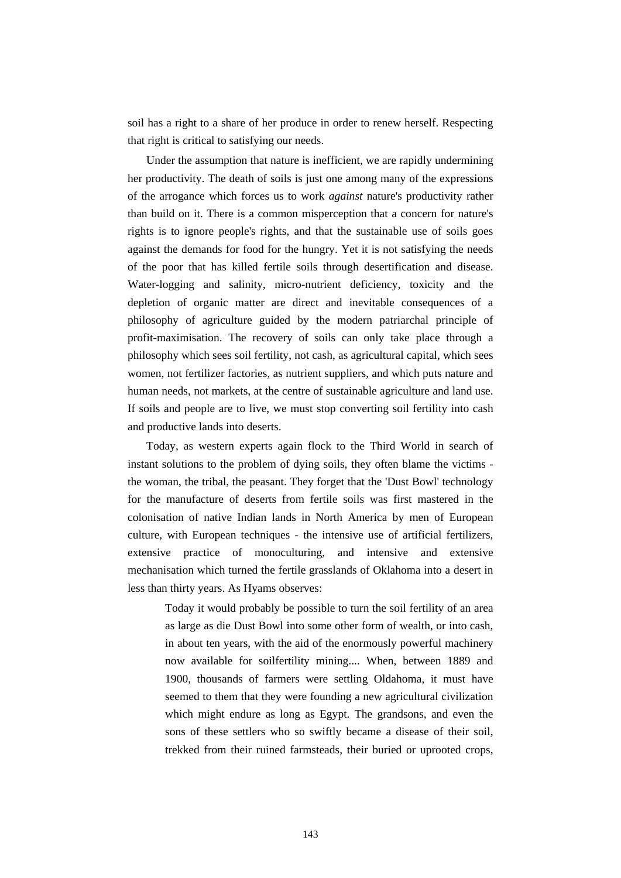soil has a right to a share of her produce in order to renew herself. Respecting that right is critical to satisfying our needs.

Under the assumption that nature is inefficient, we are rapidly undermining her productivity. The death of soils is just one among many of the expressions of the arrogance which forces us to work *against* nature's productivity rather than build on it. There is a common misperception that a concern for nature's rights is to ignore people's rights, and that the sustainable use of soils goes against the demands for food for the hungry. Yet it is not satisfying the needs of the poor that has killed fertile soils through desertification and disease. Water-logging and salinity, micro-nutrient deficiency, toxicity and the depletion of organic matter are direct and inevitable consequences of a philosophy of agriculture guided by the modern patriarchal principle of profit-maximisation. The recovery of soils can only take place through a philosophy which sees soil fertility, not cash, as agricultural capital, which sees women, not fertilizer factories, as nutrient suppliers, and which puts nature and human needs, not markets, at the centre of sustainable agriculture and land use. If soils and people are to live, we must stop converting soil fertility into cash and productive lands into deserts.

Today, as western experts again flock to the Third World in search of instant solutions to the problem of dying soils, they often blame the victims the woman, the tribal, the peasant. They forget that the 'Dust Bowl' technology for the manufacture of deserts from fertile soils was first mastered in the colonisation of native Indian lands in North America by men of European culture, with European techniques - the intensive use of artificial fertilizers, extensive practice of monoculturing, and intensive and extensive mechanisation which turned the fertile grasslands of Oklahoma into a desert in less than thirty years. As Hyams observes:

> Today it would probably be possible to turn the soil fertility of an area as large as die Dust Bowl into some other form of wealth, or into cash, in about ten years, with the aid of the enormously powerful machinery now available for soilfertility mining.... When, between 1889 and 1900, thousands of farmers were settling Oldahoma, it must have seemed to them that they were founding a new agricultural civilization which might endure as long as Egypt. The grandsons, and even the sons of these settlers who so swiftly became a disease of their soil, trekked from their ruined farmsteads, their buried or uprooted crops,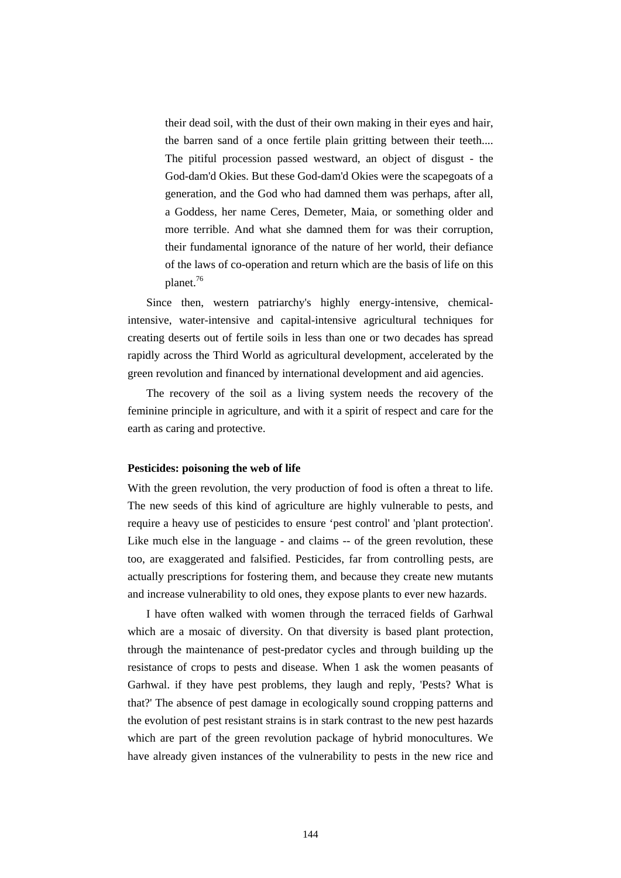their dead soil, with the dust of their own making in their eyes and hair, the barren sand of a once fertile plain gritting between their teeth.... The pitiful procession passed westward, an object of disgust - the God-dam'd Okies. But these God-dam'd Okies were the scapegoats of a generation, and the God who had damned them was perhaps, after all, a Goddess, her name Ceres, Demeter, Maia, or something older and more terrible. And what she damned them for was their corruption, their fundamental ignorance of the nature of her world, their defiance of the laws of co-operation and return which are the basis of life on this planet.<sup>76</sup>

Since then, western patriarchy's highly energy-intensive, chemicalintensive, water-intensive and capital-intensive agricultural techniques for creating deserts out of fertile soils in less than one or two decades has spread rapidly across the Third World as agricultural development, accelerated by the green revolution and financed by international development and aid agencies.

The recovery of the soil as a living system needs the recovery of the feminine principle in agriculture, and with it a spirit of respect and care for the earth as caring and protective.

#### **Pesticides: poisoning the web of life**

With the green revolution, the very production of food is often a threat to life. The new seeds of this kind of agriculture are highly vulnerable to pests, and require a heavy use of pesticides to ensure 'pest control' and 'plant protection'. Like much else in the language - and claims -- of the green revolution, these too, are exaggerated and falsified. Pesticides, far from controlling pests, are actually prescriptions for fostering them, and because they create new mutants and increase vulnerability to old ones, they expose plants to ever new hazards.

I have often walked with women through the terraced fields of Garhwal which are a mosaic of diversity. On that diversity is based plant protection, through the maintenance of pest-predator cycles and through building up the resistance of crops to pests and disease. When 1 ask the women peasants of Garhwal. if they have pest problems, they laugh and reply, 'Pests? What is that?' The absence of pest damage in ecologically sound cropping patterns and the evolution of pest resistant strains is in stark contrast to the new pest hazards which are part of the green revolution package of hybrid monocultures. We have already given instances of the vulnerability to pests in the new rice and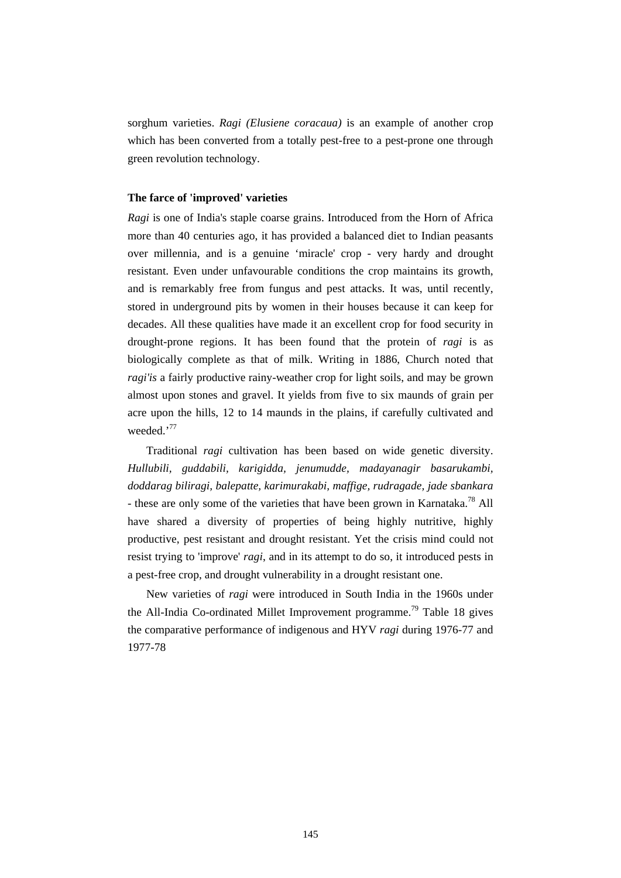sorghum varieties. *Ragi (Elusiene coracaua)* is an example of another crop which has been converted from a totally pest-free to a pest-prone one through green revolution technology.

#### **The farce of 'improved' varieties**

*Ragi* is one of India's staple coarse grains. Introduced from the Horn of Africa more than 40 centuries ago, it has provided a balanced diet to Indian peasants over millennia, and is a genuine 'miracle' crop - very hardy and drought resistant. Even under unfavourable conditions the crop maintains its growth, and is remarkably free from fungus and pest attacks. It was, until recently, stored in underground pits by women in their houses because it can keep for decades. All these qualities have made it an excellent crop for food security in drought-prone regions. It has been found that the protein of *ragi* is as biologically complete as that of milk. Writing in 1886, Church noted that *ragi'is* a fairly productive rainy-weather crop for light soils, and may be grown almost upon stones and gravel. It yields from five to six maunds of grain per acre upon the hills, 12 to 14 maunds in the plains, if carefully cultivated and weeded.'<sup>77</sup>

Traditional *ragi* cultivation has been based on wide genetic diversity. *Hullubili, guddabili, karigidda, jenumudde, madayanagir basarukambi, doddarag biliragi, balepatte, karimurakabi, maffige, rudragade, jade sbankara*  - these are only some of the varieties that have been grown in Karnataka.78 All have shared a diversity of properties of being highly nutritive, highly productive, pest resistant and drought resistant. Yet the crisis mind could not resist trying to 'improve' *ragi*, and in its attempt to do so, it introduced pests in a pest-free crop, and drought vulnerability in a drought resistant one.

New varieties of *ragi* were introduced in South India in the 1960s under the All-India Co-ordinated Millet Improvement programme.<sup>79</sup> Table 18 gives the comparative performance of indigenous and HYV *ragi* during 1976-77 and 1977-78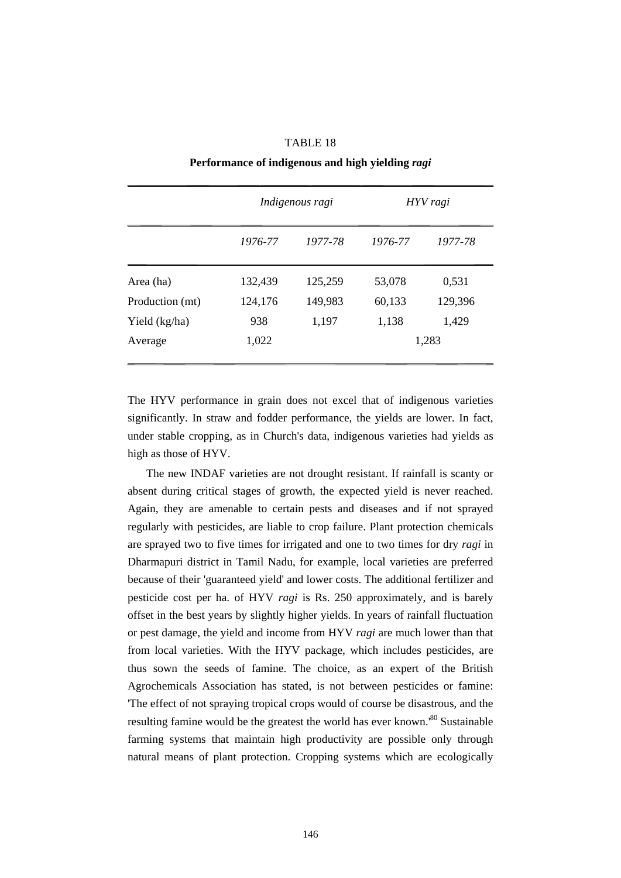|                 | Indigenous ragi |         | HYV ragi |         |  |
|-----------------|-----------------|---------|----------|---------|--|
|                 | 1976-77         | 1977-78 | 1976-77  | 1977-78 |  |
| Area (ha)       | 132,439         | 125,259 | 53,078   | 0,531   |  |
| Production (mt) | 124,176         | 149,983 | 60,133   | 129,396 |  |
| Yield (kg/ha)   | 938             | 1,197   | 1,138    | 1,429   |  |
| Average         | 1,022           |         | 1,283    |         |  |

TABLE 18

**Performance of indigenous and high yielding** *ragi*

The HYV performance in grain does not excel that of indigenous varieties significantly. In straw and fodder performance, the yields are lower. In fact, under stable cropping, as in Church's data, indigenous varieties had yields as high as those of HYV.

The new INDAF varieties are not drought resistant. If rainfall is scanty or absent during critical stages of growth, the expected yield is never reached. Again, they are amenable to certain pests and diseases and if not sprayed regularly with pesticides, are liable to crop failure. Plant protection chemicals are sprayed two to five times for irrigated and one to two times for dry *ragi* in Dharmapuri district in Tamil Nadu, for example, local varieties are preferred because of their 'guaranteed yield' and lower costs. The additional fertilizer and pesticide cost per ha. of HYV *ragi* is Rs. 250 approximately, and is barely offset in the best years by slightly higher yields. In years of rainfall fluctuation or pest damage, the yield and income from HYV *ragi* are much lower than that from local varieties. With the HYV package, which includes pesticides, are thus sown the seeds of famine. The choice, as an expert of the British Agrochemicals Association has stated, is not between pesticides or famine: 'The effect of not spraying tropical crops would of course be disastrous, and the resulting famine would be the greatest the world has ever known.'80 Sustainable farming systems that maintain high productivity are possible only through natural means of plant protection. Cropping systems which are ecologically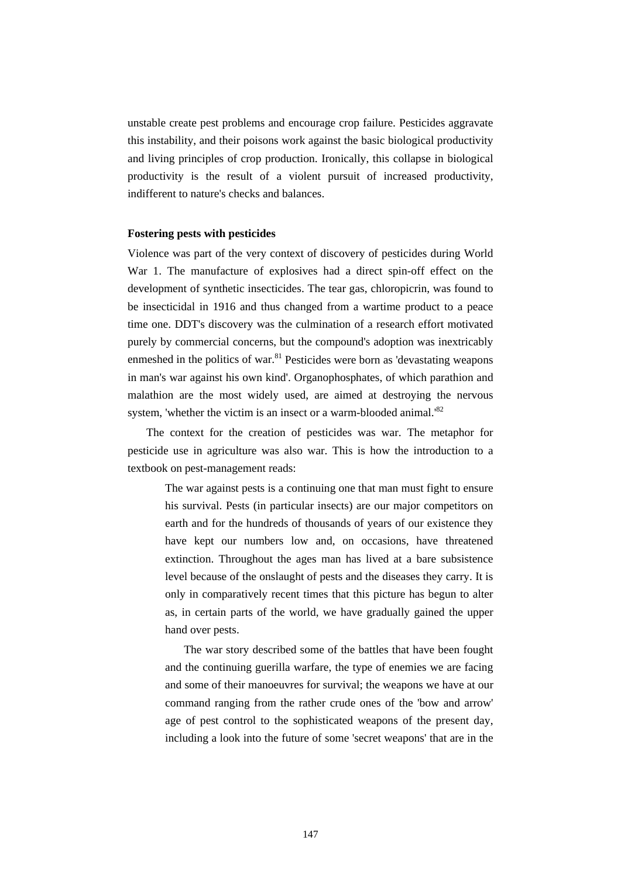unstable create pest problems and encourage crop failure. Pesticides aggravate this instability, and their poisons work against the basic biological productivity and living principles of crop production. Ironically, this collapse in biological productivity is the result of a violent pursuit of increased productivity, indifferent to nature's checks and balances.

#### **Fostering pests with pesticides**

Violence was part of the very context of discovery of pesticides during World War 1. The manufacture of explosives had a direct spin-off effect on the development of synthetic insecticides. The tear gas, chloropicrin, was found to be insecticidal in 1916 and thus changed from a wartime product to a peace time one. DDT's discovery was the culmination of a research effort motivated purely by commercial concerns, but the compound's adoption was inextricably enmeshed in the politics of war. $81$  Pesticides were born as 'devastating weapons' in man's war against his own kind'. Organophosphates, of which parathion and malathion are the most widely used, are aimed at destroying the nervous system, 'whether the victim is an insect or a warm-blooded animal.<sup>82</sup>

The context for the creation of pesticides was war. The metaphor for pesticide use in agriculture was also war. This is how the introduction to a textbook on pest-management reads:

The war against pests is a continuing one that man must fight to ensure his survival. Pests (in particular insects) are our major competitors on earth and for the hundreds of thousands of years of our existence they have kept our numbers low and, on occasions, have threatened extinction. Throughout the ages man has lived at a bare subsistence level because of the onslaught of pests and the diseases they carry. It is only in comparatively recent times that this picture has begun to alter as, in certain parts of the world, we have gradually gained the upper hand over pests.

The war story described some of the battles that have been fought and the continuing guerilla warfare, the type of enemies we are facing and some of their manoeuvres for survival; the weapons we have at our command ranging from the rather crude ones of the 'bow and arrow' age of pest control to the sophisticated weapons of the present day, including a look into the future of some 'secret weapons' that are in the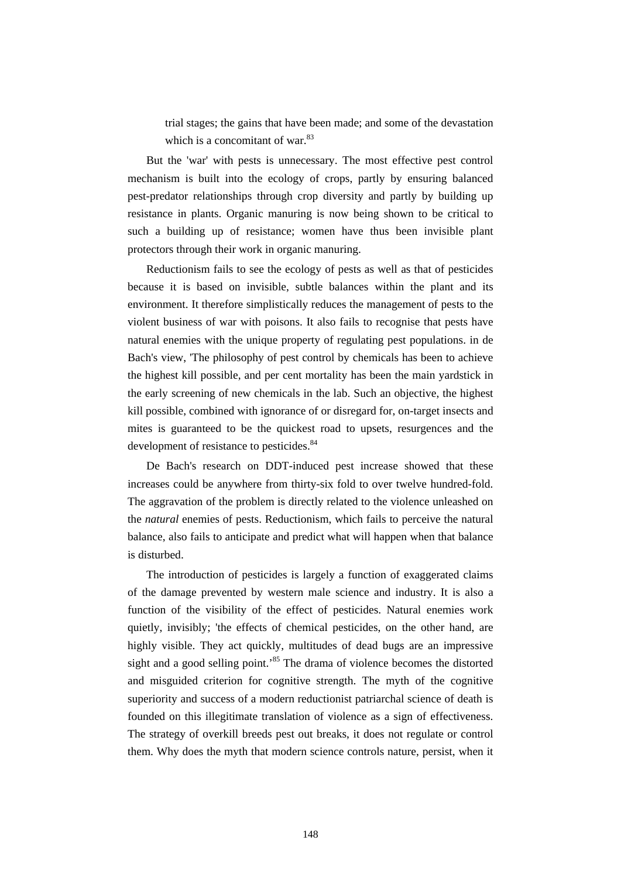trial stages; the gains that have been made; and some of the devastation which is a concomitant of war. $83$ 

But the 'war' with pests is unnecessary. The most effective pest control mechanism is built into the ecology of crops, partly by ensuring balanced pest-predator relationships through crop diversity and partly by building up resistance in plants. Organic manuring is now being shown to be critical to such a building up of resistance; women have thus been invisible plant protectors through their work in organic manuring.

Reductionism fails to see the ecology of pests as well as that of pesticides because it is based on invisible, subtle balances within the plant and its environment. It therefore simplistically reduces the management of pests to the violent business of war with poisons. It also fails to recognise that pests have natural enemies with the unique property of regulating pest populations. in de Bach's view, 'The philosophy of pest control by chemicals has been to achieve the highest kill possible, and per cent mortality has been the main yardstick in the early screening of new chemicals in the lab. Such an objective, the highest kill possible, combined with ignorance of or disregard for, on-target insects and mites is guaranteed to be the quickest road to upsets, resurgences and the development of resistance to pesticides.<sup>84</sup>

De Bach's research on DDT-induced pest increase showed that these increases could be anywhere from thirty-six fold to over twelve hundred-fold. The aggravation of the problem is directly related to the violence unleashed on the *natural* enemies of pests. Reductionism, which fails to perceive the natural balance, also fails to anticipate and predict what will happen when that balance is disturbed.

The introduction of pesticides is largely a function of exaggerated claims of the damage prevented by western male science and industry. It is also a function of the visibility of the effect of pesticides. Natural enemies work quietly, invisibly; 'the effects of chemical pesticides, on the other hand, are highly visible. They act quickly, multitudes of dead bugs are an impressive sight and a good selling point.<sup>85</sup> The drama of violence becomes the distorted and misguided criterion for cognitive strength. The myth of the cognitive superiority and success of a modern reductionist patriarchal science of death is founded on this illegitimate translation of violence as a sign of effectiveness. The strategy of overkill breeds pest out breaks, it does not regulate or control them. Why does the myth that modern science controls nature, persist, when it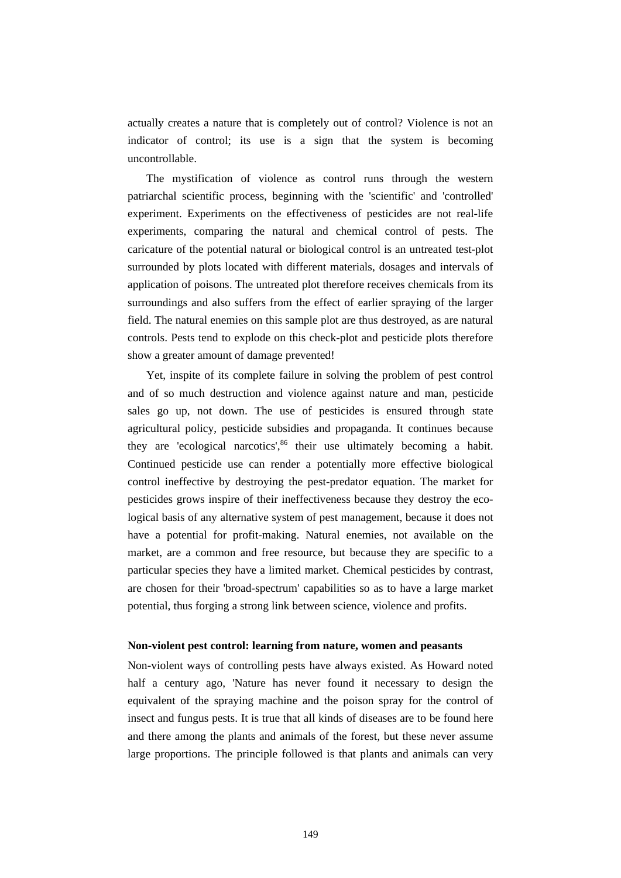actually creates a nature that is completely out of control? Violence is not an indicator of control; its use is a sign that the system is becoming uncontrollable.

The mystification of violence as control runs through the western patriarchal scientific process, beginning with the 'scientific' and 'controlled' experiment. Experiments on the effectiveness of pesticides are not real-life experiments, comparing the natural and chemical control of pests. The caricature of the potential natural or biological control is an untreated test-plot surrounded by plots located with different materials, dosages and intervals of application of poisons. The untreated plot therefore receives chemicals from its surroundings and also suffers from the effect of earlier spraying of the larger field. The natural enemies on this sample plot are thus destroyed, as are natural controls. Pests tend to explode on this check-plot and pesticide plots therefore show a greater amount of damage prevented!

Yet, inspite of its complete failure in solving the problem of pest control and of so much destruction and violence against nature and man, pesticide sales go up, not down. The use of pesticides is ensured through state agricultural policy, pesticide subsidies and propaganda. It continues because they are 'ecological narcotics', $86$  their use ultimately becoming a habit. Continued pesticide use can render a potentially more effective biological control ineffective by destroying the pest-predator equation. The market for pesticides grows inspire of their ineffectiveness because they destroy the ecological basis of any alternative system of pest management, because it does not have a potential for profit-making. Natural enemies, not available on the market, are a common and free resource, but because they are specific to a particular species they have a limited market. Chemical pesticides by contrast, are chosen for their 'broad-spectrum' capabilities so as to have a large market potential, thus forging a strong link between science, violence and profits.

#### **Non-violent pest control: learning from nature, women and peasants**

Non-violent ways of controlling pests have always existed. As Howard noted half a century ago, 'Nature has never found it necessary to design the equivalent of the spraying machine and the poison spray for the control of insect and fungus pests. It is true that all kinds of diseases are to be found here and there among the plants and animals of the forest, but these never assume large proportions. The principle followed is that plants and animals can very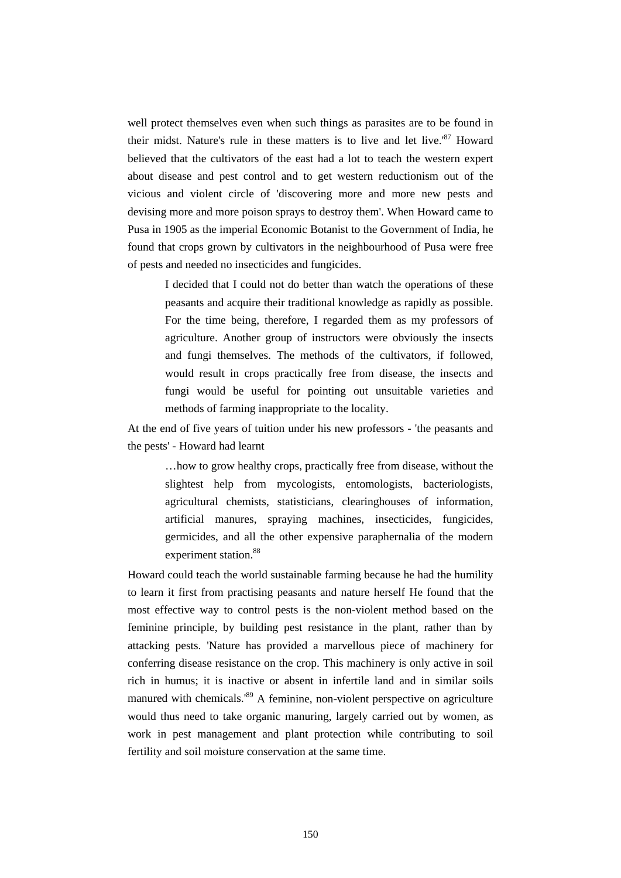well protect themselves even when such things as parasites are to be found in their midst. Nature's rule in these matters is to live and let live. $^{87}$  Howard believed that the cultivators of the east had a lot to teach the western expert about disease and pest control and to get western reductionism out of the vicious and violent circle of 'discovering more and more new pests and devising more and more poison sprays to destroy them'. When Howard came to Pusa in 1905 as the imperial Economic Botanist to the Government of India, he found that crops grown by cultivators in the neighbourhood of Pusa were free of pests and needed no insecticides and fungicides.

> I decided that I could not do better than watch the operations of these peasants and acquire their traditional knowledge as rapidly as possible. For the time being, therefore, I regarded them as my professors of agriculture. Another group of instructors were obviously the insects and fungi themselves. The methods of the cultivators, if followed, would result in crops practically free from disease, the insects and fungi would be useful for pointing out unsuitable varieties and methods of farming inappropriate to the locality.

At the end of five years of tuition under his new professors - 'the peasants and the pests' - Howard had learnt

> …how to grow healthy crops, practically free from disease, without the slightest help from mycologists, entomologists, bacteriologists, agricultural chemists, statisticians, clearinghouses of information, artificial manures, spraying machines, insecticides, fungicides, germicides, and all the other expensive paraphernalia of the modern experiment station.<sup>88</sup>

Howard could teach the world sustainable farming because he had the humility to learn it first from practising peasants and nature herself He found that the most effective way to control pests is the non-violent method based on the feminine principle, by building pest resistance in the plant, rather than by attacking pests. 'Nature has provided a marvellous piece of machinery for conferring disease resistance on the crop. This machinery is only active in soil rich in humus; it is inactive or absent in infertile land and in similar soils manured with chemicals.<sup>89</sup> A feminine, non-violent perspective on agriculture would thus need to take organic manuring, largely carried out by women, as work in pest management and plant protection while contributing to soil fertility and soil moisture conservation at the same time.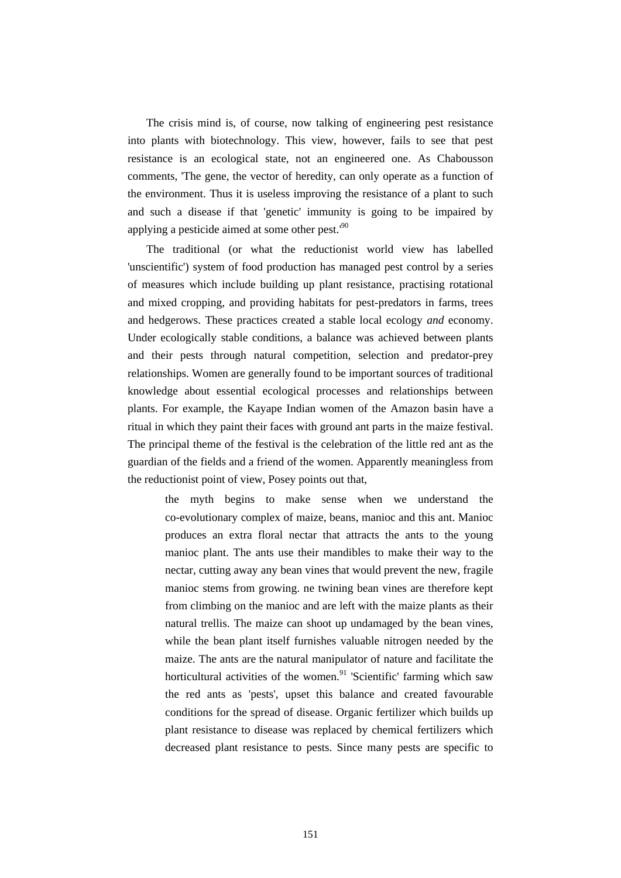The crisis mind is, of course, now talking of engineering pest resistance into plants with biotechnology. This view, however, fails to see that pest resistance is an ecological state, not an engineered one. As Chabousson comments, 'The gene, the vector of heredity, can only operate as a function of the environment. Thus it is useless improving the resistance of a plant to such and such a disease if that 'genetic' immunity is going to be impaired by applying a pesticide aimed at some other pest.<sup>190</sup>

The traditional (or what the reductionist world view has labelled 'unscientific') system of food production has managed pest control by a series of measures which include building up plant resistance, practising rotational and mixed cropping, and providing habitats for pest-predators in farms, trees and hedgerows. These practices created a stable local ecology *and* economy. Under ecologically stable conditions, a balance was achieved between plants and their pests through natural competition, selection and predator-prey relationships. Women are generally found to be important sources of traditional knowledge about essential ecological processes and relationships between plants. For example, the Kayape Indian women of the Amazon basin have a ritual in which they paint their faces with ground ant parts in the maize festival. The principal theme of the festival is the celebration of the little red ant as the guardian of the fields and a friend of the women. Apparently meaningless from the reductionist point of view, Posey points out that,

> the myth begins to make sense when we understand the co-evolutionary complex of maize, beans, manioc and this ant. Manioc produces an extra floral nectar that attracts the ants to the young manioc plant. The ants use their mandibles to make their way to the nectar, cutting away any bean vines that would prevent the new, fragile manioc stems from growing. ne twining bean vines are therefore kept from climbing on the manioc and are left with the maize plants as their natural trellis. The maize can shoot up undamaged by the bean vines, while the bean plant itself furnishes valuable nitrogen needed by the maize. The ants are the natural manipulator of nature and facilitate the horticultural activities of the women.<sup>91</sup> 'Scientific' farming which saw the red ants as 'pests', upset this balance and created favourable conditions for the spread of disease. Organic fertilizer which builds up plant resistance to disease was replaced by chemical fertilizers which decreased plant resistance to pests. Since many pests are specific to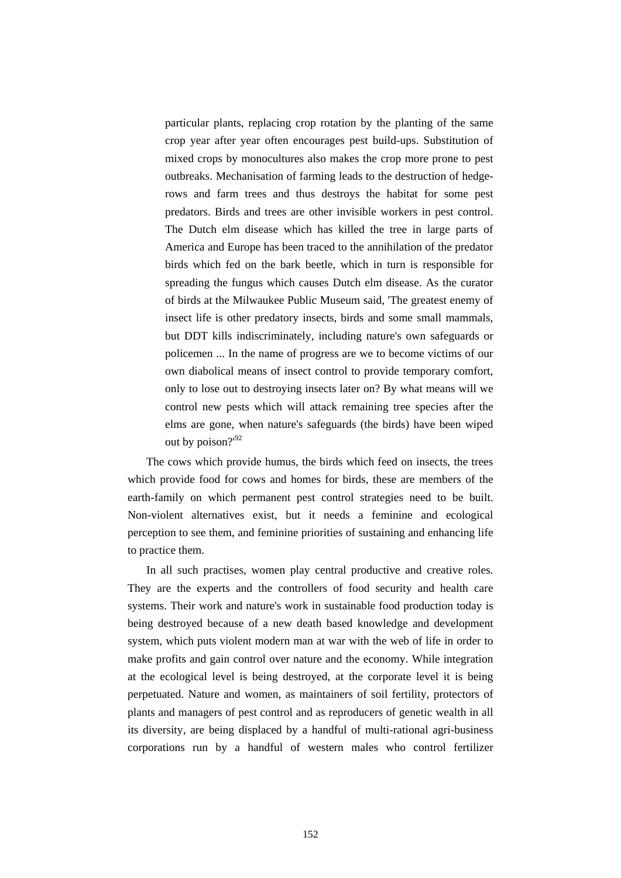particular plants, replacing crop rotation by the planting of the same crop year after year often encourages pest build-ups. Substitution of mixed crops by monocultures also makes the crop more prone to pest outbreaks. Mechanisation of farming leads to the destruction of hedgerows and farm trees and thus destroys the habitat for some pest predators. Birds and trees are other invisible workers in pest control. The Dutch elm disease which has killed the tree in large parts of America and Europe has been traced to the annihilation of the predator birds which fed on the bark beetle, which in turn is responsible for spreading the fungus which causes Dutch elm disease. As the curator of birds at the Milwaukee Public Museum said, 'The greatest enemy of insect life is other predatory insects, birds and some small mammals, but DDT kills indiscriminately, including nature's own safeguards or policemen ... In the name of progress are we to become victims of our own diabolical means of insect control to provide temporary comfort, only to lose out to destroying insects later on? By what means will we control new pests which will attack remaining tree species after the elms are gone, when nature's safeguards (the birds) have been wiped out by poison? $92$ 

The cows which provide humus, the birds which feed on insects, the trees which provide food for cows and homes for birds, these are members of the earth-family on which permanent pest control strategies need to be built. Non-violent alternatives exist, but it needs a feminine and ecological perception to see them, and feminine priorities of sustaining and enhancing life to practice them.

In all such practises, women play central productive and creative roles. They are the experts and the controllers of food security and health care systems. Their work and nature's work in sustainable food production today is being destroyed because of a new death based knowledge and development system, which puts violent modern man at war with the web of life in order to make profits and gain control over nature and the economy. While integration at the ecological level is being destroyed, at the corporate level it is being perpetuated. Nature and women, as maintainers of soil fertility, protectors of plants and managers of pest control and as reproducers of genetic wealth in all its diversity, are being displaced by a handful of multi-rational agri-business corporations run by a handful of western males who control fertilizer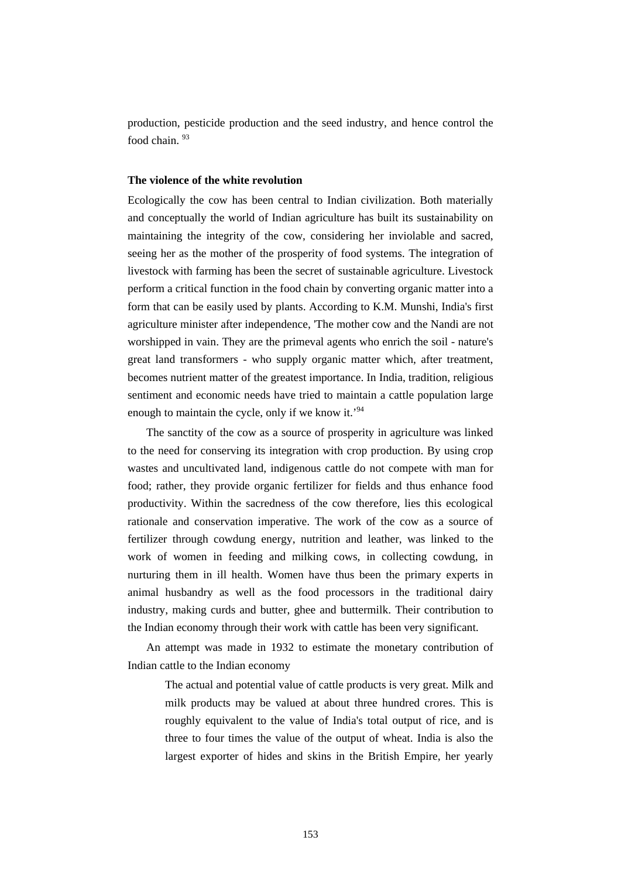production, pesticide production and the seed industry, and hence control the food chain. 93

#### **The violence of the white revolution**

Ecologically the cow has been central to Indian civilization. Both materially and conceptually the world of Indian agriculture has built its sustainability on maintaining the integrity of the cow, considering her inviolable and sacred, seeing her as the mother of the prosperity of food systems. The integration of livestock with farming has been the secret of sustainable agriculture. Livestock perform a critical function in the food chain by converting organic matter into a form that can be easily used by plants. According to K.M. Munshi, India's first agriculture minister after independence, 'The mother cow and the Nandi are not worshipped in vain. They are the primeval agents who enrich the soil - nature's great land transformers - who supply organic matter which, after treatment, becomes nutrient matter of the greatest importance. In India, tradition, religious sentiment and economic needs have tried to maintain a cattle population large enough to maintain the cycle, only if we know it.<sup>'94</sup>

The sanctity of the cow as a source of prosperity in agriculture was linked to the need for conserving its integration with crop production. By using crop wastes and uncultivated land, indigenous cattle do not compete with man for food; rather, they provide organic fertilizer for fields and thus enhance food productivity. Within the sacredness of the cow therefore, lies this ecological rationale and conservation imperative. The work of the cow as a source of fertilizer through cowdung energy, nutrition and leather, was linked to the work of women in feeding and milking cows, in collecting cowdung, in nurturing them in ill health. Women have thus been the primary experts in animal husbandry as well as the food processors in the traditional dairy industry, making curds and butter, ghee and buttermilk. Their contribution to the Indian economy through their work with cattle has been very significant.

An attempt was made in 1932 to estimate the monetary contribution of Indian cattle to the Indian economy

> The actual and potential value of cattle products is very great. Milk and milk products may be valued at about three hundred crores. This is roughly equivalent to the value of India's total output of rice, and is three to four times the value of the output of wheat. India is also the largest exporter of hides and skins in the British Empire, her yearly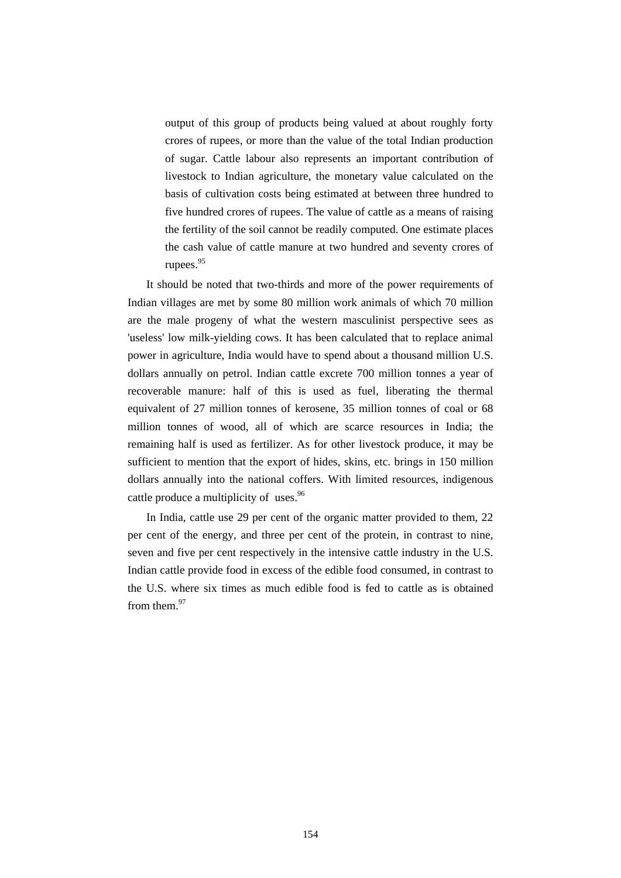output of this group of products being valued at about roughly forty crores of rupees, or more than the value of the total Indian production of sugar. Cattle labour also represents an important contribution of livestock to Indian agriculture, the monetary value calculated on the basis of cultivation costs being estimated at between three hundred to five hundred crores of rupees. The value of cattle as a means of raising the fertility of the soil cannot be readily computed. One estimate places the cash value of cattle manure at two hundred and seventy crores of rupees.<sup>95</sup>

It should be noted that two-thirds and more of the power requirements of Indian villages are met by some 80 million work animals of which 70 million are the male progeny of what the western masculinist perspective sees as 'useless' low milk-yielding cows. It has been calculated that to replace animal power in agriculture, India would have to spend about a thousand million U.S. dollars annually on petrol. Indian cattle excrete 700 million tonnes a year of recoverable manure: half of this is used as fuel, liberating the thermal equivalent of 27 million tonnes of kerosene, 35 million tonnes of coal or 68 million tonnes of wood, all of which are scarce resources in India; the remaining half is used as fertilizer. As for other livestock produce, it may be sufficient to mention that the export of hides, skins, etc. brings in 150 million dollars annually into the national coffers. With limited resources, indigenous cattle produce a multiplicity of uses.<sup>96</sup>

In India, cattle use 29 per cent of the organic matter provided to them, 22 per cent of the energy, and three per cent of the protein, in contrast to nine, seven and five per cent respectively in the intensive cattle industry in the U.S. Indian cattle provide food in excess of the edible food consumed, in contrast to the U.S. where six times as much edible food is fed to cattle as is obtained from them.<sup>97</sup>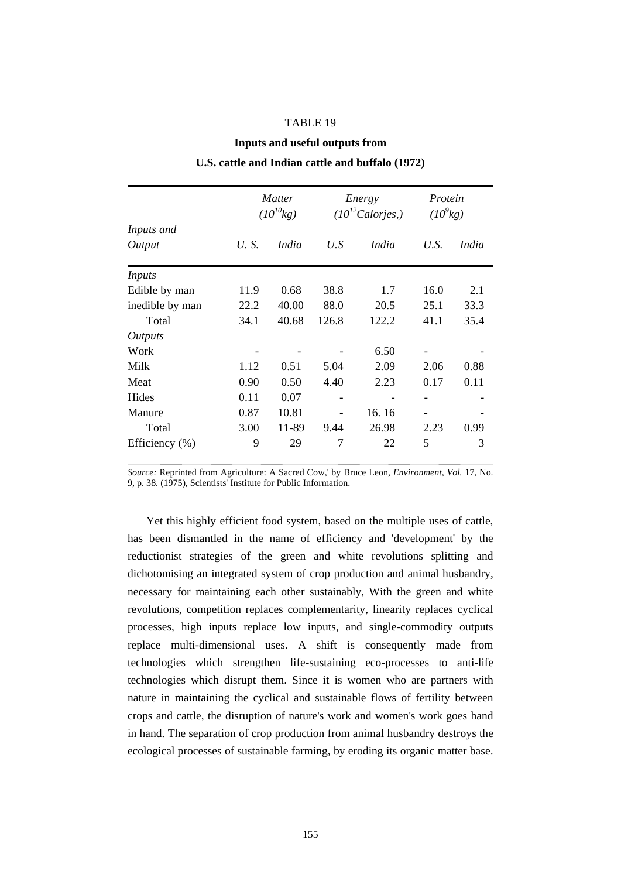# TABLE 19

# **Inputs and useful outputs from**

#### **U.S. cattle and Indian cattle and buffalo (1972)**

|                 | <i>Matter</i><br>$(10^{10}kg)$ |       | Energy<br>$(10^{12}Calories.)$ |       | Protein<br>$(10^9kg)$ |       |
|-----------------|--------------------------------|-------|--------------------------------|-------|-----------------------|-------|
| Inputs and      |                                |       |                                |       |                       |       |
| Output          | U.S.                           | India | U.S                            | India | U.S.                  | India |
| Inputs          |                                |       |                                |       |                       |       |
| Edible by man   | 11.9                           | 0.68  | 38.8                           | 1.7   | 16.0                  | 2.1   |
| inedible by man | 22.2                           | 40.00 | 88.0                           | 20.5  | 25.1                  | 33.3  |
| Total           | 34.1                           | 40.68 | 126.8                          | 122.2 | 41.1                  | 35.4  |
| <i>Outputs</i>  |                                |       |                                |       |                       |       |
| Work            |                                |       |                                | 6.50  |                       |       |
| Milk            | 1.12                           | 0.51  | 5.04                           | 2.09  | 2.06                  | 0.88  |
| Meat            | 0.90                           | 0.50  | 4.40                           | 2.23  | 0.17                  | 0.11  |
| Hides           | 0.11                           | 0.07  |                                |       |                       |       |
| Manure          | 0.87                           | 10.81 |                                | 16.16 |                       |       |
| Total           | 3.00                           | 11-89 | 9.44                           | 26.98 | 2.23                  | 0.99  |
| Efficiency (%)  | 9                              | 29    | 7                              | 22    | 5                     | 3     |

*Source:* Reprinted from Agriculture: A Sacred Cow,' by Bruce Leon, *Environment, Vol.* 17, No. 9, p. 38. (1975), Scientists' Institute for Public Information.

Yet this highly efficient food system, based on the multiple uses of cattle, has been dismantled in the name of efficiency and 'development' by the reductionist strategies of the green and white revolutions splitting and dichotomising an integrated system of crop production and animal husbandry, necessary for maintaining each other sustainably, With the green and white revolutions, competition replaces complementarity, linearity replaces cyclical processes, high inputs replace low inputs, and single-commodity outputs replace multi-dimensional uses. A shift is consequently made from technologies which strengthen life-sustaining eco-processes to anti-life technologies which disrupt them. Since it is women who are partners with nature in maintaining the cyclical and sustainable flows of fertility between crops and cattle, the disruption of nature's work and women's work goes hand in hand. The separation of crop production from animal husbandry destroys the ecological processes of sustainable farming, by eroding its organic matter base.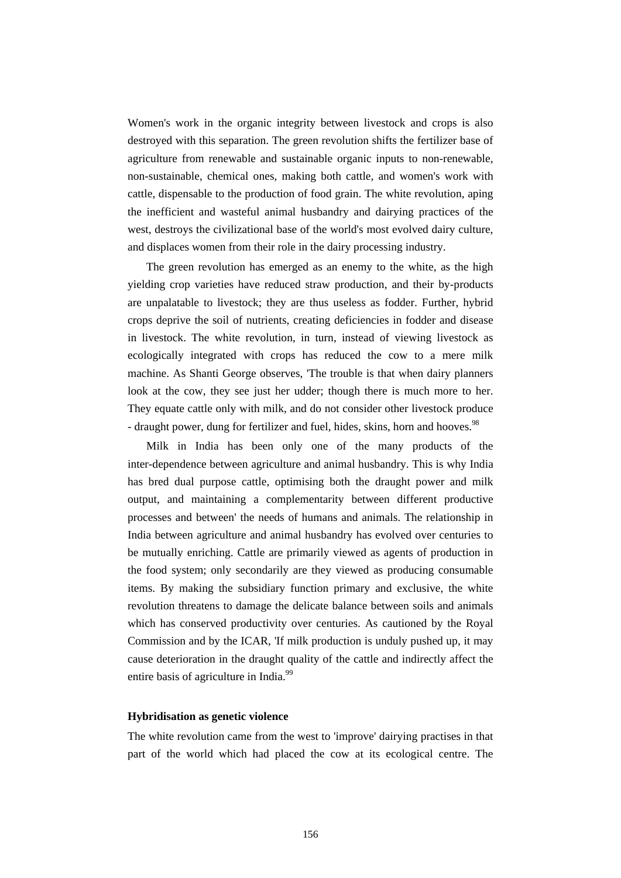Women's work in the organic integrity between livestock and crops is also destroyed with this separation. The green revolution shifts the fertilizer base of agriculture from renewable and sustainable organic inputs to non-renewable, non-sustainable, chemical ones, making both cattle, and women's work with cattle, dispensable to the production of food grain. The white revolution, aping the inefficient and wasteful animal husbandry and dairying practices of the west, destroys the civilizational base of the world's most evolved dairy culture, and displaces women from their role in the dairy processing industry.

The green revolution has emerged as an enemy to the white, as the high yielding crop varieties have reduced straw production, and their by-products are unpalatable to livestock; they are thus useless as fodder. Further, hybrid crops deprive the soil of nutrients, creating deficiencies in fodder and disease in livestock. The white revolution, in turn, instead of viewing livestock as ecologically integrated with crops has reduced the cow to a mere milk machine. As Shanti George observes, 'The trouble is that when dairy planners look at the cow, they see just her udder; though there is much more to her. They equate cattle only with milk, and do not consider other livestock produce - draught power, dung for fertilizer and fuel, hides, skins, horn and hooves.<sup>98</sup>

Milk in India has been only one of the many products of the inter-dependence between agriculture and animal husbandry. This is why India has bred dual purpose cattle, optimising both the draught power and milk output, and maintaining a complementarity between different productive processes and between' the needs of humans and animals. The relationship in India between agriculture and animal husbandry has evolved over centuries to be mutually enriching. Cattle are primarily viewed as agents of production in the food system; only secondarily are they viewed as producing consumable items. By making the subsidiary function primary and exclusive, the white revolution threatens to damage the delicate balance between soils and animals which has conserved productivity over centuries. As cautioned by the Royal Commission and by the ICAR, 'If milk production is unduly pushed up, it may cause deterioration in the draught quality of the cattle and indirectly affect the entire basis of agriculture in India.<sup>99</sup>

#### **Hybridisation as genetic violence**

The white revolution came from the west to 'improve' dairying practises in that part of the world which had placed the cow at its ecological centre. The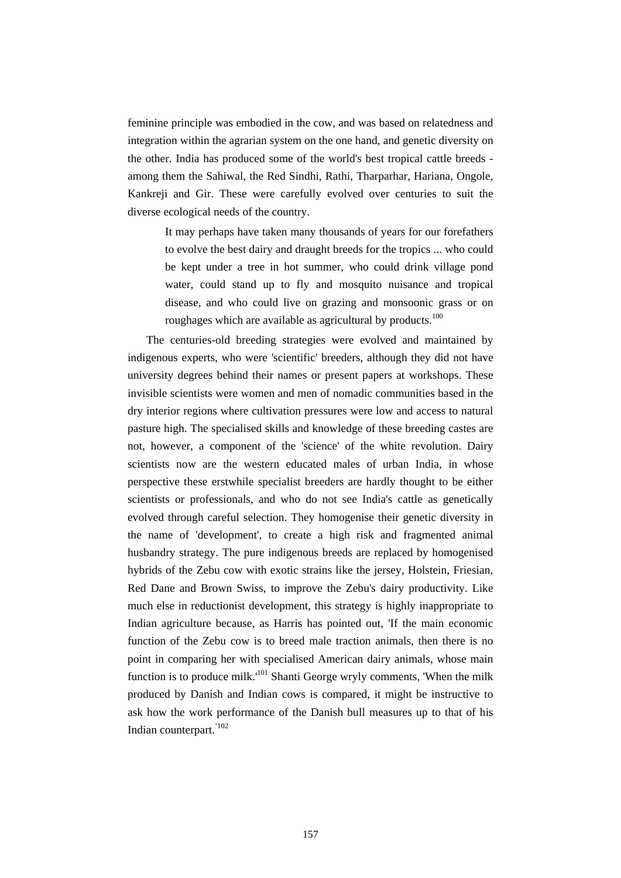feminine principle was embodied in the cow, and was based on relatedness and integration within the agrarian system on the one hand, and genetic diversity on the other. India has produced some of the world's best tropical cattle breeds among them the Sahiwal, the Red Sindhi, Rathi, Tharparhar, Hariana, Ongole, Kankreji and Gir. These were carefully evolved over centuries to suit the diverse ecological needs of the country.

> It may perhaps have taken many thousands of years for our forefathers to evolve the best dairy and draught breeds for the tropics ... who could be kept under a tree in hot summer, who could drink village pond water, could stand up to fly and mosquito nuisance and tropical disease, and who could live on grazing and monsoonic grass or on roughages which are available as agricultural by products. $100$

The centuries-old breeding strategies were evolved and maintained by indigenous experts, who were 'scientific' breeders, although they did not have university degrees behind their names or present papers at workshops. These invisible scientists were women and men of nomadic communities based in the dry interior regions where cultivation pressures were low and access to natural pasture high. The specialised skills and knowledge of these breeding castes are not, however, a component of the 'science' of the white revolution. Dairy scientists now are the western educated males of urban India, in whose perspective these erstwhile specialist breeders are hardly thought to be either scientists or professionals, and who do not see India's cattle as genetically evolved through careful selection. They homogenise their genetic diversity in the name of 'development', to create a high risk and fragmented animal husbandry strategy. The pure indigenous breeds are replaced by homogenised hybrids of the Zebu cow with exotic strains like the jersey, Holstein, Friesian, Red Dane and Brown Swiss, to improve the Zebu's dairy productivity. Like much else in reductionist development, this strategy is highly inappropriate to Indian agriculture because, as Harris has pointed out, 'If the main economic function of the Zebu cow is to breed male traction animals, then there is no point in comparing her with specialised American dairy animals, whose main function is to produce milk.<sup>101</sup> Shanti George wryly comments, 'When the milk produced by Danish and Indian cows is compared, it might be instructive to ask how the work performance of the Danish bull measures up to that of his Indian counterpart.'102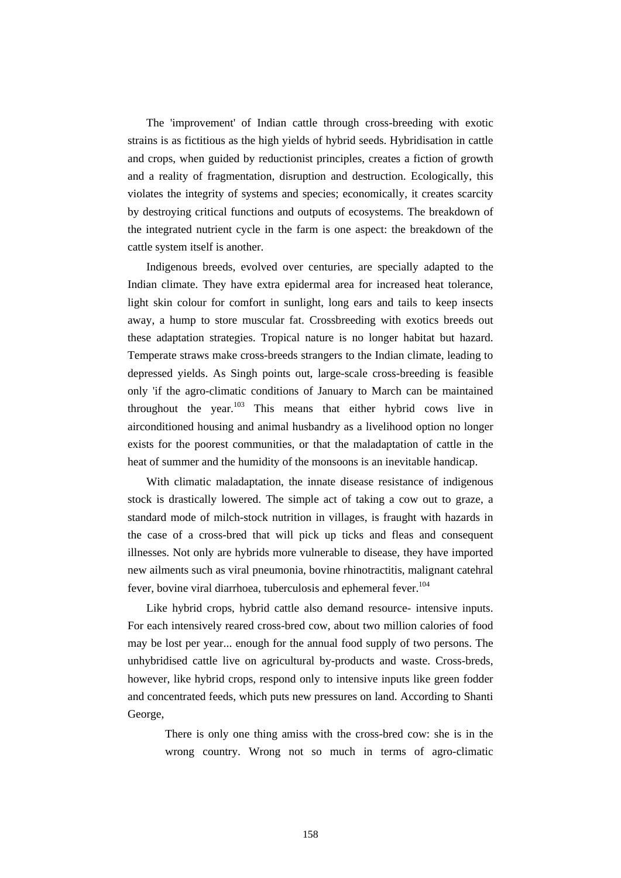The 'improvement' of Indian cattle through cross-breeding with exotic strains is as fictitious as the high yields of hybrid seeds. Hybridisation in cattle and crops, when guided by reductionist principles, creates a fiction of growth and a reality of fragmentation, disruption and destruction. Ecologically, this violates the integrity of systems and species; economically, it creates scarcity by destroying critical functions and outputs of ecosystems. The breakdown of the integrated nutrient cycle in the farm is one aspect: the breakdown of the cattle system itself is another.

Indigenous breeds, evolved over centuries, are specially adapted to the Indian climate. They have extra epidermal area for increased heat tolerance, light skin colour for comfort in sunlight, long ears and tails to keep insects away, a hump to store muscular fat. Crossbreeding with exotics breeds out these adaptation strategies. Tropical nature is no longer habitat but hazard. Temperate straws make cross-breeds strangers to the Indian climate, leading to depressed yields. As Singh points out, large-scale cross-breeding is feasible only 'if the agro-climatic conditions of January to March can be maintained throughout the year. $103$  This means that either hybrid cows live in airconditioned housing and animal husbandry as a livelihood option no longer exists for the poorest communities, or that the maladaptation of cattle in the heat of summer and the humidity of the monsoons is an inevitable handicap.

With climatic maladaptation, the innate disease resistance of indigenous stock is drastically lowered. The simple act of taking a cow out to graze, a standard mode of milch-stock nutrition in villages, is fraught with hazards in the case of a cross-bred that will pick up ticks and fleas and consequent illnesses. Not only are hybrids more vulnerable to disease, they have imported new ailments such as viral pneumonia, bovine rhinotractitis, malignant catehral fever, bovine viral diarrhoea, tuberculosis and ephemeral fever.<sup>104</sup>

Like hybrid crops, hybrid cattle also demand resource- intensive inputs. For each intensively reared cross-bred cow, about two million calories of food may be lost per year... enough for the annual food supply of two persons. The unhybridised cattle live on agricultural by-products and waste. Cross-breds, however, like hybrid crops, respond only to intensive inputs like green fodder and concentrated feeds, which puts new pressures on land. According to Shanti George,

> There is only one thing amiss with the cross-bred cow: she is in the wrong country. Wrong not so much in terms of agro-climatic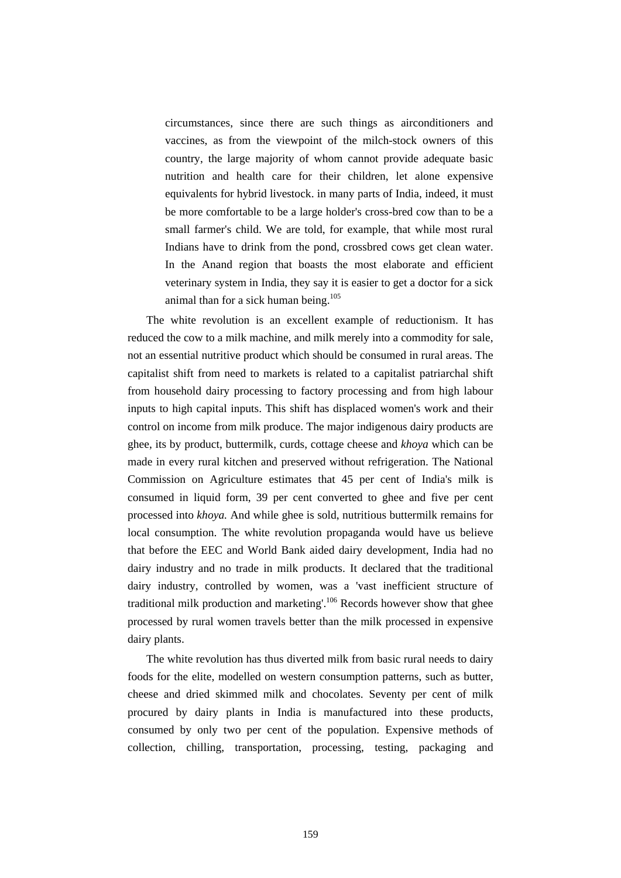circumstances, since there are such things as airconditioners and vaccines, as from the viewpoint of the milch-stock owners of this country, the large majority of whom cannot provide adequate basic nutrition and health care for their children, let alone expensive equivalents for hybrid livestock. in many parts of India, indeed, it must be more comfortable to be a large holder's cross-bred cow than to be a small farmer's child. We are told, for example, that while most rural Indians have to drink from the pond, crossbred cows get clean water. In the Anand region that boasts the most elaborate and efficient veterinary system in India, they say it is easier to get a doctor for a sick animal than for a sick human being.<sup>105</sup>

The white revolution is an excellent example of reductionism. It has reduced the cow to a milk machine, and milk merely into a commodity for sale, not an essential nutritive product which should be consumed in rural areas. The capitalist shift from need to markets is related to a capitalist patriarchal shift from household dairy processing to factory processing and from high labour inputs to high capital inputs. This shift has displaced women's work and their control on income from milk produce. The major indigenous dairy products are ghee, its by product, buttermilk, curds, cottage cheese and *khoya* which can be made in every rural kitchen and preserved without refrigeration. The National Commission on Agriculture estimates that 45 per cent of India's milk is consumed in liquid form, 39 per cent converted to ghee and five per cent processed into *khoya.* And while ghee is sold, nutritious buttermilk remains for local consumption. The white revolution propaganda would have us believe that before the EEC and World Bank aided dairy development, India had no dairy industry and no trade in milk products. It declared that the traditional dairy industry, controlled by women, was a 'vast inefficient structure of traditional milk production and marketing'.<sup>106</sup> Records however show that ghee processed by rural women travels better than the milk processed in expensive dairy plants.

The white revolution has thus diverted milk from basic rural needs to dairy foods for the elite, modelled on western consumption patterns, such as butter, cheese and dried skimmed milk and chocolates. Seventy per cent of milk procured by dairy plants in India is manufactured into these products, consumed by only two per cent of the population. Expensive methods of collection, chilling, transportation, processing, testing, packaging and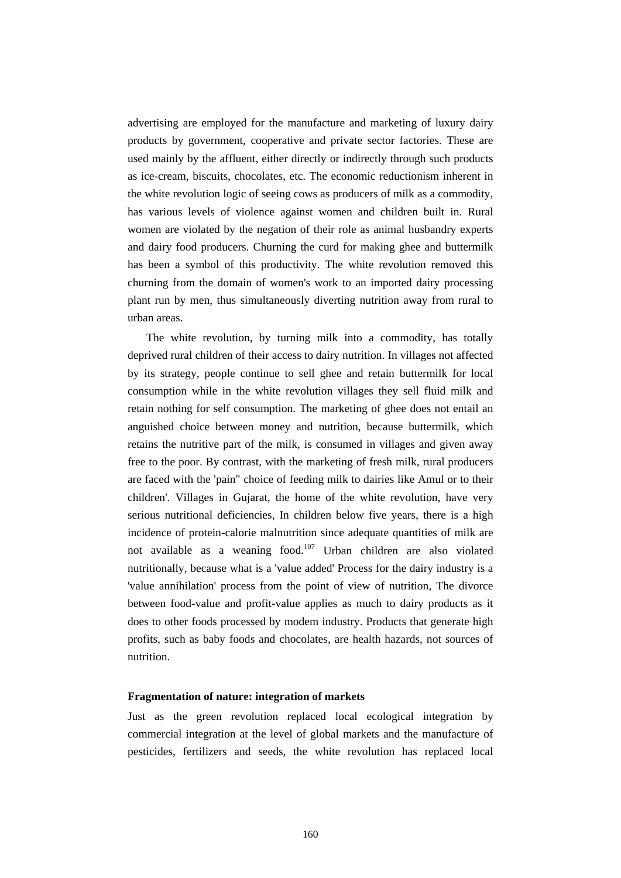advertising are employed for the manufacture and marketing of luxury dairy products by government, cooperative and private sector factories. These are used mainly by the affluent, either directly or indirectly through such products as ice-cream, biscuits, chocolates, etc. The economic reductionism inherent in the white revolution logic of seeing cows as producers of milk as a commodity, has various levels of violence against women and children built in. Rural women are violated by the negation of their role as animal husbandry experts and dairy food producers. Churning the curd for making ghee and buttermilk has been a symbol of this productivity. The white revolution removed this churning from the domain of women's work to an imported dairy processing plant run by men, thus simultaneously diverting nutrition away from rural to urban areas.

The white revolution, by turning milk into a commodity, has totally deprived rural children of their access to dairy nutrition. In villages not affected by its strategy, people continue to sell ghee and retain buttermilk for local consumption while in the white revolution villages they sell fluid milk and retain nothing for self consumption. The marketing of ghee does not entail an anguished choice between money and nutrition, because buttermilk, which retains the nutritive part of the milk, is consumed in villages and given away free to the poor. By contrast, with the marketing of fresh milk, rural producers are faced with the 'pain" choice of feeding milk to dairies like Amul or to their children'. Villages in Gujarat, the home of the white revolution, have very serious nutritional deficiencies, In children below five years, there is a high incidence of protein-calorie malnutrition since adequate quantities of milk are not available as a weaning food.<sup>107</sup> Urban children are also violated nutritionally, because what is a 'value added' Process for the dairy industry is a 'value annihilation' process from the point of view of nutrition, The divorce between food-value and profit-value applies as much to dairy products as it does to other foods processed by modem industry. Products that generate high profits, such as baby foods and chocolates, are health hazards, not sources of nutrition.

#### **Fragmentation of nature: integration of markets**

Just as the green revolution replaced local ecological integration by commercial integration at the level of global markets and the manufacture of pesticides, fertilizers and seeds, the white revolution has replaced local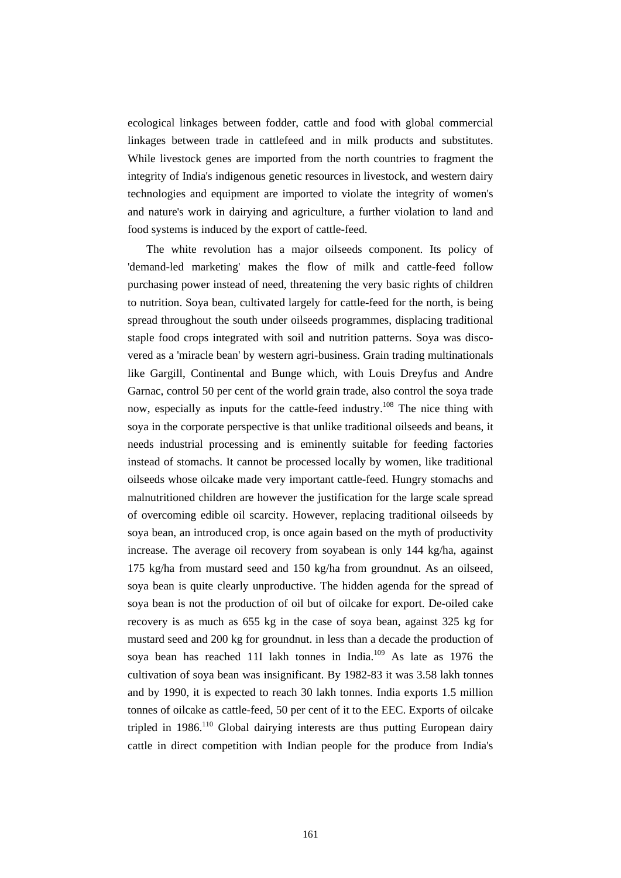ecological linkages between fodder, cattle and food with global commercial linkages between trade in cattlefeed and in milk products and substitutes. While livestock genes are imported from the north countries to fragment the integrity of India's indigenous genetic resources in livestock, and western dairy technologies and equipment are imported to violate the integrity of women's and nature's work in dairying and agriculture, a further violation to land and food systems is induced by the export of cattle-feed.

The white revolution has a major oilseeds component. Its policy of 'demand-led marketing' makes the flow of milk and cattle-feed follow purchasing power instead of need, threatening the very basic rights of children to nutrition. Soya bean, cultivated largely for cattle-feed for the north, is being spread throughout the south under oilseeds programmes, displacing traditional staple food crops integrated with soil and nutrition patterns. Soya was discovered as a 'miracle bean' by western agri-business. Grain trading multinationals like Gargill, Continental and Bunge which, with Louis Dreyfus and Andre Garnac, control 50 per cent of the world grain trade, also control the soya trade now, especially as inputs for the cattle-feed industry.<sup>108</sup> The nice thing with soya in the corporate perspective is that unlike traditional oilseeds and beans, it needs industrial processing and is eminently suitable for feeding factories instead of stomachs. It cannot be processed locally by women, like traditional oilseeds whose oilcake made very important cattle-feed. Hungry stomachs and malnutritioned children are however the justification for the large scale spread of overcoming edible oil scarcity. However, replacing traditional oilseeds by soya bean, an introduced crop, is once again based on the myth of productivity increase. The average oil recovery from soyabean is only 144 kg/ha, against 175 kg/ha from mustard seed and 150 kg/ha from groundnut. As an oilseed, soya bean is quite clearly unproductive. The hidden agenda for the spread of soya bean is not the production of oil but of oilcake for export. De-oiled cake recovery is as much as 655 kg in the case of soya bean, against 325 kg for mustard seed and 200 kg for groundnut. in less than a decade the production of soya bean has reached 11I lakh tonnes in India.<sup>109</sup> As late as 1976 the cultivation of soya bean was insignificant. By 1982-83 it was 3.58 lakh tonnes and by 1990, it is expected to reach 30 lakh tonnes. India exports 1.5 million tonnes of oilcake as cattle-feed, 50 per cent of it to the EEC. Exports of oilcake tripled in 1986.<sup>110</sup> Global dairying interests are thus putting European dairy cattle in direct competition with Indian people for the produce from India's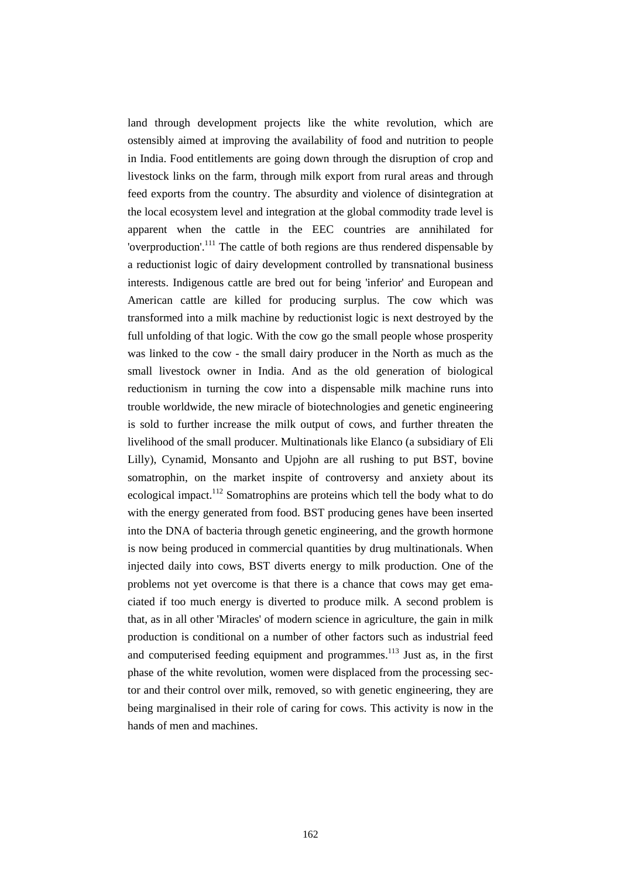land through development projects like the white revolution, which are ostensibly aimed at improving the availability of food and nutrition to people in India. Food entitlements are going down through the disruption of crop and livestock links on the farm, through milk export from rural areas and through feed exports from the country. The absurdity and violence of disintegration at the local ecosystem level and integration at the global commodity trade level is apparent when the cattle in the EEC countries are annihilated for  $\alpha$ 'overproduction'.<sup>111</sup> The cattle of both regions are thus rendered dispensable by a reductionist logic of dairy development controlled by transnational business interests. Indigenous cattle are bred out for being 'inferior' and European and American cattle are killed for producing surplus. The cow which was transformed into a milk machine by reductionist logic is next destroyed by the full unfolding of that logic. With the cow go the small people whose prosperity was linked to the cow - the small dairy producer in the North as much as the small livestock owner in India. And as the old generation of biological reductionism in turning the cow into a dispensable milk machine runs into trouble worldwide, the new miracle of biotechnologies and genetic engineering is sold to further increase the milk output of cows, and further threaten the livelihood of the small producer. Multinationals like Elanco (a subsidiary of Eli Lilly), Cynamid, Monsanto and Upjohn are all rushing to put BST, bovine somatrophin, on the market inspite of controversy and anxiety about its ecological impact.112 Somatrophins are proteins which tell the body what to do with the energy generated from food. BST producing genes have been inserted into the DNA of bacteria through genetic engineering, and the growth hormone is now being produced in commercial quantities by drug multinationals. When injected daily into cows, BST diverts energy to milk production. One of the problems not yet overcome is that there is a chance that cows may get emaciated if too much energy is diverted to produce milk. A second problem is that, as in all other 'Miracles' of modern science in agriculture, the gain in milk production is conditional on a number of other factors such as industrial feed and computerised feeding equipment and programmes.<sup>113</sup> Just as, in the first phase of the white revolution, women were displaced from the processing sector and their control over milk, removed, so with genetic engineering, they are being marginalised in their role of caring for cows. This activity is now in the hands of men and machines.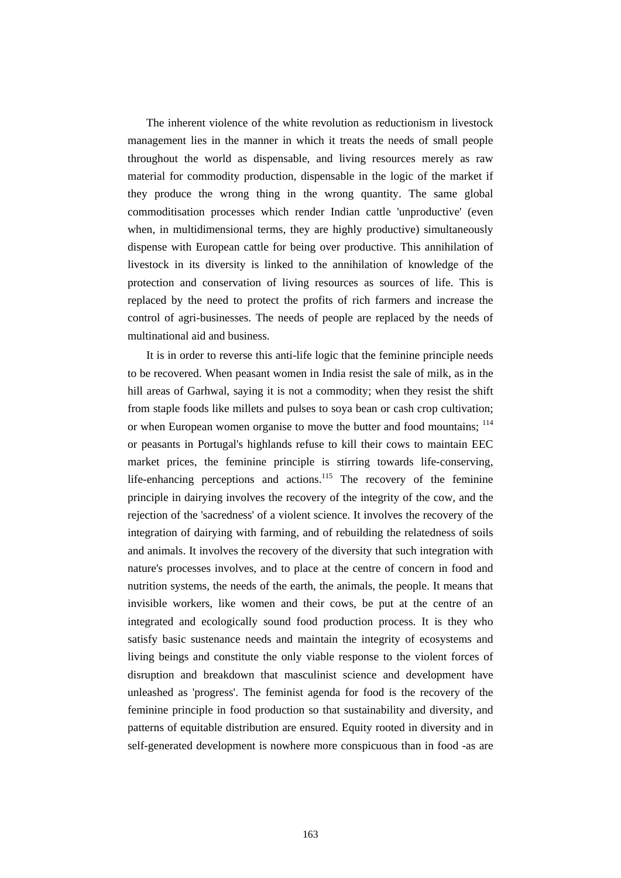The inherent violence of the white revolution as reductionism in livestock management lies in the manner in which it treats the needs of small people throughout the world as dispensable, and living resources merely as raw material for commodity production, dispensable in the logic of the market if they produce the wrong thing in the wrong quantity. The same global commoditisation processes which render Indian cattle 'unproductive' (even when, in multidimensional terms, they are highly productive) simultaneously dispense with European cattle for being over productive. This annihilation of livestock in its diversity is linked to the annihilation of knowledge of the protection and conservation of living resources as sources of life. This is replaced by the need to protect the profits of rich farmers and increase the control of agri-businesses. The needs of people are replaced by the needs of multinational aid and business.

It is in order to reverse this anti-life logic that the feminine principle needs to be recovered. When peasant women in India resist the sale of milk, as in the hill areas of Garhwal, saying it is not a commodity; when they resist the shift from staple foods like millets and pulses to soya bean or cash crop cultivation; or when European women organise to move the butter and food mountains;  $^{114}$ or peasants in Portugal's highlands refuse to kill their cows to maintain EEC market prices, the feminine principle is stirring towards life-conserving, life-enhancing perceptions and actions.<sup>115</sup> The recovery of the feminine principle in dairying involves the recovery of the integrity of the cow, and the rejection of the 'sacredness' of a violent science. It involves the recovery of the integration of dairying with farming, and of rebuilding the relatedness of soils and animals. It involves the recovery of the diversity that such integration with nature's processes involves, and to place at the centre of concern in food and nutrition systems, the needs of the earth, the animals, the people. It means that invisible workers, like women and their cows, be put at the centre of an integrated and ecologically sound food production process. It is they who satisfy basic sustenance needs and maintain the integrity of ecosystems and living beings and constitute the only viable response to the violent forces of disruption and breakdown that masculinist science and development have unleashed as 'progress'. The feminist agenda for food is the recovery of the feminine principle in food production so that sustainability and diversity, and patterns of equitable distribution are ensured. Equity rooted in diversity and in self-generated development is nowhere more conspicuous than in food -as are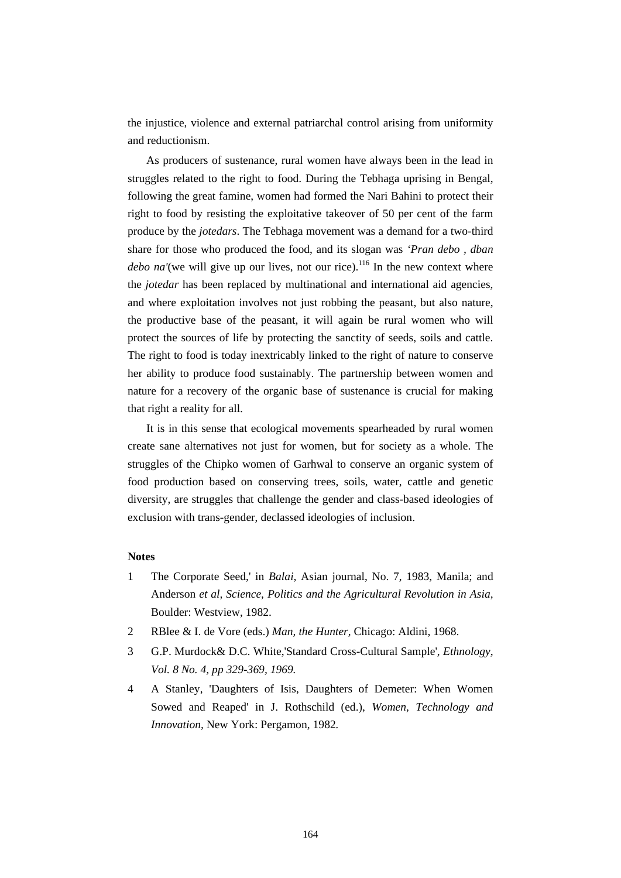the injustice, violence and external patriarchal control arising from uniformity and reductionism.

As producers of sustenance, rural women have always been in the lead in struggles related to the right to food. During the Tebhaga uprising in Bengal, following the great famine, women had formed the Nari Bahini to protect their right to food by resisting the exploitative takeover of 50 per cent of the farm produce by the *jotedars*. The Tebhaga movement was a demand for a two-third share for those who produced the food, and its slogan was *'Pran debo , dban debo na'*(we will give up our lives, not our rice).<sup>116</sup> In the new context where the *jotedar* has been replaced by multinational and international aid agencies, and where exploitation involves not just robbing the peasant, but also nature, the productive base of the peasant, it will again be rural women who will protect the sources of life by protecting the sanctity of seeds, soils and cattle. The right to food is today inextricably linked to the right of nature to conserve her ability to produce food sustainably. The partnership between women and nature for a recovery of the organic base of sustenance is crucial for making that right a reality for all.

It is in this sense that ecological movements spearheaded by rural women create sane alternatives not just for women, but for society as a whole. The struggles of the Chipko women of Garhwal to conserve an organic system of food production based on conserving trees, soils, water, cattle and genetic diversity, are struggles that challenge the gender and class-based ideologies of exclusion with trans-gender, declassed ideologies of inclusion.

#### **Notes**

- 1 The Corporate Seed,' in *Balai,* Asian journal, No. 7, 1983, Manila; and Anderson *et al, Science, Politics and the Agricultural Revolution in Asia,*  Boulder: Westview, 1982.
- 2 RBlee & I. de Vore (eds.) *Man, the Hunter,* Chicago: Aldini, 1968.
- 3 G.P. Murdock& D.C. White,'Standard Cross-Cultural Sample', *Ethnology, Vol. 8 No. 4, pp 329-369, 1969.*
- 4 A Stanley, 'Daughters of Isis, Daughters of Demeter: When Women Sowed and Reaped' in J. Rothschild (ed.), *Women, Technology and Innovation,* New York: Pergamon, 1982*.*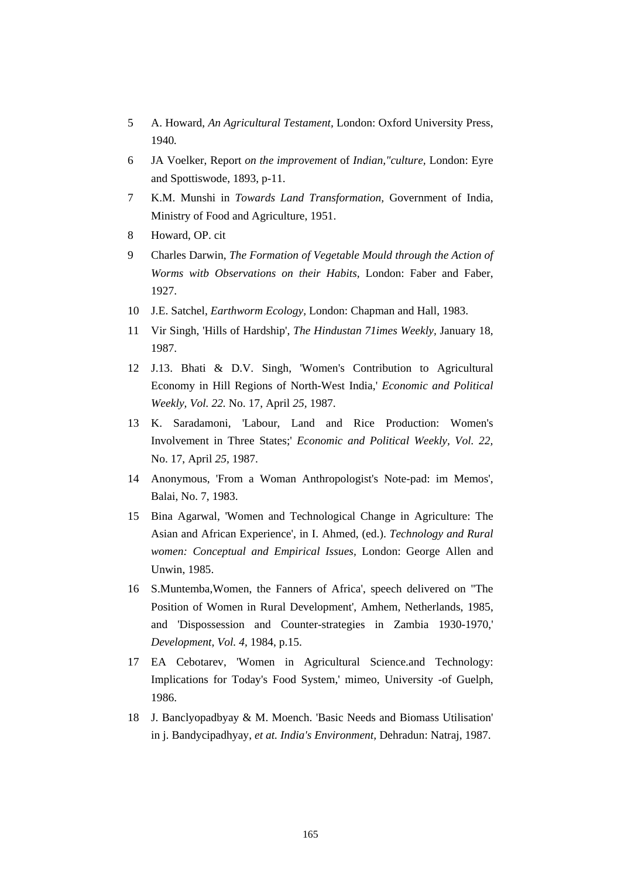- 5 A. Howard, *An Agricultural Testament,* London: Oxford University Press, 1940*.*
- 6 JA Voelker, Report *on the improvement* of *Indian,"culture,* London: Eyre and Spottiswode, 1893, p-11.
- 7 K.M. Munshi in *Towards Land Transformation,* Government of India, Ministry of Food and Agriculture, 1951.
- 8 Howard, OP. cit
- 9 Charles Darwin, *The Formation of Vegetable Mould through the Action of Worms witb Observations on their Habits,* London: Faber and Faber, 1927.
- 10 J.E. Satchel, *Earthworm Ecology,* London: Chapman and Hall, 1983.
- 11 Vir Singh, 'Hills of Hardship', *The Hindustan 71imes Weekly,* January 18, 1987.
- 12 J.13. Bhati & D.V. Singh, 'Women's Contribution to Agricultural Economy in Hill Regions of North-West India,' *Economic and Political Weekly, Vol. 22.* No. 17, April *25,* 1987.
- 13 K. Saradamoni, 'Labour, Land and Rice Production: Women's Involvement in Three States;' *Economic and Political Weekly, Vol. 22,*  No. 17, April *25,* 1987.
- 14 Anonymous, 'From a Woman Anthropologist's Note-pad: im Memos', Balai, No. 7, 1983.
- 15 Bina Agarwal, 'Women and Technological Change in Agriculture: The Asian and African Experience', in I. Ahmed, (ed.). *Technology and Rural women: Conceptual and Empirical Issues,* London: George Allen and Unwin, 1985.
- 16 S.Muntemba,Women, the Fanners of Africa', speech delivered on "The Position of Women in Rural Development', Amhem, Netherlands, 1985, and 'Dispossession and Counter-strategies in Zambia 1930-1970,' *Development, Vol. 4,* 1984, p.15.
- 17 EA Cebotarev, 'Women in Agricultural Science.and Technology: Implications for Today's Food System,' mimeo, University -of Guelph, 1986.
- 18 J. Banclyopadbyay & M. Moench. 'Basic Needs and Biomass Utilisation' in j. Bandycipadhyay, *et at. India's Environment,* Dehradun: Natraj, 1987.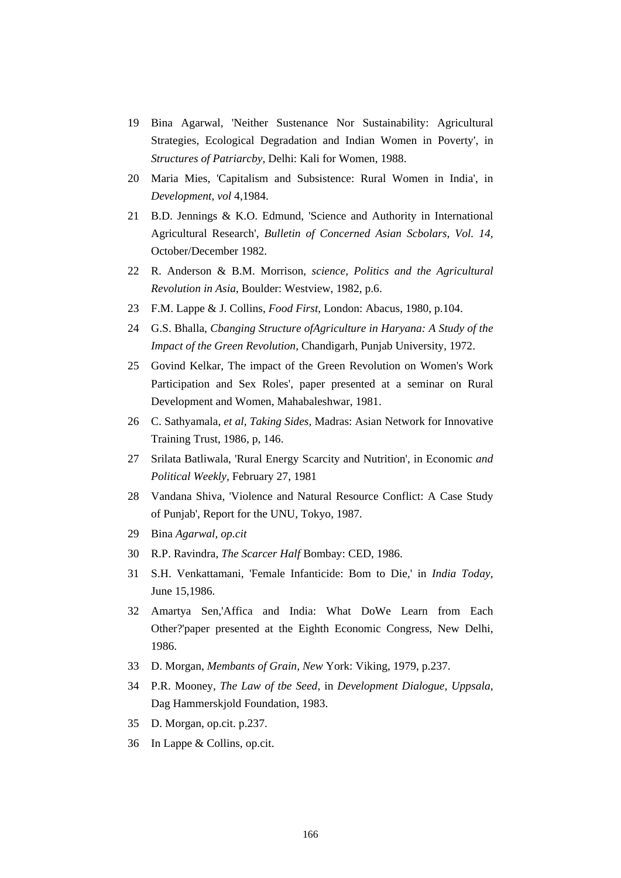- 19 Bina Agarwal, 'Neither Sustenance Nor Sustainability: Agricultural Strategies, Ecological Degradation and Indian Women in Poverty', in *Structures of Patriarcby,* Delhi: Kali for Women, 1988.
- 20 Maria Mies, 'Capitalism and Subsistence: Rural Women in India', in *Development, vol* 4,1984.
- 21 B.D. Jennings & K.O. Edmund, 'Science and Authority in International Agricultural Research', *Bulletin of Concerned Asian Scbolars, Vol. 14,*  October/December 1982.
- 22 R. Anderson & B.M. Morrison, *science, Politics and the Agricultural Revolution in Asia,* Boulder: Westview, 1982, p.6.
- 23 F.M. Lappe & J. Collins, *Food First,* London: Abacus, 1980, p.104.
- 24 G.S. Bhalla, *Cbanging Structure ofAgriculture in Haryana: A Study of the Impact of the Green Revolution,* Chandigarh, Punjab University, 1972.
- 25 Govind Kelkar, The impact of the Green Revolution on Women's Work Participation and Sex Roles', paper presented at a seminar on Rural Development and Women, Mahabaleshwar, 1981.
- 26 C. Sathyamala, *et al, Taking Sides,* Madras: Asian Network for Innovative Training Trust, 1986, p, 146.
- 27 Srilata Batliwala, 'Rural Energy Scarcity and Nutrition', in Economic *and Political Weekly,* February 27, 1981
- 28 Vandana Shiva, 'Violence and Natural Resource Conflict: A Case Study of Punjab', Report for the UNU, Tokyo, 1987*.*
- 29 Bina *Agarwal, op.cit*
- 30 R.P. Ravindra, *The Scarcer Half* Bombay: CED, 1986.
- 31 S.H. Venkattamani, 'Female Infanticide: Bom to Die,' in *India Today,*  June 15,1986.
- 32 Amartya Sen,'Affica and India: What DoWe Learn from Each Other?'paper presented at the Eighth Economic Congress, New Delhi, 1986.
- 33 D. Morgan, *Membants of Grain, New* York: Viking, 1979, p.237.
- 34 P.R. Mooney, *The Law of tbe Seed,* in *Development Dialogue, Uppsala,*  Dag Hammerskjold Foundation, 1983.
- 35 D. Morgan, op.cit. p.237.
- 36 In Lappe & Collins, op.cit.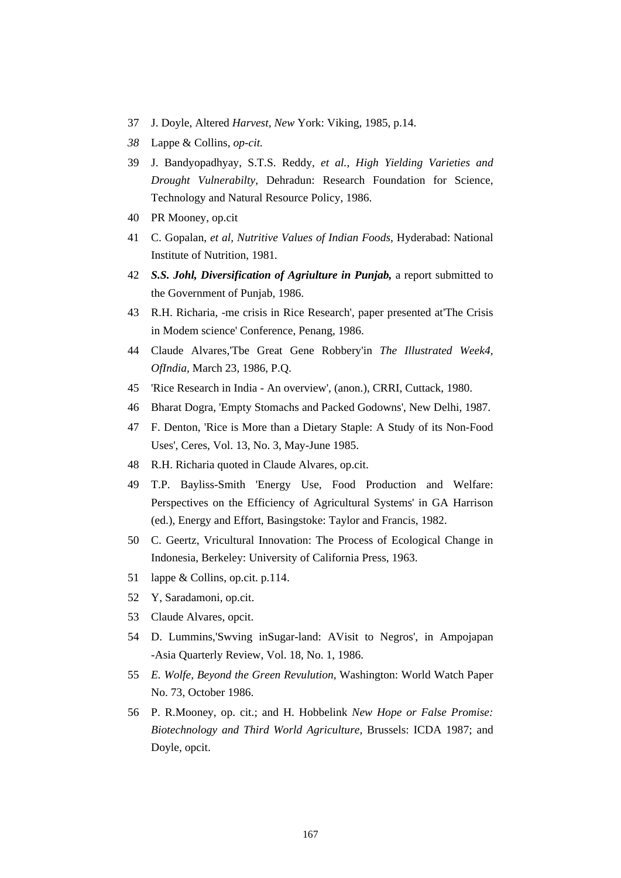- 37 J. Doyle, Altered *Harvest, New* York: Viking, 1985, p.14.
- *38* Lappe & Collins, *op-cit.*
- 39 J. Bandyopadhyay, S.T.S. Reddy, *et al., High Yielding Varieties and Drought Vulnerabilty,* Dehradun: Research Foundation for Science, Technology and Natural Resource Policy, 1986.
- 40 PR Mooney, op.cit
- 41 C. Gopalan, *et al, Nutritive Values of Indian Foods,* Hyderabad: National Institute of Nutrition, 1981*.*
- 42 *S.S. Johl, Diversification of Agriulture in Punjab,* a report submitted to the Government of Punjab, 1986.
- 43 R.H. Richaria, -me crisis in Rice Research', paper presented at'The Crisis in Modem science' Conference, Penang, 1986.
- 44 Claude Alvares,'Tbe Great Gene Robbery'in *The Illustrated Week4, OfIndia,* March 23, 1986, P.Q.
- 45 'Rice Research in India An overview', (anon.), CRRI, Cuttack, 1980.
- 46 Bharat Dogra, 'Empty Stomachs and Packed Godowns', New Delhi, 1987.
- 47 F. Denton, 'Rice is More than a Dietary Staple: A Study of its Non-Food Uses', Ceres, Vol. 13, No. 3, May-June 1985.
- 48 R.H. Richaria quoted in Claude Alvares, op.cit.
- 49 T.P. Bayliss-Smith 'Energy Use, Food Production and Welfare: Perspectives on the Efficiency of Agricultural Systems' in GA Harrison (ed.), Energy and Effort, Basingstoke: Taylor and Francis, 1982.
- 50 C. Geertz, Vricultural Innovation: The Process of Ecological Change in Indonesia, Berkeley: University of California Press, 1963.
- 51 lappe & Collins, op.cit. p.114.
- 52 Y, Saradamoni, op.cit.
- 53 Claude Alvares, opcit.
- 54 D. Lummins,'Swving inSugar-land: AVisit to Negros', in Ampojapan -Asia Quarterly Review, Vol. 18, No. 1, 1986.
- 55 *E. Wolfe, Beyond the Green Revulution,* Washington: World Watch Paper No. 73, October 1986.
- 56 P. R.Mooney, op. cit.; and H. Hobbelink *New Hope or False Promise: Biotechnology and Third World Agriculture,* Brussels: ICDA 1987; and Doyle, opcit.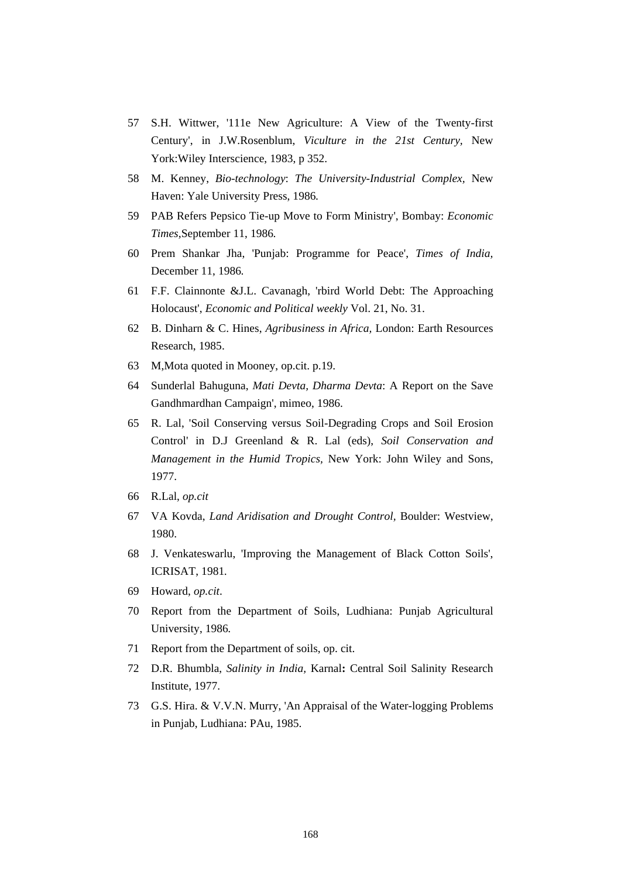- 57 S.H. Wittwer, '111e New Agriculture: A View of the Twenty-first Century', in J.W.Rosenblum, *Viculture in the 21st Century,* New York:Wiley Interscience, 1983, p 352.
- 58 M. Kenney, *Bio-technology*: *The University-Industrial Complex,* New Haven: Yale University Press, 1986*.*
- 59 PAB Refers Pepsico Tie-up Move to Form Ministry', Bombay: *Economic Times,*September 11, 1986*.*
- 60 Prem Shankar Jha, 'Punjab: Programme for Peace', *Times of India,*  December 11, 1986*.*
- 61 F.F. Clainnonte &J.L. Cavanagh, 'rbird World Debt: The Approaching Holocaust', *Economic and Political weekly* Vol. 21, No. 31.
- 62 B. Dinharn & C. Hines, *Agribusiness in Africa,* London: Earth Resources Research, 1985.
- 63 M,Mota quoted in Mooney, op.cit. p.19.
- 64 Sunderlal Bahuguna, *Mati Devta, Dharma Devta*: A Report on the Save Gandhmardhan Campaign', mimeo, 1986.
- 65 R. Lal, 'Soil Conserving versus Soil-Degrading Crops and Soil Erosion Control' in D.J Greenland & R. Lal (eds), *Soil Conservation and Management in the Humid Tropics,* New York: John Wiley and Sons, 1977.
- 66 R.Lal, *op.cit*
- 67 VA Kovda, *Land Aridisation and Drought Control,* Boulder: Westview, 1980.
- 68 J. Venkateswarlu, 'Improving the Management of Black Cotton Soils', ICRISAT, 1981*.*
- 69 Howard, *op.cit*.
- 70 Report from the Department of Soils, Ludhiana: Punjab Agricultural University, 1986*.*
- 71 Report from the Department of soils, op. cit.
- 72 D.R. Bhumbla, *Salinity in India,* Karnal**:** Central Soil Salinity Research Institute, 1977.
- 73 G.S. Hira. & V.V.N. Murry, 'An Appraisal of the Water-logging Problems in Punjab, Ludhiana: PAu, 1985.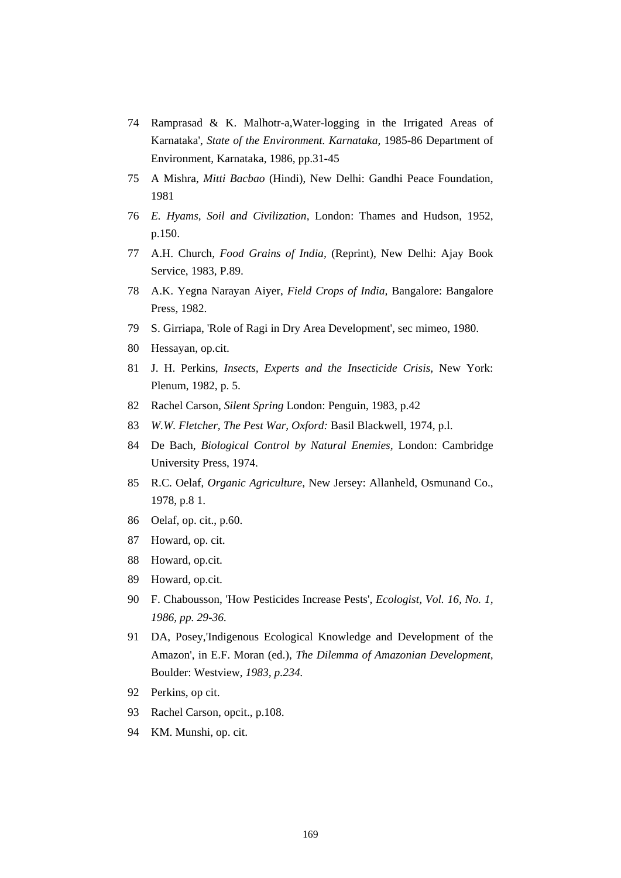- Ramprasad & K. Malhotr-a,Water-logging in the Irrigated Areas of Karnataka', *State of the Environment. Karnataka,* 1985-86 Department of Environment, Karnataka, 1986, pp.31-45
- A Mishra, *Mitti Bacbao* (Hindi), New Delhi: Gandhi Peace Foundation,
- *E. Hyams, Soil and Civilization,* London: Thames and Hudson, 1952, p.150.
- A.H. Church, *Food Grains of India,* (Reprint), New Delhi: Ajay Book Service, 1983, P.89.
- A.K. Yegna Narayan Aiyer, *Field Crops of India,* Bangalore: Bangalore Press, 1982.
- S. Girriapa, 'Role of Ragi in Dry Area Development', sec mimeo, 1980.
- Hessayan, op.cit.
- J. H. Perkins, *Insects, Experts and the Insecticide Crisis,* New York: Plenum, 1982, p. 5.
- Rachel Carson, *Silent Spring* London: Penguin, 1983, p.42
- *W.W. Fletcher, The Pest War, Oxford:* Basil Blackwell, 1974, p.l.
- De Bach, *Biological Control by Natural Enemies,* London: Cambridge University Press, 1974.
- R.C. Oelaf, *Organic Agriculture,* New Jersey: Allanheld, Osmunand Co., 1978, p.8 1.
- Oelaf, op. cit., p.60.
- Howard, op. cit.
- Howard, op.cit.
- Howard, op.cit.
- F. Chabousson, 'How Pesticides Increase Pests', *Ecologist, Vol. 16, No. 1, 1986, pp. 29-36.*
- DA, Posey,'Indigenous Ecological Knowledge and Development of the Amazon', in E.F. Moran (ed.), *The Dilemma of Amazonian Development,*  Boulder: Westview, *1983, p.234.*
- Perkins, op cit.
- Rachel Carson, opcit., p.108.
- KM. Munshi, op. cit.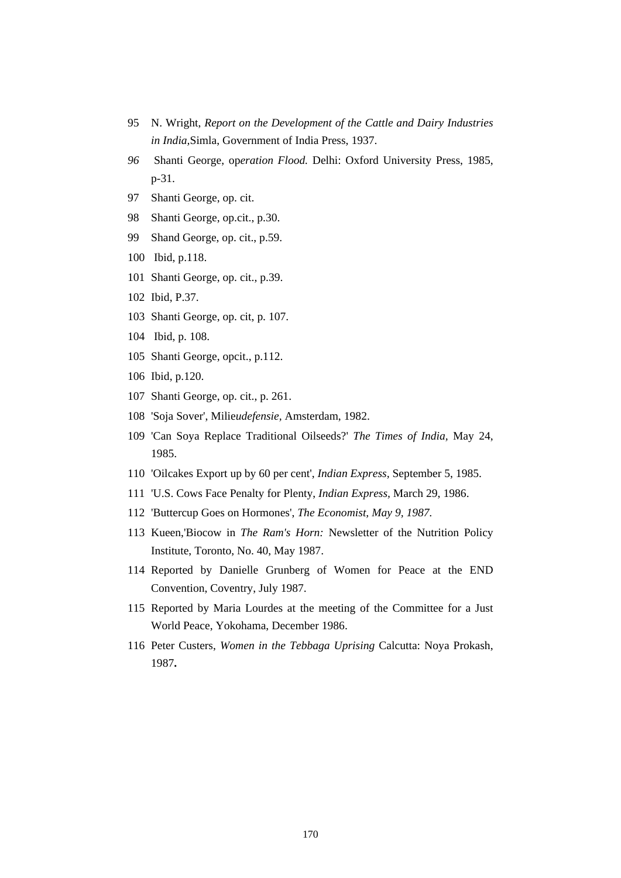- N. Wright, *Report on the Development of the Cattle and Dairy Industries in India,*Simla, Government of India Press, 1937.
- Shanti George, op*eration Flood.* Delhi: Oxford University Press, 1985, p-31.
- Shanti George, op. cit.
- Shanti George, op.cit., p.30.
- Shand George, op. cit., p.59.
- 100 Ibid, p.118.
- Shanti George, op. cit., p.39.
- Ibid, P.37.
- Shanti George, op. cit, p. 107.
- 104 Ibid, p. 108.
- Shanti George, opcit., p.112.
- Ibid, p.120.
- Shanti George, op. cit., p. 261.
- 'Soja Sover', Milie*udefensie,* Amsterdam, 1982.
- 'Can Soya Replace Traditional Oilseeds?' *The Times of India,* May 24, 1985.
- 'Oilcakes Export up by 60 per cent', *Indian Express,* September 5, 1985.
- 'U.S. Cows Face Penalty for Plenty, *Indian Express,* March 29, 1986.
- 'Buttercup Goes on Hormones', *The Economist, May 9, 1987.*
- Kueen,'Biocow in *The Ram's Horn:* Newsletter of the Nutrition Policy Institute, Toronto, No. 40, May 1987.
- Reported by Danielle Grunberg of Women for Peace at the END Convention, Coventry, July 1987.
- Reported by Maria Lourdes at the meeting of the Committee for a Just World Peace, Yokohama, December 1986.
- Peter Custers, *Women in the Tebbaga Uprising* Calcutta: Noya Prokash, **.**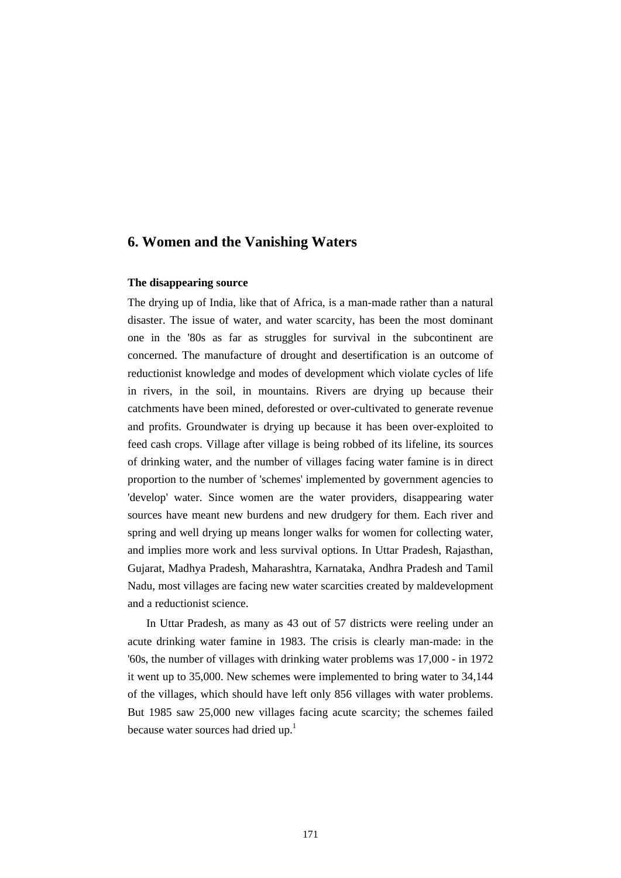### **6. Women and the Vanishing Waters**

#### **The disappearing source**

The drying up of India, like that of Africa, is a man-made rather than a natural disaster. The issue of water, and water scarcity, has been the most dominant one in the '80s as far as struggles for survival in the subcontinent are concerned. The manufacture of drought and desertification is an outcome of reductionist knowledge and modes of development which violate cycles of life in rivers, in the soil, in mountains. Rivers are drying up because their catchments have been mined, deforested or over-cultivated to generate revenue and profits. Groundwater is drying up because it has been over-exploited to feed cash crops. Village after village is being robbed of its lifeline, its sources of drinking water, and the number of villages facing water famine is in direct proportion to the number of 'schemes' implemented by government agencies to 'develop' water. Since women are the water providers, disappearing water sources have meant new burdens and new drudgery for them. Each river and spring and well drying up means longer walks for women for collecting water, and implies more work and less survival options. In Uttar Pradesh, Rajasthan, Gujarat, Madhya Pradesh, Maharashtra, Karnataka, Andhra Pradesh and Tamil Nadu, most villages are facing new water scarcities created by maldevelopment and a reductionist science.

In Uttar Pradesh, as many as 43 out of 57 districts were reeling under an acute drinking water famine in 1983. The crisis is clearly man-made: in the '60s, the number of villages with drinking water problems was 17,000 - in 1972 it went up to 35,000. New schemes were implemented to bring water to 34,144 of the villages, which should have left only 856 villages with water problems. But 1985 saw 25,000 new villages facing acute scarcity; the schemes failed because water sources had dried up.<sup>1</sup>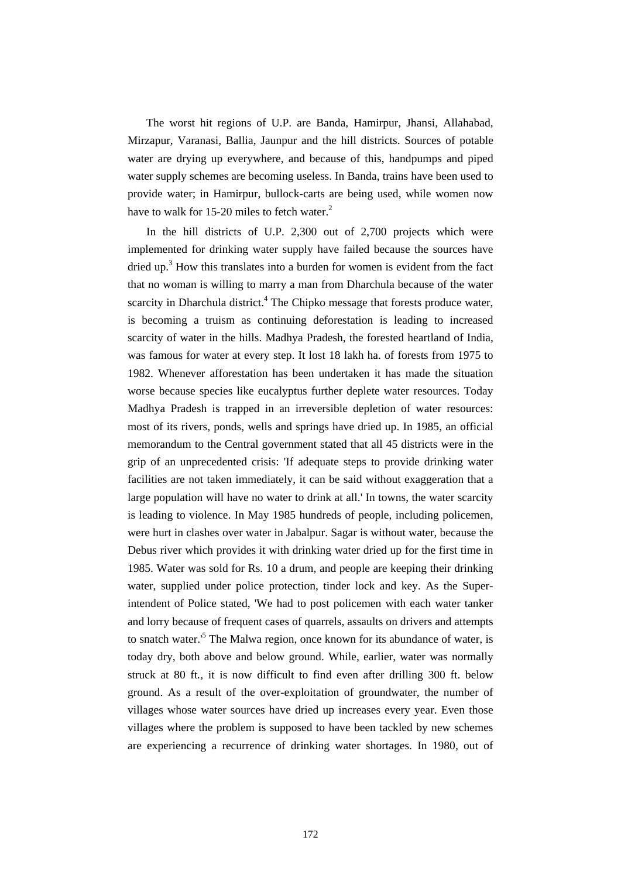The worst hit regions of U.P. are Banda, Hamirpur, Jhansi, Allahabad, Mirzapur, Varanasi, Ballia, Jaunpur and the hill districts. Sources of potable water are drying up everywhere, and because of this, handpumps and piped water supply schemes are becoming useless. In Banda, trains have been used to provide water; in Hamirpur, bullock-carts are being used, while women now have to walk for 15-20 miles to fetch water.<sup>2</sup>

In the hill districts of U.P. 2,300 out of 2,700 projects which were implemented for drinking water supply have failed because the sources have dried up.<sup>3</sup> How this translates into a burden for women is evident from the fact that no woman is willing to marry a man from Dharchula because of the water scarcity in Dharchula district.<sup>4</sup> The Chipko message that forests produce water, is becoming a truism as continuing deforestation is leading to increased scarcity of water in the hills. Madhya Pradesh, the forested heartland of India, was famous for water at every step. It lost 18 lakh ha. of forests from 1975 to 1982. Whenever afforestation has been undertaken it has made the situation worse because species like eucalyptus further deplete water resources. Today Madhya Pradesh is trapped in an irreversible depletion of water resources: most of its rivers, ponds, wells and springs have dried up. In 1985, an official memorandum to the Central government stated that all 45 districts were in the grip of an unprecedented crisis: 'If adequate steps to provide drinking water facilities are not taken immediately, it can be said without exaggeration that a large population will have no water to drink at all.' In towns, the water scarcity is leading to violence. In May 1985 hundreds of people, including policemen, were hurt in clashes over water in Jabalpur. Sagar is without water, because the Debus river which provides it with drinking water dried up for the first time in 1985. Water was sold for Rs. 10 a drum, and people are keeping their drinking water, supplied under police protection, tinder lock and key. As the Superintendent of Police stated, 'We had to post policemen with each water tanker and lorry because of frequent cases of quarrels, assaults on drivers and attempts to snatch water.<sup>5</sup> The Malwa region, once known for its abundance of water, is today dry, both above and below ground. While, earlier, water was normally struck at 80 ft*.,* it is now difficult to find even after drilling 300 ft. below ground. As a result of the over-exploitation of groundwater, the number of villages whose water sources have dried up increases every year. Even those villages where the problem is supposed to have been tackled by new schemes are experiencing a recurrence of drinking water shortages. In 1980*,* out of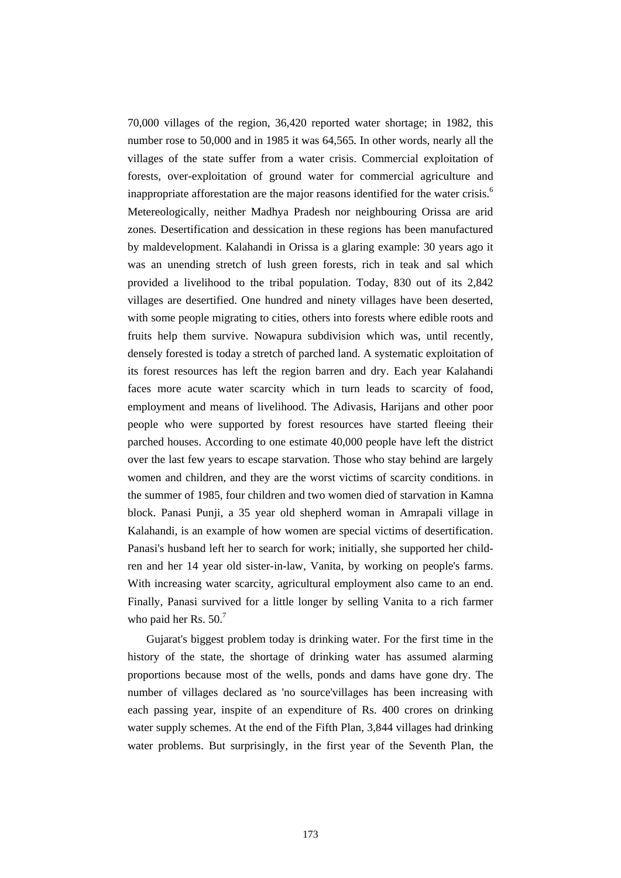70,000 villages of the region, 36,420 reported water shortage; in 1982*,* this number rose to 50,000 and in 1985 it was 64,565*.* In other words, nearly all the villages of the state suffer from a water crisis. Commercial exploitation of forests, over-exploitation of ground water for commercial agriculture and inappropriate afforestation are the major reasons identified for the water crisis.<sup>6</sup> Metereologically, neither Madhya Pradesh nor neighbouring Orissa are arid zones. Desertification and dessication in these regions has been manufactured by maldevelopment. Kalahandi in Orissa is a glaring example: 30 years ago it was an unending stretch of lush green forests, rich in teak and sal which provided a livelihood to the tribal population. Today, 830 out of its 2,842 villages are desertified. One hundred and ninety villages have been deserted, with some people migrating to cities, others into forests where edible roots and fruits help them survive. Nowapura subdivision which was, until recently, densely forested is today a stretch of parched land. A systematic exploitation of its forest resources has left the region barren and dry. Each year Kalahandi faces more acute water scarcity which in turn leads to scarcity of food, employment and means of livelihood. The Adivasis, Harijans and other poor people who were supported by forest resources have started fleeing their parched houses. According to one estimate 40,000 people have left the district over the last few years to escape starvation. Those who stay behind are largely women and children, and they are the worst victims of scarcity conditions. in the summer of 1985*,* four children and two women died of starvation in Kamna block. Panasi Punji, a 35 year old shepherd woman in Amrapali village in Kalahandi, is an example of how women are special victims of desertification. Panasi's husband left her to search for work; initially, she supported her children and her 14 year old sister-in-law, Vanita, by working on people's farms. With increasing water scarcity, agricultural employment also came to an end. Finally, Panasi survived for a little longer by selling Vanita to a rich farmer who paid her Rs.  $50<sup>7</sup>$ 

Gujarat's biggest problem today is drinking water. For the first time in the history of the state, the shortage of drinking water has assumed alarming proportions because most of the wells, ponds and dams have gone dry. The number of villages declared as 'no source'villages has been increasing with each passing year, inspite of an expenditure of Rs. 400 crores on drinking water supply schemes. At the end of the Fifth Plan, 3,844 villages had drinking water problems. But surprisingly, in the first year of the Seventh Plan, the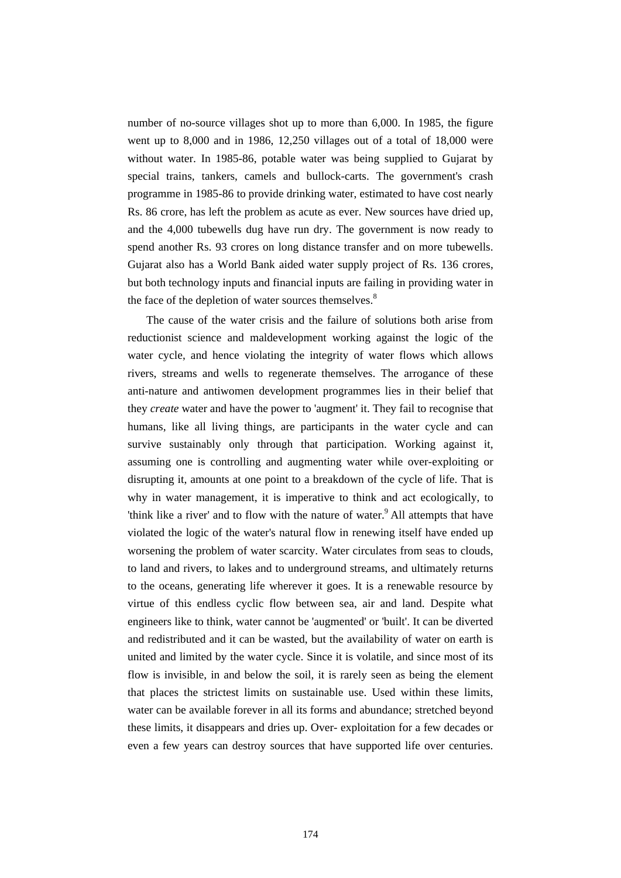number of no-source villages shot up to more than 6,000. In 1985, the figure went up to 8,000 and in 1986, 12,250 villages out of a total of 18,000 were without water. In 1985-86, potable water was being supplied to Gujarat by special trains, tankers, camels and bullock-carts. The government's crash programme in 1985-86 to provide drinking water, estimated to have cost nearly Rs. 86 crore, has left the problem as acute as ever. New sources have dried up, and the 4,000 tubewells dug have run dry. The government is now ready to spend another Rs. 93 crores on long distance transfer and on more tubewells. Gujarat also has a World Bank aided water supply project of Rs. 136 crores, but both technology inputs and financial inputs are failing in providing water in the face of the depletion of water sources themselves.<sup>8</sup>

The cause of the water crisis and the failure of solutions both arise from reductionist science and maldevelopment working against the logic of the water cycle, and hence violating the integrity of water flows which allows rivers, streams and wells to regenerate themselves. The arrogance of these anti-nature and antiwomen development programmes lies in their belief that they *create* water and have the power to 'augment' it. They fail to recognise that humans, like all living things, are participants in the water cycle and can survive sustainably only through that participation. Working against it, assuming one is controlling and augmenting water while over-exploiting or disrupting it, amounts at one point to a breakdown of the cycle of life. That is why in water management, it is imperative to think and act ecologically, to 'think like a river' and to flow with the nature of water.<sup>9</sup> All attempts that have violated the logic of the water's natural flow in renewing itself have ended up worsening the problem of water scarcity. Water circulates from seas to clouds, to land and rivers, to lakes and to underground streams, and ultimately returns to the oceans, generating life wherever it goes. It is a renewable resource by virtue of this endless cyclic flow between sea, air and land. Despite what engineers like to think, water cannot be 'augmented' or 'built'. It can be diverted and redistributed and it can be wasted, but the availability of water on earth is united and limited by the water cycle. Since it is volatile, and since most of its flow is invisible, in and below the soil, it is rarely seen as being the element that places the strictest limits on sustainable use. Used within these limits, water can be available forever in all its forms and abundance; stretched beyond these limits, it disappears and dries up. Over- exploitation for a few decades or even a few years can destroy sources that have supported life over centuries.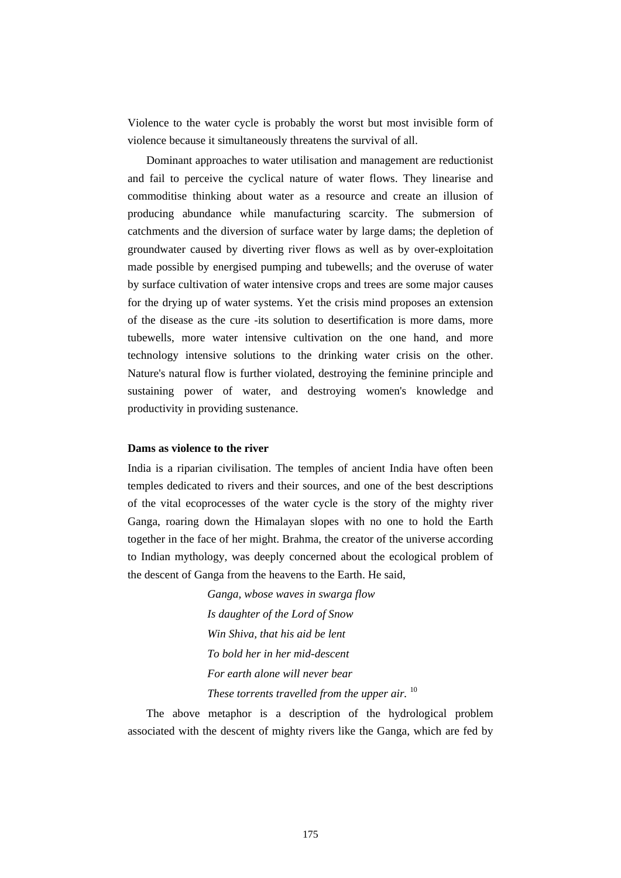Violence to the water cycle is probably the worst but most invisible form of violence because it simultaneously threatens the survival of all.

Dominant approaches to water utilisation and management are reductionist and fail to perceive the cyclical nature of water flows. They linearise and commoditise thinking about water as a resource and create an illusion of producing abundance while manufacturing scarcity. The submersion of catchments and the diversion of surface water by large dams; the depletion of groundwater caused by diverting river flows as well as by over-exploitation made possible by energised pumping and tubewells; and the overuse of water by surface cultivation of water intensive crops and trees are some major causes for the drying up of water systems. Yet the crisis mind proposes an extension of the disease as the cure -its solution to desertification is more dams, more tubewells, more water intensive cultivation on the one hand, and more technology intensive solutions to the drinking water crisis on the other. Nature's natural flow is further violated, destroying the feminine principle and sustaining power of water, and destroying women's knowledge and productivity in providing sustenance.

#### **Dams as violence to the river**

India is a riparian civilisation. The temples of ancient India have often been temples dedicated to rivers and their sources, and one of the best descriptions of the vital ecoprocesses of the water cycle is the story of the mighty river Ganga, roaring down the Himalayan slopes with no one to hold the Earth together in the face of her might. Brahma, the creator of the universe according to Indian mythology, was deeply concerned about the ecological problem of the descent of Ganga from the heavens to the Earth. He said,

> *Ganga, wbose waves in swarga flow Is daughter of the Lord of Snow Win Shiva, that his aid be lent To bold her in her mid-descent For earth alone will never bear These torrents travelled from the upper air.* <sup>10</sup>

The above metaphor is a description of the hydrological problem associated with the descent of mighty rivers like the Ganga, which are fed by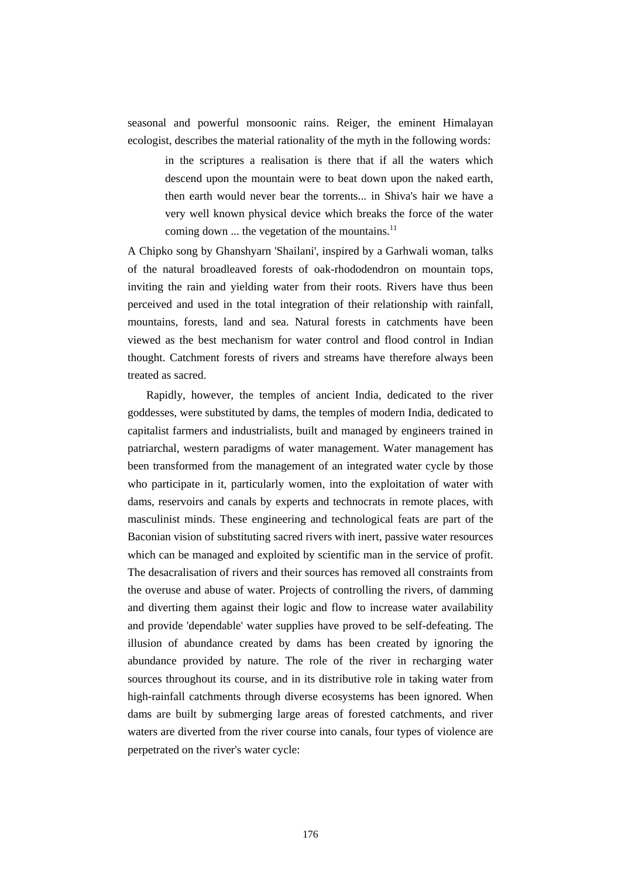seasonal and powerful monsoonic rains. Reiger, the eminent Himalayan ecologist, describes the material rationality of the myth in the following words:

> in the scriptures a realisation is there that if all the waters which descend upon the mountain were to beat down upon the naked earth, then earth would never bear the torrents... in Shiva's hair we have a very well known physical device which breaks the force of the water coming down  $\dots$  the vegetation of the mountains.<sup>11</sup>

A Chipko song by Ghanshyarn 'Shailani', inspired by a Garhwali woman, talks of the natural broadleaved forests of oak-rhododendron on mountain tops, inviting the rain and yielding water from their roots. Rivers have thus been perceived and used in the total integration of their relationship with rainfall, mountains, forests, land and sea. Natural forests in catchments have been viewed as the best mechanism for water control and flood control in Indian thought. Catchment forests of rivers and streams have therefore always been treated as sacred.

Rapidly, however, the temples of ancient India, dedicated to the river goddesses, were substituted by dams, the temples of modern India, dedicated to capitalist farmers and industrialists, built and managed by engineers trained in patriarchal, western paradigms of water management. Water management has been transformed from the management of an integrated water cycle by those who participate in it, particularly women, into the exploitation of water with dams, reservoirs and canals by experts and technocrats in remote places, with masculinist minds. These engineering and technological feats are part of the Baconian vision of substituting sacred rivers with inert, passive water resources which can be managed and exploited by scientific man in the service of profit. The desacralisation of rivers and their sources has removed all constraints from the overuse and abuse of water. Projects of controlling the rivers, of damming and diverting them against their logic and flow to increase water availability and provide 'dependable' water supplies have proved to be self-defeating. The illusion of abundance created by dams has been created by ignoring the abundance provided by nature. The role of the river in recharging water sources throughout its course, and in its distributive role in taking water from high-rainfall catchments through diverse ecosystems has been ignored. When dams are built by submerging large areas of forested catchments, and river waters are diverted from the river course into canals, four types of violence are perpetrated on the river's water cycle: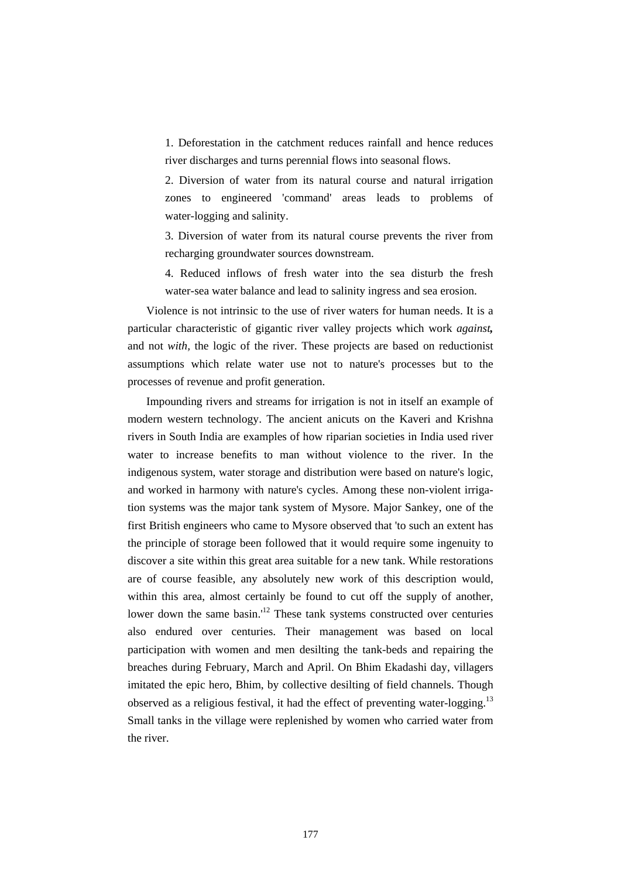1. Deforestation in the catchment reduces rainfall and hence reduces river discharges and turns perennial flows into seasonal flows.

2. Diversion of water from its natural course and natural irrigation zones to engineered 'command' areas leads to problems of water-logging and salinity.

3. Diversion of water from its natural course prevents the river from recharging groundwater sources downstream.

4. Reduced inflows of fresh water into the sea disturb the fresh water-sea water balance and lead to salinity ingress and sea erosion.

Violence is not intrinsic to the use of river waters for human needs. It is a particular characteristic of gigantic river valley projects which work *against,* and not *with,* the logic of the river. These projects are based on reductionist assumptions which relate water use not to nature's processes but to the processes of revenue and profit generation.

Impounding rivers and streams for irrigation is not in itself an example of modern western technology. The ancient anicuts on the Kaveri and Krishna rivers in South India are examples of how riparian societies in India used river water to increase benefits to man without violence to the river. In the indigenous system, water storage and distribution were based on nature's logic, and worked in harmony with nature's cycles. Among these non-violent irrigation systems was the major tank system of Mysore. Major Sankey, one of the first British engineers who came to Mysore observed that 'to such an extent has the principle of storage been followed that it would require some ingenuity to discover a site within this great area suitable for a new tank. While restorations are of course feasible, any absolutely new work of this description would, within this area, almost certainly be found to cut off the supply of another, lower down the same basin.<sup>12</sup> These tank systems constructed over centuries also endured over centuries. Their management was based on local participation with women and men desilting the tank-beds and repairing the breaches during February, March and April. On Bhim Ekadashi day, villagers imitated the epic hero, Bhim, by collective desilting of field channels. Though observed as a religious festival, it had the effect of preventing water-logging.<sup>13</sup> Small tanks in the village were replenished by women who carried water from the river.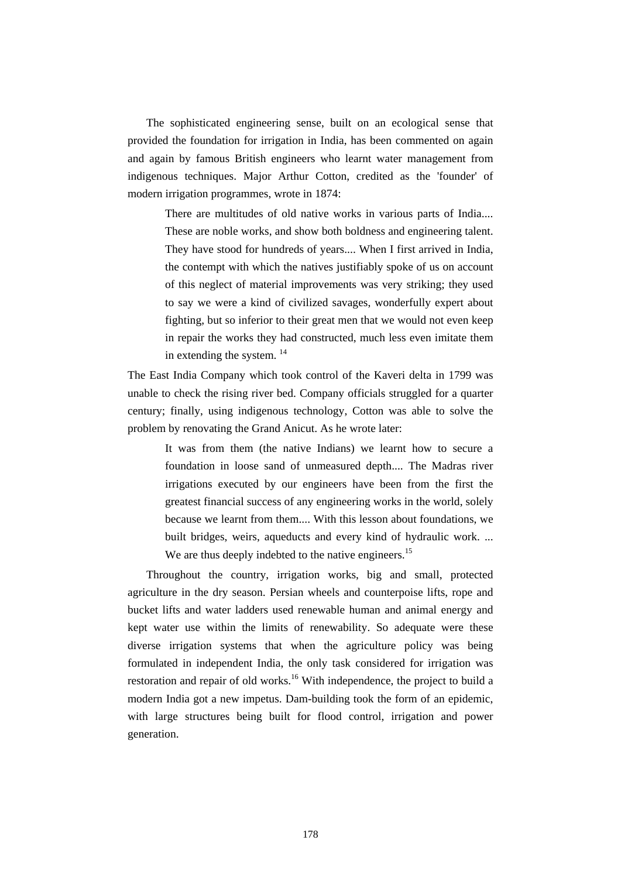The sophisticated engineering sense, built on an ecological sense that provided the foundation for irrigation in India, has been commented on again and again by famous British engineers who learnt water management from indigenous techniques. Major Arthur Cotton, credited as the 'founder' of modern irrigation programmes, wrote in 1874:

> There are multitudes of old native works in various parts of India.... These are noble works, and show both boldness and engineering talent. They have stood for hundreds of years.... When I first arrived in India, the contempt with which the natives justifiably spoke of us on account of this neglect of material improvements was very striking; they used to say we were a kind of civilized savages, wonderfully expert about fighting, but so inferior to their great men that we would not even keep in repair the works they had constructed, much less even imitate them in extending the system.  $14$

The East India Company which took control of the Kaveri delta in 1799 was unable to check the rising river bed. Company officials struggled for a quarter century; finally, using indigenous technology, Cotton was able to solve the problem by renovating the Grand Anicut. As he wrote later:

> It was from them (the native Indians) we learnt how to secure a foundation in loose sand of unmeasured depth.... The Madras river irrigations executed by our engineers have been from the first the greatest financial success of any engineering works in the world, solely because we learnt from them.... With this lesson about foundations, we built bridges, weirs, aqueducts and every kind of hydraulic work. ... We are thus deeply indebted to the native engineers.<sup>15</sup>

Throughout the country, irrigation works, big and small, protected agriculture in the dry season. Persian wheels and counterpoise lifts, rope and bucket lifts and water ladders used renewable human and animal energy and kept water use within the limits of renewability. So adequate were these diverse irrigation systems that when the agriculture policy was being formulated in independent India, the only task considered for irrigation was restoration and repair of old works.<sup>16</sup> With independence, the project to build a modern India got a new impetus. Dam-building took the form of an epidemic, with large structures being built for flood control, irrigation and power generation.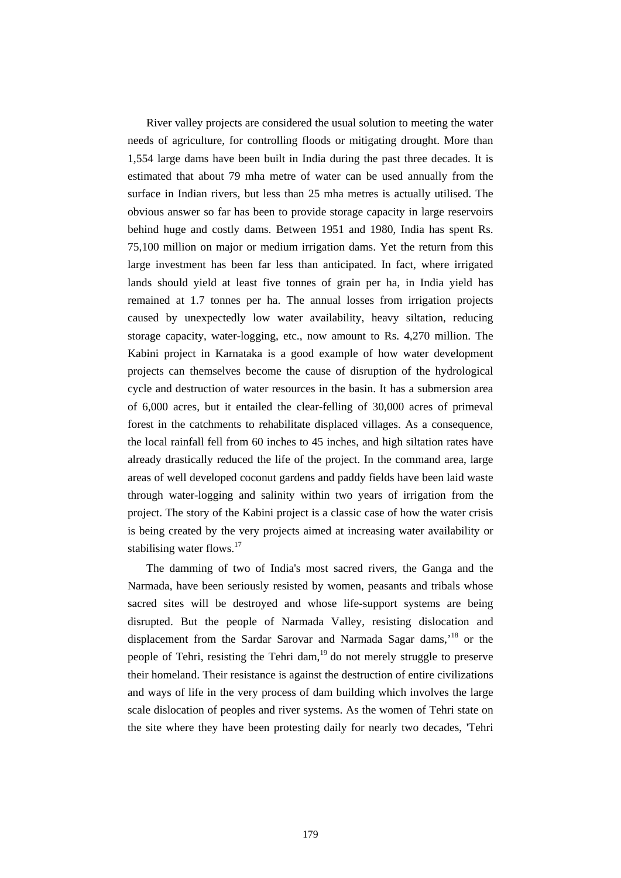River valley projects are considered the usual solution to meeting the water needs of agriculture, for controlling floods or mitigating drought. More than 1,554 large dams have been built in India during the past three decades. It is estimated that about 79 mha metre of water can be used annually from the surface in Indian rivers, but less than 25 mha metres is actually utilised. The obvious answer so far has been to provide storage capacity in large reservoirs behind huge and costly dams. Between 1951 and 1980, India has spent Rs. 75,100 million on major or medium irrigation dams. Yet the return from this large investment has been far less than anticipated. In fact, where irrigated lands should yield at least five tonnes of grain per ha, in India yield has remained at 1.7 tonnes per ha. The annual losses from irrigation projects caused by unexpectedly low water availability, heavy siltation, reducing storage capacity, water-logging, etc., now amount to Rs. 4,270 million. The Kabini project in Karnataka is a good example of how water development projects can themselves become the cause of disruption of the hydrological cycle and destruction of water resources in the basin. It has a submersion area of 6,000 acres, but it entailed the clear-felling of 30,000 acres of primeval forest in the catchments to rehabilitate displaced villages. As a consequence, the local rainfall fell from 60 inches to 45 inches, and high siltation rates have already drastically reduced the life of the project. In the command area, large areas of well developed coconut gardens and paddy fields have been laid waste through water-logging and salinity within two years of irrigation from the project. The story of the Kabini project is a classic case of how the water crisis is being created by the very projects aimed at increasing water availability or stabilising water flows.<sup>17</sup>

The damming of two of India's most sacred rivers, the Ganga and the Narmada, have been seriously resisted by women, peasants and tribals whose sacred sites will be destroyed and whose life-support systems are being disrupted. But the people of Narmada Valley, resisting dislocation and displacement from the Sardar Sarovar and Narmada Sagar dams,'18 or the people of Tehri, resisting the Tehri dam,  $19$  do not merely struggle to preserve their homeland. Their resistance is against the destruction of entire civilizations and ways of life in the very process of dam building which involves the large scale dislocation of peoples and river systems. As the women of Tehri state on the site where they have been protesting daily for nearly two decades, 'Tehri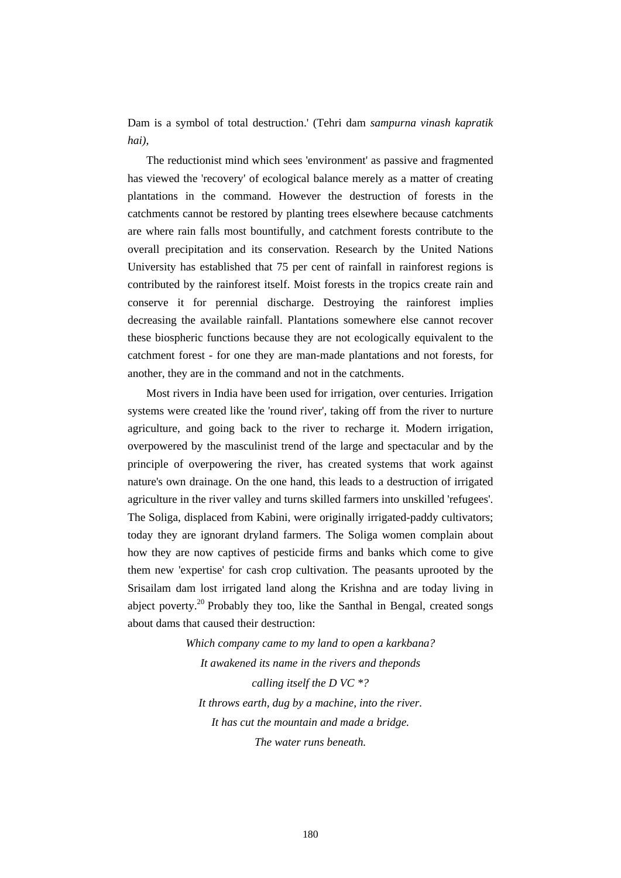Dam is a symbol of total destruction.' (Tehri dam *sampurna vinash kapratik hai),* 

The reductionist mind which sees 'environment' as passive and fragmented has viewed the 'recovery' of ecological balance merely as a matter of creating plantations in the command. However the destruction of forests in the catchments cannot be restored by planting trees elsewhere because catchments are where rain falls most bountifully, and catchment forests contribute to the overall precipitation and its conservation. Research by the United Nations University has established that 75 per cent of rainfall in rainforest regions is contributed by the rainforest itself. Moist forests in the tropics create rain and conserve it for perennial discharge. Destroying the rainforest implies decreasing the available rainfall. Plantations somewhere else cannot recover these biospheric functions because they are not ecologically equivalent to the catchment forest - for one they are man-made plantations and not forests, for another, they are in the command and not in the catchments.

Most rivers in India have been used for irrigation, over centuries. Irrigation systems were created like the 'round river', taking off from the river to nurture agriculture, and going back to the river to recharge it. Modern irrigation, overpowered by the masculinist trend of the large and spectacular and by the principle of overpowering the river, has created systems that work against nature's own drainage. On the one hand, this leads to a destruction of irrigated agriculture in the river valley and turns skilled farmers into unskilled 'refugees'. The Soliga, displaced from Kabini, were originally irrigated-paddy cultivators; today they are ignorant dryland farmers. The Soliga women complain about how they are now captives of pesticide firms and banks which come to give them new 'expertise' for cash crop cultivation. The peasants uprooted by the Srisailam dam lost irrigated land along the Krishna and are today living in abject poverty.<sup>20</sup> Probably they too, like the Santhal in Bengal, created songs about dams that caused their destruction:

> *Which company came to my land to open a karkbana? It awakened its name in the rivers and theponds calling itself the D VC \*? It throws earth, dug by a machine, into the river. It has cut the mountain and made a bridge. The water runs beneath.*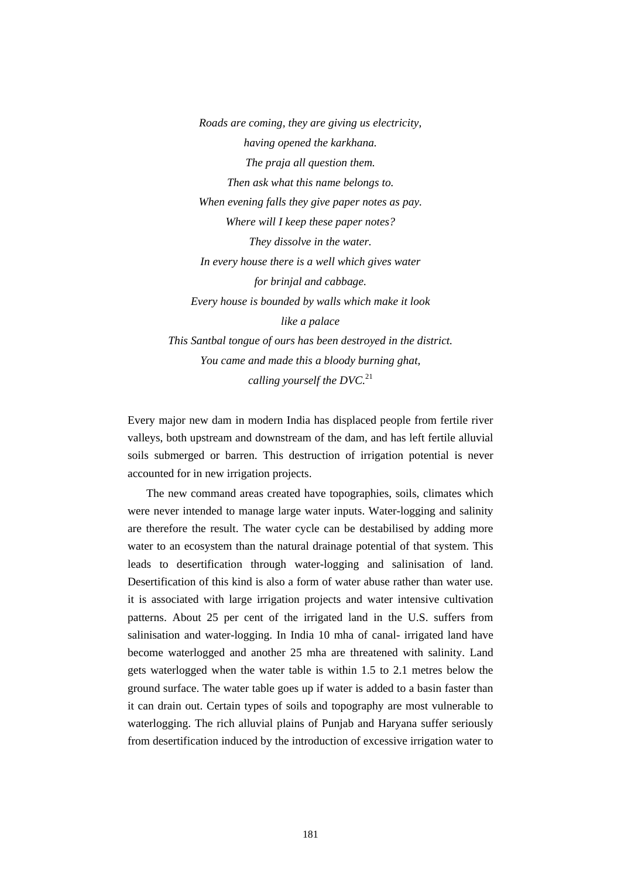*Roads are coming, they are giving us electricity, having opened the karkhana. The praja all question them. Then ask what this name belongs to. When evening falls they give paper notes as pay. Where will I keep these paper notes? They dissolve in the water. In every house there is a well which gives water for brinjal and cabbage. Every house is bounded by walls which make it look like a palace This Santbal tongue of ours has been destroyed in the district. You came and made this a bloody burning ghat, calling yourself the DVC.*<sup>21</sup>

Every major new dam in modern India has displaced people from fertile river valleys, both upstream and downstream of the dam, and has left fertile alluvial soils submerged or barren. This destruction of irrigation potential is never accounted for in new irrigation projects.

The new command areas created have topographies, soils, climates which were never intended to manage large water inputs. Water-logging and salinity are therefore the result. The water cycle can be destabilised by adding more water to an ecosystem than the natural drainage potential of that system. This leads to desertification through water-logging and salinisation of land. Desertification of this kind is also a form of water abuse rather than water use. it is associated with large irrigation projects and water intensive cultivation patterns. About 25 per cent of the irrigated land in the U.S. suffers from salinisation and water-logging. In India 10 mha of canal- irrigated land have become waterlogged and another 25 mha are threatened with salinity. Land gets waterlogged when the water table is within 1.5 to 2.1 metres below the ground surface. The water table goes up if water is added to a basin faster than it can drain out. Certain types of soils and topography are most vulnerable to waterlogging. The rich alluvial plains of Punjab and Haryana suffer seriously from desertification induced by the introduction of excessive irrigation water to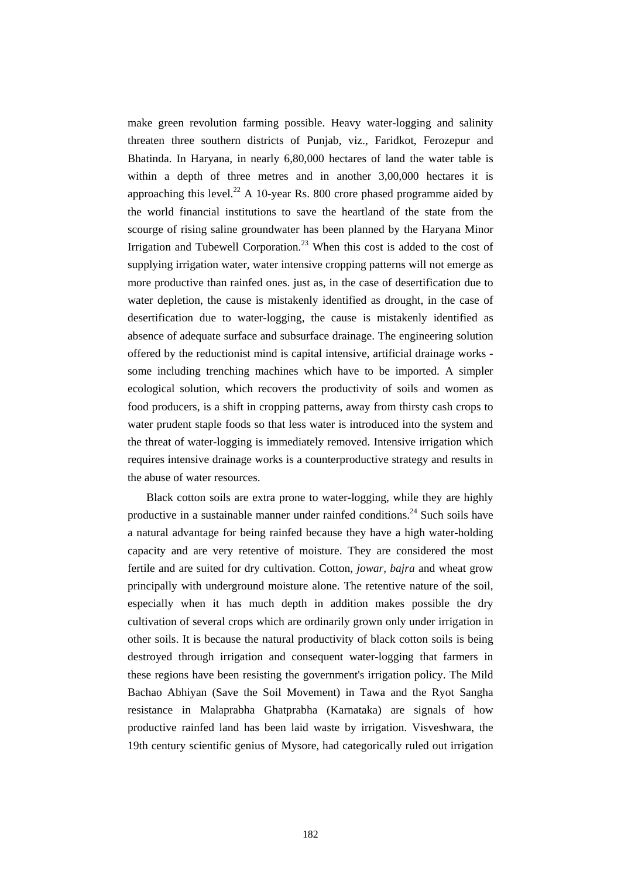make green revolution farming possible. Heavy water-logging and salinity threaten three southern districts of Punjab, viz., Faridkot, Ferozepur and Bhatinda. In Haryana, in nearly 6,80,000 hectares of land the water table is within a depth of three metres and in another 3,00,000 hectares it is approaching this level.<sup>22</sup> A 10-year Rs. 800 crore phased programme aided by the world financial institutions to save the heartland of the state from the scourge of rising saline groundwater has been planned by the Haryana Minor Irrigation and Tubewell Corporation.<sup>23</sup> When this cost is added to the cost of supplying irrigation water, water intensive cropping patterns will not emerge as more productive than rainfed ones. just as, in the case of desertification due to water depletion, the cause is mistakenly identified as drought, in the case of desertification due to water-logging, the cause is mistakenly identified as absence of adequate surface and subsurface drainage. The engineering solution offered by the reductionist mind is capital intensive, artificial drainage works some including trenching machines which have to be imported. A simpler ecological solution, which recovers the productivity of soils and women as food producers, is a shift in cropping patterns, away from thirsty cash crops to water prudent staple foods so that less water is introduced into the system and the threat of water-logging is immediately removed. Intensive irrigation which requires intensive drainage works is a counterproductive strategy and results in the abuse of water resources.

Black cotton soils are extra prone to water-logging, while they are highly productive in a sustainable manner under rainfed conditions.<sup>24</sup> Such soils have a natural advantage for being rainfed because they have a high water-holding capacity and are very retentive of moisture. They are considered the most fertile and are suited for dry cultivation. Cotton, *jowar, bajra* and wheat grow principally with underground moisture alone. The retentive nature of the soil, especially when it has much depth in addition makes possible the dry cultivation of several crops which are ordinarily grown only under irrigation in other soils. It is because the natural productivity of black cotton soils is being destroyed through irrigation and consequent water-logging that farmers in these regions have been resisting the government's irrigation policy. The Mild Bachao Abhiyan (Save the Soil Movement) in Tawa and the Ryot Sangha resistance in Malaprabha Ghatprabha (Karnataka) are signals of how productive rainfed land has been laid waste by irrigation. Visveshwara, the 19th century scientific genius of Mysore, had categorically ruled out irrigation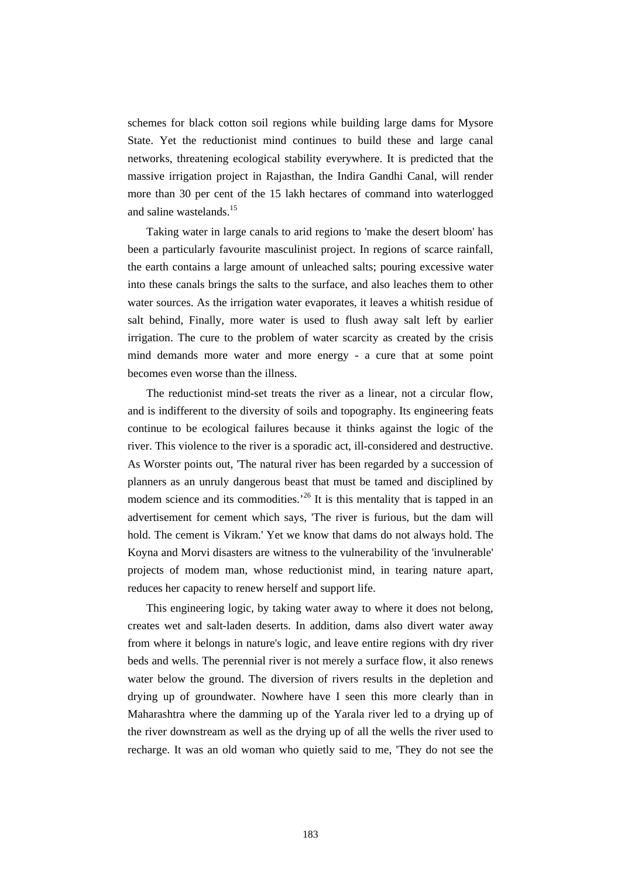schemes for black cotton soil regions while building large dams for Mysore State. Yet the reductionist mind continues to build these and large canal networks, threatening ecological stability everywhere. It is predicted that the massive irrigation project in Rajasthan, the Indira Gandhi Canal, will render more than 30 per cent of the 15 lakh hectares of command into waterlogged and saline wastelands.<sup>15</sup>

Taking water in large canals to arid regions to 'make the desert bloom' has been a particularly favourite masculinist project. In regions of scarce rainfall, the earth contains a large amount of unleached salts; pouring excessive water into these canals brings the salts to the surface, and also leaches them to other water sources. As the irrigation water evaporates, it leaves a whitish residue of salt behind, Finally, more water is used to flush away salt left by earlier irrigation. The cure to the problem of water scarcity as created by the crisis mind demands more water and more energy - a cure that at some point becomes even worse than the illness.

The reductionist mind-set treats the river as a linear, not a circular flow, and is indifferent to the diversity of soils and topography. Its engineering feats continue to be ecological failures because it thinks against the logic of the river. This violence to the river is a sporadic act, ill-considered and destructive. As Worster points out, 'The natural river has been regarded by a succession of planners as an unruly dangerous beast that must be tamed and disciplined by modem science and its commodities.<sup> $26$ </sup> It is this mentality that is tapped in an advertisement for cement which says, 'The river is furious, but the dam will hold. The cement is Vikram.' Yet we know that dams do not always hold. The Koyna and Morvi disasters are witness to the vulnerability of the 'invulnerable' projects of modem man, whose reductionist mind, in tearing nature apart, reduces her capacity to renew herself and support life.

This engineering logic, by taking water away to where it does not belong, creates wet and salt-laden deserts. In addition, dams also divert water away from where it belongs in nature's logic, and leave entire regions with dry river beds and wells. The perennial river is not merely a surface flow, it also renews water below the ground. The diversion of rivers results in the depletion and drying up of groundwater. Nowhere have I seen this more clearly than in Maharashtra where the damming up of the Yarala river led to a drying up of the river downstream as well as the drying up of all the wells the river used to recharge. It was an old woman who quietly said to me, 'They do not see the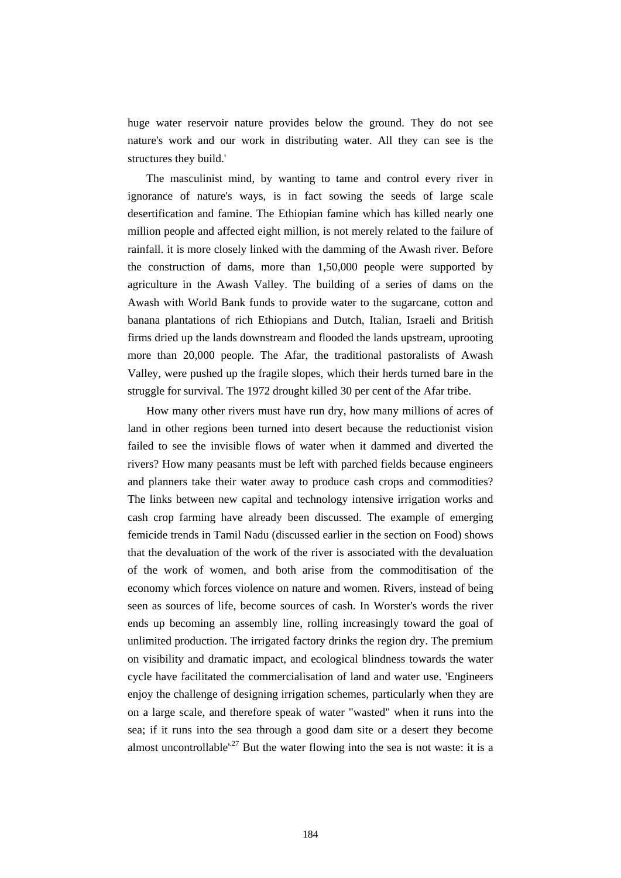huge water reservoir nature provides below the ground. They do not see nature's work and our work in distributing water. All they can see is the structures they build.'

The masculinist mind, by wanting to tame and control every river in ignorance of nature's ways, is in fact sowing the seeds of large scale desertification and famine. The Ethiopian famine which has killed nearly one million people and affected eight million, is not merely related to the failure of rainfall. it is more closely linked with the damming of the Awash river. Before the construction of dams, more than 1,50,000 people were supported by agriculture in the Awash Valley. The building of a series of dams on the Awash with World Bank funds to provide water to the sugarcane, cotton and banana plantations of rich Ethiopians and Dutch, Italian, Israeli and British firms dried up the lands downstream and flooded the lands upstream, uprooting more than 20,000 people. The Afar, the traditional pastoralists of Awash Valley, were pushed up the fragile slopes, which their herds turned bare in the struggle for survival. The 1972 drought killed 30 per cent of the Afar tribe.

How many other rivers must have run dry, how many millions of acres of land in other regions been turned into desert because the reductionist vision failed to see the invisible flows of water when it dammed and diverted the rivers? How many peasants must be left with parched fields because engineers and planners take their water away to produce cash crops and commodities? The links between new capital and technology intensive irrigation works and cash crop farming have already been discussed. The example of emerging femicide trends in Tamil Nadu (discussed earlier in the section on Food) shows that the devaluation of the work of the river is associated with the devaluation of the work of women, and both arise from the commoditisation of the economy which forces violence on nature and women. Rivers, instead of being seen as sources of life, become sources of cash. In Worster's words the river ends up becoming an assembly line, rolling increasingly toward the goal of unlimited production. The irrigated factory drinks the region dry. The premium on visibility and dramatic impact, and ecological blindness towards the water cycle have facilitated the commercialisation of land and water use. 'Engineers enjoy the challenge of designing irrigation schemes, particularly when they are on a large scale, and therefore speak of water "wasted" when it runs into the sea; if it runs into the sea through a good dam site or a desert they become almost uncontrollable $^{27}$  But the water flowing into the sea is not waste: it is a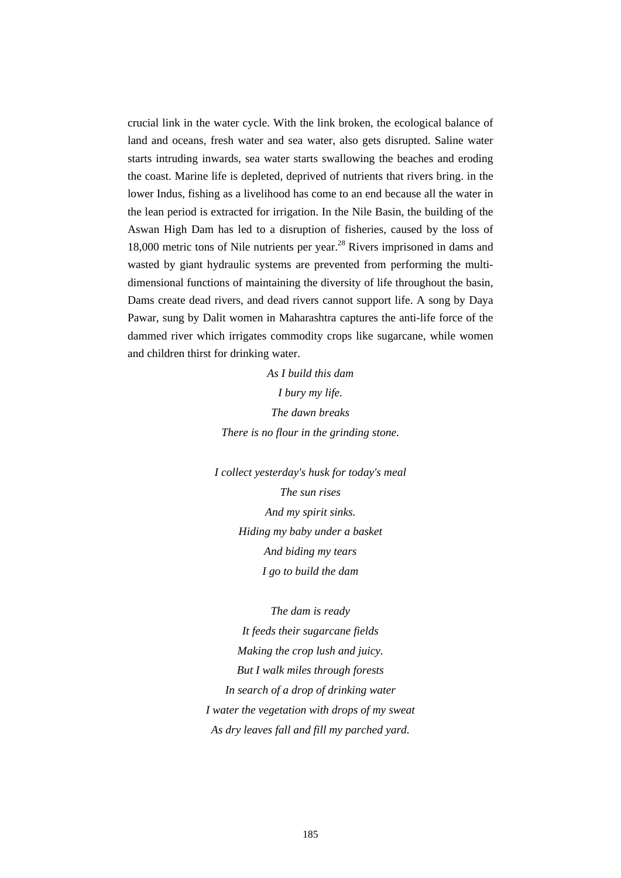crucial link in the water cycle. With the link broken, the ecological balance of land and oceans, fresh water and sea water, also gets disrupted. Saline water starts intruding inwards, sea water starts swallowing the beaches and eroding the coast. Marine life is depleted, deprived of nutrients that rivers bring. in the lower Indus, fishing as a livelihood has come to an end because all the water in the lean period is extracted for irrigation. In the Nile Basin, the building of the Aswan High Dam has led to a disruption of fisheries, caused by the loss of 18,000 metric tons of Nile nutrients per year.<sup>28</sup> Rivers imprisoned in dams and wasted by giant hydraulic systems are prevented from performing the multidimensional functions of maintaining the diversity of life throughout the basin, Dams create dead rivers, and dead rivers cannot support life. A song by Daya Pawar, sung by Dalit women in Maharashtra captures the anti-life force of the dammed river which irrigates commodity crops like sugarcane, while women and children thirst for drinking water.

> *As I build this dam I bury my life. The dawn breaks There is no flour in the grinding stone.*

*I collect yesterday's husk for today's meal The sun rises And my spirit sinks. Hiding my baby under a basket And biding my tears I go to build the dam* 

*The dam is ready It feeds their sugarcane fields Making the crop lush and juicy. But I walk miles through forests In search of a drop of drinking water I water the vegetation with drops of my sweat As dry leaves fall and fill my parched yard.*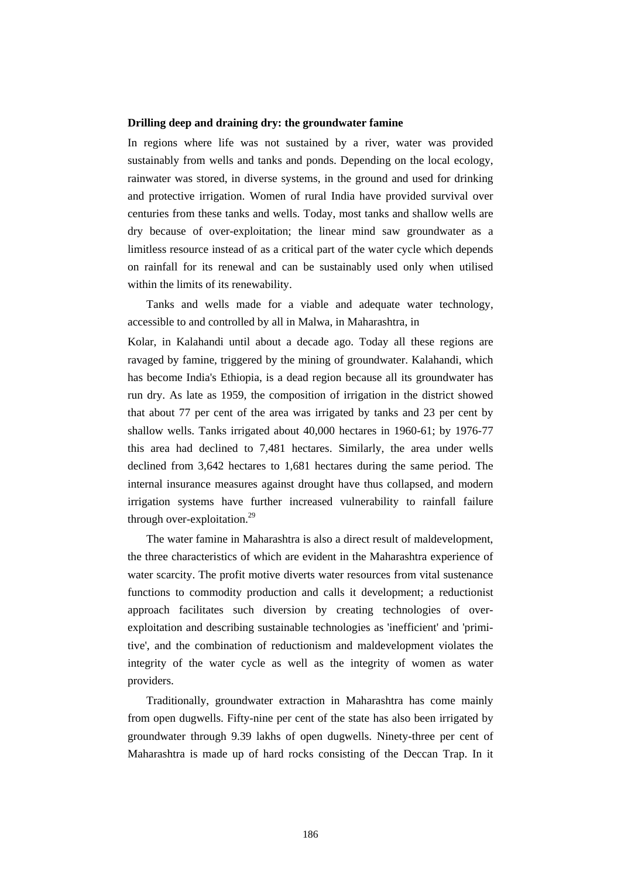#### **Drilling deep and draining dry: the groundwater famine**

In regions where life was not sustained by a river, water was provided sustainably from wells and tanks and ponds. Depending on the local ecology, rainwater was stored, in diverse systems, in the ground and used for drinking and protective irrigation. Women of rural India have provided survival over centuries from these tanks and wells. Today, most tanks and shallow wells are dry because of over-exploitation; the linear mind saw groundwater as a limitless resource instead of as a critical part of the water cycle which depends on rainfall for its renewal and can be sustainably used only when utilised within the limits of its renewability.

Tanks and wells made for a viable and adequate water technology, accessible to and controlled by all in Malwa, in Maharashtra, in

Kolar, in Kalahandi until about a decade ago. Today all these regions are ravaged by famine, triggered by the mining of groundwater. Kalahandi, which has become India's Ethiopia, is a dead region because all its groundwater has run dry. As late as 1959, the composition of irrigation in the district showed that about 77 per cent of the area was irrigated by tanks and 23 per cent by shallow wells. Tanks irrigated about 40,000 hectares in 1960-61; by 1976-77 this area had declined to 7,481 hectares. Similarly, the area under wells declined from 3,642 hectares to 1,681 hectares during the same period. The internal insurance measures against drought have thus collapsed, and modern irrigation systems have further increased vulnerability to rainfall failure through over-exploitation.<sup>29</sup>

The water famine in Maharashtra is also a direct result of maldevelopment, the three characteristics of which are evident in the Maharashtra experience of water scarcity. The profit motive diverts water resources from vital sustenance functions to commodity production and calls it development; a reductionist approach facilitates such diversion by creating technologies of overexploitation and describing sustainable technologies as 'inefficient' and 'primitive', and the combination of reductionism and maldevelopment violates the integrity of the water cycle as well as the integrity of women as water providers.

Traditionally, groundwater extraction in Maharashtra has come mainly from open dugwells. Fifty-nine per cent of the state has also been irrigated by groundwater through 9.39 lakhs of open dugwells. Ninety-three per cent of Maharashtra is made up of hard rocks consisting of the Deccan Trap. In it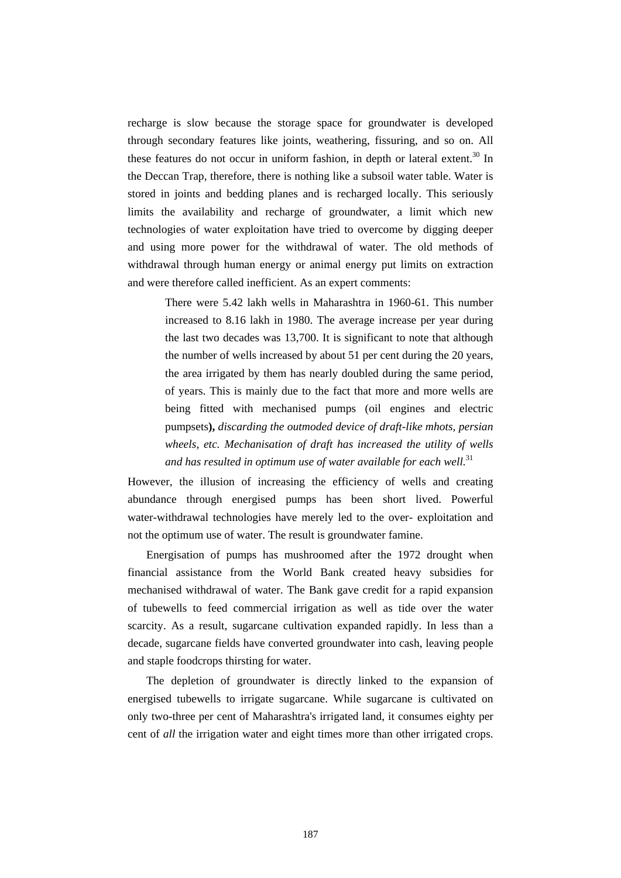recharge is slow because the storage space for groundwater is developed through secondary features like joints, weathering, fissuring, and so on. All these features do not occur in uniform fashion, in depth or lateral extent.<sup>30</sup> In the Deccan Trap, therefore, there is nothing like a subsoil water table. Water is stored in joints and bedding planes and is recharged locally. This seriously limits the availability and recharge of groundwater, a limit which new technologies of water exploitation have tried to overcome by digging deeper and using more power for the withdrawal of water. The old methods of withdrawal through human energy or animal energy put limits on extraction and were therefore called inefficient. As an expert comments:

> There were 5.42 lakh wells in Maharashtra in 1960-61. This number increased to 8.16 lakh in 1980. The average increase per year during the last two decades was 13,700. It is significant to note that although the number of wells increased by about 51 per cent during the 20 years, the area irrigated by them has nearly doubled during the same period, of years. This is mainly due to the fact that more and more wells are being fitted with mechanised pumps (oil engines and electric pumpsets**),** *discarding the outmoded device of draft-like mhots, persian wheels, etc. Mechanisation of draft has increased the utility of wells and has resulted in optimum use of water available for each well.*<sup>31</sup>

However, the illusion of increasing the efficiency of wells and creating abundance through energised pumps has been short lived. Powerful water-withdrawal technologies have merely led to the over- exploitation and not the optimum use of water. The result is groundwater famine.

Energisation of pumps has mushroomed after the 1972 drought when financial assistance from the World Bank created heavy subsidies for mechanised withdrawal of water. The Bank gave credit for a rapid expansion of tubewells to feed commercial irrigation as well as tide over the water scarcity. As a result, sugarcane cultivation expanded rapidly. In less than a decade, sugarcane fields have converted groundwater into cash, leaving people and staple foodcrops thirsting for water.

The depletion of groundwater is directly linked to the expansion of energised tubewells to irrigate sugarcane. While sugarcane is cultivated on only two-three per cent of Maharashtra's irrigated land, it consumes eighty per cent of *all* the irrigation water and eight times more than other irrigated crops.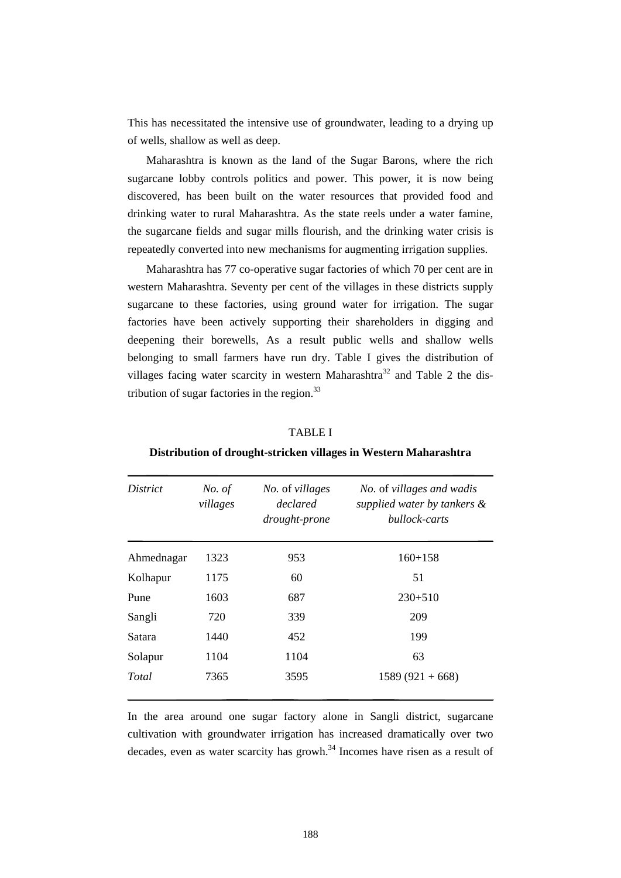This has necessitated the intensive use of groundwater, leading to a drying up of wells, shallow as well as deep.

Maharashtra is known as the land of the Sugar Barons, where the rich sugarcane lobby controls politics and power. This power, it is now being discovered, has been built on the water resources that provided food and drinking water to rural Maharashtra. As the state reels under a water famine, the sugarcane fields and sugar mills flourish, and the drinking water crisis is repeatedly converted into new mechanisms for augmenting irrigation supplies.

Maharashtra has 77 co-operative sugar factories of which 70 per cent are in western Maharashtra. Seventy per cent of the villages in these districts supply sugarcane to these factories, using ground water for irrigation. The sugar factories have been actively supporting their shareholders in digging and deepening their borewells, As a result public wells and shallow wells belonging to small farmers have run dry. Table I gives the distribution of villages facing water scarcity in western Maharashtra<sup>32</sup> and Table 2 the distribution of sugar factories in the region.<sup>33</sup>

| <i>District</i> | No. of<br>villages | <i>No.</i> of <i>villages</i><br>declared<br>drought-prone | No. of villages and wadis<br>supplied water by tankers &<br>bullock-carts |
|-----------------|--------------------|------------------------------------------------------------|---------------------------------------------------------------------------|
| Ahmednagar      | 1323               | 953                                                        | $160 + 158$                                                               |
| Kolhapur        | 1175               | 60                                                         | 51                                                                        |
| Pune            | 1603               | 687                                                        | $230+510$                                                                 |
| Sangli          | 720                | 339                                                        | 209                                                                       |
| Satara          | 1440               | 452                                                        | 199                                                                       |
| Solapur         | 1104               | 1104                                                       | 63                                                                        |
| Total           | 7365               | 3595                                                       | $1589(921+668)$                                                           |

TABLE I

**Distribution of drought-stricken villages in Western Maharashtra** 

In the area around one sugar factory alone in Sangli district, sugarcane cultivation with groundwater irrigation has increased dramatically over two decades, even as water scarcity has growh.<sup>34</sup> Incomes have risen as a result of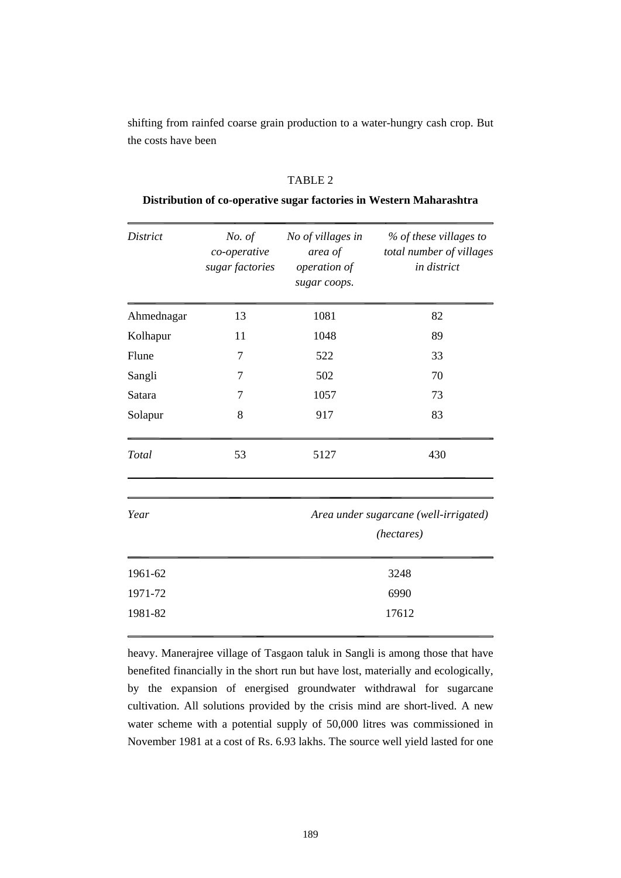shifting from rainfed coarse grain production to a water-hungry cash crop. But the costs have been

## TABLE 2

# **Distribution of co-operative sugar factories in Western Maharashtra**

| <i>District</i> | No. of<br>co-operative<br>sugar factories | No of villages in<br>area of<br>operation of<br>sugar coops. | % of these villages to<br>total number of villages<br><i>in district</i> |  |  |
|-----------------|-------------------------------------------|--------------------------------------------------------------|--------------------------------------------------------------------------|--|--|
| Ahmednagar      | 13                                        | 1081                                                         | 82                                                                       |  |  |
| Kolhapur        | 11                                        | 1048                                                         | 89                                                                       |  |  |
| Flune           | 7                                         | 522                                                          | 33                                                                       |  |  |
| Sangli          | 7                                         | 502                                                          | 70                                                                       |  |  |
| Satara          | 7                                         | 1057                                                         | 73                                                                       |  |  |
| Solapur         | 8                                         | 917                                                          | 83                                                                       |  |  |
| Total           | 53                                        | 5127                                                         | 430                                                                      |  |  |
| Year            |                                           |                                                              | Area under sugarcane (well-irrigated)                                    |  |  |
|                 |                                           |                                                              | (hectares)                                                               |  |  |
| 1961-62         |                                           |                                                              | 3248                                                                     |  |  |
| 1971-72         |                                           |                                                              | 6990                                                                     |  |  |
| 1981-82         |                                           |                                                              | 17612                                                                    |  |  |

heavy. Manerajree village of Tasgaon taluk in Sangli is among those that have benefited financially in the short run but have lost, materially and ecologically, by the expansion of energised groundwater withdrawal for sugarcane cultivation. All solutions provided by the crisis mind are short-lived. A new water scheme with a potential supply of 50,000 litres was commissioned in November 1981 at a cost of Rs. 6.93 lakhs. The source well yield lasted for one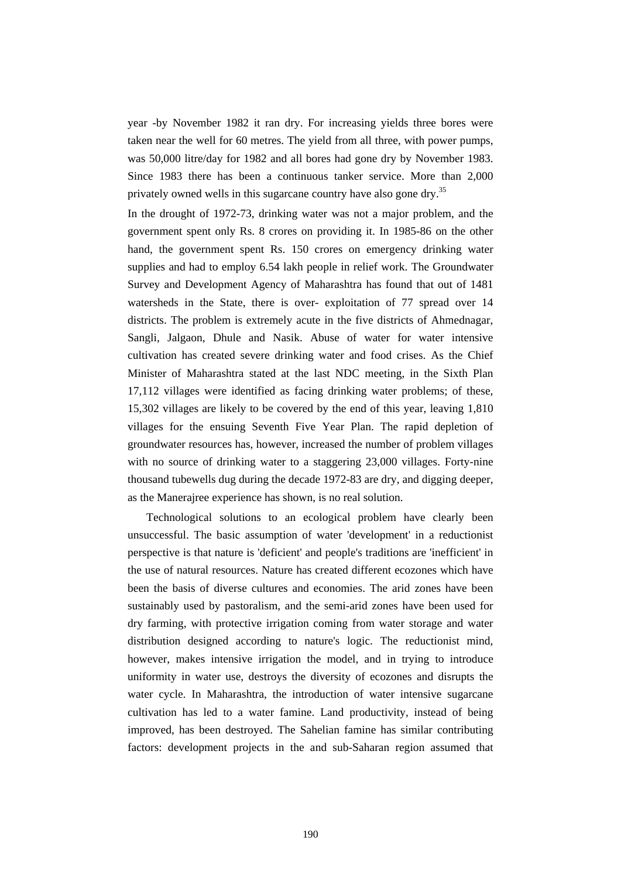year -by November 1982 it ran dry. For increasing yields three bores were taken near the well for 60 metres. The yield from all three, with power pumps, was 50,000 litre/day for 1982 and all bores had gone dry by November 1983. Since 1983 there has been a continuous tanker service. More than 2,000 privately owned wells in this sugarcane country have also gone dry.<sup>35</sup>

In the drought of 1972-73, drinking water was not a major problem, and the government spent only Rs. 8 crores on providing it. In 1985-86 on the other hand, the government spent Rs. 150 crores on emergency drinking water supplies and had to employ 6.54 lakh people in relief work. The Groundwater Survey and Development Agency of Maharashtra has found that out of 1481 watersheds in the State, there is over- exploitation of 77 spread over 14 districts. The problem is extremely acute in the five districts of Ahmednagar, Sangli, Jalgaon, Dhule and Nasik. Abuse of water for water intensive cultivation has created severe drinking water and food crises. As the Chief Minister of Maharashtra stated at the last NDC meeting, in the Sixth Plan 17,112 villages were identified as facing drinking water problems; of these, 15,302 villages are likely to be covered by the end of this year, leaving 1,810 villages for the ensuing Seventh Five Year Plan. The rapid depletion of groundwater resources has, however, increased the number of problem villages with no source of drinking water to a staggering 23,000 villages. Forty-nine thousand tubewells dug during the decade 1972-83 are dry, and digging deeper, as the Manerajree experience has shown, is no real solution.

Technological solutions to an ecological problem have clearly been unsuccessful. The basic assumption of water 'development' in a reductionist perspective is that nature is 'deficient' and people's traditions are 'inefficient' in the use of natural resources. Nature has created different ecozones which have been the basis of diverse cultures and economies. The arid zones have been sustainably used by pastoralism, and the semi-arid zones have been used for dry farming, with protective irrigation coming from water storage and water distribution designed according to nature's logic. The reductionist mind, however, makes intensive irrigation the model, and in trying to introduce uniformity in water use, destroys the diversity of ecozones and disrupts the water cycle. In Maharashtra, the introduction of water intensive sugarcane cultivation has led to a water famine. Land productivity, instead of being improved, has been destroyed. The Sahelian famine has similar contributing factors: development projects in the and sub-Saharan region assumed that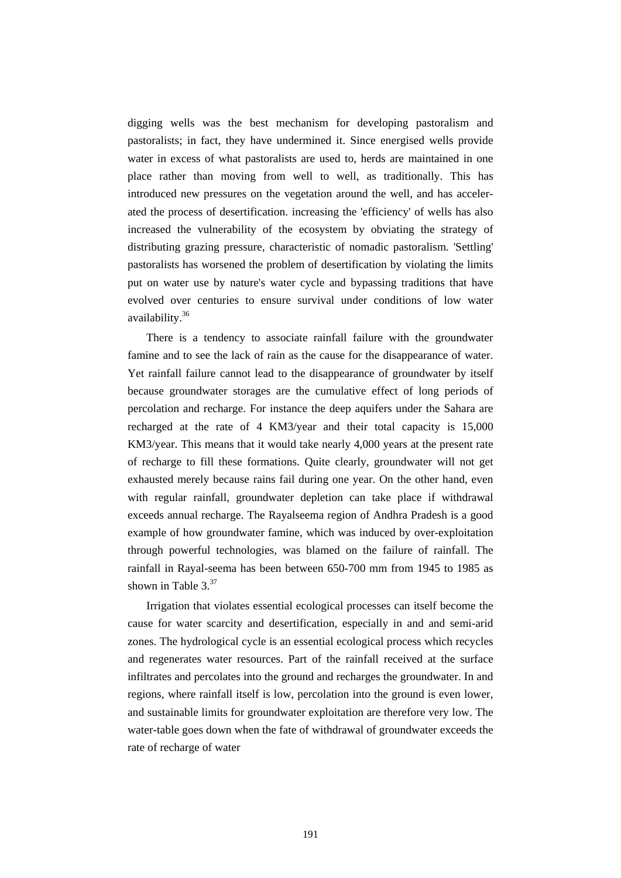digging wells was the best mechanism for developing pastoralism and pastoralists; in fact, they have undermined it. Since energised wells provide water in excess of what pastoralists are used to, herds are maintained in one place rather than moving from well to well, as traditionally. This has introduced new pressures on the vegetation around the well, and has accelerated the process of desertification. increasing the 'efficiency' of wells has also increased the vulnerability of the ecosystem by obviating the strategy of distributing grazing pressure, characteristic of nomadic pastoralism. 'Settling' pastoralists has worsened the problem of desertification by violating the limits put on water use by nature's water cycle and bypassing traditions that have evolved over centuries to ensure survival under conditions of low water availability.36

There is a tendency to associate rainfall failure with the groundwater famine and to see the lack of rain as the cause for the disappearance of water. Yet rainfall failure cannot lead to the disappearance of groundwater by itself because groundwater storages are the cumulative effect of long periods of percolation and recharge. For instance the deep aquifers under the Sahara are recharged at the rate of 4 KM3/year and their total capacity is 15,000 KM3/year. This means that it would take nearly 4,000 years at the present rate of recharge to fill these formations. Quite clearly, groundwater will not get exhausted merely because rains fail during one year. On the other hand, even with regular rainfall, groundwater depletion can take place if withdrawal exceeds annual recharge. The Rayalseema region of Andhra Pradesh is a good example of how groundwater famine, which was induced by over-exploitation through powerful technologies, was blamed on the failure of rainfall. The rainfall in Rayal-seema has been between 650-700 mm from 1945 to 1985 as shown in Table  $3<sup>37</sup>$ 

Irrigation that violates essential ecological processes can itself become the cause for water scarcity and desertification, especially in and and semi-arid zones. The hydrological cycle is an essential ecological process which recycles and regenerates water resources. Part of the rainfall received at the surface infiltrates and percolates into the ground and recharges the groundwater. In and regions, where rainfall itself is low, percolation into the ground is even lower, and sustainable limits for groundwater exploitation are therefore very low. The water-table goes down when the fate of withdrawal of groundwater exceeds the rate of recharge of water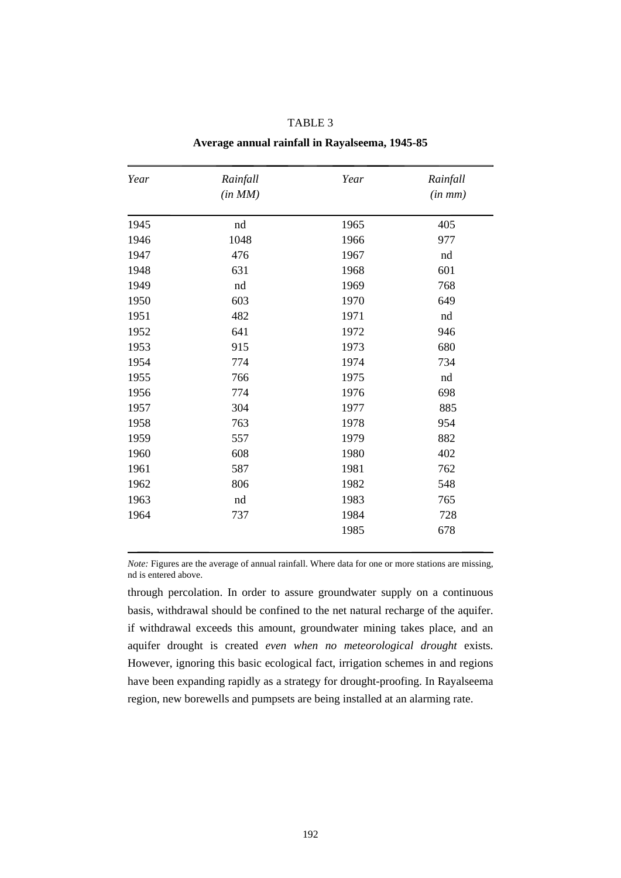| Year | Rainfall<br>(in MM) | Year | Rainfall<br>$(in \, mm)$ |
|------|---------------------|------|--------------------------|
| 1945 | nd                  | 1965 | 405                      |
| 1946 | 1048                | 1966 | 977                      |
| 1947 | 476                 | 1967 | nd                       |
| 1948 | 631                 | 1968 | 601                      |
| 1949 | nd                  | 1969 | 768                      |
| 1950 | 603                 | 1970 | 649                      |
| 1951 | 482                 | 1971 | nd                       |
| 1952 | 641                 | 1972 | 946                      |
| 1953 | 915                 | 1973 | 680                      |
| 1954 | 774                 | 1974 | 734                      |
| 1955 | 766                 | 1975 | nd                       |
| 1956 | 774                 | 1976 | 698                      |
| 1957 | 304                 | 1977 | 885                      |
| 1958 | 763                 | 1978 | 954                      |
| 1959 | 557                 | 1979 | 882                      |
| 1960 | 608                 | 1980 | 402                      |
| 1961 | 587                 | 1981 | 762                      |
| 1962 | 806                 | 1982 | 548                      |
| 1963 | nd                  | 1983 | 765                      |
| 1964 | 737                 | 1984 | 728                      |
|      |                     | 1985 | 678                      |

# TABLE 3 **Average annual rainfall in Rayalseema, 1945-85**

*Note:* Figures are the average of annual rainfall. Where data for one or more stations are missing, nd is entered above.

through percolation. In order to assure groundwater supply on a continuous basis, withdrawal should be confined to the net natural recharge of the aquifer. if withdrawal exceeds this amount, groundwater mining takes place, and an aquifer drought is created *even when no meteorological drought* exists. However, ignoring this basic ecological fact, irrigation schemes in and regions have been expanding rapidly as a strategy for drought-proofing. In Rayalseema region, new borewells and pumpsets are being installed at an alarming rate.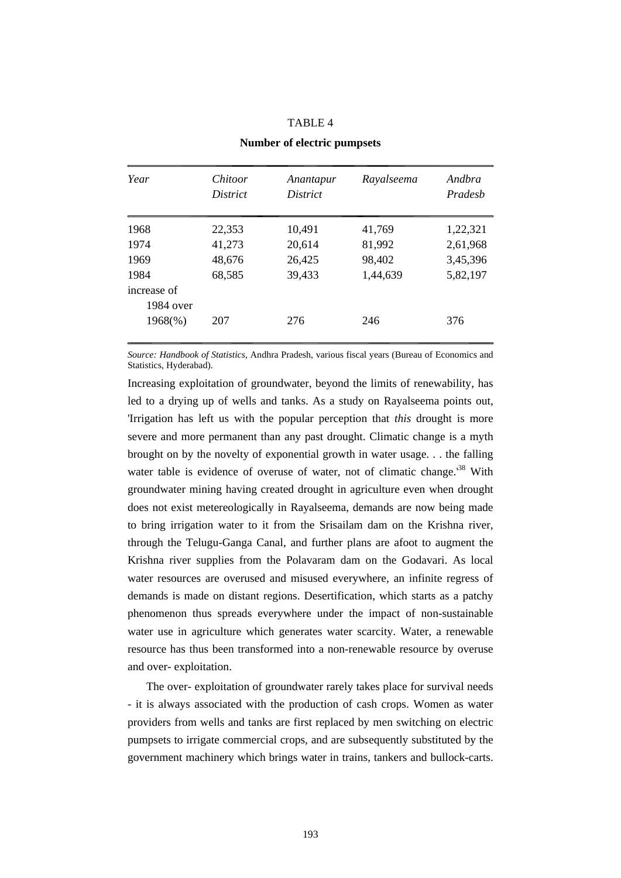| Year                                    | Chitoor<br>District | Anantapur<br>District | Rayalseema | Andhra<br>Pradesh |
|-----------------------------------------|---------------------|-----------------------|------------|-------------------|
| 1968                                    | 22,353              | 10,491                | 41,769     | 1,22,321          |
| 1974                                    | 41,273              | 20,614                | 81,992     | 2,61,968          |
| 1969                                    | 48,676              | 26,425                | 98,402     | 3,45,396          |
| 1984                                    | 68,585              | 39,433                | 1,44,639   | 5,82,197          |
| increase of<br>1984 over<br>$1968(\% )$ | 207                 | 276                   | 246        | 376               |
|                                         |                     |                       |            |                   |

# TABLE 4 **Number of electric pumpsets**

*Source: Handbook of Statistics,* Andhra Pradesh, various fiscal years (Bureau of Economics and Statistics, Hyderabad).

Increasing exploitation of groundwater, beyond the limits of renewability, has led to a drying up of wells and tanks. As a study on Rayalseema points out, 'Irrigation has left us with the popular perception that *this* drought is more severe and more permanent than any past drought. Climatic change is a myth brought on by the novelty of exponential growth in water usage. . . the falling water table is evidence of overuse of water, not of climatic change.<sup>138</sup> With groundwater mining having created drought in agriculture even when drought does not exist metereologically in Rayalseema, demands are now being made to bring irrigation water to it from the Srisailam dam on the Krishna river, through the Telugu-Ganga Canal, and further plans are afoot to augment the Krishna river supplies from the Polavaram dam on the Godavari. As local water resources are overused and misused everywhere, an infinite regress of demands is made on distant regions. Desertification, which starts as a patchy phenomenon thus spreads everywhere under the impact of non-sustainable water use in agriculture which generates water scarcity. Water, a renewable resource has thus been transformed into a non-renewable resource by overuse and over- exploitation.

The over- exploitation of groundwater rarely takes place for survival needs - it is always associated with the production of cash crops. Women as water providers from wells and tanks are first replaced by men switching on electric pumpsets to irrigate commercial crops, and are subsequently substituted by the government machinery which brings water in trains, tankers and bullock-carts.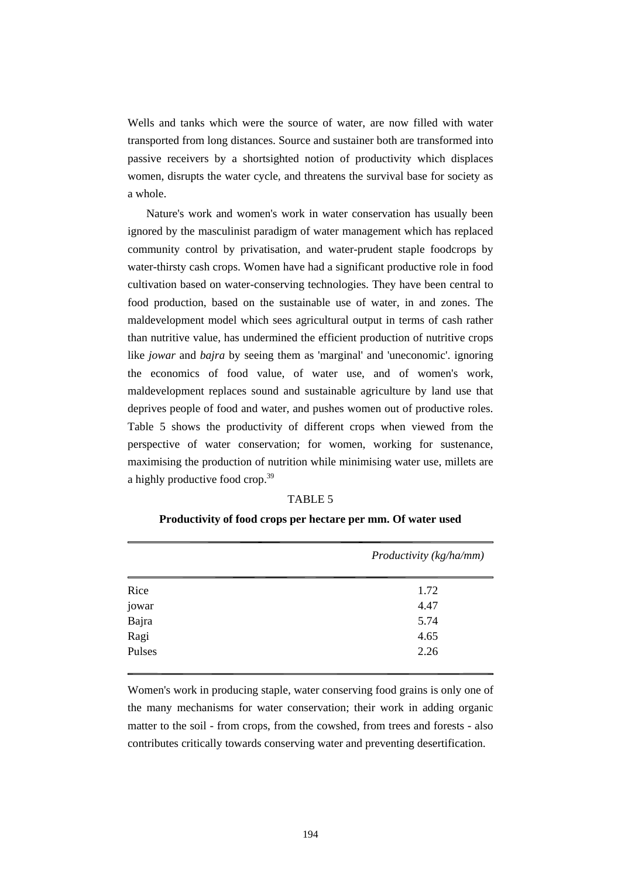Wells and tanks which were the source of water, are now filled with water transported from long distances. Source and sustainer both are transformed into passive receivers by a shortsighted notion of productivity which displaces women, disrupts the water cycle, and threatens the survival base for society as a whole.

Nature's work and women's work in water conservation has usually been ignored by the masculinist paradigm of water management which has replaced community control by privatisation, and water-prudent staple foodcrops by water-thirsty cash crops. Women have had a significant productive role in food cultivation based on water-conserving technologies. They have been central to food production, based on the sustainable use of water, in and zones. The maldevelopment model which sees agricultural output in terms of cash rather than nutritive value, has undermined the efficient production of nutritive crops like *jowar* and *bajra* by seeing them as 'marginal' and 'uneconomic'. ignoring the economics of food value, of water use, and of women's work, maldevelopment replaces sound and sustainable agriculture by land use that deprives people of food and water, and pushes women out of productive roles. Table 5 shows the productivity of different crops when viewed from the perspective of water conservation; for women, working for sustenance, maximising the production of nutrition while minimising water use, millets are a highly productive food crop.<sup>39</sup>

### TABLE 5

|        | Productivity (kg/ha/mm) |  |
|--------|-------------------------|--|
| Rice   | 1.72                    |  |
| jowar  | 4.47                    |  |
| Bajra  | 5.74                    |  |
| Ragi   | 4.65                    |  |
| Pulses | 2.26                    |  |

## **Productivity of food crops per hectare per mm. Of water used**

Women's work in producing staple, water conserving food grains is only one of the many mechanisms for water conservation; their work in adding organic matter to the soil - from crops, from the cowshed, from trees and forests - also contributes critically towards conserving water and preventing desertification.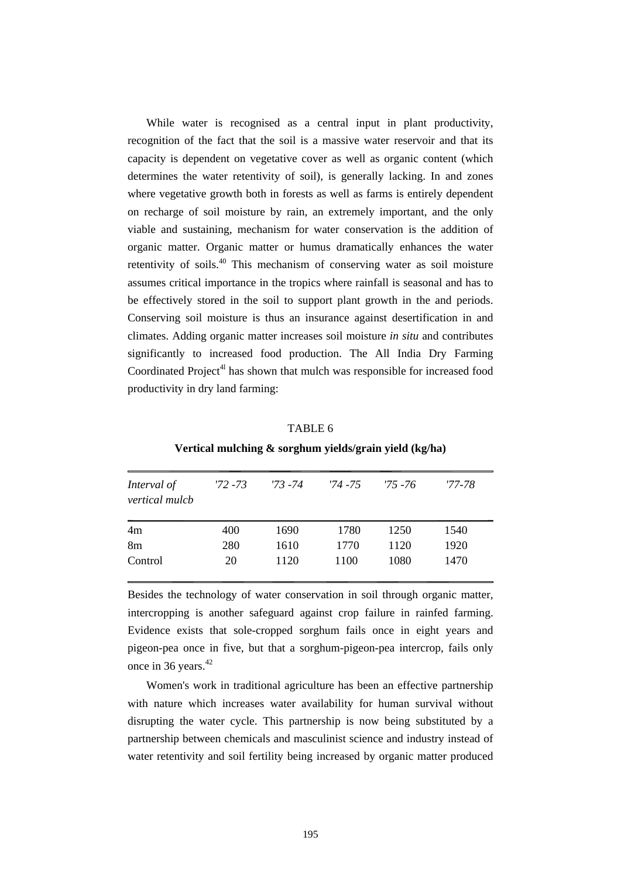While water is recognised as a central input in plant productivity, recognition of the fact that the soil is a massive water reservoir and that its capacity is dependent on vegetative cover as well as organic content (which determines the water retentivity of soil), is generally lacking. In and zones where vegetative growth both in forests as well as farms is entirely dependent on recharge of soil moisture by rain, an extremely important, and the only viable and sustaining, mechanism for water conservation is the addition of organic matter. Organic matter or humus dramatically enhances the water retentivity of soils.<sup>40</sup> This mechanism of conserving water as soil moisture assumes critical importance in the tropics where rainfall is seasonal and has to be effectively stored in the soil to support plant growth in the and periods. Conserving soil moisture is thus an insurance against desertification in and climates. Adding organic matter increases soil moisture *in situ* and contributes significantly to increased food production. The All India Dry Farming Coordinated Project<sup>41</sup> has shown that mulch was responsible for increased food productivity in dry land farming:

| '72 -73 | '73 -74 | $'74 - 75$ | $75 - 76$ | $77 - 78$    |
|---------|---------|------------|-----------|--------------|
| 400     | 1690    | 1780       | 1250      | 1540         |
| 20      | 1120    | 1100       | 1080      | 1920<br>1470 |
|         | 280     | 1610       | 1770      | 1120         |

TABLE 6

**Vertical mulching & sorghum yields/grain yield (kg/ha)** 

Besides the technology of water conservation in soil through organic matter, intercropping is another safeguard against crop failure in rainfed farming. Evidence exists that sole-cropped sorghum fails once in eight years and pigeon-pea once in five, but that a sorghum-pigeon-pea intercrop, fails only once in 36 years.<sup>42</sup>

Women's work in traditional agriculture has been an effective partnership with nature which increases water availability for human survival without disrupting the water cycle. This partnership is now being substituted by a partnership between chemicals and masculinist science and industry instead of water retentivity and soil fertility being increased by organic matter produced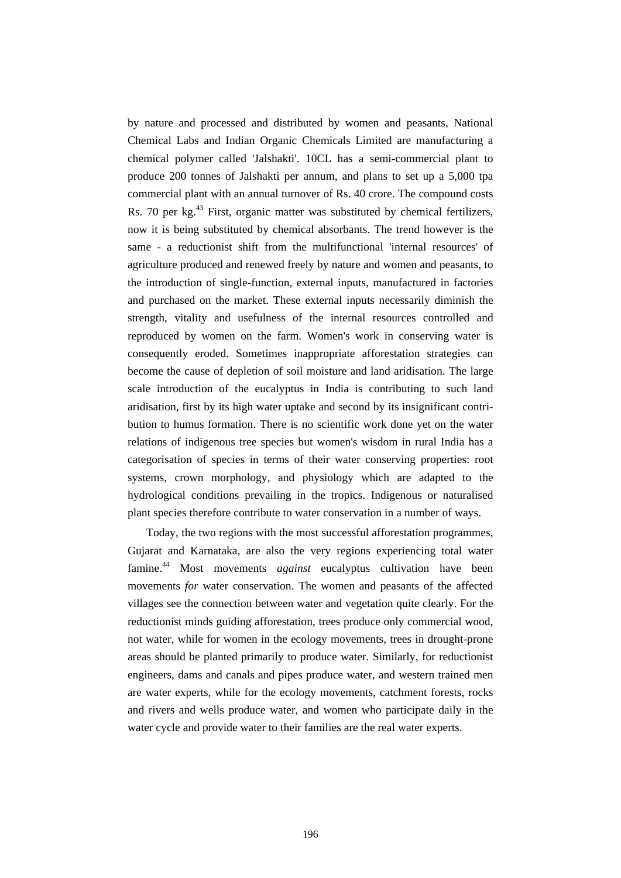by nature and processed and distributed by women and peasants, National Chemical Labs and Indian Organic Chemicals Limited are manufacturing a chemical polymer called 'Jalshakti'. 10CL has a semi-commercial plant to produce 200 tonnes of Jalshakti per annum, and plans to set up a 5,000 tpa commercial plant with an annual turnover of Rs. 40 crore. The compound costs Rs. 70 per kg.<sup>43</sup> First, organic matter was substituted by chemical fertilizers, now it is being substituted by chemical absorbants. The trend however is the same - a reductionist shift from the multifunctional 'internal resources' of agriculture produced and renewed freely by nature and women and peasants, to the introduction of single-function, external inputs, manufactured in factories and purchased on the market. These external inputs necessarily diminish the strength, vitality and usefulness of the internal resources controlled and reproduced by women on the farm. Women's work in conserving water is consequently eroded. Sometimes inappropriate afforestation strategies can become the cause of depletion of soil moisture and land aridisation. The large scale introduction of the eucalyptus in India is contributing to such land aridisation, first by its high water uptake and second by its insignificant contribution to humus formation. There is no scientific work done yet on the water relations of indigenous tree species but women's wisdom in rural India has a categorisation of species in terms of their water conserving properties: root systems, crown morphology, and physiology which are adapted to the hydrological conditions prevailing in the tropics. Indigenous or naturalised plant species therefore contribute to water conservation in a number of ways.

Today, the two regions with the most successful afforestation programmes, Gujarat and Karnataka, are also the very regions experiencing total water famine.44 Most movements *against* eucalyptus cultivation have been movements *for* water conservation. The women and peasants of the affected villages see the connection between water and vegetation quite clearly. For the reductionist minds guiding afforestation, trees produce only commercial wood, not water, while for women in the ecology movements, trees in drought-prone areas should be planted primarily to produce water. Similarly, for reductionist engineers, dams and canals and pipes produce water, and western trained men are water experts, while for the ecology movements, catchment forests, rocks and rivers and wells produce water, and women who participate daily in the water cycle and provide water to their families are the real water experts.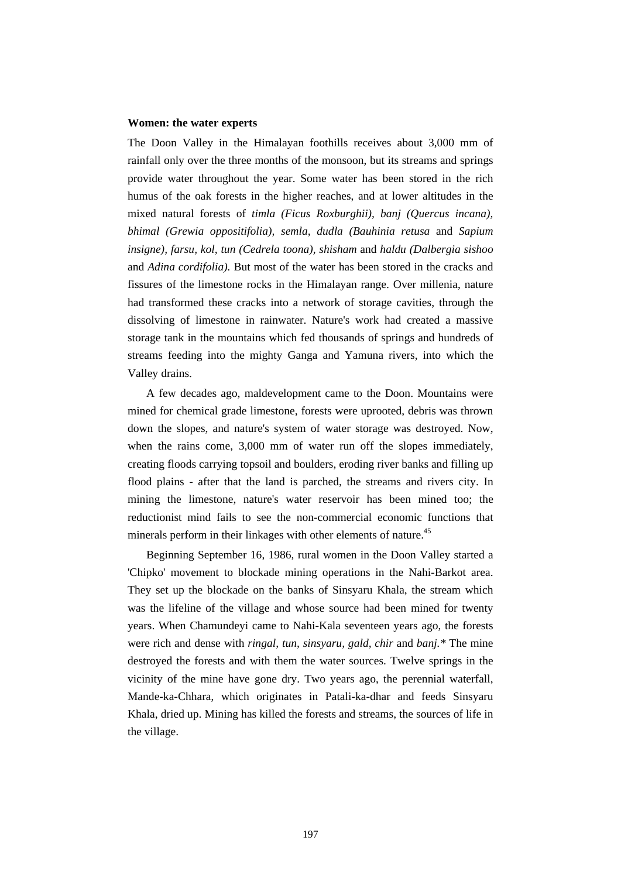#### **Women: the water experts**

The Doon Valley in the Himalayan foothills receives about 3,000 mm of rainfall only over the three months of the monsoon, but its streams and springs provide water throughout the year. Some water has been stored in the rich humus of the oak forests in the higher reaches, and at lower altitudes in the mixed natural forests of *timla (Ficus Roxburghii), banj (Quercus incana), bhimal (Grewia oppositifolia), semla, dudla (Bauhinia retusa* and *Sapium insigne), farsu, kol, tun (Cedrela toona), shisham* and *haldu (Dalbergia sishoo*  and *Adina cordifolia).* But most of the water has been stored in the cracks and fissures of the limestone rocks in the Himalayan range. Over millenia, nature had transformed these cracks into a network of storage cavities, through the dissolving of limestone in rainwater. Nature's work had created a massive storage tank in the mountains which fed thousands of springs and hundreds of streams feeding into the mighty Ganga and Yamuna rivers, into which the Valley drains.

A few decades ago, maldevelopment came to the Doon. Mountains were mined for chemical grade limestone, forests were uprooted, debris was thrown down the slopes, and nature's system of water storage was destroyed. Now, when the rains come, 3,000 mm of water run off the slopes immediately, creating floods carrying topsoil and boulders, eroding river banks and filling up flood plains - after that the land is parched, the streams and rivers city. In mining the limestone, nature's water reservoir has been mined too; the reductionist mind fails to see the non-commercial economic functions that minerals perform in their linkages with other elements of nature.<sup>45</sup>

Beginning September 16, 1986, rural women in the Doon Valley started a 'Chipko' movement to blockade mining operations in the Nahi-Barkot area. They set up the blockade on the banks of Sinsyaru Khala, the stream which was the lifeline of the village and whose source had been mined for twenty years. When Chamundeyi came to Nahi-Kala seventeen years ago, the forests were rich and dense with *ringal, tun, sinsyaru, gald, chir* and *banj.\** The mine destroyed the forests and with them the water sources. Twelve springs in the vicinity of the mine have gone dry. Two years ago, the perennial waterfall, Mande-ka-Chhara, which originates in Patali-ka-dhar and feeds Sinsyaru Khala, dried up. Mining has killed the forests and streams, the sources of life in the village.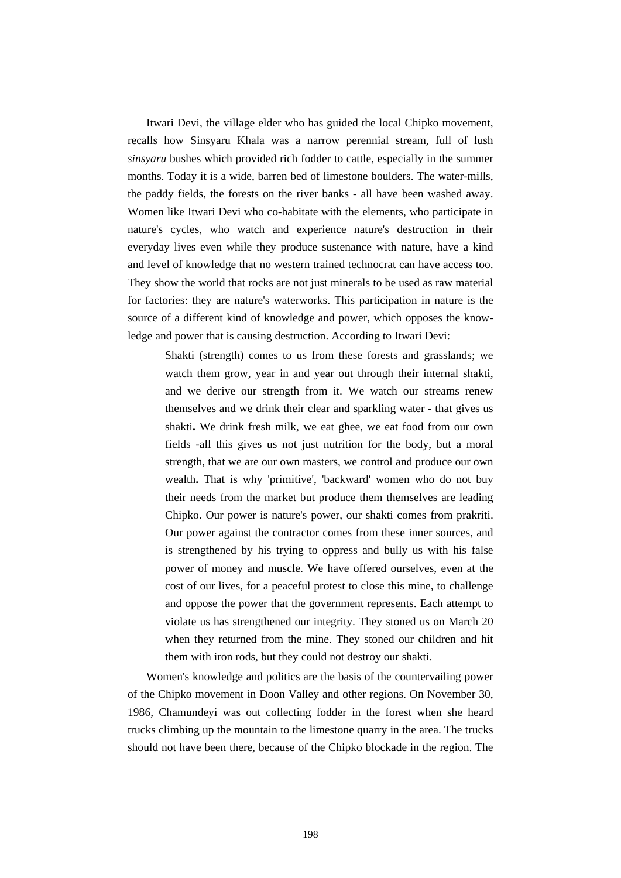Itwari Devi, the village elder who has guided the local Chipko movement, recalls how Sinsyaru Khala was a narrow perennial stream, full of lush *sinsyaru* bushes which provided rich fodder to cattle, especially in the summer months. Today it is a wide, barren bed of limestone boulders. The water-mills, the paddy fields, the forests on the river banks - all have been washed away. Women like Itwari Devi who co-habitate with the elements, who participate in nature's cycles, who watch and experience nature's destruction in their everyday lives even while they produce sustenance with nature, have a kind and level of knowledge that no western trained technocrat can have access too. They show the world that rocks are not just minerals to be used as raw material for factories: they are nature's waterworks. This participation in nature is the source of a different kind of knowledge and power, which opposes the knowledge and power that is causing destruction. According to Itwari Devi:

> Shakti (strength) comes to us from these forests and grasslands; we watch them grow, year in and year out through their internal shakti, and we derive our strength from it. We watch our streams renew themselves and we drink their clear and sparkling water - that gives us shakti**.** We drink fresh milk, we eat ghee, we eat food from our own fields -all this gives us not just nutrition for the body, but a moral strength, that we are our own masters, we control and produce our own wealth**.** That is why 'primitive', 'backward' women who do not buy their needs from the market but produce them themselves are leading Chipko. Our power is nature's power, our shakti comes from prakriti. Our power against the contractor comes from these inner sources, and is strengthened by his trying to oppress and bully us with his false power of money and muscle. We have offered ourselves, even at the cost of our lives, for a peaceful protest to close this mine, to challenge and oppose the power that the government represents. Each attempt to violate us has strengthened our integrity. They stoned us on March 20 when they returned from the mine. They stoned our children and hit them with iron rods, but they could not destroy our shakti.

Women's knowledge and politics are the basis of the countervailing power of the Chipko movement in Doon Valley and other regions. On November 30, 1986*,* Chamundeyi was out collecting fodder in the forest when she heard trucks climbing up the mountain to the limestone quarry in the area. The trucks should not have been there, because of the Chipko blockade in the region. The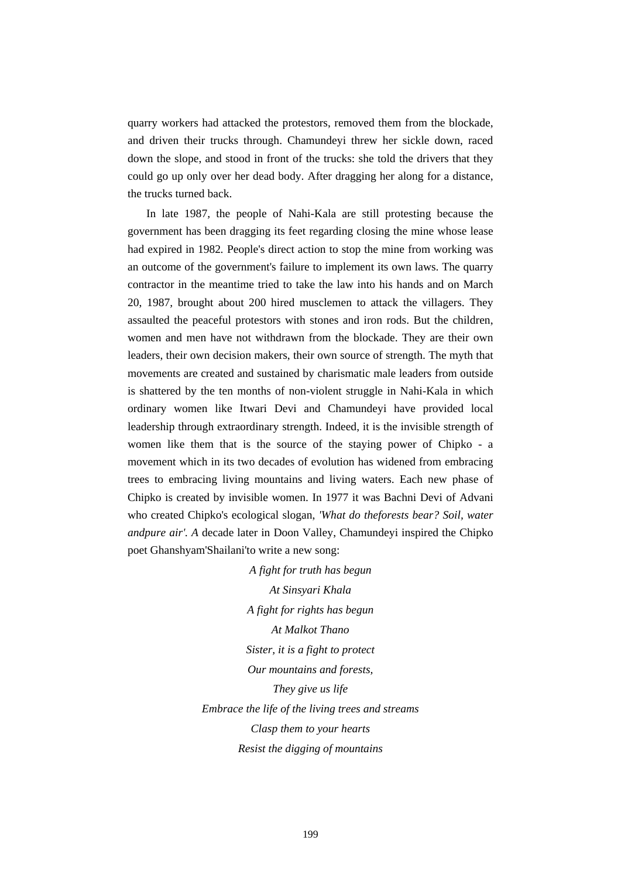quarry workers had attacked the protestors, removed them from the blockade, and driven their trucks through. Chamundeyi threw her sickle down, raced down the slope, and stood in front of the trucks: she told the drivers that they could go up only over her dead body. After dragging her along for a distance, the trucks turned back.

In late 1987*,* the people of Nahi-Kala are still protesting because the government has been dragging its feet regarding closing the mine whose lease had expired in 1982*.* People's direct action to stop the mine from working was an outcome of the government's failure to implement its own laws. The quarry contractor in the meantime tried to take the law into his hands and on March 20, 1987*,* brought about 200 hired musclemen to attack the villagers. They assaulted the peaceful protestors with stones and iron rods. But the children, women and men have not withdrawn from the blockade. They are their own leaders, their own decision makers, their own source of strength. The myth that movements are created and sustained by charismatic male leaders from outside is shattered by the ten months of non-violent struggle in Nahi-Kala in which ordinary women like Itwari Devi and Chamundeyi have provided local leadership through extraordinary strength. Indeed, it is the invisible strength of women like them that is the source of the staying power of Chipko - a movement which in its two decades of evolution has widened from embracing trees to embracing living mountains and living waters. Each new phase of Chipko is created by invisible women. In 1977 it was Bachni Devi of Advani who created Chipko's ecological slogan, *'What do theforests bear? Soil, water andpure air'. A* decade later in Doon Valley, Chamundeyi inspired the Chipko poet Ghanshyam'Shailani'to write a new song:

> *A fight for truth has begun At Sinsyari Khala A fight for rights has begun At Malkot Thano Sister, it is a fight to protect Our mountains and forests, They give us life Embrace the life of the living trees and streams Clasp them to your hearts Resist the digging of mountains*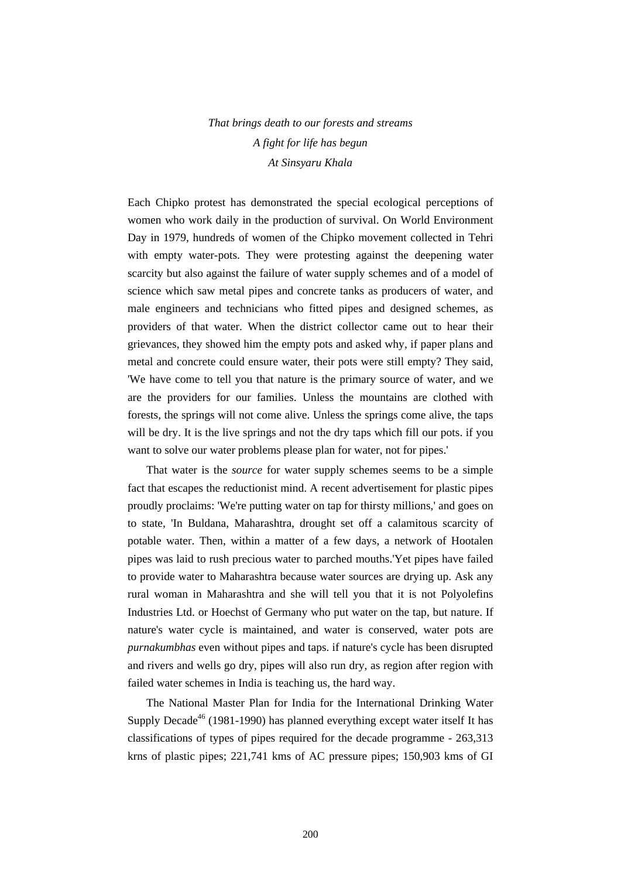# *That brings death to our forests and streams A fight for life has begun At Sinsyaru Khala*

Each Chipko protest has demonstrated the special ecological perceptions of women who work daily in the production of survival. On World Environment Day in 1979, hundreds of women of the Chipko movement collected in Tehri with empty water-pots. They were protesting against the deepening water scarcity but also against the failure of water supply schemes and of a model of science which saw metal pipes and concrete tanks as producers of water, and male engineers and technicians who fitted pipes and designed schemes, as providers of that water. When the district collector came out to hear their grievances, they showed him the empty pots and asked why, if paper plans and metal and concrete could ensure water, their pots were still empty? They said, 'We have come to tell you that nature is the primary source of water, and we are the providers for our families. Unless the mountains are clothed with forests, the springs will not come alive. Unless the springs come alive, the taps will be dry. It is the live springs and not the dry taps which fill our pots. if you want to solve our water problems please plan for water, not for pipes.'

That water is the *source* for water supply schemes seems to be a simple fact that escapes the reductionist mind. A recent advertisement for plastic pipes proudly proclaims: 'We're putting water on tap for thirsty millions,' and goes on to state, 'In Buldana, Maharashtra, drought set off a calamitous scarcity of potable water. Then, within a matter of a few days, a network of Hootalen pipes was laid to rush precious water to parched mouths.'Yet pipes have failed to provide water to Maharashtra because water sources are drying up. Ask any rural woman in Maharashtra and she will tell you that it is not Polyolefins Industries Ltd. or Hoechst of Germany who put water on the tap, but nature. If nature's water cycle is maintained, and water is conserved, water pots are *purnakumbhas* even without pipes and taps. if nature's cycle has been disrupted and rivers and wells go dry, pipes will also run dry, as region after region with failed water schemes in India is teaching us, the hard way.

The National Master Plan for India for the International Drinking Water Supply Decade<sup>46</sup> (1981-1990) has planned everything except water itself It has classifications of types of pipes required for the decade programme - 263,313 krns of plastic pipes; 221,741 kms of AC pressure pipes; 150,903 kms of GI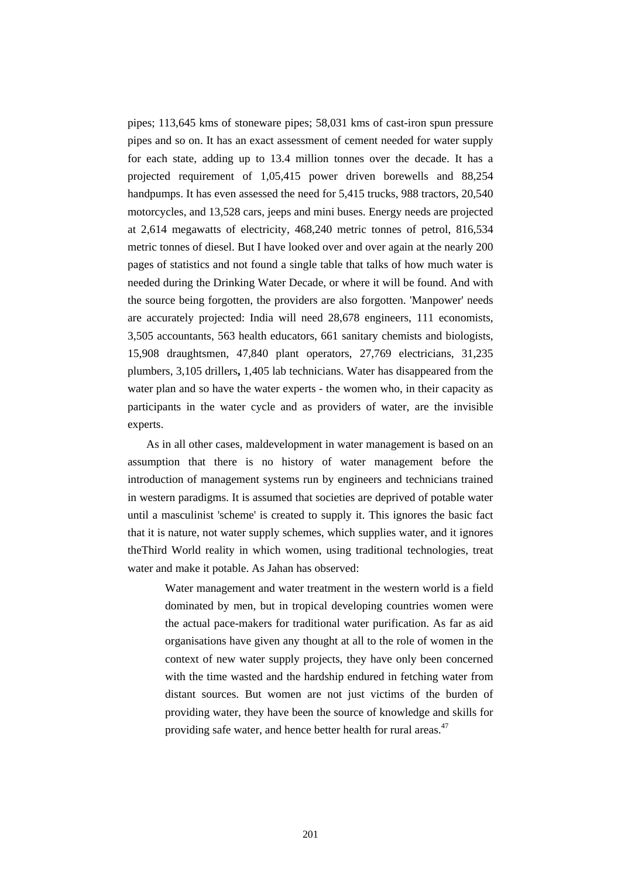pipes; 113,645 kms of stoneware pipes; 58,031 kms of cast-iron spun pressure pipes and so on. It has an exact assessment of cement needed for water supply for each state, adding up to 13.4 million tonnes over the decade. It has a projected requirement of 1,05,415 power driven borewells and 88,254 handpumps. It has even assessed the need for 5,415 trucks, 988 tractors, 20,540 motorcycles, and 13,528 cars, jeeps and mini buses. Energy needs are projected at 2,614 megawatts of electricity, 468,240 metric tonnes of petrol, 816,534 metric tonnes of diesel. But I have looked over and over again at the nearly 200 pages of statistics and not found a single table that talks of how much water is needed during the Drinking Water Decade, or where it will be found. And with the source being forgotten, the providers are also forgotten. 'Manpower' needs are accurately projected: India will need 28,678 engineers, 111 economists, 3,505 accountants, 563 health educators, 661 sanitary chemists and biologists, 15,908 draughtsmen, 47,840 plant operators, 27,769 electricians, 31,235 plumbers, 3,105 drillers**,** 1,405 lab technicians. Water has disappeared from the water plan and so have the water experts - the women who, in their capacity as participants in the water cycle and as providers of water, are the invisible experts.

As in all other cases, maldevelopment in water management is based on an assumption that there is no history of water management before the introduction of management systems run by engineers and technicians trained in western paradigms. It is assumed that societies are deprived of potable water until a masculinist 'scheme' is created to supply it. This ignores the basic fact that it is nature, not water supply schemes, which supplies water, and it ignores theThird World reality in which women, using traditional technologies, treat water and make it potable. As Jahan has observed:

> Water management and water treatment in the western world is a field dominated by men, but in tropical developing countries women were the actual pace-makers for traditional water purification. As far as aid organisations have given any thought at all to the role of women in the context of new water supply projects, they have only been concerned with the time wasted and the hardship endured in fetching water from distant sources. But women are not just victims of the burden of providing water, they have been the source of knowledge and skills for providing safe water, and hence better health for rural areas.<sup>47</sup>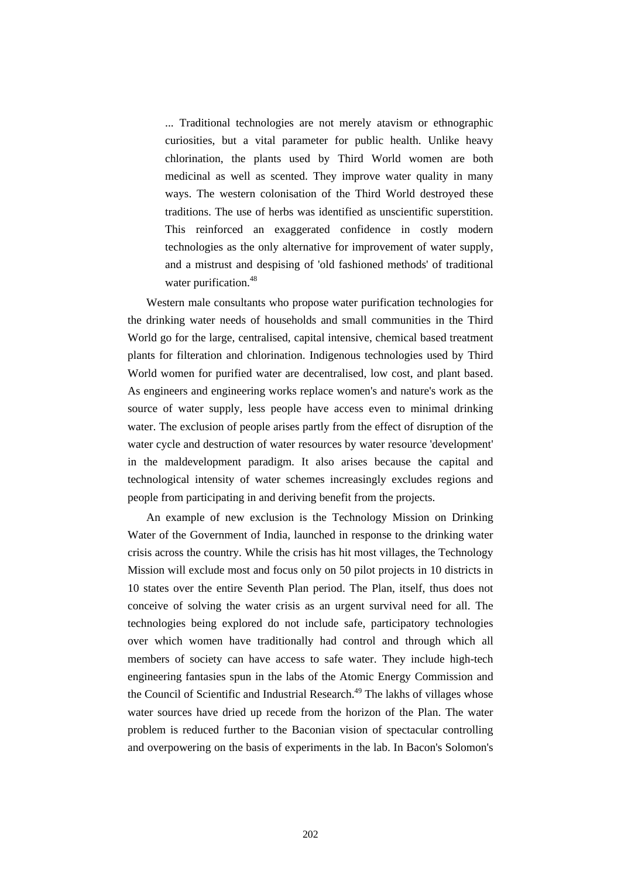... Traditional technologies are not merely atavism or ethnographic curiosities, but a vital parameter for public health. Unlike heavy chlorination, the plants used by Third World women are both medicinal as well as scented. They improve water quality in many ways. The western colonisation of the Third World destroyed these traditions. The use of herbs was identified as unscientific superstition. This reinforced an exaggerated confidence in costly modern technologies as the only alternative for improvement of water supply, and a mistrust and despising of 'old fashioned methods' of traditional water purification.<sup>48</sup>

Western male consultants who propose water purification technologies for the drinking water needs of households and small communities in the Third World go for the large, centralised, capital intensive, chemical based treatment plants for filteration and chlorination. Indigenous technologies used by Third World women for purified water are decentralised, low cost, and plant based. As engineers and engineering works replace women's and nature's work as the source of water supply, less people have access even to minimal drinking water. The exclusion of people arises partly from the effect of disruption of the water cycle and destruction of water resources by water resource 'development' in the maldevelopment paradigm. It also arises because the capital and technological intensity of water schemes increasingly excludes regions and people from participating in and deriving benefit from the projects.

An example of new exclusion is the Technology Mission on Drinking Water of the Government of India, launched in response to the drinking water crisis across the country. While the crisis has hit most villages, the Technology Mission will exclude most and focus only on 50 pilot projects in 10 districts in 10 states over the entire Seventh Plan period. The Plan, itself, thus does not conceive of solving the water crisis as an urgent survival need for all. The technologies being explored do not include safe, participatory technologies over which women have traditionally had control and through which all members of society can have access to safe water. They include high-tech engineering fantasies spun in the labs of the Atomic Energy Commission and the Council of Scientific and Industrial Research.<sup>49</sup> The lakhs of villages whose water sources have dried up recede from the horizon of the Plan. The water problem is reduced further to the Baconian vision of spectacular controlling and overpowering on the basis of experiments in the lab. In Bacon's Solomon's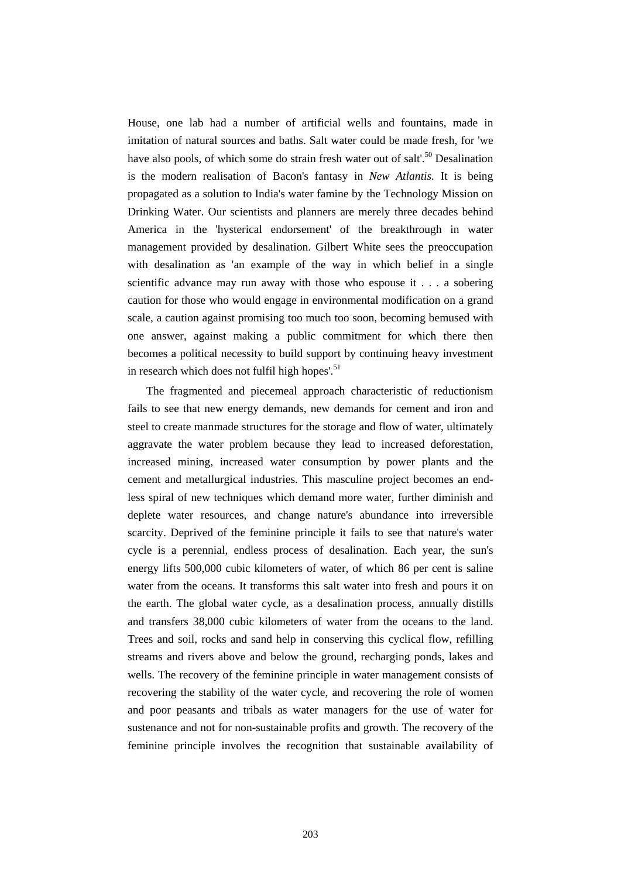House, one lab had a number of artificial wells and fountains, made in imitation of natural sources and baths. Salt water could be made fresh, for 'we have also pools, of which some do strain fresh water out of salt'.<sup>50</sup> Desalination is the modern realisation of Bacon's fantasy in *New Atlantis.* It is being propagated as a solution to India's water famine by the Technology Mission on Drinking Water. Our scientists and planners are merely three decades behind America in the 'hysterical endorsement' of the breakthrough in water management provided by desalination. Gilbert White sees the preoccupation with desalination as 'an example of the way in which belief in a single scientific advance may run away with those who espouse it . . . a sobering caution for those who would engage in environmental modification on a grand scale, a caution against promising too much too soon, becoming bemused with one answer, against making a public commitment for which there then becomes a political necessity to build support by continuing heavy investment in research which does not fulfil high hopes'.<sup>51</sup>

The fragmented and piecemeal approach characteristic of reductionism fails to see that new energy demands, new demands for cement and iron and steel to create manmade structures for the storage and flow of water, ultimately aggravate the water problem because they lead to increased deforestation, increased mining, increased water consumption by power plants and the cement and metallurgical industries. This masculine project becomes an endless spiral of new techniques which demand more water, further diminish and deplete water resources, and change nature's abundance into irreversible scarcity. Deprived of the feminine principle it fails to see that nature's water cycle is a perennial, endless process of desalination. Each year, the sun's energy lifts 500,000 cubic kilometers of water, of which 86 per cent is saline water from the oceans. It transforms this salt water into fresh and pours it on the earth. The global water cycle, as a desalination process, annually distills and transfers 38,000 cubic kilometers of water from the oceans to the land. Trees and soil, rocks and sand help in conserving this cyclical flow, refilling streams and rivers above and below the ground, recharging ponds, lakes and wells. The recovery of the feminine principle in water management consists of recovering the stability of the water cycle, and recovering the role of women and poor peasants and tribals as water managers for the use of water for sustenance and not for non-sustainable profits and growth. The recovery of the feminine principle involves the recognition that sustainable availability of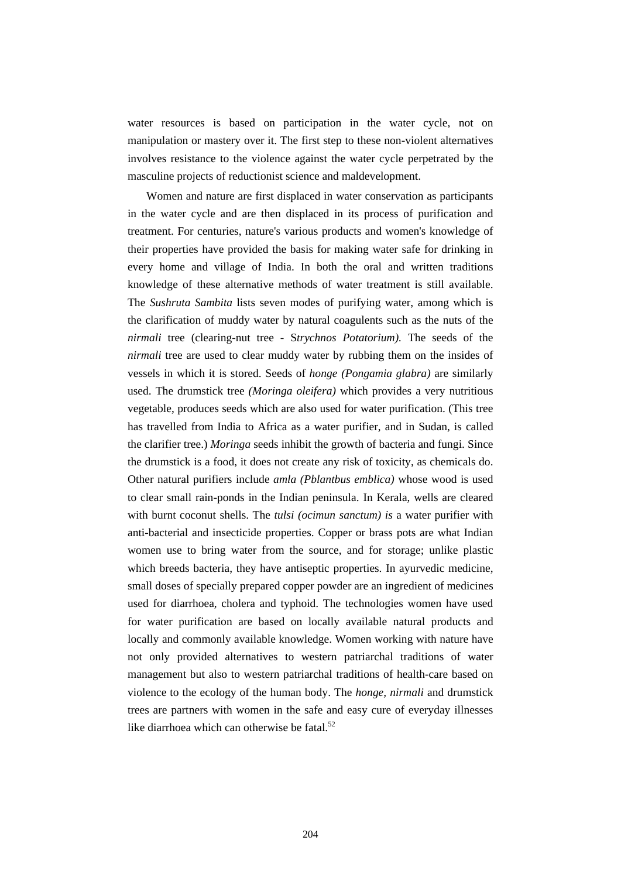water resources is based on participation in the water cycle, not on manipulation or mastery over it. The first step to these non-violent alternatives involves resistance to the violence against the water cycle perpetrated by the masculine projects of reductionist science and maldevelopment.

Women and nature are first displaced in water conservation as participants in the water cycle and are then displaced in its process of purification and treatment. For centuries, nature's various products and women's knowledge of their properties have provided the basis for making water safe for drinking in every home and village of India. In both the oral and written traditions knowledge of these alternative methods of water treatment is still available. The *Sushruta Sambita* lists seven modes of purifying water, among which is the clarification of muddy water by natural coagulents such as the nuts of the *nirmali* tree (clearing-nut tree - S*trychnos Potatorium).* The seeds of the *nirmali* tree are used to clear muddy water by rubbing them on the insides of vessels in which it is stored. Seeds of *honge (Pongamia glabra)* are similarly used. The drumstick tree *(Moringa oleifera)* which provides a very nutritious vegetable, produces seeds which are also used for water purification. (This tree has travelled from India to Africa as a water purifier, and in Sudan, is called the clarifier tree.) *Moringa* seeds inhibit the growth of bacteria and fungi. Since the drumstick is a food, it does not create any risk of toxicity, as chemicals do. Other natural purifiers include *amla (Pblantbus emblica)* whose wood is used to clear small rain-ponds in the Indian peninsula. In Kerala, wells are cleared with burnt coconut shells. The *tulsi (ocimun sanctum) is* a water purifier with anti-bacterial and insecticide properties. Copper or brass pots are what Indian women use to bring water from the source, and for storage; unlike plastic which breeds bacteria, they have antiseptic properties. In ayurvedic medicine, small doses of specially prepared copper powder are an ingredient of medicines used for diarrhoea, cholera and typhoid. The technologies women have used for water purification are based on locally available natural products and locally and commonly available knowledge. Women working with nature have not only provided alternatives to western patriarchal traditions of water management but also to western patriarchal traditions of health-care based on violence to the ecology of the human body. The *honge, nirmali* and drumstick trees are partners with women in the safe and easy cure of everyday illnesses like diarrhoea which can otherwise be fatal. $52$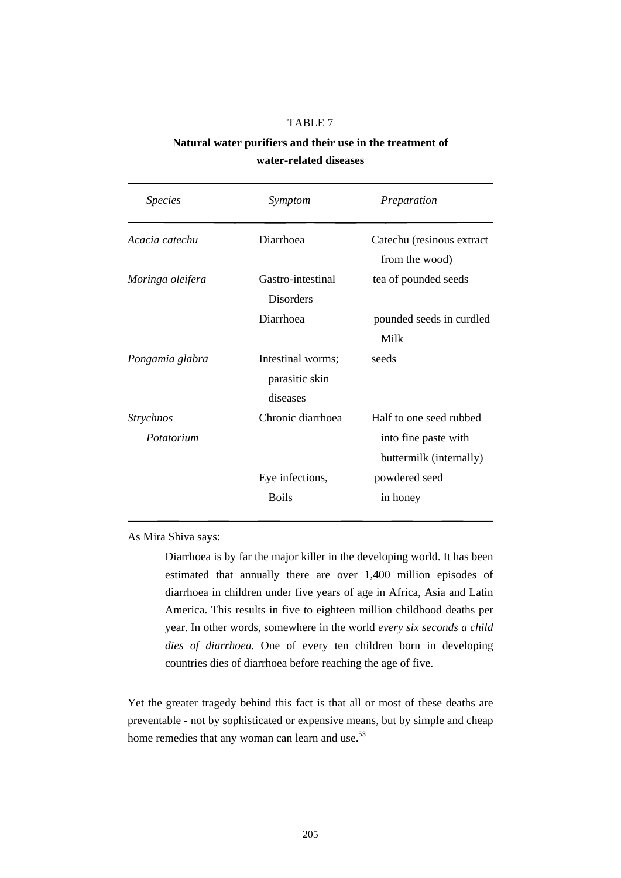### TABLE 7

# **Natural water purifiers and their use in the treatment of water-related diseases**

| <b>Species</b>                 | Symptom                                         | Preparation                                                                |
|--------------------------------|-------------------------------------------------|----------------------------------------------------------------------------|
| Acacia catechu                 | Diarrhoea                                       | Catechu (resinous extract<br>from the wood)                                |
| Moringa oleifera               | Gastro-intestinal<br><b>Disorders</b>           | tea of pounded seeds                                                       |
|                                | Diarrhoea                                       | pounded seeds in curdled<br>Milk                                           |
| Pongamia glabra                | Intestinal worms;<br>parasitic skin<br>diseases | seeds                                                                      |
| <b>Strychnos</b><br>Potatorium | Chronic diarrhoea                               | Half to one seed rubbed<br>into fine paste with<br>buttermilk (internally) |
|                                | Eye infections,<br><b>Boils</b>                 | powdered seed<br>in honey                                                  |

As Mira Shiva says:

Diarrhoea is by far the major killer in the developing world. It has been estimated that annually there are over 1,400 million episodes of diarrhoea in children under five years of age in Africa, Asia and Latin America. This results in five to eighteen million childhood deaths per year. In other words, somewhere in the world *every six seconds a child dies of diarrhoea.* One of every ten children born in developing countries dies of diarrhoea before reaching the age of five.

Yet the greater tragedy behind this fact is that all or most of these deaths are preventable - not by sophisticated or expensive means, but by simple and cheap home remedies that any woman can learn and use.<sup>53</sup>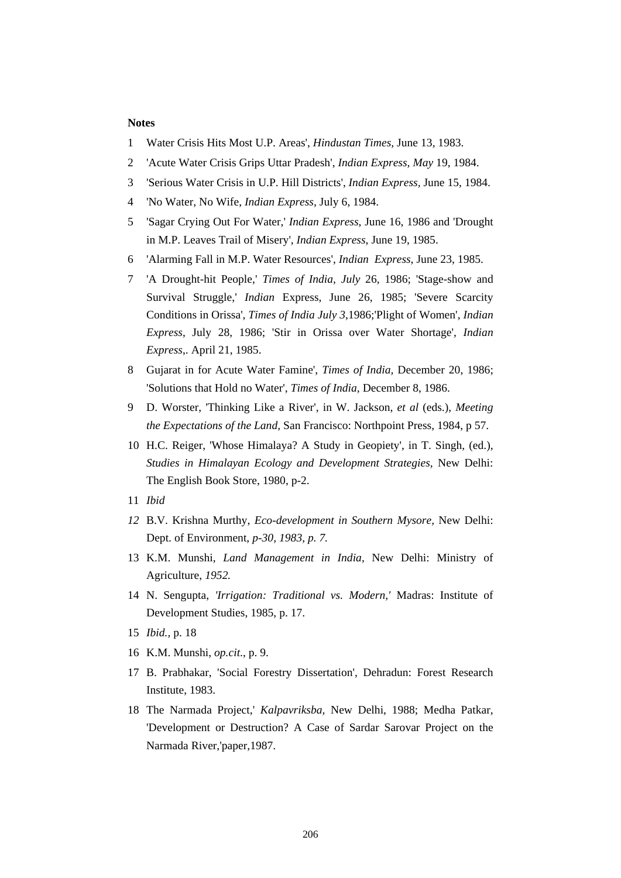#### **Notes**

- 1 Water Crisis Hits Most U.P. Areas', *Hindustan Times,* June 13, 1983.
- 2 'Acute Water Crisis Grips Uttar Pradesh', *Indian Express, May* 19, 1984.
- 3 'Serious Water Crisis in U.P. Hill Districts', *Indian Express,* June 15, 1984.
- 4 'No Water, No Wife, *Indian Express,* July 6, 1984.
- 5 'Sagar Crying Out For Water,' *Indian Express*, June 16, 1986 and 'Drought in M.P. Leaves Trail of Misery', *Indian Express*, June 19, 1985.
- 6 'Alarming Fall in M.P. Water Resources', *Indian Express*, June 23, 1985.
- 7 'A Drought-hit People,' *Times of India, July* 26, 1986; 'Stage-show and Survival Struggle,' *Indian* Express, June 26, 1985; 'Severe Scarcity Conditions in Orissa', *Times of India July 3*,1986;'Plight of Women', *Indian Express*, July 28, 1986; 'Stir in Orissa over Water Shortage', *Indian Express*,. April 21, 1985.
- 8 Gujarat in for Acute Water Famine', *Times of India,* December 20, 1986; 'Solutions that Hold no Water', *Times of India,* December 8, 1986.
- 9 D. Worster, 'Thinking Like a River', in W. Jackson, *et al* (eds.), *Meeting the Expectations of the Land,* San Francisco: Northpoint Press, 1984, p 57.
- 10 H.C. Reiger, 'Whose Himalaya? A Study in Geopiety', in T. Singh, (ed.), *Studies in Himalayan Ecology and Development Strategies,* New Delhi: The English Book Store, 1980, p-2.
- 11 *Ibid*
- *12* B.V. Krishna Murthy, *Eco-development in Southern Mysore,* New Delhi: Dept. of Environment, *p-30, 1983, p. 7.*
- 13 K.M. Munshi, *Land Management in India,* New Delhi: Ministry of Agriculture, *1952.*
- 14 N. Sengupta, *'Irrigation: Traditional vs. Modern,'* Madras: Institute of Development Studies, 1985, p. 17.
- 15 *Ibid.,* p. 18
- 16 K.M. Munshi, *op.cit*., p. 9.
- 17 B. Prabhakar, 'Social Forestry Dissertation', Dehradun: Forest Research Institute, 1983.
- 18 The Narmada Project,' *Kalpavriksba,* New Delhi, 1988; Medha Patkar, 'Development or Destruction? A Case of Sardar Sarovar Project on the Narmada River,'paper,1987.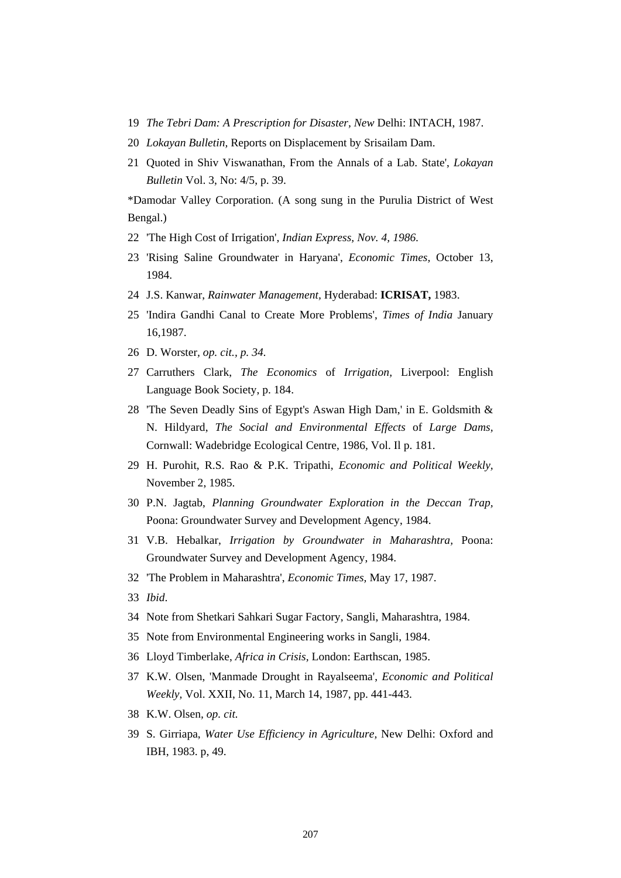- *The Tebri Dam: A Prescription for Disaster, New* Delhi: INTACH, 1987.
- *Lokayan Bulletin,* Reports on Displacement by Srisailam Dam.
- Quoted in Shiv Viswanathan, From the Annals of a Lab. State', *Lokayan Bulletin* Vol. 3, No: 4/5, p. 39.

\*Damodar Valley Corporation. (A song sung in the Purulia District of West Bengal.)

- 'The High Cost of Irrigation', *Indian Express, Nov. 4, 1986.*
- 'Rising Saline Groundwater in Haryana', *Economic Times,* October 13, 1984.
- J.S. Kanwar, *Rainwater Management,* Hyderabad: **ICRISAT,** 1983.
- 'Indira Gandhi Canal to Create More Problems', *Times of India* January 16,1987.
- D. Worster*, op. cit., p. 34.*
- Carruthers Clark, *The Economics* of *Irrigation,* Liverpool: English Language Book Society, p. 184.
- 'The Seven Deadly Sins of Egypt's Aswan High Dam,' in E. Goldsmith & N. Hildyard, *The Social and Environmental Effects* of *Large Dams,*  Cornwall: Wadebridge Ecological Centre, 1986, Vol. Il p. 181.
- H. Purohit, R.S. Rao & P.K. Tripathi, *Economic and Political Weekly,*  November 2, 1985.
- P.N. Jagtab, *Planning Groundwater Exploration in the Deccan Trap,*  Poona: Groundwater Survey and Development Agency, 1984.
- V.B. Hebalkar, *Irrigation by Groundwater in Maharashtra,* Poona: Groundwater Survey and Development Agency, 1984.
- 'The Problem in Maharashtra', *Economic Times,* May 17, 1987.
- *Ibid*.
- Note from Shetkari Sahkari Sugar Factory, Sangli, Maharashtra, 1984.
- Note from Environmental Engineering works in Sangli, 1984.
- Lloyd Timberlake, *Africa in Crisis,* London: Earthscan, 1985.
- K.W. Olsen, 'Manmade Drought in Rayalseema', *Economic and Political Weekly,* Vol. XXII, No. 11, March 14, 1987, pp. 441-443.
- K.W. Olsen*, op. cit.*
- S. Girriapa, *Water Use Efficiency in Agriculture,* New Delhi: Oxford and IBH, 1983. p, 49.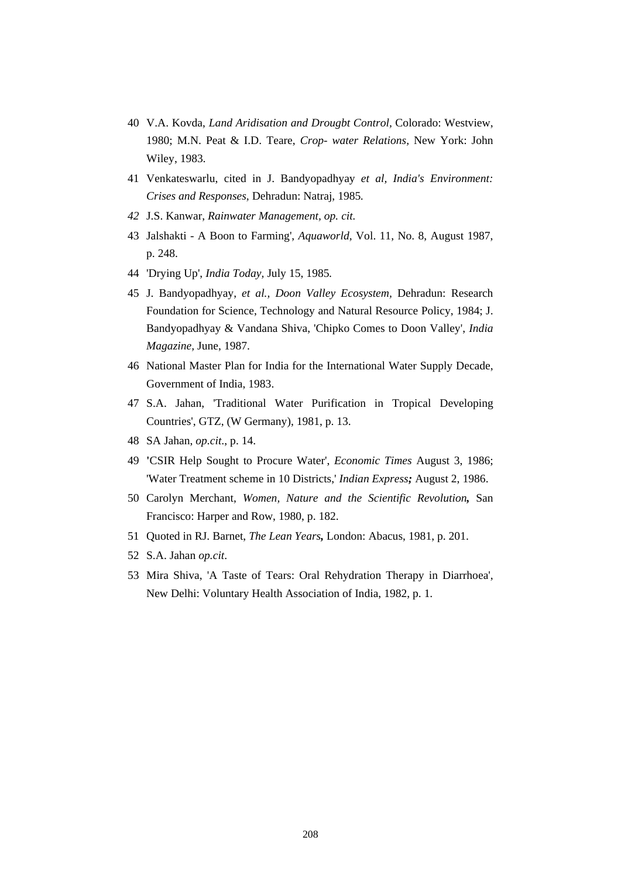- 40 V.A. Kovda, *Land Aridisation and Drougbt Control,* Colorado: Westview, 1980; M.N. Peat & I.D. Teare, *Crop- water Relations,* New York: John Wiley, 1983*.*
- 41 Venkateswarlu, cited in J. Bandyopadhyay *et al, India's Environment: Crises and Responses,* Dehradun: Natraj, 1985*.*
- *42* J.S. Kanwar, *Rainwater Management, op. cit.*
- 43 Jalshakti A Boon to Farming', *Aquaworld,* Vol. 11, No. 8, August 1987, p. 248.
- 44 'Drying Up', *India Today,* July 15, 1985*.*
- 45 J. Bandyopadhyay, *et al., Doon Valley Ecosystem,* Dehradun: Research Foundation for Science, Technology and Natural Resource Policy, 1984; J. Bandyopadhyay & Vandana Shiva, 'Chipko Comes to Doon Valley', *India Magazine,* June, 1987.
- 46 National Master Plan for India for the International Water Supply Decade, Government of India, 1983.
- 47 S.A. Jahan, 'Traditional Water Purification in Tropical Developing Countries', GTZ, (W Germany), 1981, p. 13.
- 48 SA Jahan, *op.cit*., p. 14.
- 49 **'**CSIR Help Sought to Procure Water', *Economic Times* August 3, 1986; 'Water Treatment scheme in 10 Districts,' *Indian Express;* August 2, 1986.
- 50 Carolyn Merchant, *Women, Nature and the Scientific Revolution,* San Francisco: Harper and Row, 1980, p. 182.
- 51 Quoted in RJ. Barnet, *The Lean Years,* London: Abacus, 1981, p. 201.
- 52 S.A. Jahan *op.cit*.
- 53 Mira Shiva, 'A Taste of Tears: Oral Rehydration Therapy in Diarrhoea', New Delhi: Voluntary Health Association of India, 1982, p. 1.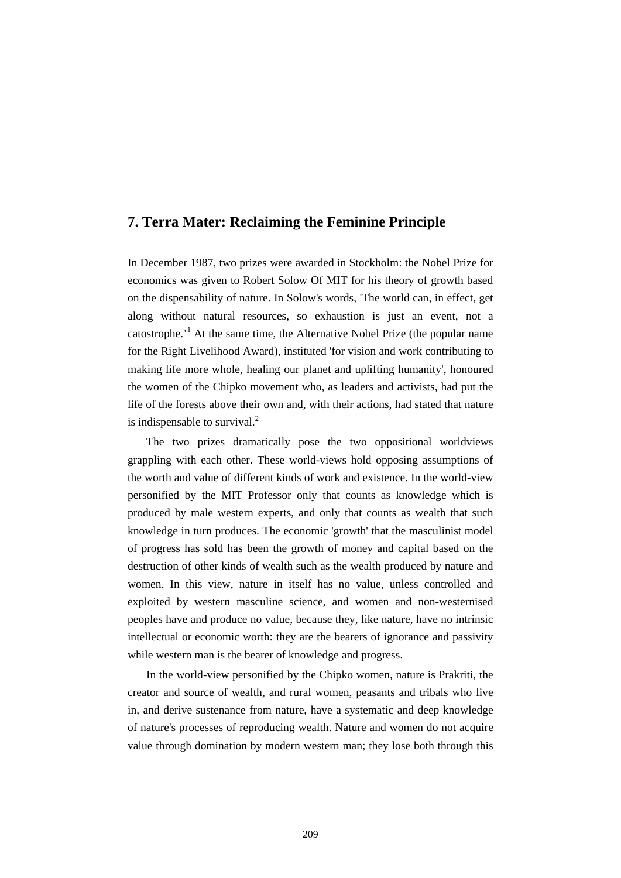## **7. Terra Mater: Reclaiming the Feminine Principle**

In December 1987, two prizes were awarded in Stockholm: the Nobel Prize for economics was given to Robert Solow Of MIT for his theory of growth based on the dispensability of nature. In Solow's words, 'The world can, in effect, get along without natural resources, so exhaustion is just an event, not a catostrophe.<sup>1</sup> At the same time, the Alternative Nobel Prize (the popular name for the Right Livelihood Award), instituted 'for vision and work contributing to making life more whole, healing our planet and uplifting humanity', honoured the women of the Chipko movement who, as leaders and activists, had put the life of the forests above their own and, with their actions, had stated that nature is indispensable to survival. $^{2}$ 

The two prizes dramatically pose the two oppositional worldviews grappling with each other. These world-views hold opposing assumptions of the worth and value of different kinds of work and existence. In the world-view personified by the MIT Professor only that counts as knowledge which is produced by male western experts, and only that counts as wealth that such knowledge in turn produces. The economic 'growth' that the masculinist model of progress has sold has been the growth of money and capital based on the destruction of other kinds of wealth such as the wealth produced by nature and women. In this view, nature in itself has no value, unless controlled and exploited by western masculine science, and women and non-westernised peoples have and produce no value, because they, like nature, have no intrinsic intellectual or economic worth: they are the bearers of ignorance and passivity while western man is the bearer of knowledge and progress.

In the world-view personified by the Chipko women, nature is Prakriti, the creator and source of wealth, and rural women, peasants and tribals who live in, and derive sustenance from nature, have a systematic and deep knowledge of nature's processes of reproducing wealth. Nature and women do not acquire value through domination by modern western man; they lose both through this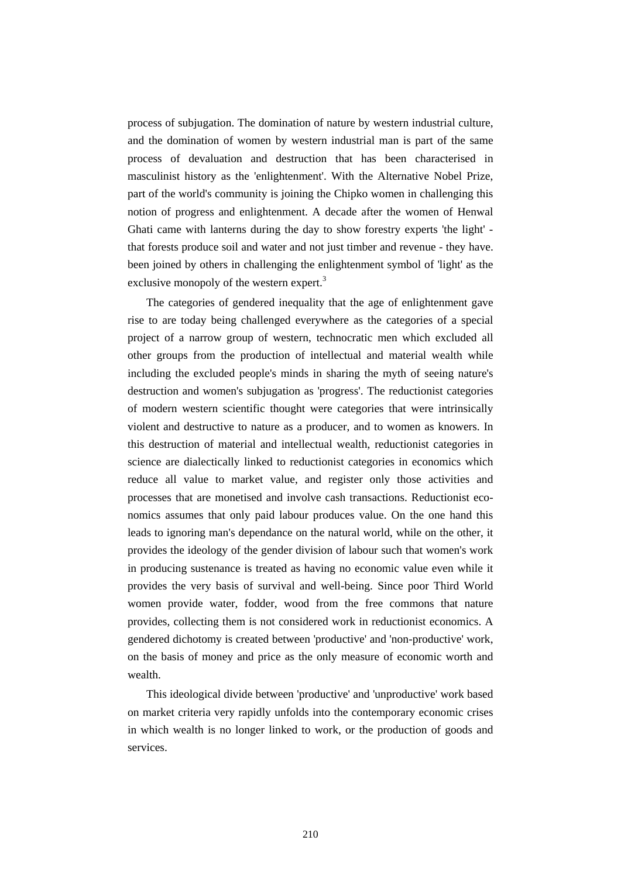process of subjugation. The domination of nature by western industrial culture, and the domination of women by western industrial man is part of the same process of devaluation and destruction that has been characterised in masculinist history as the 'enlightenment'. With the Alternative Nobel Prize, part of the world's community is joining the Chipko women in challenging this notion of progress and enlightenment. A decade after the women of Henwal Ghati came with lanterns during the day to show forestry experts 'the light' that forests produce soil and water and not just timber and revenue - they have. been joined by others in challenging the enlightenment symbol of 'light' as the exclusive monopoly of the western expert.<sup>3</sup>

The categories of gendered inequality that the age of enlightenment gave rise to are today being challenged everywhere as the categories of a special project of a narrow group of western, technocratic men which excluded all other groups from the production of intellectual and material wealth while including the excluded people's minds in sharing the myth of seeing nature's destruction and women's subjugation as 'progress'. The reductionist categories of modern western scientific thought were categories that were intrinsically violent and destructive to nature as a producer, and to women as knowers. In this destruction of material and intellectual wealth, reductionist categories in science are dialectically linked to reductionist categories in economics which reduce all value to market value, and register only those activities and processes that are monetised and involve cash transactions. Reductionist economics assumes that only paid labour produces value. On the one hand this leads to ignoring man's dependance on the natural world, while on the other, it provides the ideology of the gender division of labour such that women's work in producing sustenance is treated as having no economic value even while it provides the very basis of survival and well-being. Since poor Third World women provide water, fodder, wood from the free commons that nature provides, collecting them is not considered work in reductionist economics. A gendered dichotomy is created between 'productive' and 'non-productive' work, on the basis of money and price as the only measure of economic worth and wealth.

This ideological divide between 'productive' and 'unproductive' work based on market criteria very rapidly unfolds into the contemporary economic crises in which wealth is no longer linked to work, or the production of goods and services.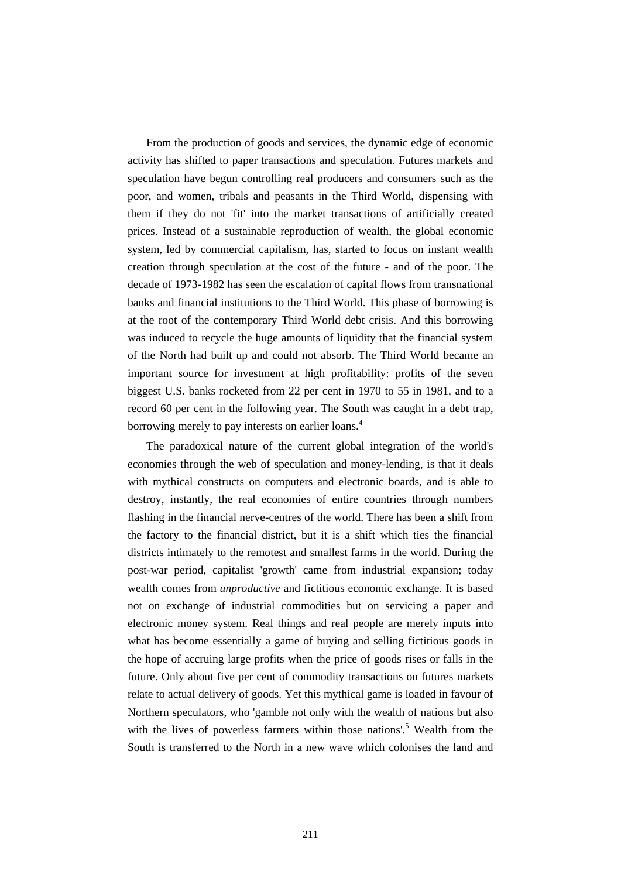From the production of goods and services, the dynamic edge of economic activity has shifted to paper transactions and speculation. Futures markets and speculation have begun controlling real producers and consumers such as the poor, and women, tribals and peasants in the Third World, dispensing with them if they do not 'fit' into the market transactions of artificially created prices. Instead of a sustainable reproduction of wealth, the global economic system, led by commercial capitalism, has, started to focus on instant wealth creation through speculation at the cost of the future - and of the poor. The decade of 1973-1982 has seen the escalation of capital flows from transnational banks and financial institutions to the Third World. This phase of borrowing is at the root of the contemporary Third World debt crisis. And this borrowing was induced to recycle the huge amounts of liquidity that the financial system of the North had built up and could not absorb. The Third World became an important source for investment at high profitability: profits of the seven biggest U.S. banks rocketed from 22 per cent in 1970 to 55 in 1981, and to a record 60 per cent in the following year. The South was caught in a debt trap, borrowing merely to pay interests on earlier loans.<sup>4</sup>

The paradoxical nature of the current global integration of the world's economies through the web of speculation and money-lending, is that it deals with mythical constructs on computers and electronic boards, and is able to destroy, instantly, the real economies of entire countries through numbers flashing in the financial nerve-centres of the world. There has been a shift from the factory to the financial district, but it is a shift which ties the financial districts intimately to the remotest and smallest farms in the world. During the post-war period, capitalist 'growth' came from industrial expansion; today wealth comes from *unproductive* and fictitious economic exchange. It is based not on exchange of industrial commodities but on servicing a paper and electronic money system. Real things and real people are merely inputs into what has become essentially a game of buying and selling fictitious goods in the hope of accruing large profits when the price of goods rises or falls in the future. Only about five per cent of commodity transactions on futures markets relate to actual delivery of goods. Yet this mythical game is loaded in favour of Northern speculators, who 'gamble not only with the wealth of nations but also with the lives of powerless farmers within those nations'.<sup>5</sup> Wealth from the South is transferred to the North in a new wave which colonises the land and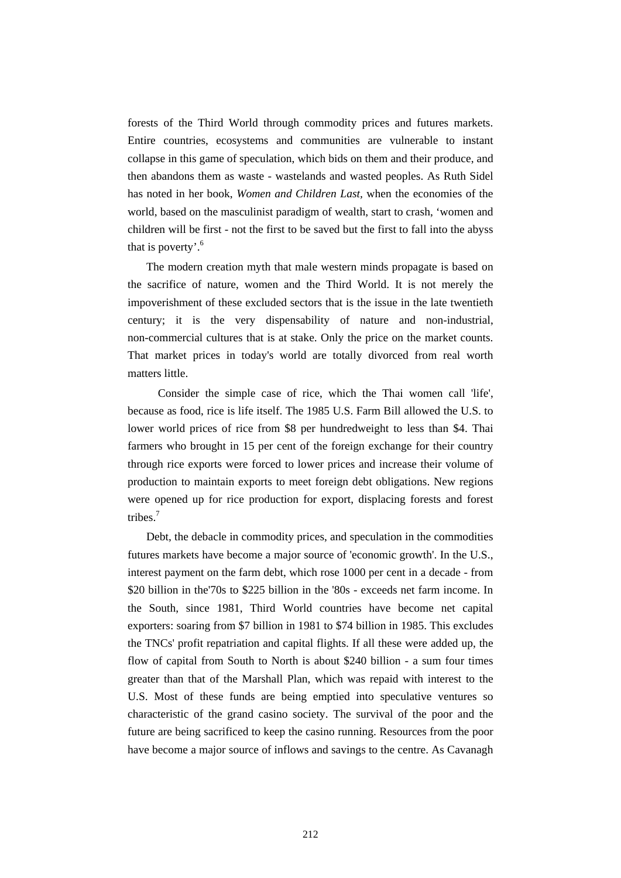forests of the Third World through commodity prices and futures markets. Entire countries, ecosystems and communities are vulnerable to instant collapse in this game of speculation, which bids on them and their produce, and then abandons them as waste - wastelands and wasted peoples. As Ruth Sidel has noted in her book, *Women and Children Last,* when the economies of the world, based on the masculinist paradigm of wealth, start to crash, 'women and children will be first - not the first to be saved but the first to fall into the abyss that is poverty'.6

The modern creation myth that male western minds propagate is based on the sacrifice of nature, women and the Third World. It is not merely the impoverishment of these excluded sectors that is the issue in the late twentieth century; it is the very dispensability of nature and non-industrial, non-commercial cultures that is at stake. Only the price on the market counts. That market prices in today's world are totally divorced from real worth matters little.

 Consider the simple case of rice, which the Thai women call 'life', because as food, rice is life itself. The 1985 U.S. Farm Bill allowed the U.S. to lower world prices of rice from \$8 per hundredweight to less than \$4. Thai farmers who brought in 15 per cent of the foreign exchange for their country through rice exports were forced to lower prices and increase their volume of production to maintain exports to meet foreign debt obligations. New regions were opened up for rice production for export, displacing forests and forest tribes.<sup>7</sup>

Debt, the debacle in commodity prices, and speculation in the commodities futures markets have become a major source of 'economic growth'. In the U.S., interest payment on the farm debt, which rose 1000 per cent in a decade - from \$20 billion in the'70s to \$225 billion in the '80s - exceeds net farm income. In the South, since 1981, Third World countries have become net capital exporters: soaring from \$7 billion in 1981 to \$74 billion in 1985. This excludes the TNCs' profit repatriation and capital flights. If all these were added up, the flow of capital from South to North is about \$240 billion - a sum four times greater than that of the Marshall Plan, which was repaid with interest to the U.S. Most of these funds are being emptied into speculative ventures so characteristic of the grand casino society. The survival of the poor and the future are being sacrificed to keep the casino running. Resources from the poor have become a major source of inflows and savings to the centre. As Cavanagh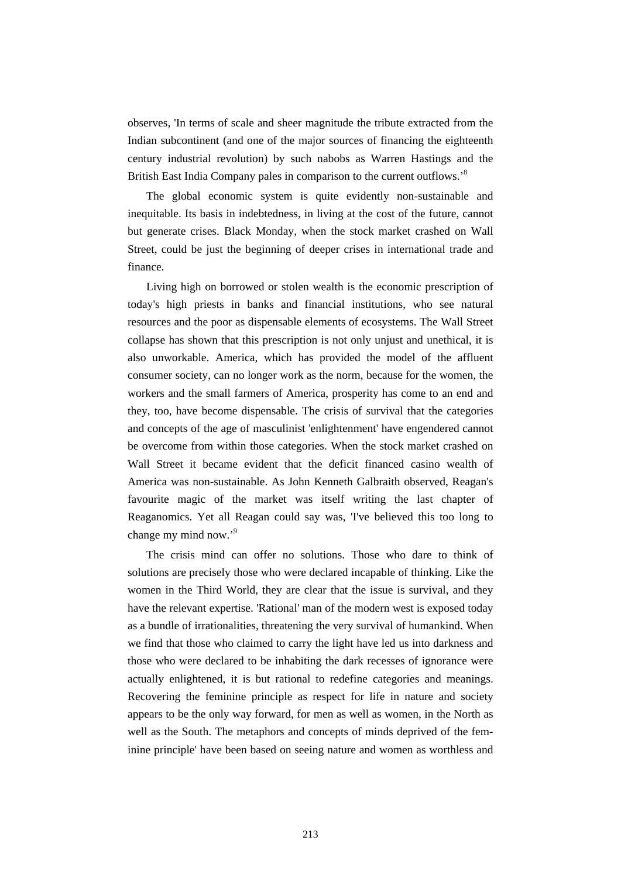observes, 'In terms of scale and sheer magnitude the tribute extracted from the Indian subcontinent (and one of the major sources of financing the eighteenth century industrial revolution) by such nabobs as Warren Hastings and the British East India Company pales in comparison to the current outflows.'8

The global economic system is quite evidently non-sustainable and inequitable. Its basis in indebtedness, in living at the cost of the future, cannot but generate crises. Black Monday, when the stock market crashed on Wall Street, could be just the beginning of deeper crises in international trade and finance.

Living high on borrowed or stolen wealth is the economic prescription of today's high priests in banks and financial institutions, who see natural resources and the poor as dispensable elements of ecosystems. The Wall Street collapse has shown that this prescription is not only unjust and unethical, it is also unworkable. America, which has provided the model of the affluent consumer society, can no longer work as the norm, because for the women, the workers and the small farmers of America, prosperity has come to an end and they, too, have become dispensable. The crisis of survival that the categories and concepts of the age of masculinist 'enlightenment' have engendered cannot be overcome from within those categories. When the stock market crashed on Wall Street it became evident that the deficit financed casino wealth of America was non-sustainable. As John Kenneth Galbraith observed, Reagan's favourite magic of the market was itself writing the last chapter of Reaganomics. Yet all Reagan could say was, 'I've believed this too long to change my mind now.'9

The crisis mind can offer no solutions. Those who dare to think of solutions are precisely those who were declared incapable of thinking. Like the women in the Third World, they are clear that the issue is survival, and they have the relevant expertise. 'Rational' man of the modern west is exposed today as a bundle of irrationalities, threatening the very survival of humankind. When we find that those who claimed to carry the light have led us into darkness and those who were declared to be inhabiting the dark recesses of ignorance were actually enlightened, it is but rational to redefine categories and meanings. Recovering the feminine principle as respect for life in nature and society appears to be the only way forward, for men as well as women, in the North as well as the South. The metaphors and concepts of minds deprived of the feminine principle' have been based on seeing nature and women as worthless and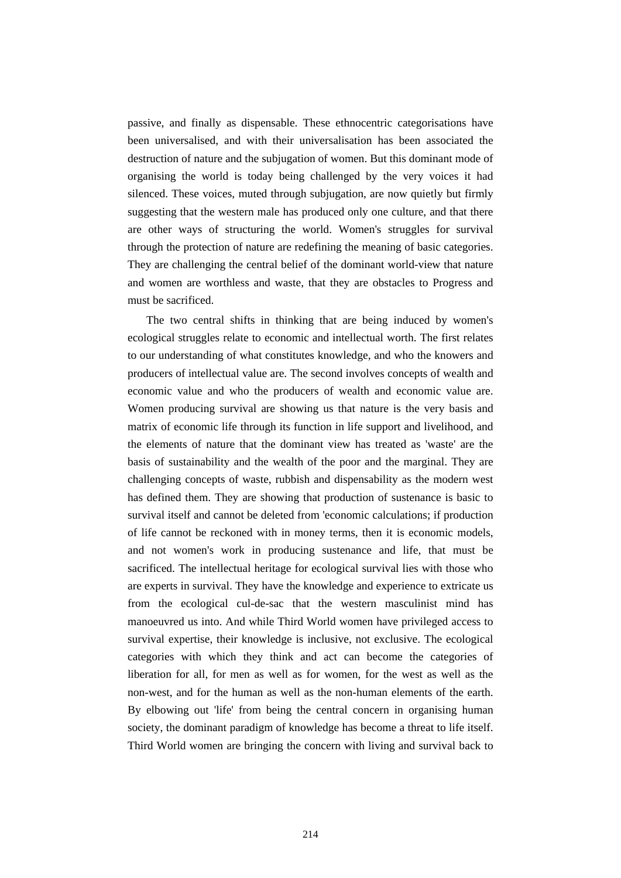passive, and finally as dispensable. These ethnocentric categorisations have been universalised, and with their universalisation has been associated the destruction of nature and the subjugation of women. But this dominant mode of organising the world is today being challenged by the very voices it had silenced. These voices, muted through subjugation, are now quietly but firmly suggesting that the western male has produced only one culture, and that there are other ways of structuring the world. Women's struggles for survival through the protection of nature are redefining the meaning of basic categories. They are challenging the central belief of the dominant world-view that nature and women are worthless and waste, that they are obstacles to Progress and must be sacrificed.

The two central shifts in thinking that are being induced by women's ecological struggles relate to economic and intellectual worth. The first relates to our understanding of what constitutes knowledge, and who the knowers and producers of intellectual value are. The second involves concepts of wealth and economic value and who the producers of wealth and economic value are. Women producing survival are showing us that nature is the very basis and matrix of economic life through its function in life support and livelihood, and the elements of nature that the dominant view has treated as 'waste' are the basis of sustainability and the wealth of the poor and the marginal. They are challenging concepts of waste, rubbish and dispensability as the modern west has defined them. They are showing that production of sustenance is basic to survival itself and cannot be deleted from 'economic calculations; if production of life cannot be reckoned with in money terms, then it is economic models, and not women's work in producing sustenance and life, that must be sacrificed. The intellectual heritage for ecological survival lies with those who are experts in survival. They have the knowledge and experience to extricate us from the ecological cul-de-sac that the western masculinist mind has manoeuvred us into. And while Third World women have privileged access to survival expertise, their knowledge is inclusive, not exclusive. The ecological categories with which they think and act can become the categories of liberation for all, for men as well as for women, for the west as well as the non-west, and for the human as well as the non-human elements of the earth. By elbowing out 'life' from being the central concern in organising human society, the dominant paradigm of knowledge has become a threat to life itself. Third World women are bringing the concern with living and survival back to